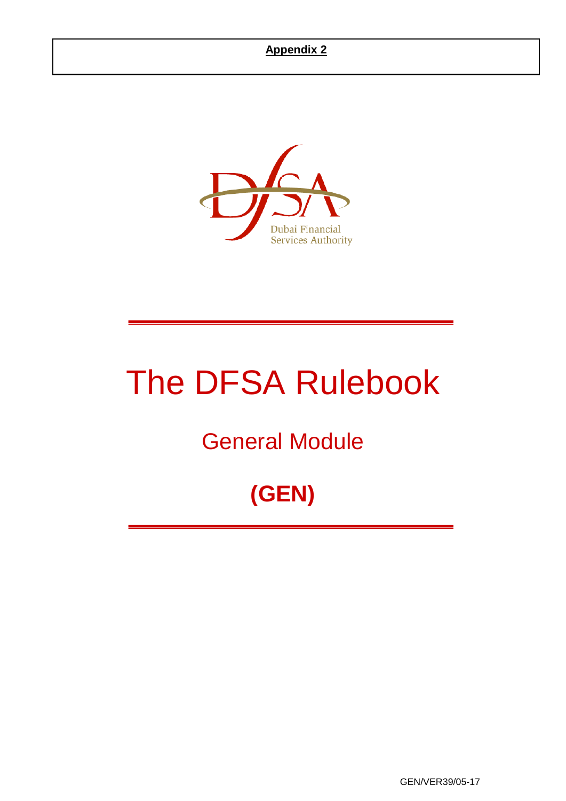

# The DFSA Rulebook

## General Module

## **(GEN)**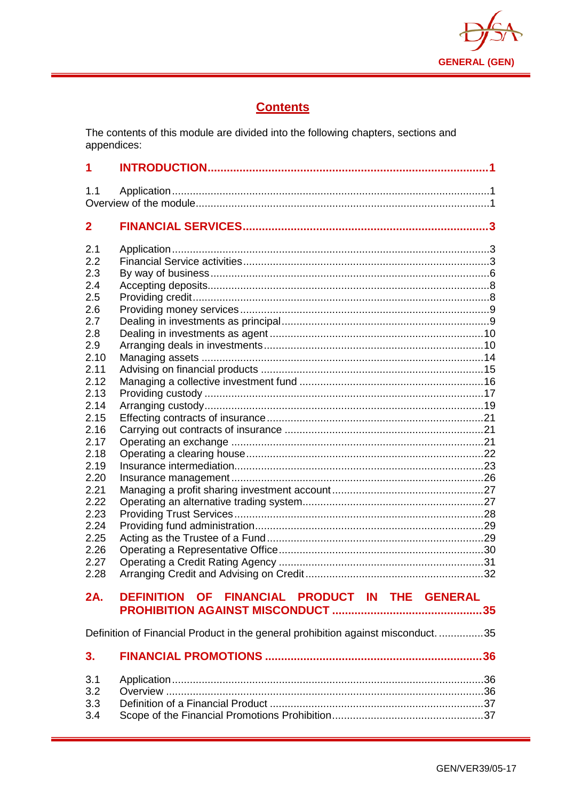

## **Contents**

The contents of this module are divided into the following chapters, sections and appendices:

| 1                    |                                                                                 |  |
|----------------------|---------------------------------------------------------------------------------|--|
| 1.1                  |                                                                                 |  |
| $\overline{2}$       |                                                                                 |  |
| 2.1<br>2.2<br>2.3    |                                                                                 |  |
| 2.4<br>2.5           |                                                                                 |  |
| 2.6<br>2.7           |                                                                                 |  |
| 2.8<br>2.9           |                                                                                 |  |
| 2.10<br>2.11         |                                                                                 |  |
| 2.12<br>2.13         |                                                                                 |  |
| 2.14<br>2.15         |                                                                                 |  |
| 2.16<br>2.17<br>2.18 |                                                                                 |  |
| 2.19<br>2.20         |                                                                                 |  |
| 2.21<br>2.22         |                                                                                 |  |
| 2.23<br>2.24         |                                                                                 |  |
| 2.25<br>2.26         |                                                                                 |  |
| 2.27<br>2.28         |                                                                                 |  |
| 2A.                  | DEFINITION OF FINANCIAL PRODUCT IN THE GENERAL                                  |  |
|                      | Definition of Financial Product in the general prohibition against misconduct35 |  |
| 3.                   |                                                                                 |  |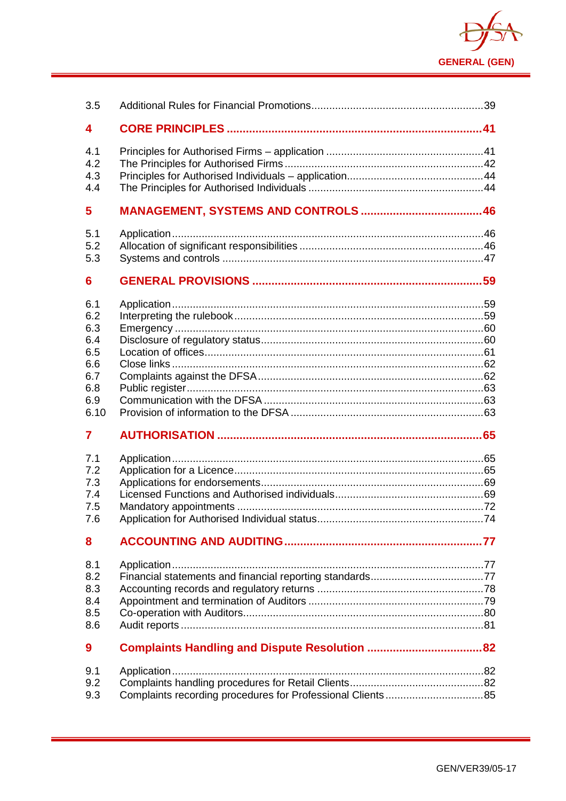

| 3.5                                                                 |  |
|---------------------------------------------------------------------|--|
| 4                                                                   |  |
| 4.1<br>4.2<br>4.3<br>4.4                                            |  |
| 5                                                                   |  |
| 5.1<br>5.2<br>5.3                                                   |  |
| 6                                                                   |  |
| 6.1<br>6.2<br>6.3<br>6.4<br>6.5<br>6.6<br>6.7<br>6.8<br>6.9<br>6.10 |  |
| $\overline{7}$                                                      |  |
| 7.1<br>7.2<br>7.3<br>7.4<br>7.5<br>7.6                              |  |
| 8                                                                   |  |
| 8.1<br>8.2<br>8.3<br>8.4<br>8.5<br>8.6                              |  |
| 9                                                                   |  |
| 9.1<br>9.2<br>9.3                                                   |  |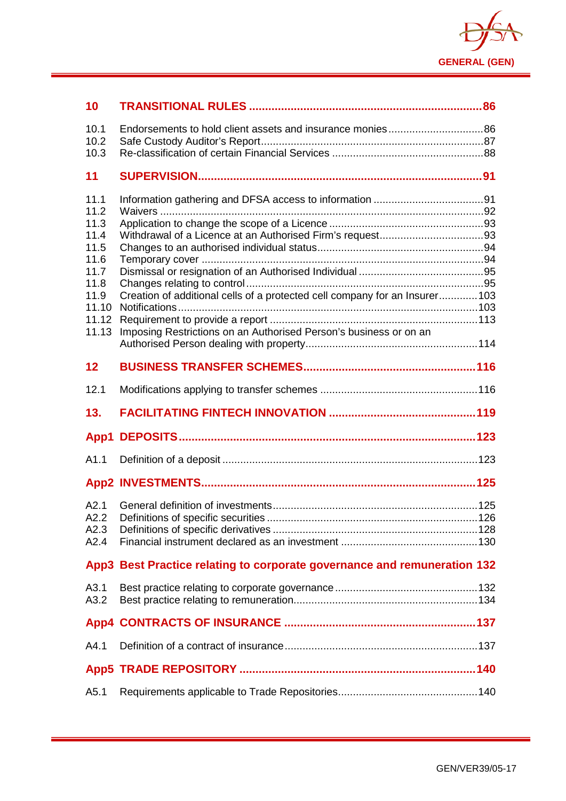

| 10           |                                                                            |  |
|--------------|----------------------------------------------------------------------------|--|
| 10.1         |                                                                            |  |
| 10.2<br>10.3 |                                                                            |  |
| 11           |                                                                            |  |
|              |                                                                            |  |
| 11.1<br>11.2 |                                                                            |  |
| 11.3         |                                                                            |  |
| 11.4         |                                                                            |  |
| 11.5         |                                                                            |  |
| 11.6         |                                                                            |  |
| 11.7<br>11.8 |                                                                            |  |
| 11.9         | Creation of additional cells of a protected cell company for an Insurer103 |  |
| 11.10        |                                                                            |  |
| 11.12        |                                                                            |  |
| 11.13        | Imposing Restrictions on an Authorised Person's business or on an          |  |
|              |                                                                            |  |
| 12           |                                                                            |  |
| 12.1         |                                                                            |  |
|              |                                                                            |  |
| 13.          |                                                                            |  |
| App1         |                                                                            |  |
| A1.1         |                                                                            |  |
|              |                                                                            |  |
|              |                                                                            |  |
| A2.1<br>A2.2 |                                                                            |  |
| A2.3         |                                                                            |  |
| A2.4         |                                                                            |  |
|              | App3 Best Practice relating to corporate governance and remuneration 132   |  |
| A3.1         |                                                                            |  |
| A3.2         |                                                                            |  |
|              |                                                                            |  |
| A4.1         |                                                                            |  |
|              |                                                                            |  |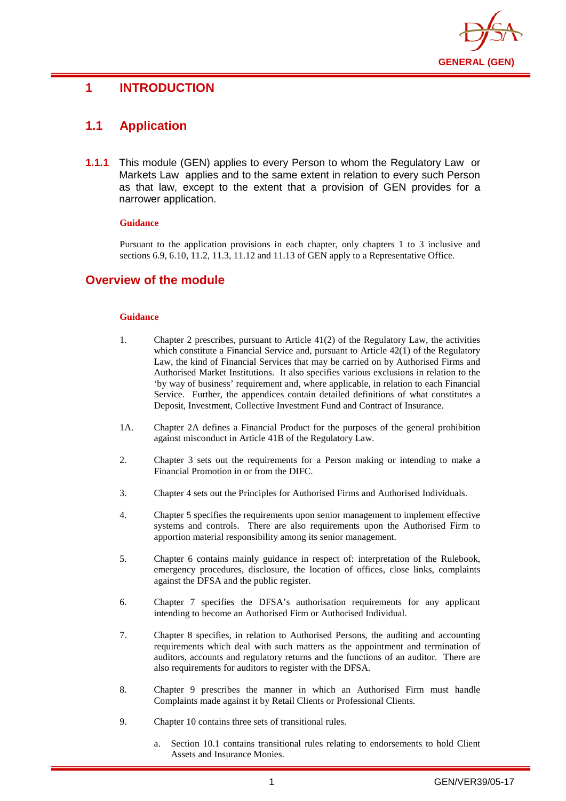

## <span id="page-4-0"></span>**1 INTRODUCTION**

## <span id="page-4-1"></span>**1.1 Application**

**1.1.1** This module (GEN) applies to every Person to whom the Regulatory Law or Markets Law applies and to the same extent in relation to every such Person as that law, except to the extent that a provision of GEN provides for a narrower application.

#### **Guidance**

Pursuant to the application provisions in each chapter, only chapters 1 to 3 inclusive and sections 6.9, 6.10, 11.2, 11.3, 11.12 and 11.13 of GEN apply to a Representative Office.

## <span id="page-4-2"></span>**Overview of the module**

#### **Guidance**

- 1. Chapter 2 prescribes, pursuant to Article 41(2) of the Regulatory Law, the activities which constitute a Financial Service and, pursuant to Article 42(1) of the Regulatory Law, the kind of Financial Services that may be carried on by Authorised Firms and Authorised Market Institutions. It also specifies various exclusions in relation to the 'by way of business' requirement and, where applicable, in relation to each Financial Service. Further, the appendices contain detailed definitions of what constitutes a Deposit, Investment, Collective Investment Fund and Contract of Insurance.
- 1A. Chapter 2A defines a Financial Product for the purposes of the general prohibition against misconduct in Article 41B of the Regulatory Law.
- 2. Chapter 3 sets out the requirements for a Person making or intending to make a Financial Promotion in or from the DIFC.
- 3. Chapter 4 sets out the Principles for Authorised Firms and Authorised Individuals.
- 4. Chapter 5 specifies the requirements upon senior management to implement effective systems and controls. There are also requirements upon the Authorised Firm to apportion material responsibility among its senior management.
- 5. Chapter 6 contains mainly guidance in respect of: interpretation of the Rulebook, emergency procedures, disclosure, the location of offices, close links, complaints against the DFSA and the public register.
- 6. Chapter 7 specifies the DFSA's authorisation requirements for any applicant intending to become an Authorised Firm or Authorised Individual.
- 7. Chapter 8 specifies, in relation to Authorised Persons, the auditing and accounting requirements which deal with such matters as the appointment and termination of auditors, accounts and regulatory returns and the functions of an auditor. There are also requirements for auditors to register with the DFSA.
- 8. Chapter 9 prescribes the manner in which an Authorised Firm must handle Complaints made against it by Retail Clients or Professional Clients.
- 9. Chapter 10 contains three sets of transitional rules.
	- a. Section 10.1 contains transitional rules relating to endorsements to hold Client Assets and Insurance Monies.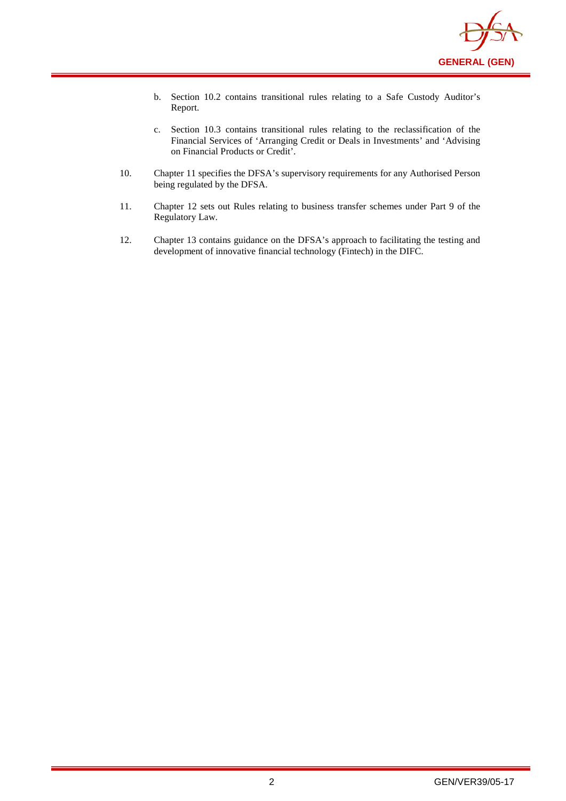

- b. Section 10.2 contains transitional rules relating to a Safe Custody Auditor's Report.
- c. Section 10.3 contains transitional rules relating to the reclassification of the Financial Services of 'Arranging Credit or Deals in Investments' and 'Advising on Financial Products or Credit'.
- 10. Chapter 11 specifies the DFSA's supervisory requirements for any Authorised Person being regulated by the DFSA.
- 11. Chapter 12 sets out Rules relating to business transfer schemes under Part 9 of the Regulatory Law.
- 12. Chapter 13 contains guidance on the DFSA's approach to facilitating the testing and development of innovative financial technology (Fintech) in the DIFC.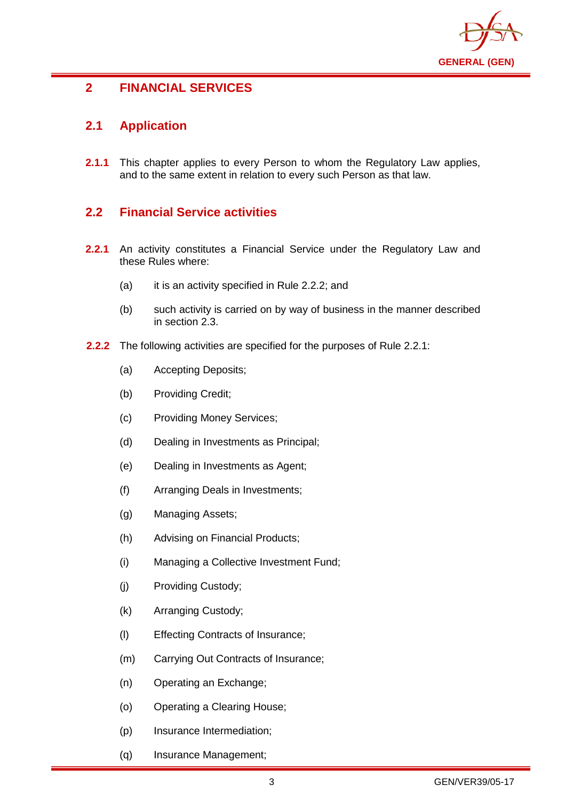

## <span id="page-6-0"></span>**2 FINANCIAL SERVICES**

## <span id="page-6-1"></span>**2.1 Application**

**2.1.1** This chapter applies to every Person to whom the Regulatory Law applies, and to the same extent in relation to every such Person as that law.

## <span id="page-6-2"></span>**2.2 Financial Service activities**

- **2.2.1** An activity constitutes a Financial Service under the Regulatory Law and these Rules where:
	- (a) it is an activity specified in Rule 2.2.2; and
	- (b) such activity is carried on by way of business in the manner described in section 2.3.
- **2.2.2** The following activities are specified for the purposes of Rule 2.2.1:
	- (a) Accepting Deposits;
	- (b) Providing Credit;
	- (c) Providing Money Services;
	- (d) Dealing in Investments as Principal;
	- (e) Dealing in Investments as Agent;
	- (f) Arranging Deals in Investments;
	- (g) Managing Assets;
	- (h) Advising on Financial Products;
	- (i) Managing a Collective Investment Fund;
	- (j) Providing Custody;
	- (k) Arranging Custody;
	- (l) Effecting Contracts of Insurance;
	- (m) Carrying Out Contracts of Insurance;
	- (n) Operating an Exchange;
	- (o) Operating a Clearing House;
	- (p) Insurance Intermediation;
	- (q) Insurance Management;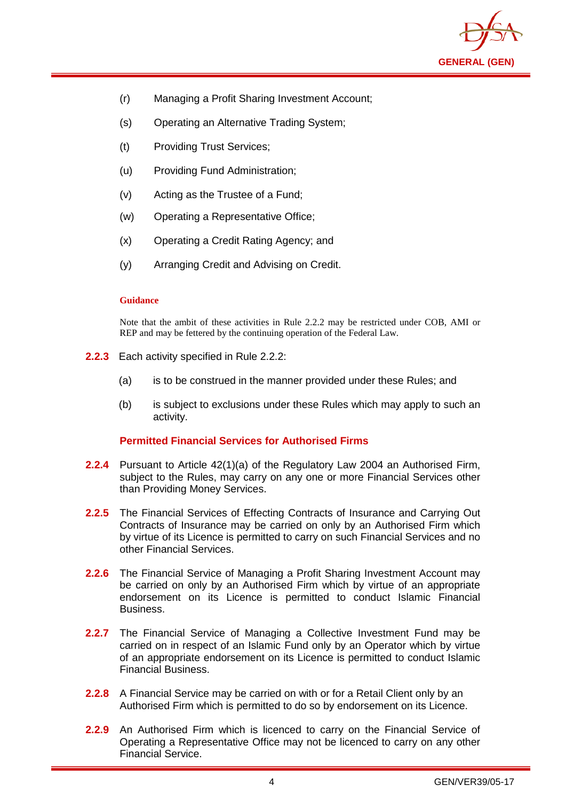

- (r) Managing a Profit Sharing Investment Account;
- (s) Operating an Alternative Trading System;
- (t) Providing Trust Services;
- (u) Providing Fund Administration;
- (v) Acting as the Trustee of a Fund;
- (w) Operating a Representative Office;
- (x) Operating a Credit Rating Agency; and
- (y) Arranging Credit and Advising on Credit.

#### **Guidance**

Note that the ambit of these activities in Rule 2.2.2 may be restricted under COB, AMI or REP and may be fettered by the continuing operation of the Federal Law.

- **2.2.3** Each activity specified in Rule 2.2.2:
	- (a) is to be construed in the manner provided under these Rules; and
	- (b) is subject to exclusions under these Rules which may apply to such an activity.

#### **Permitted Financial Services for Authorised Firms**

- **2.2.4** Pursuant to Article 42(1)(a) of the Regulatory Law 2004 an Authorised Firm, subject to the Rules, may carry on any one or more Financial Services other than Providing Money Services.
- **2.2.5** The Financial Services of Effecting Contracts of Insurance and Carrying Out Contracts of Insurance may be carried on only by an Authorised Firm which by virtue of its Licence is permitted to carry on such Financial Services and no other Financial Services.
- **2.2.6** The Financial Service of Managing a Profit Sharing Investment Account may be carried on only by an Authorised Firm which by virtue of an appropriate endorsement on its Licence is permitted to conduct Islamic Financial Business.
- **2.2.7** The Financial Service of Managing a Collective Investment Fund may be carried on in respect of an Islamic Fund only by an Operator which by virtue of an appropriate endorsement on its Licence is permitted to conduct Islamic Financial Business.
- **2.2.8** A Financial Service may be carried on with or for a Retail Client only by an Authorised Firm which is permitted to do so by endorsement on its Licence.
- **2.2.9** An Authorised Firm which is licenced to carry on the Financial Service of Operating a Representative Office may not be licenced to carry on any other Financial Service.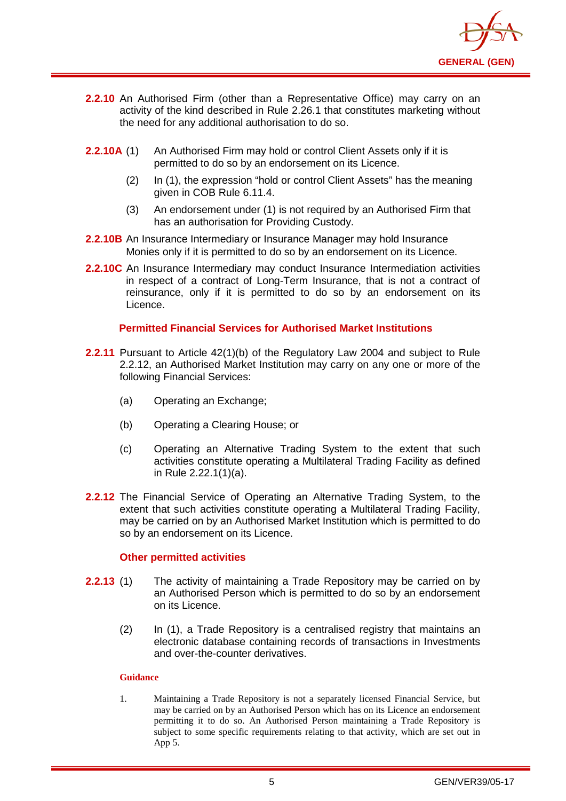

- **2.2.10** An Authorised Firm (other than a Representative Office) may carry on an activity of the kind described in Rule 2.26.1 that constitutes marketing without the need for any additional authorisation to do so.
- **2.2.10A** (1) An Authorised Firm may hold or control Client Assets only if it is permitted to do so by an endorsement on its Licence.
	- (2) In (1), the expression "hold or control Client Assets" has the meaning given in COB Rule 6.11.4.
	- (3) An endorsement under (1) is not required by an Authorised Firm that has an authorisation for Providing Custody.
- **2.2.10B** An Insurance Intermediary or Insurance Manager may hold Insurance Monies only if it is permitted to do so by an endorsement on its Licence.
- **2.2.10C** An Insurance Intermediary may conduct Insurance Intermediation activities in respect of a contract of Long-Term Insurance, that is not a contract of reinsurance, only if it is permitted to do so by an endorsement on its Licence.

#### **Permitted Financial Services for Authorised Market Institutions**

- **2.2.11** Pursuant to Article 42(1)(b) of the Regulatory Law 2004 and subject to Rule 2.2.12, an Authorised Market Institution may carry on any one or more of the following Financial Services:
	- (a) Operating an Exchange;
	- (b) Operating a Clearing House; or
	- (c) Operating an Alternative Trading System to the extent that such activities constitute operating a Multilateral Trading Facility as defined in Rule 2.22.1(1)(a).
- **2.2.12** The Financial Service of Operating an Alternative Trading System, to the extent that such activities constitute operating a Multilateral Trading Facility, may be carried on by an Authorised Market Institution which is permitted to do so by an endorsement on its Licence.

#### **Other permitted activities**

- **2.2.13** (1) The activity of maintaining a Trade Repository may be carried on by an Authorised Person which is permitted to do so by an endorsement on its Licence.
	- (2) In (1), a Trade Repository is a centralised registry that maintains an electronic database containing records of transactions in Investments and over-the-counter derivatives.

#### **Guidance**

1. Maintaining a Trade Repository is not a separately licensed Financial Service, but may be carried on by an Authorised Person which has on its Licence an endorsement permitting it to do so. An Authorised Person maintaining a Trade Repository is subject to some specific requirements relating to that activity, which are set out in App 5.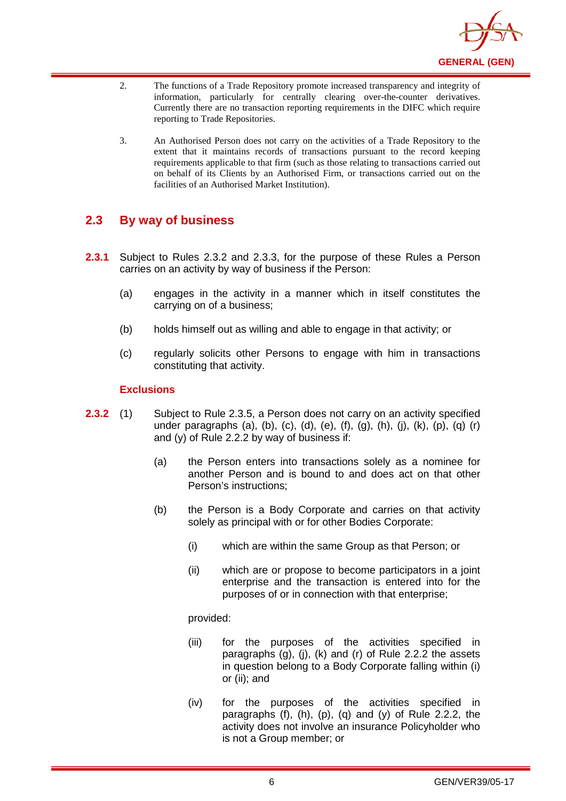

- 2. The functions of a Trade Repository promote increased transparency and integrity of information, particularly for centrally clearing over-the-counter derivatives. Currently there are no transaction reporting requirements in the DIFC which require reporting to Trade Repositories.
- 3. An Authorised Person does not carry on the activities of a Trade Repository to the extent that it maintains records of transactions pursuant to the record keeping requirements applicable to that firm (such as those relating to transactions carried out on behalf of its Clients by an Authorised Firm, or transactions carried out on the facilities of an Authorised Market Institution).

## <span id="page-9-0"></span>**2.3 By way of business**

- **2.3.1** Subject to Rules 2.3.2 and 2.3.3, for the purpose of these Rules a Person carries on an activity by way of business if the Person:
	- (a) engages in the activity in a manner which in itself constitutes the carrying on of a business;
	- (b) holds himself out as willing and able to engage in that activity; or
	- (c) regularly solicits other Persons to engage with him in transactions constituting that activity.

#### **Exclusions**

- **2.3.2** (1) Subject to Rule 2.3.5, a Person does not carry on an activity specified under paragraphs (a), (b), (c), (d), (e), (f), (g), (h), (j), (k), (p), (q) (r) and (y) of Rule 2.2.2 by way of business if:
	- (a) the Person enters into transactions solely as a nominee for another Person and is bound to and does act on that other Person's instructions;
	- (b) the Person is a Body Corporate and carries on that activity solely as principal with or for other Bodies Corporate:
		- (i) which are within the same Group as that Person; or
		- (ii) which are or propose to become participators in a joint enterprise and the transaction is entered into for the purposes of or in connection with that enterprise;

provided:

- (iii) for the purposes of the activities specified in paragraphs  $(q)$ ,  $(i)$ ,  $(k)$  and  $(r)$  of Rule 2.2.2 the assets in question belong to a Body Corporate falling within (i) or (ii); and
- (iv) for the purposes of the activities specified in paragraphs  $(f)$ ,  $(h)$ ,  $(p)$ ,  $(q)$  and  $(y)$  of Rule 2.2.2, the activity does not involve an insurance Policyholder who is not a Group member; or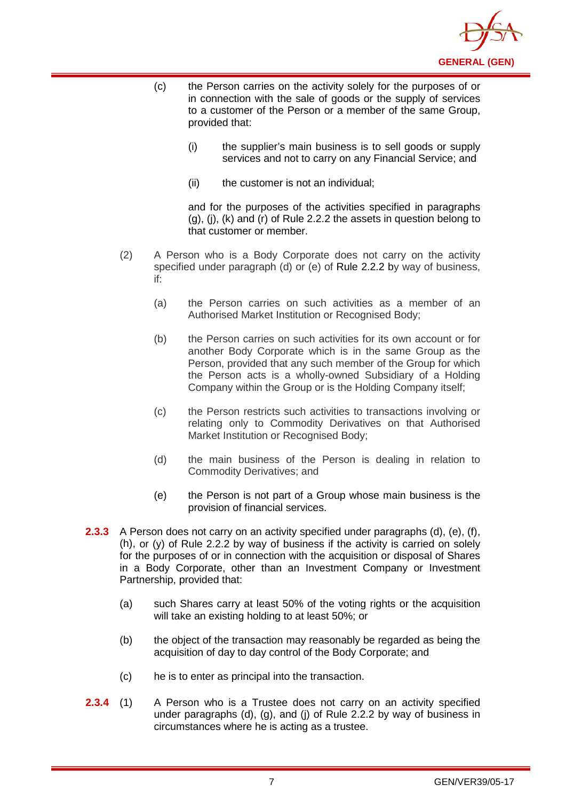

- (c) the Person carries on the activity solely for the purposes of or in connection with the sale of goods or the supply of services to a customer of the Person or a member of the same Group, provided that:
	- (i) the supplier's main business is to sell goods or supply services and not to carry on any Financial Service; and
	- (ii) the customer is not an individual;

and for the purposes of the activities specified in paragraphs (g), (j), (k) and (r) of Rule 2.2.2 the assets in question belong to that customer or member.

- (2) A Person who is a Body Corporate does not carry on the activity specified under paragraph (d) or (e) of [Rule 2.2.2](http://www.complinet.com/dfsa/display/display.html?rbid=1547&element_id=1854) by way of business, if:
	- (a) the Person carries on such activities as a member of an Authorised Market Institution or Recognised Body;
	- (b) the Person carries on such activities for its own account or for another Body Corporate which is in the same Group as the Person, provided that any such member of the Group for which the Person acts is a wholly-owned Subsidiary of a Holding Company within the Group or is the Holding Company itself;
	- (c) the Person restricts such activities to transactions involving or relating only to Commodity Derivatives on that Authorised Market Institution or Recognised Body;
	- (d) the main business of the Person is dealing in relation to Commodity Derivatives; and
	- (e) the Person is not part of a Group whose main business is the provision of financial services.
- **2.3.3** A Person does not carry on an activity specified under paragraphs (d), (e), (f), (h), or (y) of Rule 2.2.2 by way of business if the activity is carried on solely for the purposes of or in connection with the acquisition or disposal of Shares in a Body Corporate, other than an Investment Company or Investment Partnership, provided that:
	- (a) such Shares carry at least 50% of the voting rights or the acquisition will take an existing holding to at least 50%; or
	- (b) the object of the transaction may reasonably be regarded as being the acquisition of day to day control of the Body Corporate; and
	- (c) he is to enter as principal into the transaction.
- **2.3.4** (1) A Person who is a Trustee does not carry on an activity specified under paragraphs (d), (g), and (j) of Rule 2.2.2 by way of business in circumstances where he is acting as a trustee.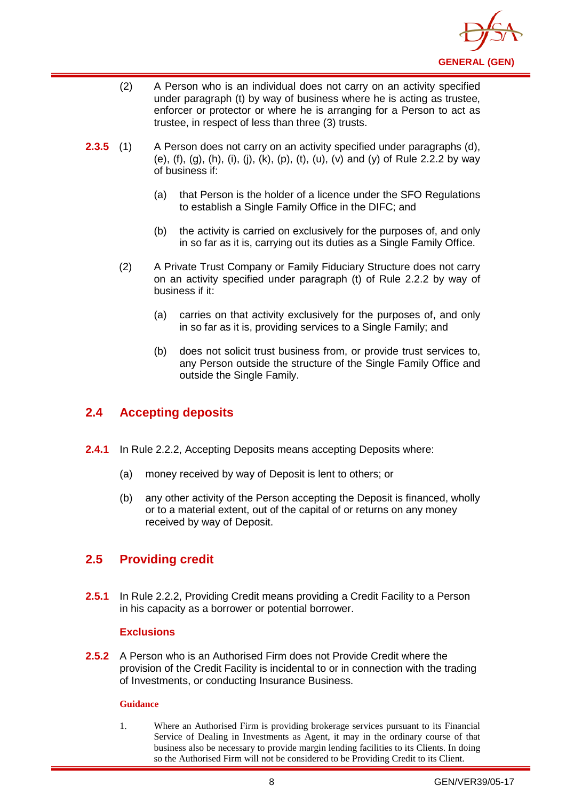

- (2) A Person who is an individual does not carry on an activity specified under paragraph (t) by way of business where he is acting as trustee, enforcer or protector or where he is arranging for a Person to act as trustee, in respect of less than three (3) trusts.
- **2.3.5** (1) A Person does not carry on an activity specified under paragraphs (d), (e), (f), (g), (h), (i), (j), (k), (p), (t), (u), (v) and (y) of Rule 2.2.2 by way of business if:
	- (a) that Person is the holder of a licence under the SFO Regulations to establish a Single Family Office in the DIFC; and
	- (b) the activity is carried on exclusively for the purposes of, and only in so far as it is, carrying out its duties as a Single Family Office.
	- (2) A Private Trust Company or Family Fiduciary Structure does not carry on an activity specified under paragraph (t) of Rule 2.2.2 by way of business if it:
		- (a) carries on that activity exclusively for the purposes of, and only in so far as it is, providing services to a Single Family; and
		- (b) does not solicit trust business from, or provide trust services to, any Person outside the structure of the Single Family Office and outside the Single Family.

## <span id="page-11-0"></span>**2.4 Accepting deposits**

- **2.4.1** In Rule 2.2.2, Accepting Deposits means accepting Deposits where:
	- (a) money received by way of Deposit is lent to others; or
	- (b) any other activity of the Person accepting the Deposit is financed, wholly or to a material extent, out of the capital of or returns on any money received by way of Deposit.

## <span id="page-11-1"></span>**2.5 Providing credit**

**2.5.1** In Rule 2.2.2, Providing Credit means providing a Credit Facility to a Person in his capacity as a borrower or potential borrower.

#### **Exclusions**

**2.5.2** A Person who is an Authorised Firm does not Provide Credit where the provision of the Credit Facility is incidental to or in connection with the trading of Investments, or conducting Insurance Business.

#### **Guidance**

1. Where an Authorised Firm is providing brokerage services pursuant to its Financial Service of Dealing in Investments as Agent, it may in the ordinary course of that business also be necessary to provide margin lending facilities to its Clients. In doing so the Authorised Firm will not be considered to be Providing Credit to its Client.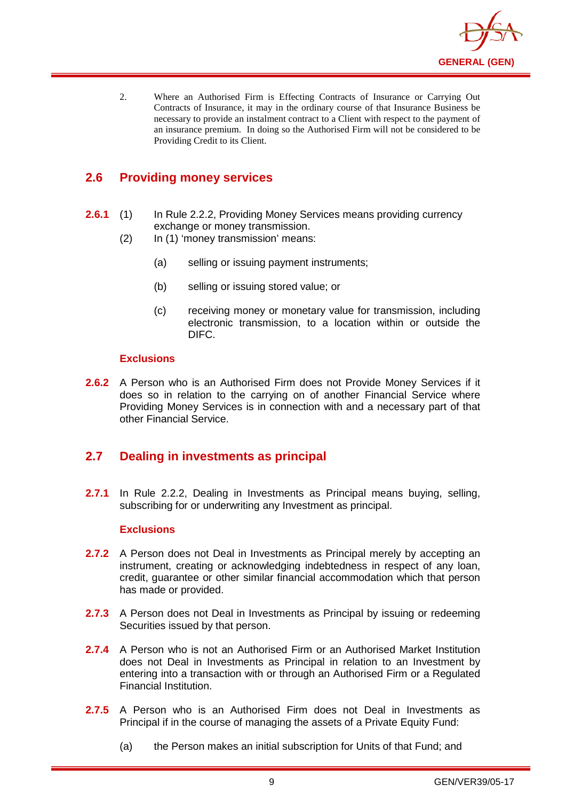

2. Where an Authorised Firm is Effecting Contracts of Insurance or Carrying Out Contracts of Insurance, it may in the ordinary course of that Insurance Business be necessary to provide an instalment contract to a Client with respect to the payment of an insurance premium. In doing so the Authorised Firm will not be considered to be Providing Credit to its Client.

## <span id="page-12-0"></span>**2.6 Providing money services**

- **2.6.1** (1) In Rule 2.2.2, Providing Money Services means providing currency exchange or money transmission.
	- (2) In (1) 'money transmission' means:
		- (a) selling or issuing payment instruments;
		- (b) selling or issuing stored value; or
		- (c) receiving money or monetary value for transmission, including electronic transmission, to a location within or outside the DIFC.

#### **Exclusions**

**2.6.2** A Person who is an Authorised Firm does not Provide Money Services if it does so in relation to the carrying on of another Financial Service where Providing Money Services is in connection with and a necessary part of that other Financial Service.

## <span id="page-12-1"></span>**2.7 Dealing in investments as principal**

**2.7.1** In Rule 2.2.2, Dealing in Investments as Principal means buying, selling, subscribing for or underwriting any Investment as principal.

#### **Exclusions**

- **2.7.2** A Person does not Deal in Investments as Principal merely by accepting an instrument, creating or acknowledging indebtedness in respect of any loan, credit, guarantee or other similar financial accommodation which that person has made or provided.
- **2.7.3** A Person does not Deal in Investments as Principal by issuing or redeeming Securities issued by that person.
- **2.7.4** A Person who is not an Authorised Firm or an Authorised Market Institution does not Deal in Investments as Principal in relation to an Investment by entering into a transaction with or through an Authorised Firm or a Regulated Financial Institution.
- **2.7.5** A Person who is an Authorised Firm does not Deal in Investments as Principal if in the course of managing the assets of a Private Equity Fund:
	- (a) the Person makes an initial subscription for Units of that Fund; and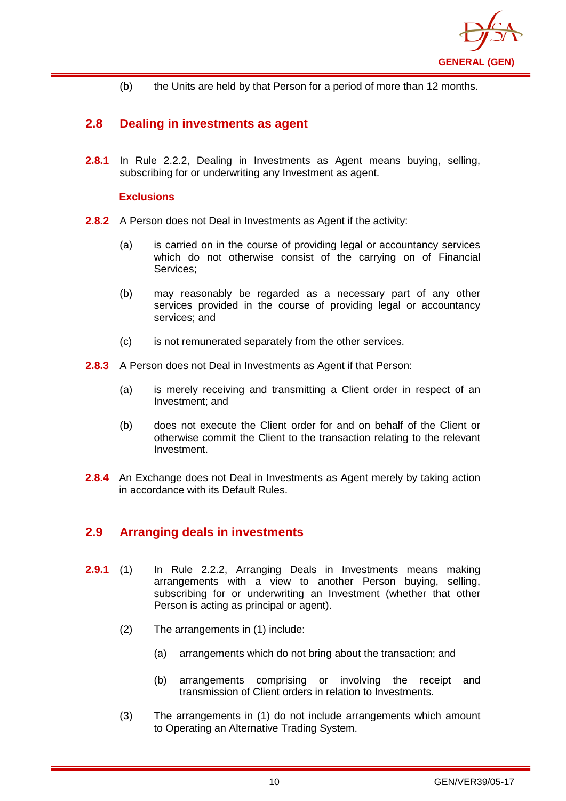

(b) the Units are held by that Person for a period of more than 12 months.

## <span id="page-13-0"></span>**2.8 Dealing in investments as agent**

**2.8.1** In Rule 2.2.2, Dealing in Investments as Agent means buying, selling, subscribing for or underwriting any Investment as agent.

#### **Exclusions**

- **2.8.2** A Person does not Deal in Investments as Agent if the activity:
	- (a) is carried on in the course of providing legal or accountancy services which do not otherwise consist of the carrying on of Financial Services;
	- (b) may reasonably be regarded as a necessary part of any other services provided in the course of providing legal or accountancy services; and
	- (c) is not remunerated separately from the other services.
- **2.8.3** A Person does not Deal in Investments as Agent if that Person:
	- (a) is merely receiving and transmitting a Client order in respect of an Investment; and
	- (b) does not execute the Client order for and on behalf of the Client or otherwise commit the Client to the transaction relating to the relevant Investment.
- **2.8.4** An Exchange does not Deal in Investments as Agent merely by taking action in accordance with its Default Rules.

## <span id="page-13-1"></span>**2.9 Arranging deals in investments**

- **2.9.1** (1) In Rule 2.2.2, Arranging Deals in Investments means making arrangements with a view to another Person buying, selling, subscribing for or underwriting an Investment (whether that other Person is acting as principal or agent).
	- (2) The arrangements in (1) include:
		- (a) arrangements which do not bring about the transaction; and
		- (b) arrangements comprising or involving the receipt and transmission of Client orders in relation to Investments.
	- (3) The arrangements in (1) do not include arrangements which amount to Operating an Alternative Trading System.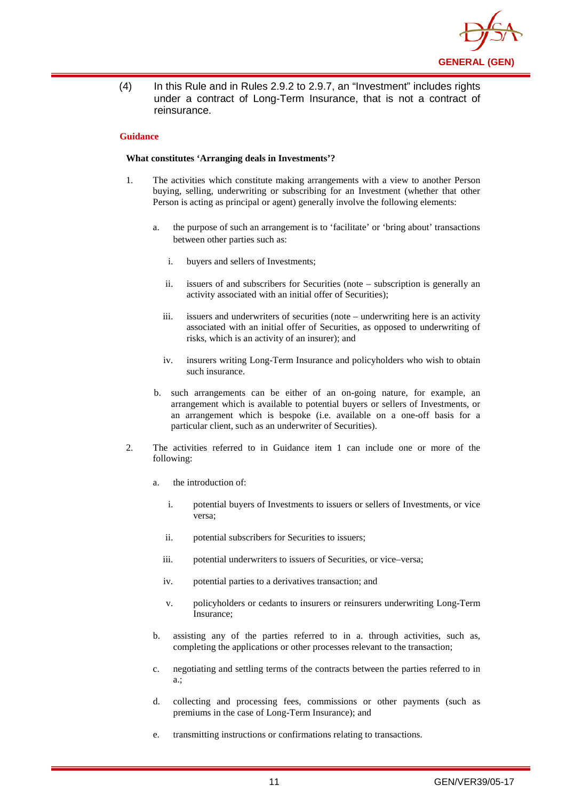

(4) In this Rule and in Rules 2.9.2 to 2.9.7, an "Investment" includes rights under a contract of Long-Term Insurance, that is not a contract of reinsurance.

#### **Guidance**

#### **What constitutes 'Arranging deals in Investments'?**

- 1. The activities which constitute making arrangements with a view to another Person buying, selling, underwriting or subscribing for an Investment (whether that other Person is acting as principal or agent) generally involve the following elements:
	- a. the purpose of such an arrangement is to 'facilitate' or 'bring about' transactions between other parties such as:
		- i. buyers and sellers of Investments;
		- ii. issuers of and subscribers for Securities (note subscription is generally an activity associated with an initial offer of Securities);
		- iii. issuers and underwriters of securities (note underwriting here is an activity associated with an initial offer of Securities, as opposed to underwriting of risks, which is an activity of an insurer); and
		- iv. insurers writing Long-Term Insurance and policyholders who wish to obtain such insurance.
	- b. such arrangements can be either of an on-going nature, for example, an arrangement which is available to potential buyers or sellers of Investments, or an arrangement which is bespoke (i.e. available on a one-off basis for a particular client, such as an underwriter of Securities).
- 2. The activities referred to in Guidance item 1 can include one or more of the following:
	- a. the introduction of:
		- i. potential buyers of Investments to issuers or sellers of Investments, or vice versa;
		- ii. potential subscribers for Securities to issuers;
		- iii. potential underwriters to issuers of Securities, or vice–versa;
		- iv. potential parties to a derivatives transaction; and
		- v. policyholders or cedants to insurers or reinsurers underwriting Long-Term Insurance;
	- b. assisting any of the parties referred to in a. through activities, such as, completing the applications or other processes relevant to the transaction;
	- c. negotiating and settling terms of the contracts between the parties referred to in a.;
	- d. collecting and processing fees, commissions or other payments (such as premiums in the case of Long-Term Insurance); and
	- e. transmitting instructions or confirmations relating to transactions.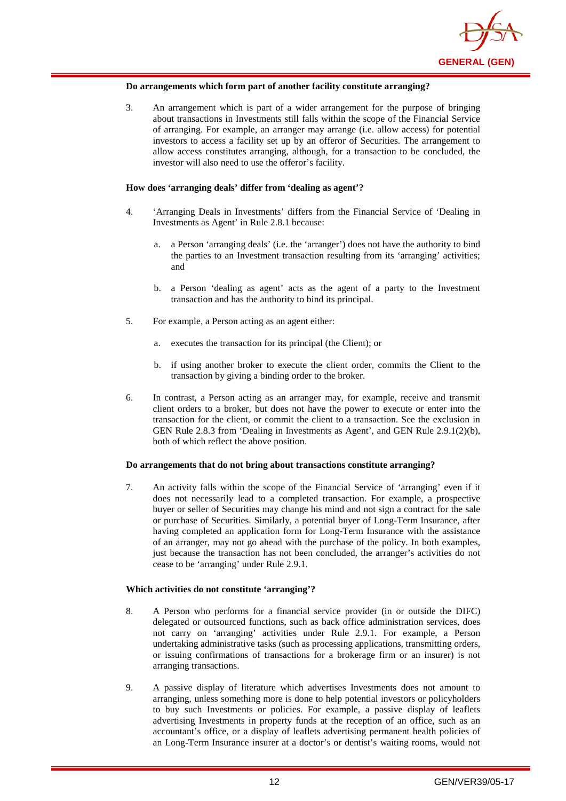

#### **Do arrangements which form part of another facility constitute arranging?**

3. An arrangement which is part of a wider arrangement for the purpose of bringing about transactions in Investments still falls within the scope of the Financial Service of arranging. For example, an arranger may arrange (i.e. allow access) for potential investors to access a facility set up by an offeror of Securities. The arrangement to allow access constitutes arranging, although, for a transaction to be concluded, the investor will also need to use the offeror's facility.

#### **How does 'arranging deals' differ from 'dealing as agent'?**

- 4. 'Arranging Deals in Investments' differs from the Financial Service of 'Dealing in Investments as Agent' in Rule 2.8.1 because:
	- a. a Person 'arranging deals' (i.e. the 'arranger') does not have the authority to bind the parties to an Investment transaction resulting from its 'arranging' activities; and
	- b. a Person 'dealing as agent' acts as the agent of a party to the Investment transaction and has the authority to bind its principal.
- 5. For example, a Person acting as an agent either:
	- a. executes the transaction for its principal (the Client); or
	- b. if using another broker to execute the client order, commits the Client to the transaction by giving a binding order to the broker.
- 6. In contrast, a Person acting as an arranger may, for example, receive and transmit client orders to a broker, but does not have the power to execute or enter into the transaction for the client, or commit the client to a transaction. See the exclusion in GEN Rule 2.8.3 from 'Dealing in Investments as Agent', and GEN Rule 2.9.1(2)(b), both of which reflect the above position.

#### **Do arrangements that do not bring about transactions constitute arranging?**

7. An activity falls within the scope of the Financial Service of 'arranging' even if it does not necessarily lead to a completed transaction. For example, a prospective buyer or seller of Securities may change his mind and not sign a contract for the sale or purchase of Securities. Similarly, a potential buyer of Long-Term Insurance, after having completed an application form for Long-Term Insurance with the assistance of an arranger, may not go ahead with the purchase of the policy. In both examples, just because the transaction has not been concluded, the arranger's activities do not cease to be 'arranging' under Rule 2.9.1.

#### **Which activities do not constitute 'arranging'?**

- 8. A Person who performs for a financial service provider (in or outside the DIFC) delegated or outsourced functions, such as back office administration services, does not carry on 'arranging' activities under Rule 2.9.1. For example, a Person undertaking administrative tasks (such as processing applications, transmitting orders, or issuing confirmations of transactions for a brokerage firm or an insurer) is not arranging transactions.
- 9. A passive display of literature which advertises Investments does not amount to arranging, unless something more is done to help potential investors or policyholders to buy such Investments or policies. For example, a passive display of leaflets advertising Investments in property funds at the reception of an office, such as an accountant's office, or a display of leaflets advertising permanent health policies of an Long-Term Insurance insurer at a doctor's or dentist's waiting rooms, would not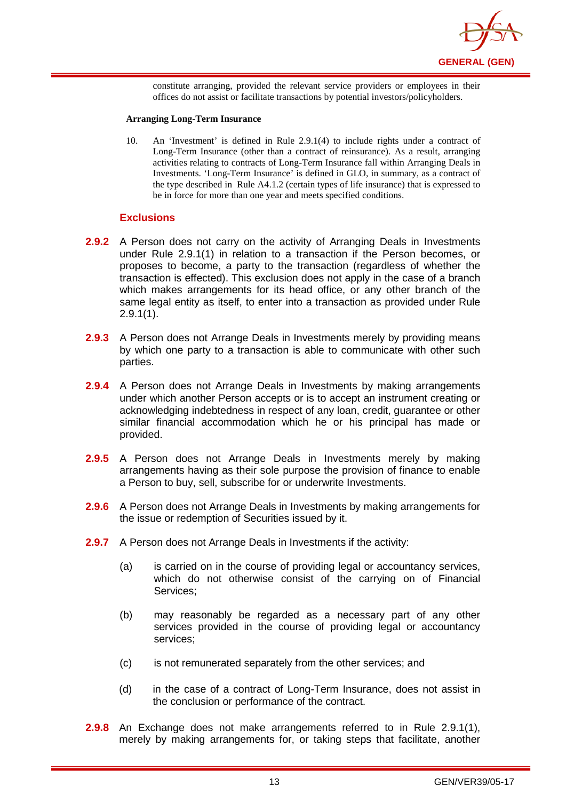

constitute arranging, provided the relevant service providers or employees in their offices do not assist or facilitate transactions by potential investors/policyholders.

#### **Arranging Long-Term Insurance**

10. An 'Investment' is defined in Rule 2.9.1(4) to include rights under a contract of Long-Term Insurance (other than a contract of reinsurance). As a result, arranging activities relating to contracts of Long-Term Insurance fall within Arranging Deals in Investments. 'Long-Term Insurance' is defined in GLO, in summary, as a contract of the type described in Rule A4.1.2 (certain types of life insurance) that is expressed to be in force for more than one year and meets specified conditions.

#### **Exclusions**

- **2.9.2** A Person does not carry on the activity of Arranging Deals in Investments under Rule 2.9.1(1) in relation to a transaction if the Person becomes, or proposes to become, a party to the transaction (regardless of whether the transaction is effected). This exclusion does not apply in the case of a branch which makes arrangements for its head office, or any other branch of the same legal entity as itself, to enter into a transaction as provided under Rule 2.9.1(1).
- **2.9.3** A Person does not Arrange Deals in Investments merely by providing means by which one party to a transaction is able to communicate with other such parties.
- **2.9.4** A Person does not Arrange Deals in Investments by making arrangements under which another Person accepts or is to accept an instrument creating or acknowledging indebtedness in respect of any loan, credit, guarantee or other similar financial accommodation which he or his principal has made or provided.
- **2.9.5** A Person does not Arrange Deals in Investments merely by making arrangements having as their sole purpose the provision of finance to enable a Person to buy, sell, subscribe for or underwrite Investments.
- **2.9.6** A Person does not Arrange Deals in Investments by making arrangements for the issue or redemption of Securities issued by it.
- **2.9.7** A Person does not Arrange Deals in Investments if the activity:
	- (a) is carried on in the course of providing legal or accountancy services, which do not otherwise consist of the carrying on of Financial Services;
	- (b) may reasonably be regarded as a necessary part of any other services provided in the course of providing legal or accountancy services;
	- (c) is not remunerated separately from the other services; and
	- (d) in the case of a contract of Long-Term Insurance, does not assist in the conclusion or performance of the contract.
- **2.9.8** An Exchange does not make arrangements referred to in Rule 2.9.1(1), merely by making arrangements for, or taking steps that facilitate, another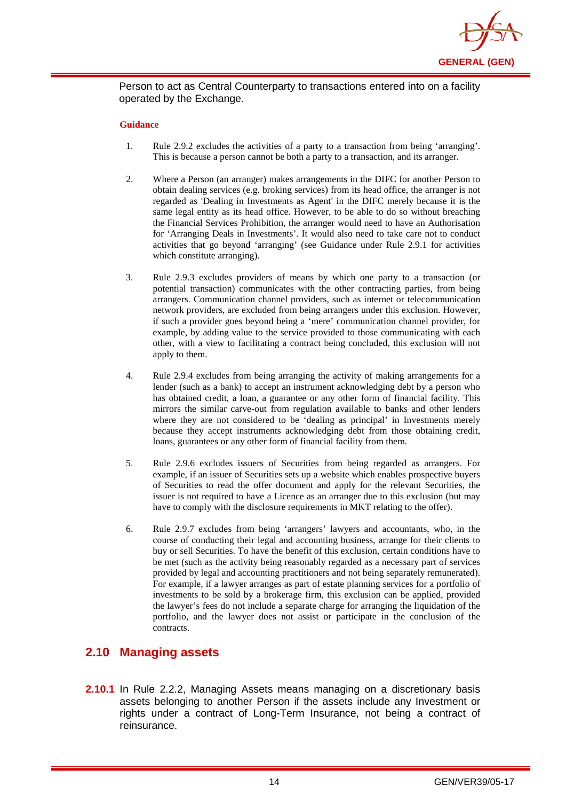

Person to act as Central Counterparty to transactions entered into on a facility operated by the Exchange.

#### **Guidance**

- 1. Rule 2.9.2 excludes the activities of a party to a transaction from being 'arranging'. This is because a person cannot be both a party to a transaction, and its arranger.
- 2. Where a Person (an arranger) makes arrangements in the DIFC for another Person to obtain dealing services (e.g. broking services) from its head office, the arranger is not regarded as 'Dealing in Investments as Agent' in the DIFC merely because it is the same legal entity as its head office. However, to be able to do so without breaching the Financial Services Prohibition, the arranger would need to have an Authorisation for 'Arranging Deals in Investments'. It would also need to take care not to conduct activities that go beyond 'arranging' (see Guidance under Rule 2.9.1 for activities which constitute arranging).
- 3. Rule 2.9.3 excludes providers of means by which one party to a transaction (or potential transaction) communicates with the other contracting parties, from being arrangers. Communication channel providers, such as internet or telecommunication network providers, are excluded from being arrangers under this exclusion. However, if such a provider goes beyond being a 'mere' communication channel provider, for example, by adding value to the service provided to those communicating with each other, with a view to facilitating a contract being concluded, this exclusion will not apply to them.
- 4. Rule 2.9.4 excludes from being arranging the activity of making arrangements for a lender (such as a bank) to accept an instrument acknowledging debt by a person who has obtained credit, a loan, a guarantee or any other form of financial facility. This mirrors the similar carve-out from regulation available to banks and other lenders where they are not considered to be 'dealing as principal' in Investments merely because they accept instruments acknowledging debt from those obtaining credit, loans, guarantees or any other form of financial facility from them.
- 5. Rule 2.9.6 excludes issuers of Securities from being regarded as arrangers. For example, if an issuer of Securities sets up a website which enables prospective buyers of Securities to read the offer document and apply for the relevant Securities, the issuer is not required to have a Licence as an arranger due to this exclusion (but may have to comply with the disclosure requirements in MKT relating to the offer).
- 6. Rule 2.9.7 excludes from being 'arrangers' lawyers and accountants, who, in the course of conducting their legal and accounting business, arrange for their clients to buy or sell Securities. To have the benefit of this exclusion, certain conditions have to be met (such as the activity being reasonably regarded as a necessary part of services provided by legal and accounting practitioners and not being separately remunerated). For example, if a lawyer arranges as part of estate planning services for a portfolio of investments to be sold by a brokerage firm, this exclusion can be applied, provided the lawyer's fees do not include a separate charge for arranging the liquidation of the portfolio, and the lawyer does not assist or participate in the conclusion of the contracts.

#### <span id="page-17-0"></span>**2.10 Managing assets**

**2.10.1** In Rule 2.2.2, Managing Assets means managing on a discretionary basis assets belonging to another Person if the assets include any Investment or rights under a contract of Long-Term Insurance, not being a contract of reinsurance.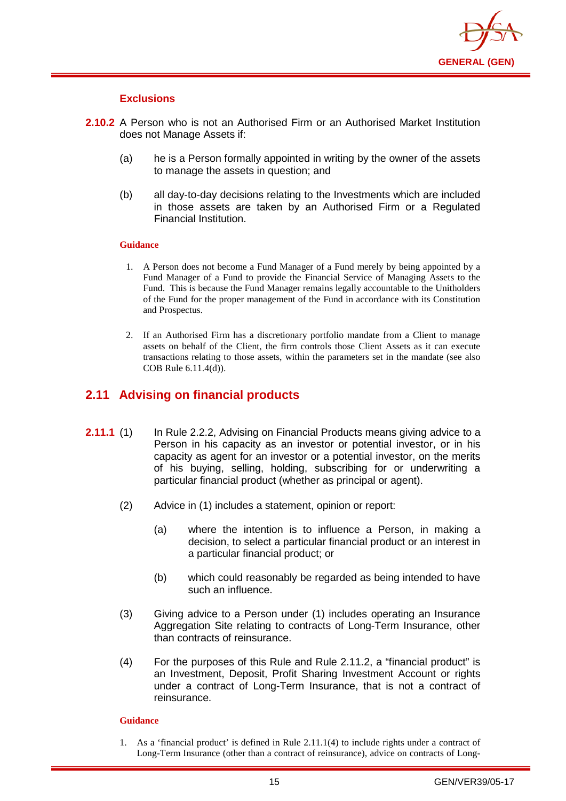

#### **Exclusions**

- **2.10.2** A Person who is not an Authorised Firm or an Authorised Market Institution does not Manage Assets if:
	- (a) he is a Person formally appointed in writing by the owner of the assets to manage the assets in question; and
	- (b) all day-to-day decisions relating to the Investments which are included in those assets are taken by an Authorised Firm or a Regulated Financial Institution.

#### **Guidance**

- 1. A Person does not become a Fund Manager of a Fund merely by being appointed by a Fund Manager of a Fund to provide the Financial Service of Managing Assets to the Fund. This is because the Fund Manager remains legally accountable to the Unitholders of the Fund for the proper management of the Fund in accordance with its Constitution and Prospectus.
- 2. If an Authorised Firm has a discretionary portfolio mandate from a Client to manage assets on behalf of the Client, the firm controls those Client Assets as it can execute transactions relating to those assets, within the parameters set in the mandate (see also COB Rule 6.11.4(d)).

## <span id="page-18-0"></span>**2.11 Advising on financial products**

- **2.11.1** (1) In Rule 2.2.2, Advising on Financial Products means giving advice to a Person in his capacity as an investor or potential investor, or in his capacity as agent for an investor or a potential investor, on the merits of his buying, selling, holding, subscribing for or underwriting a particular financial product (whether as principal or agent).
	- (2) Advice in (1) includes a statement, opinion or report:
		- (a) where the intention is to influence a Person, in making a decision, to select a particular financial product or an interest in a particular financial product; or
		- (b) which could reasonably be regarded as being intended to have such an influence.
	- (3) Giving advice to a Person under (1) includes operating an Insurance Aggregation Site relating to contracts of Long-Term Insurance, other than contracts of reinsurance.
	- (4) For the purposes of this Rule and Rule 2.11.2, a "financial product" is an Investment, Deposit, Profit Sharing Investment Account or rights under a contract of Long-Term Insurance, that is not a contract of reinsurance.

#### **Guidance**

1. As a 'financial product' is defined in Rule 2.11.1(4) to include rights under a contract of Long-Term Insurance (other than a contract of reinsurance), advice on contracts of Long-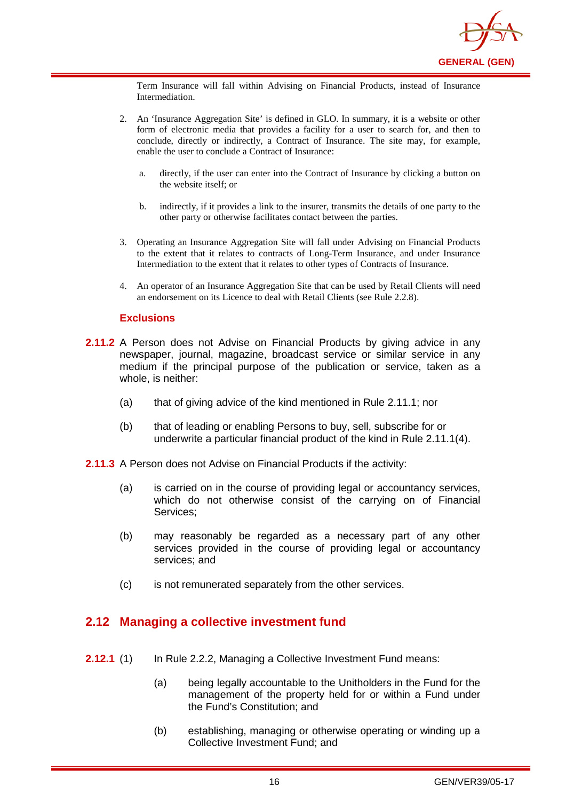

Term Insurance will fall within Advising on Financial Products, instead of Insurance Intermediation.

- 2. An 'Insurance Aggregation Site' is defined in GLO. In summary, it is a website or other form of electronic media that provides a facility for a user to search for, and then to conclude, directly or indirectly, a Contract of Insurance. The site may, for example, enable the user to conclude a Contract of Insurance:
	- a. directly, if the user can enter into the Contract of Insurance by clicking a button on the website itself; or
	- b. indirectly, if it provides a link to the insurer, transmits the details of one party to the other party or otherwise facilitates contact between the parties.
- 3. Operating an Insurance Aggregation Site will fall under Advising on Financial Products to the extent that it relates to contracts of Long-Term Insurance, and under Insurance Intermediation to the extent that it relates to other types of Contracts of Insurance.
- 4. An operator of an Insurance Aggregation Site that can be used by Retail Clients will need an endorsement on its Licence to deal with Retail Clients (see Rule 2.2.8).

#### **Exclusions**

- **2.11.2** A Person does not Advise on Financial Products by giving advice in any newspaper, journal, magazine, broadcast service or similar service in any medium if the principal purpose of the publication or service, taken as a whole, is neither:
	- (a) that of giving advice of the kind mentioned in Rule 2.11.1; nor
	- (b) that of leading or enabling Persons to buy, sell, subscribe for or underwrite a particular financial product of the kind in Rule 2.11.1(4).
- **2.11.3** A Person does not Advise on Financial Products if the activity:
	- (a) is carried on in the course of providing legal or accountancy services, which do not otherwise consist of the carrying on of Financial Services;
	- (b) may reasonably be regarded as a necessary part of any other services provided in the course of providing legal or accountancy services; and
	- (c) is not remunerated separately from the other services.

#### <span id="page-19-0"></span>**2.12 Managing a collective investment fund**

- **2.12.1** (1) In Rule 2.2.2, Managing a Collective Investment Fund means:
	- (a) being legally accountable to the Unitholders in the Fund for the management of the property held for or within a Fund under the Fund's Constitution; and
	- (b) establishing, managing or otherwise operating or winding up a Collective Investment Fund; and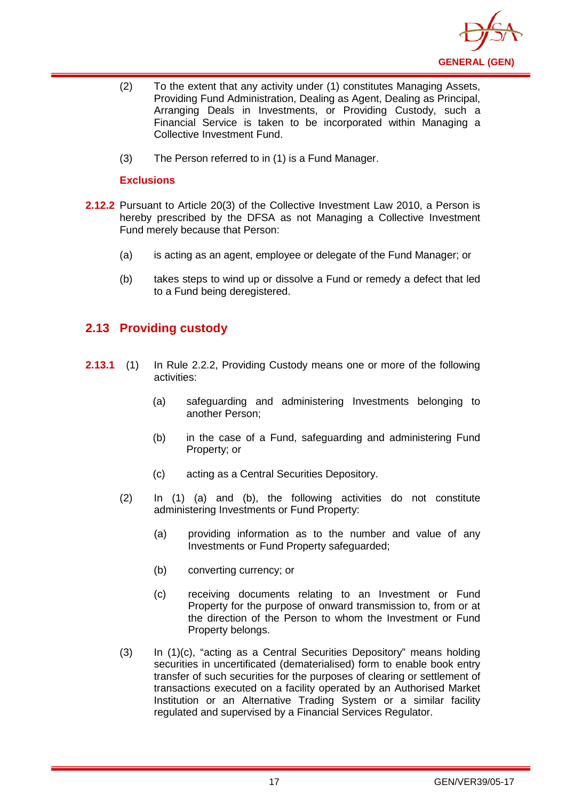

- (2) To the extent that any activity under (1) constitutes Managing Assets, Providing Fund Administration, Dealing as Agent, Dealing as Principal, Arranging Deals in Investments, or Providing Custody, such a Financial Service is taken to be incorporated within Managing a Collective Investment Fund.
- (3) The Person referred to in (1) is a Fund Manager.

#### **Exclusions**

- **2.12.2** Pursuant to Article 20(3) of the Collective Investment Law 2010, a Person is hereby prescribed by the DFSA as not Managing a Collective Investment Fund merely because that Person:
	- (a) is acting as an agent, employee or delegate of the Fund Manager; or
	- (b) takes steps to wind up or dissolve a Fund or remedy a defect that led to a Fund being deregistered.

## <span id="page-20-0"></span>**2.13 Providing custody**

- **2.13.1** (1) In Rule 2.2.2, Providing Custody means one or more of the following activities:
	- (a) safeguarding and administering Investments belonging to another Person;
	- (b) in the case of a Fund, safeguarding and administering Fund Property; or
	- (c) acting as a Central Securities Depository.
	- (2) In (1) (a) and (b), the following activities do not constitute administering Investments or Fund Property:
		- (a) providing information as to the number and value of any Investments or Fund Property safeguarded;
		- (b) converting currency; or
		- (c) receiving documents relating to an Investment or Fund Property for the purpose of onward transmission to, from or at the direction of the Person to whom the Investment or Fund Property belongs.
	- (3) In (1)(c), "acting as a Central Securities Depository" means holding securities in uncertificated (dematerialised) form to enable [book entry](http://en.wikipedia.org/wiki/Book_entry) transfer of such securities for the purposes of clearing or settlement of transactions executed on a facility operated by an Authorised Market Institution or an Alternative Trading System or a similar facility regulated and supervised by a Financial Services Regulator.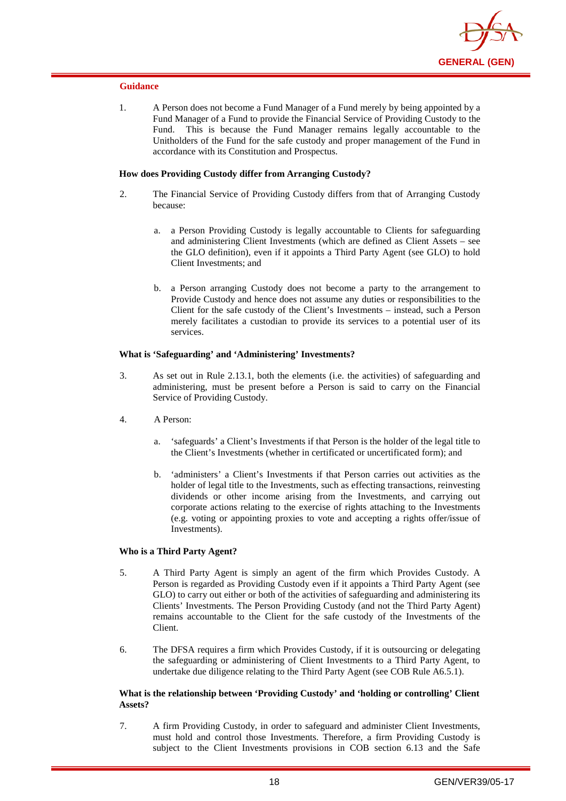

#### **Guidance**

1. A Person does not become a Fund Manager of a Fund merely by being appointed by a Fund Manager of a Fund to provide the Financial Service of Providing Custody to the Fund. This is because the Fund Manager remains legally accountable to the This is because the Fund Manager remains legally accountable to the Unitholders of the Fund for the safe custody and proper management of the Fund in accordance with its Constitution and Prospectus.

#### **How does Providing Custody differ from Arranging Custody?**

- 2. The Financial Service of Providing Custody differs from that of Arranging Custody because:
	- a. a Person Providing Custody is legally accountable to Clients for safeguarding and administering Client Investments (which are defined as Client Assets – see the GLO definition), even if it appoints a Third Party Agent (see GLO) to hold Client Investments; and
	- b. a Person arranging Custody does not become a party to the arrangement to Provide Custody and hence does not assume any duties or responsibilities to the Client for the safe custody of the Client's Investments – instead, such a Person merely facilitates a custodian to provide its services to a potential user of its services.

#### **What is 'Safeguarding' and 'Administering' Investments?**

- 3. As set out in Rule 2.13.1, both the elements (i.e. the activities) of safeguarding and administering, must be present before a Person is said to carry on the Financial Service of Providing Custody.
- 4. A Person:
	- a. 'safeguards' a Client's Investments if that Person is the holder of the legal title to the Client's Investments (whether in certificated or uncertificated form); and
	- b. 'administers' a Client's Investments if that Person carries out activities as the holder of legal title to the Investments, such as effecting transactions, reinvesting dividends or other income arising from the Investments, and carrying out corporate actions relating to the exercise of rights attaching to the Investments (e.g. voting or appointing proxies to vote and accepting a rights offer/issue of Investments).

#### **Who is a Third Party Agent?**

- 5. A Third Party Agent is simply an agent of the firm which Provides Custody. A Person is regarded as Providing Custody even if it appoints a Third Party Agent (see GLO) to carry out either or both of the activities of safeguarding and administering its Clients' Investments. The Person Providing Custody (and not the Third Party Agent) remains accountable to the Client for the safe custody of the Investments of the Client.
- 6. The DFSA requires a firm which Provides Custody, if it is outsourcing or delegating the safeguarding or administering of Client Investments to a Third Party Agent, to undertake due diligence relating to the Third Party Agent (see COB Rule A6.5.1).

#### **What is the relationship between 'Providing Custody' and 'holding or controlling' Client Assets?**

7. A firm Providing Custody, in order to safeguard and administer Client Investments, must hold and control those Investments. Therefore, a firm Providing Custody is subject to the Client Investments provisions in COB section 6.13 and the Safe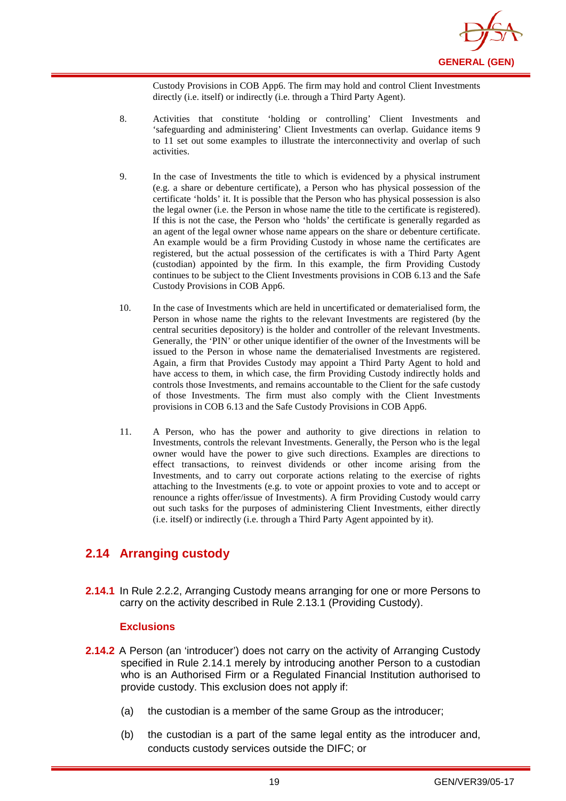

Custody Provisions in COB App6. The firm may hold and control Client Investments directly (i.e. itself) or indirectly (i.e. through a Third Party Agent).

- 8. Activities that constitute 'holding or controlling' Client Investments and 'safeguarding and administering' Client Investments can overlap. Guidance items 9 to 11 set out some examples to illustrate the interconnectivity and overlap of such activities.
- 9. In the case of Investments the title to which is evidenced by a physical instrument (e.g. a share or debenture certificate), a Person who has physical possession of the certificate 'holds' it. It is possible that the Person who has physical possession is also the legal owner (i.e. the Person in whose name the title to the certificate is registered). If this is not the case, the Person who 'holds' the certificate is generally regarded as an agent of the legal owner whose name appears on the share or debenture certificate. An example would be a firm Providing Custody in whose name the certificates are registered, but the actual possession of the certificates is with a Third Party Agent (custodian) appointed by the firm. In this example, the firm Providing Custody continues to be subject to the Client Investments provisions in COB 6.13 and the Safe Custody Provisions in COB App6.
- 10. In the case of Investments which are held in uncertificated or dematerialised form, the Person in whose name the rights to the relevant Investments are registered (by the central securities depository) is the holder and controller of the relevant Investments. Generally, the 'PIN' or other unique identifier of the owner of the Investments will be issued to the Person in whose name the dematerialised Investments are registered. Again, a firm that Provides Custody may appoint a Third Party Agent to hold and have access to them, in which case, the firm Providing Custody indirectly holds and controls those Investments, and remains accountable to the Client for the safe custody of those Investments. The firm must also comply with the Client Investments provisions in COB 6.13 and the Safe Custody Provisions in COB App6.
- 11. A Person, who has the power and authority to give directions in relation to Investments, controls the relevant Investments. Generally, the Person who is the legal owner would have the power to give such directions. Examples are directions to effect transactions, to reinvest dividends or other income arising from the Investments, and to carry out corporate actions relating to the exercise of rights attaching to the Investments (e.g. to vote or appoint proxies to vote and to accept or renounce a rights offer/issue of Investments). A firm Providing Custody would carry out such tasks for the purposes of administering Client Investments, either directly (i.e. itself) or indirectly (i.e. through a Third Party Agent appointed by it).

## <span id="page-22-0"></span>**2.14 Arranging custody**

**2.14.1** In Rule 2.2.2, Arranging Custody means arranging for one or more Persons to carry on the activity described in Rule 2.13.1 (Providing Custody).

#### **Exclusions**

- **2.14.2** A Person (an 'introducer') does not carry on the activity of Arranging Custody specified in Rule 2.14.1 merely by introducing another Person to a custodian who is an Authorised Firm or a Regulated Financial Institution authorised to provide custody. This exclusion does not apply if:
	- (a) the custodian is a member of the same Group as the introducer;
	- (b) the custodian is a part of the same legal entity as the introducer and, conducts custody services outside the DIFC; or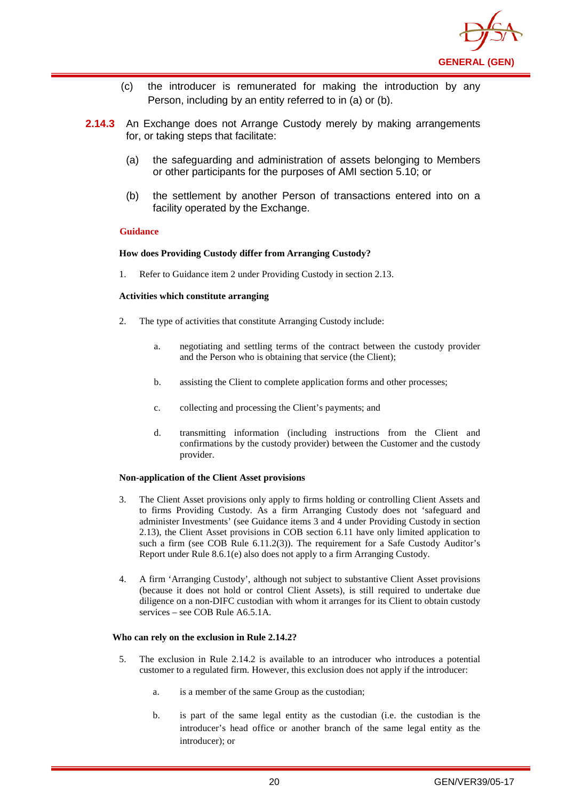

- (c) the introducer is remunerated for making the introduction by any Person, including by an entity referred to in (a) or (b).
- **2.14.3** An Exchange does not Arrange Custody merely by making arrangements for, or taking steps that facilitate:
	- (a) the safeguarding and administration of assets belonging to Members or other participants for the purposes of AMI section 5.10; or
	- (b) the settlement by another Person of transactions entered into on a facility operated by the Exchange.

#### **Guidance**

#### **How does Providing Custody differ from Arranging Custody?**

1. Refer to Guidance item 2 under Providing Custody in section 2.13.

#### **Activities which constitute arranging**

- 2. The type of activities that constitute Arranging Custody include:
	- a. negotiating and settling terms of the contract between the custody provider and the Person who is obtaining that service (the Client);
	- b. assisting the Client to complete application forms and other processes;
	- c. collecting and processing the Client's payments; and
	- d. transmitting information (including instructions from the Client and confirmations by the custody provider) between the Customer and the custody provider.

#### **Non-application of the Client Asset provisions**

- 3. The Client Asset provisions only apply to firms holding or controlling Client Assets and to firms Providing Custody. As a firm Arranging Custody does not 'safeguard and administer Investments' (see Guidance items 3 and 4 under Providing Custody in section 2.13), the Client Asset provisions in COB section 6.11 have only limited application to such a firm (see COB Rule 6.11.2(3)). The requirement for a Safe Custody Auditor's Report under Rule 8.6.1(e) also does not apply to a firm Arranging Custody.
- 4. A firm 'Arranging Custody', although not subject to substantive Client Asset provisions (because it does not hold or control Client Assets), is still required to undertake due diligence on a non-DIFC custodian with whom it arranges for its Client to obtain custody  $s$ ervices – see COB Rule  $A6.5.1A$ .

#### **Who can rely on the exclusion in Rule 2.14.2?**

- 5. The exclusion in Rule 2.14.2 is available to an introducer who introduces a potential customer to a regulated firm. However, this exclusion does not apply if the introducer:
	- a. is a member of the same Group as the custodian;
	- b. is part of the same legal entity as the custodian (i.e. the custodian is the introducer's head office or another branch of the same legal entity as the introducer); or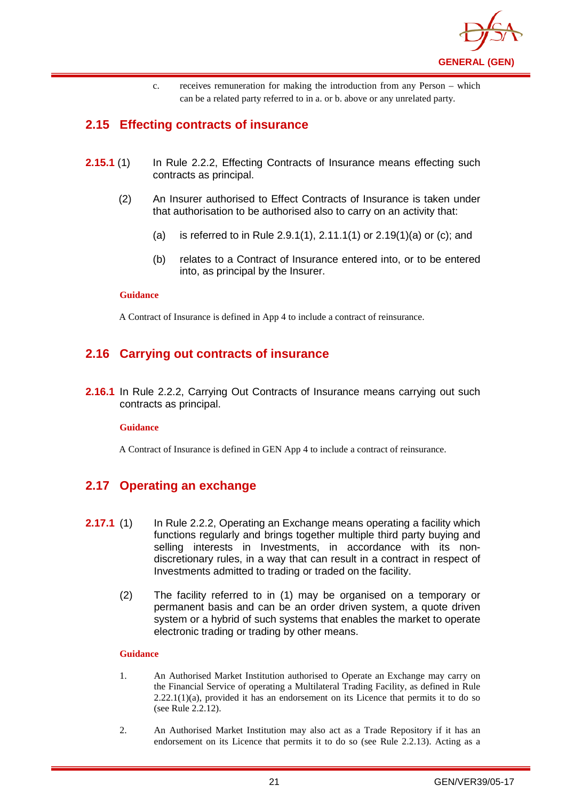

c. receives remuneration for making the introduction from any Person – which can be a related party referred to in a. or b. above or any unrelated party.

## <span id="page-24-0"></span>**2.15 Effecting contracts of insurance**

- **2.15.1** (1) In Rule 2.2.2, Effecting Contracts of Insurance means effecting such contracts as principal.
	- (2) An Insurer authorised to Effect Contracts of Insurance is taken under that authorisation to be authorised also to carry on an activity that:
		- (a) is referred to in Rule 2.9.1(1), 2.11.1(1) or 2.19(1)(a) or (c); and
		- (b) relates to a Contract of Insurance entered into, or to be entered into, as principal by the Insurer.

#### **Guidance**

A Contract of Insurance is defined in App 4 to include a contract of reinsurance.

## <span id="page-24-1"></span>**2.16 Carrying out contracts of insurance**

**2.16.1** In Rule 2.2.2, Carrying Out Contracts of Insurance means carrying out such contracts as principal.

#### **Guidance**

A Contract of Insurance is defined in GEN App 4 to include a contract of reinsurance.

## <span id="page-24-2"></span>**2.17 Operating an exchange**

- **2.17.1** (1) In Rule 2.2.2, Operating an Exchange means operating a facility which functions regularly and brings together multiple third party buying and selling interests in Investments, in accordance with its nondiscretionary rules, in a way that can result in a contract in respect of Investments admitted to trading or traded on the facility.
	- (2) The facility referred to in (1) may be organised on a temporary or permanent basis and can be an order driven system, a quote driven system or a hybrid of such systems that enables the market to operate electronic trading or trading by other means.

#### **Guidance**

- 1. An Authorised Market Institution authorised to Operate an Exchange may carry on the Financial Service of operating a Multilateral Trading Facility, as defined in Rule  $2.22.1(1)(a)$ , provided it has an endorsement on its Licence that permits it to do so (see Rule 2.2.12).
- 2. An Authorised Market Institution may also act as a Trade Repository if it has an endorsement on its Licence that permits it to do so (see Rule 2.2.13). Acting as a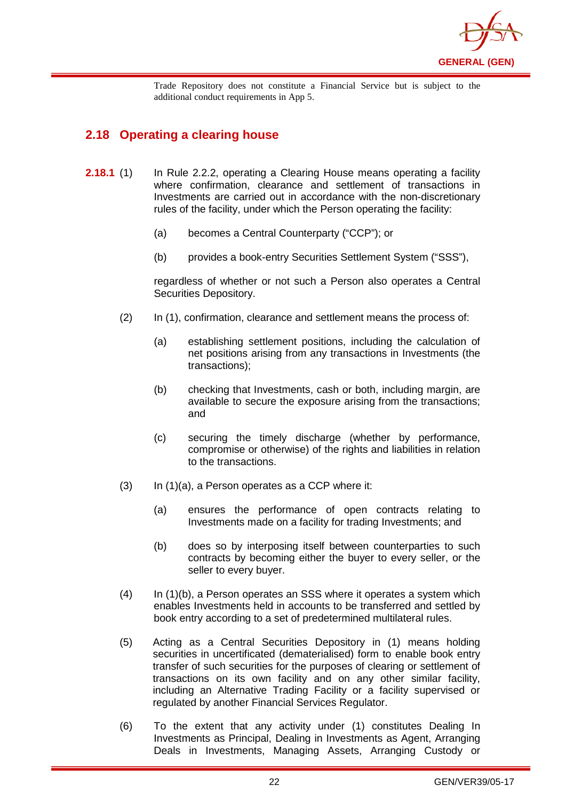

Trade Repository does not constitute a Financial Service but is subject to the additional conduct requirements in App 5.

## <span id="page-25-0"></span>**2.18 Operating a clearing house**

- **2.18.1** (1) In Rule 2.2.2, operating a Clearing House means operating a facility where confirmation, clearance and settlement of transactions in Investments are carried out in accordance with the non-discretionary rules of the facility, under which the Person operating the facility:
	- (a) becomes a Central Counterparty ("CCP"); or
	- (b) provides a book-entry Securities Settlement System ("SSS"),

regardless of whether or not such a Person also operates a Central Securities Depository.

- (2) In (1), confirmation, clearance and settlement means the process of:
	- (a) establishing settlement positions, including the calculation of net positions arising from any transactions in Investments (the transactions);
	- (b) checking that Investments, cash or both, including margin, are available to secure the exposure arising from the transactions; and
	- (c) securing the timely discharge (whether by performance, compromise or otherwise) of the rights and liabilities in relation to the transactions.
- $(3)$  In  $(1)(a)$ , a Person operates as a CCP where it:
	- (a) ensures the performance of open contracts relating to Investments made on a facility for trading Investments; and
	- (b) does so by interposing itself between counterparties to such contracts by becoming either the buyer to every seller, or the seller to every buyer.
- (4) In (1)(b), a Person operates an SSS where it operates a system which enables Investments held in accounts to be transferred and settled by book entry according to a set of predetermined multilateral rules.
- (5) Acting as a Central Securities Depository in (1) means holding securities in uncertificated (dematerialised) form to enable [book entry](http://en.wikipedia.org/wiki/Book_entry) transfer of such securities for the purposes of clearing or settlement of transactions on its own facility and on any other similar facility, including an Alternative Trading Facility or a facility supervised or regulated by another Financial Services Regulator.
- (6) To the extent that any activity under (1) constitutes Dealing In Investments as Principal, Dealing in Investments as Agent, Arranging Deals in Investments, Managing Assets, Arranging Custody or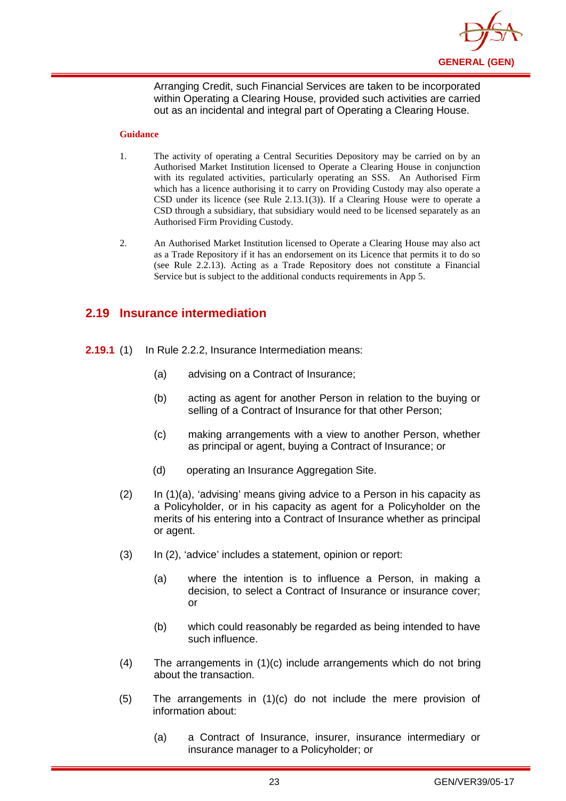

Arranging Credit, such Financial Services are taken to be incorporated within Operating a Clearing House, provided such activities are carried out as an incidental and integral part of Operating a Clearing House.

#### **Guidance**

- 1. The activity of operating a Central Securities Depository may be carried on by an Authorised Market Institution licensed to Operate a Clearing House in conjunction with its regulated activities, particularly operating an SSS. An Authorised Firm which has a licence authorising it to carry on Providing Custody may also operate a CSD under its licence (see Rule 2.13.1(3)). If a Clearing House were to operate a CSD through a subsidiary, that subsidiary would need to be licensed separately as an Authorised Firm Providing Custody.
- 2. An Authorised Market Institution licensed to Operate a Clearing House may also act as a Trade Repository if it has an endorsement on its Licence that permits it to do so (see Rule 2.2.13). Acting as a Trade Repository does not constitute a Financial Service but is subject to the additional conducts requirements in App 5.

## <span id="page-26-0"></span>**2.19 Insurance intermediation**

- **2.19.1** (1) In Rule 2.2.2, Insurance Intermediation means:
	- (a) advising on a Contract of Insurance;
	- (b) acting as agent for another Person in relation to the buying or selling of a Contract of Insurance for that other Person;
	- (c) making arrangements with a view to another Person, whether as principal or agent, buying a Contract of Insurance; or
	- (d) operating an Insurance Aggregation Site.
	- (2) In (1)(a), 'advising' means giving advice to a Person in his capacity as a Policyholder, or in his capacity as agent for a Policyholder on the merits of his entering into a Contract of Insurance whether as principal or agent.
	- (3) In (2), 'advice' includes a statement, opinion or report:
		- (a) where the intention is to influence a Person, in making a decision, to select a Contract of Insurance or insurance cover; or
		- (b) which could reasonably be regarded as being intended to have such influence.
	- (4) The arrangements in (1)(c) include arrangements which do not bring about the transaction.
	- (5) The arrangements in (1)(c) do not include the mere provision of information about:
		- (a) a Contract of Insurance, insurer, insurance intermediary or insurance manager to a Policyholder; or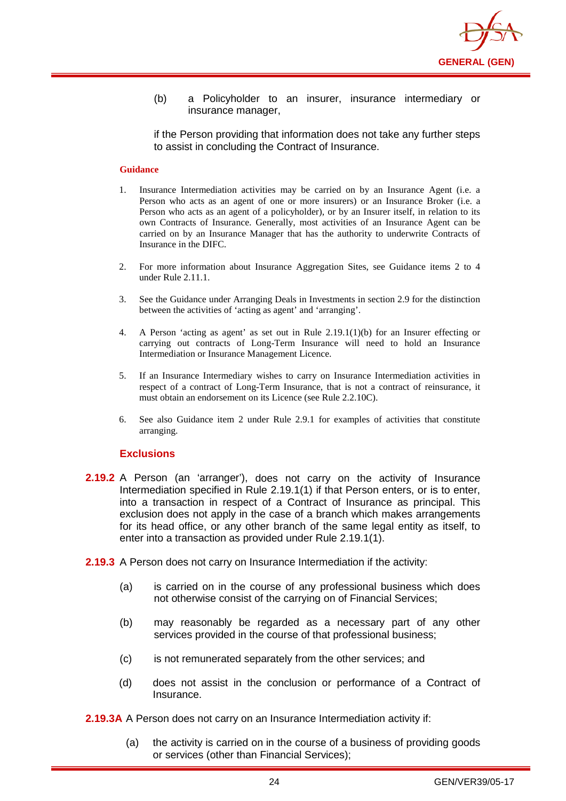

(b) a Policyholder to an insurer, insurance intermediary or insurance manager,

if the Person providing that information does not take any further steps to assist in concluding the Contract of Insurance.

#### **Guidance**

- 1. Insurance Intermediation activities may be carried on by an Insurance Agent (i.e. a Person who acts as an agent of one or more insurers) or an Insurance Broker (i.e. a Person who acts as an agent of a policyholder), or by an Insurer itself, in relation to its own Contracts of Insurance. Generally, most activities of an Insurance Agent can be carried on by an Insurance Manager that has the authority to underwrite Contracts of Insurance in the DIFC.
- 2. For more information about Insurance Aggregation Sites, see Guidance items 2 to 4 under Rule 2.11.1.
- 3. See the Guidance under Arranging Deals in Investments in section 2.9 for the distinction between the activities of 'acting as agent' and 'arranging'.
- 4. A Person 'acting as agent' as set out in Rule 2.19.1(1)(b) for an Insurer effecting or carrying out contracts of Long-Term Insurance will need to hold an Insurance Intermediation or Insurance Management Licence.
- 5. If an Insurance Intermediary wishes to carry on Insurance Intermediation activities in respect of a contract of Long-Term Insurance, that is not a contract of reinsurance, it must obtain an endorsement on its Licence (see Rule 2.2.10C).
- 6. See also Guidance item 2 under Rule 2.9.1 for examples of activities that constitute arranging.

#### **Exclusions**

- **2.19.2** A Person (an 'arranger'), does not carry on the activity of Insurance Intermediation specified in Rule 2.19.1(1) if that Person enters, or is to enter, into a transaction in respect of a Contract of Insurance as principal. This exclusion does not apply in the case of a branch which makes arrangements for its head office, or any other branch of the same legal entity as itself, to enter into a transaction as provided under Rule 2.19.1(1).
- **2.19.3** A Person does not carry on Insurance Intermediation if the activity:
	- (a) is carried on in the course of any professional business which does not otherwise consist of the carrying on of Financial Services;
	- (b) may reasonably be regarded as a necessary part of any other services provided in the course of that professional business;
	- (c) is not remunerated separately from the other services; and
	- (d) does not assist in the conclusion or performance of a Contract of Insurance.
- **2.19.3A** A Person does not carry on an Insurance Intermediation activity if:
	- (a) the activity is carried on in the course of a business of providing goods or services (other than Financial Services);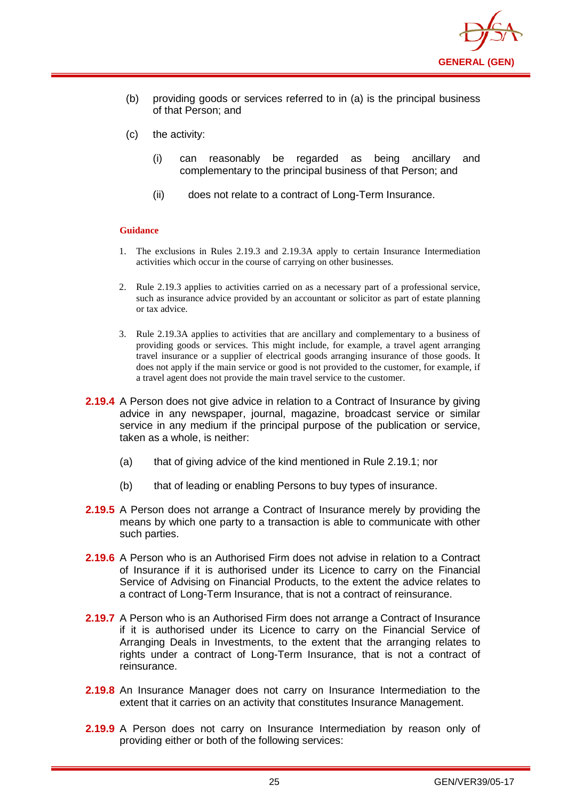

- (b) providing goods or services referred to in (a) is the principal business of that Person; and
- (c) the activity:
	- (i) can reasonably be regarded as being ancillary and complementary to the principal business of that Person; and
	- (ii) does not relate to a contract of Long-Term Insurance.

#### **Guidance**

- 1. The exclusions in Rules 2.19.3 and 2.19.3A apply to certain Insurance Intermediation activities which occur in the course of carrying on other businesses.
- 2. Rule 2.19.3 applies to activities carried on as a necessary part of a professional service, such as insurance advice provided by an accountant or solicitor as part of estate planning or tax advice.
- 3. Rule 2.19.3A applies to activities that are ancillary and complementary to a business of providing goods or services. This might include, for example, a travel agent arranging travel insurance or a supplier of electrical goods arranging insurance of those goods. It does not apply if the main service or good is not provided to the customer, for example, if a travel agent does not provide the main travel service to the customer.
- **2.19.4** A Person does not give advice in relation to a Contract of Insurance by giving advice in any newspaper, journal, magazine, broadcast service or similar service in any medium if the principal purpose of the publication or service, taken as a whole, is neither:
	- (a) that of giving advice of the kind mentioned in Rule 2.19.1; nor
	- (b) that of leading or enabling Persons to buy types of insurance.
- **2.19.5** A Person does not arrange a Contract of Insurance merely by providing the means by which one party to a transaction is able to communicate with other such parties.
- **2.19.6** A Person who is an Authorised Firm does not advise in relation to a Contract of Insurance if it is authorised under its Licence to carry on the Financial Service of Advising on Financial Products, to the extent the advice relates to a contract of Long-Term Insurance, that is not a contract of reinsurance.
- **2.19.7** A Person who is an Authorised Firm does not arrange a Contract of Insurance if it is authorised under its Licence to carry on the Financial Service of Arranging Deals in Investments, to the extent that the arranging relates to rights under a contract of Long-Term Insurance, that is not a contract of reinsurance.
- **2.19.8** An Insurance Manager does not carry on Insurance Intermediation to the extent that it carries on an activity that constitutes Insurance Management.
- **2.19.9** A Person does not carry on Insurance Intermediation by reason only of providing either or both of the following services: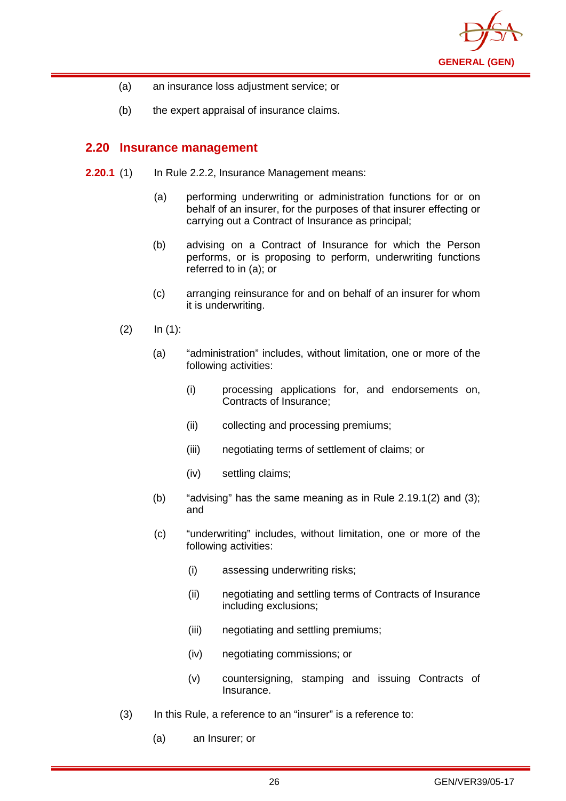

- (a) an insurance loss adjustment service; or
- (b) the expert appraisal of insurance claims.

## <span id="page-29-0"></span>**2.20 Insurance management**

- **2.20.1** (1) In Rule 2.2.2, Insurance Management means:
	- (a) performing underwriting or administration functions for or on behalf of an insurer, for the purposes of that insurer effecting or carrying out a Contract of Insurance as principal;
	- (b) advising on a Contract of Insurance for which the Person performs, or is proposing to perform, underwriting functions referred to in (a); or
	- (c) arranging reinsurance for and on behalf of an insurer for whom it is underwriting.
	- $(2)$   $\ln (1)$ :
		- (a) "administration" includes, without limitation, one or more of the following activities:
			- (i) processing applications for, and endorsements on, Contracts of Insurance;
			- (ii) collecting and processing premiums;
			- (iii) negotiating terms of settlement of claims; or
			- (iv) settling claims;
		- (b) "advising" has the same meaning as in Rule  $2.19.1(2)$  and  $(3)$ ; and
		- (c) "underwriting" includes, without limitation, one or more of the following activities:
			- (i) assessing underwriting risks;
			- (ii) negotiating and settling terms of Contracts of Insurance including exclusions;
			- (iii) negotiating and settling premiums;
			- (iv) negotiating commissions; or
			- (v) countersigning, stamping and issuing Contracts of Insurance.
	- (3) In this Rule, a reference to an "insurer" is a reference to:
		- (a) an Insurer; or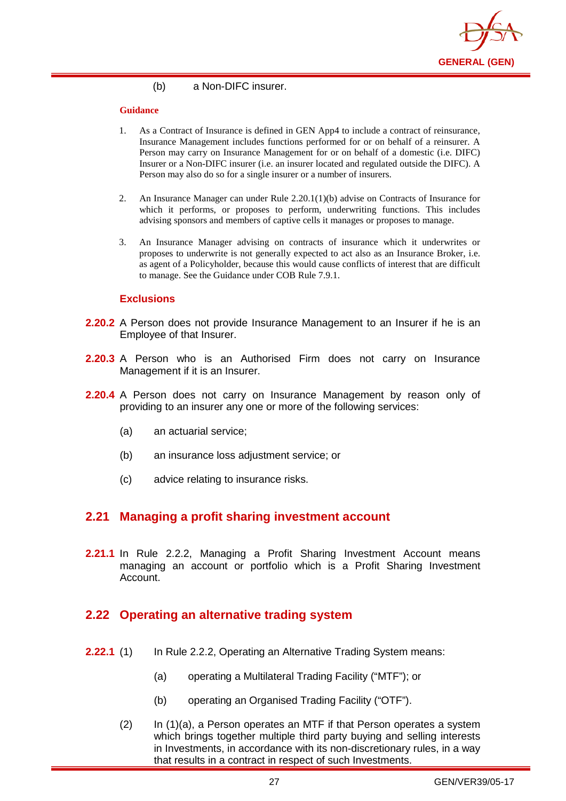

#### (b) a Non-DIFC insurer.

#### **Guidance**

- 1. As a Contract of Insurance is defined in GEN App4 to include a contract of reinsurance, Insurance Management includes functions performed for or on behalf of a reinsurer. A Person may carry on Insurance Management for or on behalf of a domestic (i.e. DIFC) Insurer or a Non-DIFC insurer (i.e. an insurer located and regulated outside the DIFC). A Person may also do so for a single insurer or a number of insurers.
- 2. An Insurance Manager can under Rule 2.20.1(1)(b) advise on Contracts of Insurance for which it performs, or proposes to perform, underwriting functions. This includes advising sponsors and members of captive cells it manages or proposes to manage.
- 3. An Insurance Manager advising on contracts of insurance which it underwrites or proposes to underwrite is not generally expected to act also as an Insurance Broker, i.e. as agent of a Policyholder, because this would cause conflicts of interest that are difficult to manage. See the Guidance under COB Rule 7.9.1.

#### **Exclusions**

- **2.20.2** A Person does not provide Insurance Management to an Insurer if he is an Employee of that Insurer.
- **2.20.3** A Person who is an Authorised Firm does not carry on Insurance Management if it is an Insurer.
- **2.20.4** A Person does not carry on Insurance Management by reason only of providing to an insurer any one or more of the following services:
	- (a) an actuarial service;
	- (b) an insurance loss adjustment service; or
	- (c) advice relating to insurance risks.

#### <span id="page-30-0"></span>**2.21 Managing a profit sharing investment account**

**2.21.1** In Rule 2.2.2, Managing a Profit Sharing Investment Account means managing an account or portfolio which is a Profit Sharing Investment Account.

## <span id="page-30-1"></span>**2.22 Operating an alternative trading system**

- **2.22.1** (1) In Rule 2.2.2, Operating an Alternative Trading System means:
	- (a) operating a Multilateral Trading Facility ("MTF"); or
	- (b) operating an Organised Trading Facility ("OTF").
	- (2) In (1)(a), a Person operates an MTF if that Person operates a system which brings together multiple third party buying and selling interests in Investments, in accordance with its non-discretionary rules, in a way that results in a contract in respect of such Investments.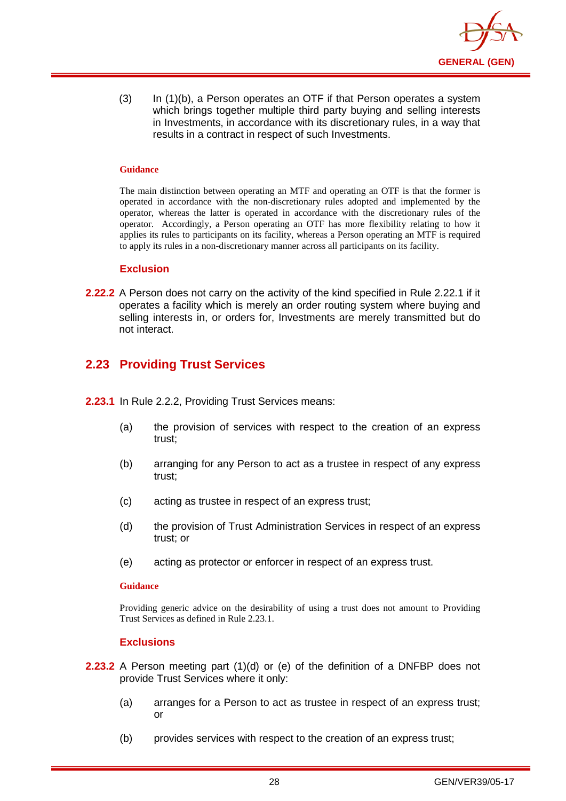

(3) In (1)(b), a Person operates an OTF if that Person operates a system which brings together multiple third party buying and selling interests in Investments, in accordance with its discretionary rules, in a way that results in a contract in respect of such Investments.

#### **Guidance**

The main distinction between operating an MTF and operating an OTF is that the former is operated in accordance with the non-discretionary rules adopted and implemented by the operator, whereas the latter is operated in accordance with the discretionary rules of the operator. Accordingly, a Person operating an OTF has more flexibility relating to how it applies its rules to participants on its facility, whereas a Person operating an MTF is required to apply its rules in a non-discretionary manner across all participants on its facility.

#### **Exclusion**

**2.22.2** A Person does not carry on the activity of the kind specified in Rule 2.22.1 if it operates a facility which is merely an order routing system where buying and selling interests in, or orders for, Investments are merely transmitted but do not interact.

## <span id="page-31-0"></span>**2.23 Providing Trust Services**

- **2.23.1** In Rule 2.2.2, Providing Trust Services means:
	- (a) the provision of services with respect to the creation of an express trust;
	- (b) arranging for any Person to act as a trustee in respect of any express trust;
	- (c) acting as trustee in respect of an express trust;
	- (d) the provision of Trust Administration Services in respect of an express trust; or
	- (e) acting as protector or enforcer in respect of an express trust.

#### **Guidance**

Providing generic advice on the desirability of using a trust does not amount to Providing Trust Services as defined in Rule 2.23.1.

#### **Exclusions**

- **2.23.2** A Person meeting part (1)(d) or (e) of the definition of a DNFBP does not provide Trust Services where it only:
	- (a) arranges for a Person to act as trustee in respect of an express trust; or
	- (b) provides services with respect to the creation of an express trust;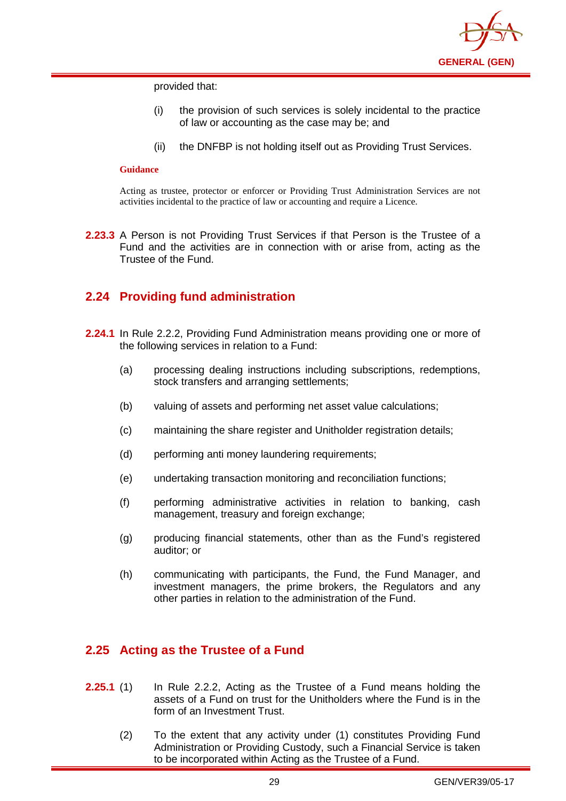

provided that:

- (i) the provision of such services is solely incidental to the practice of law or accounting as the case may be; and
- (ii) the DNFBP is not holding itself out as Providing Trust Services.

#### **Guidance**

Acting as trustee, protector or enforcer or Providing Trust Administration Services are not activities incidental to the practice of law or accounting and require a Licence.

**2.23.3** A Person is not Providing Trust Services if that Person is the Trustee of a Fund and the activities are in connection with or arise from, acting as the Trustee of the Fund.

## <span id="page-32-0"></span>**2.24 Providing fund administration**

- **2.24.1** In Rule 2.2.2, Providing Fund Administration means providing one or more of the following services in relation to a Fund:
	- (a) processing dealing instructions including subscriptions, redemptions, stock transfers and arranging settlements;
	- (b) valuing of assets and performing net asset value calculations;
	- (c) maintaining the share register and Unitholder registration details;
	- (d) performing anti money laundering requirements;
	- (e) undertaking transaction monitoring and reconciliation functions;
	- (f) performing administrative activities in relation to banking, cash management, treasury and foreign exchange;
	- (g) producing financial statements, other than as the Fund's registered auditor; or
	- (h) communicating with participants, the Fund, the Fund Manager, and investment managers, the prime brokers, the Regulators and any other parties in relation to the administration of the Fund.

## <span id="page-32-1"></span>**2.25 Acting as the Trustee of a Fund**

- **2.25.1** (1) In Rule 2.2.2, Acting as the Trustee of a Fund means holding the assets of a Fund on trust for the Unitholders where the Fund is in the form of an Investment Trust.
	- (2) To the extent that any activity under (1) constitutes Providing Fund Administration or Providing Custody, such a Financial Service is taken to be incorporated within Acting as the Trustee of a Fund.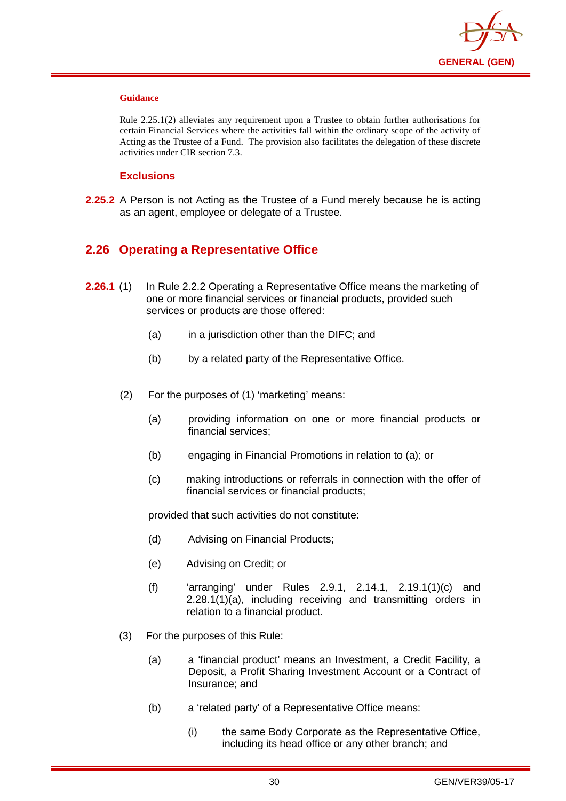

#### **Guidance**

Rule 2.25.1(2) alleviates any requirement upon a Trustee to obtain further authorisations for certain Financial Services where the activities fall within the ordinary scope of the activity of Acting as the Trustee of a Fund. The provision also facilitates the delegation of these discrete activities under CIR section 7.3.

#### **Exclusions**

**2.25.2** A Person is not Acting as the Trustee of a Fund merely because he is acting as an agent, employee or delegate of a Trustee.

## <span id="page-33-0"></span>**2.26 Operating a Representative Office**

- **2.26.1** (1) In Rule 2.2.2 Operating a Representative Office means the marketing of one or more financial services or financial products, provided such services or products are those offered:
	- (a) in a jurisdiction other than the DIFC; and
	- (b) by a related party of the Representative Office.
	- (2) For the purposes of (1) 'marketing' means:
		- (a) providing information on one or more financial products or financial services;
		- (b) engaging in Financial Promotions in relation to (a); or
		- (c) making introductions or referrals in connection with the offer of financial services or financial products;

provided that such activities do not constitute:

- (d) Advising on Financial Products;
- (e) Advising on Credit; or
- (f) 'arranging' under Rules 2.9.1, 2.14.1, 2.19.1(1)(c) and  $2.28.1(1)(a)$ , including receiving and transmitting orders in relation to a financial product.
- (3) For the purposes of this Rule:
	- (a) a 'financial product' means an Investment, a Credit Facility, a Deposit, a Profit Sharing Investment Account or a Contract of Insurance; and
	- (b) a 'related party' of a Representative Office means:
		- (i) the same Body Corporate as the Representative Office, including its head office or any other branch; and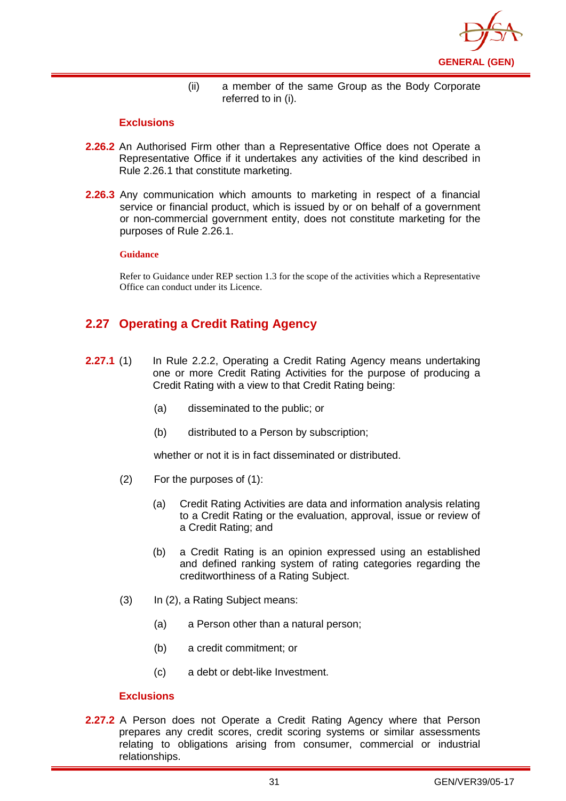

(ii) a member of the same Group as the Body Corporate referred to in (i).

#### **Exclusions**

- **2.26.2** An Authorised Firm other than a Representative Office does not Operate a Representative Office if it undertakes any activities of the kind described in Rule 2.26.1 that constitute marketing.
- **2.26.3** Any communication which amounts to marketing in respect of a financial service or financial product, which is issued by or on behalf of a government or non-commercial government entity, does not constitute marketing for the purposes of Rule 2.26.1.

#### **Guidance**

Refer to Guidance under REP section 1.3 for the scope of the activities which a Representative Office can conduct under its Licence.

## <span id="page-34-0"></span>**2.27 Operating a Credit Rating Agency**

- **2.27.1** (1) In Rule 2.2.2, Operating a Credit Rating Agency means undertaking one or more Credit Rating Activities for the purpose of producing a Credit Rating with a view to that Credit Rating being:
	- (a) disseminated to the public; or
	- (b) distributed to a Person by subscription;

whether or not it is in fact disseminated or distributed.

- (2) For the purposes of (1):
	- (a) Credit Rating Activities are data and information analysis relating to a Credit Rating or the evaluation, approval, issue or review of a Credit Rating; and
	- (b) a Credit Rating is an opinion expressed using an established and defined ranking system of rating categories regarding the creditworthiness of a Rating Subject.
- (3) In (2), a Rating Subject means:
	- (a) a Person other than a natural person;
	- (b) a credit commitment; or
	- (c) a debt or debt-like Investment.

#### **Exclusions**

**2.27.2** A Person does not Operate a Credit Rating Agency where that Person prepares any credit scores, credit scoring systems or similar assessments relating to obligations arising from consumer, commercial or industrial relationships.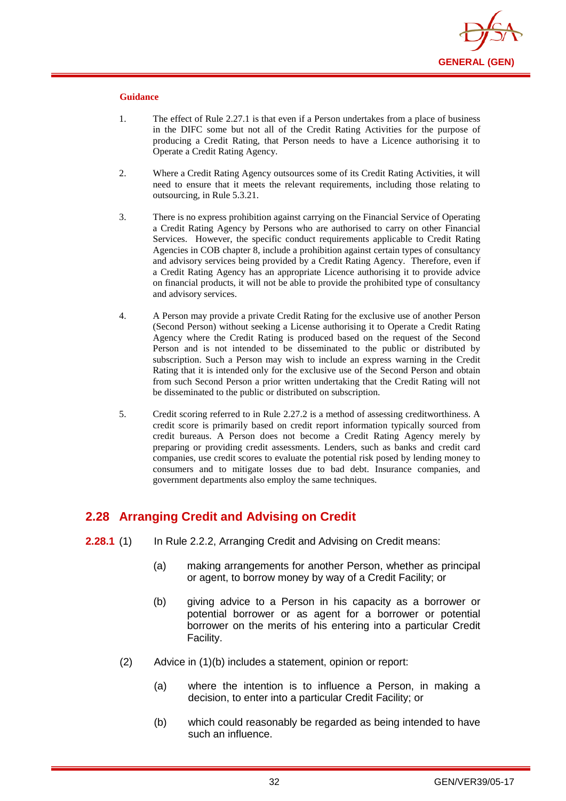

#### **Guidance**

- 1. The effect of Rule 2.27.1 is that even if a Person undertakes from a place of business in the DIFC some but not all of the Credit Rating Activities for the purpose of producing a Credit Rating, that Person needs to have a Licence authorising it to Operate a Credit Rating Agency.
- 2. Where a Credit Rating Agency outsources some of its Credit Rating Activities, it will need to ensure that it meets the relevant requirements, including those relating to outsourcing, in Rule 5.3.21.
- 3. There is no express prohibition against carrying on the Financial Service of Operating a Credit Rating Agency by Persons who are authorised to carry on other Financial Services. However, the specific conduct requirements applicable to Credit Rating Agencies in COB chapter 8, include a prohibition against certain types of consultancy and advisory services being provided by a Credit Rating Agency. Therefore, even if a Credit Rating Agency has an appropriate Licence authorising it to provide advice on financial products, it will not be able to provide the prohibited type of consultancy and advisory services.
- 4. A Person may provide a private Credit Rating for the exclusive use of another Person (Second Person) without seeking a License authorising it to Operate a Credit Rating Agency where the Credit Rating is produced based on the request of the Second Person and is not intended to be disseminated to the public or distributed by subscription. Such a Person may wish to include an express warning in the Credit Rating that it is intended only for the exclusive use of the Second Person and obtain from such Second Person a prior written undertaking that the Credit Rating will not be disseminated to the public or distributed on subscription.
- 5. Credit scoring referred to in Rule 2.27.2 is a method of assessing creditworthiness. A credit score is primarily based on credit report information typically sourced from credit bureaus. A Person does not become a Credit Rating Agency merely by preparing or providing credit assessments. Lenders, such as banks and credit card companies, use credit scores to evaluate the potential risk posed by lending money to consumers and to mitigate losses due to bad debt. Insurance companies, and government departments also employ the same techniques.

## <span id="page-35-0"></span>**2.28 Arranging Credit and Advising on Credit**

- **2.28.1** (1) In Rule 2.2.2, Arranging Credit and Advising on Credit means:
	- (a) making arrangements for another Person, whether as principal or agent, to borrow money by way of a Credit Facility; or
	- (b) giving advice to a Person in his capacity as a borrower or potential borrower or as agent for a borrower or potential borrower on the merits of his entering into a particular Credit Facility.
	- (2) Advice in (1)(b) includes a statement, opinion or report:
		- (a) where the intention is to influence a Person, in making a decision, to enter into a particular Credit Facility; or
		- (b) which could reasonably be regarded as being intended to have such an influence.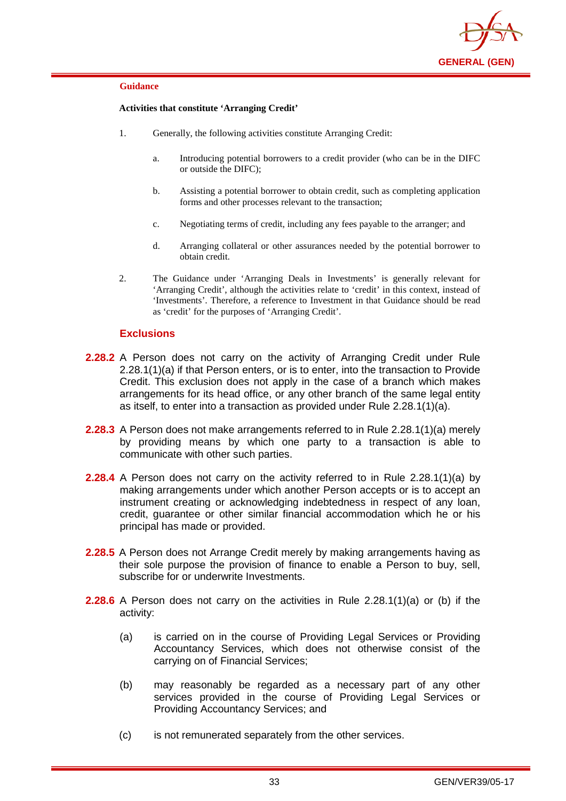

#### **Activities that constitute 'Arranging Credit'**

- 1. Generally, the following activities constitute Arranging Credit:
	- a. Introducing potential borrowers to a credit provider (who can be in the DIFC or outside the DIFC);
	- b. Assisting a potential borrower to obtain credit, such as completing application forms and other processes relevant to the transaction;
	- c. Negotiating terms of credit, including any fees payable to the arranger; and
	- d. Arranging collateral or other assurances needed by the potential borrower to obtain credit.
- 2. The Guidance under 'Arranging Deals in Investments' is generally relevant for 'Arranging Credit', although the activities relate to 'credit' in this context, instead of 'Investments'. Therefore, a reference to Investment in that Guidance should be read as 'credit' for the purposes of 'Arranging Credit'.

### **Exclusions**

- **2.28.2** A Person does not carry on the activity of Arranging Credit under Rule 2.28.1(1)(a) if that Person enters, or is to enter, into the transaction to Provide Credit. This exclusion does not apply in the case of a branch which makes arrangements for its head office, or any other branch of the same legal entity as itself, to enter into a transaction as provided under Rule 2.28.1(1)(a).
- **2.28.3** A Person does not make arrangements referred to in Rule 2.28.1(1)(a) merely by providing means by which one party to a transaction is able to communicate with other such parties.
- **2.28.4** A Person does not carry on the activity referred to in Rule 2.28.1(1)(a) by making arrangements under which another Person accepts or is to accept an instrument creating or acknowledging indebtedness in respect of any loan, credit, guarantee or other similar financial accommodation which he or his principal has made or provided.
- **2.28.5** A Person does not Arrange Credit merely by making arrangements having as their sole purpose the provision of finance to enable a Person to buy, sell, subscribe for or underwrite Investments.
- **2.28.6** A Person does not carry on the activities in Rule 2.28.1(1)(a) or (b) if the activity:
	- (a) is carried on in the course of Providing Legal Services or Providing Accountancy Services, which does not otherwise consist of the carrying on of Financial Services;
	- (b) may reasonably be regarded as a necessary part of any other services provided in the course of Providing Legal Services or Providing Accountancy Services; and
	- (c) is not remunerated separately from the other services.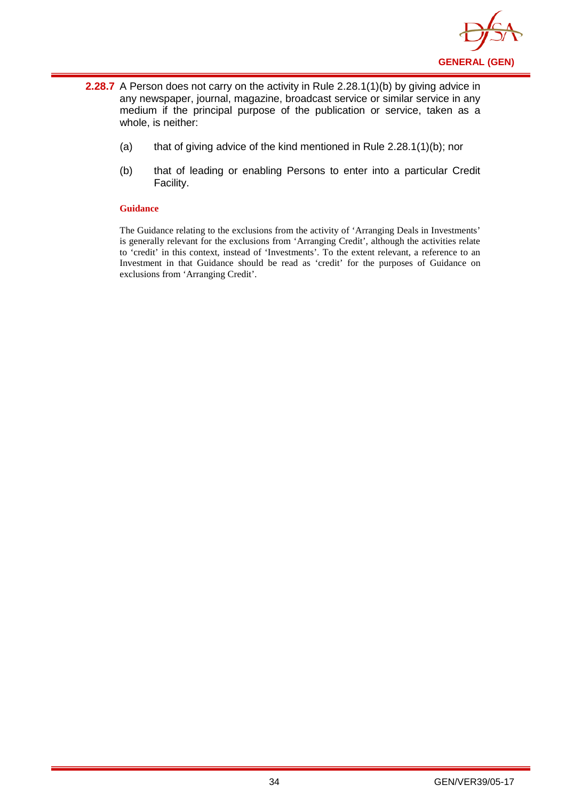

- **2.28.7** A Person does not carry on the activity in Rule 2.28.1(1)(b) by giving advice in any newspaper, journal, magazine, broadcast service or similar service in any medium if the principal purpose of the publication or service, taken as a whole, is neither:
	- (a) that of giving advice of the kind mentioned in Rule 2.28.1(1)(b); nor
	- (b) that of leading or enabling Persons to enter into a particular Credit Facility.

The Guidance relating to the exclusions from the activity of 'Arranging Deals in Investments' is generally relevant for the exclusions from 'Arranging Credit', although the activities relate to 'credit' in this context, instead of 'Investments'. To the extent relevant, a reference to an Investment in that Guidance should be read as 'credit' for the purposes of Guidance on exclusions from 'Arranging Credit'.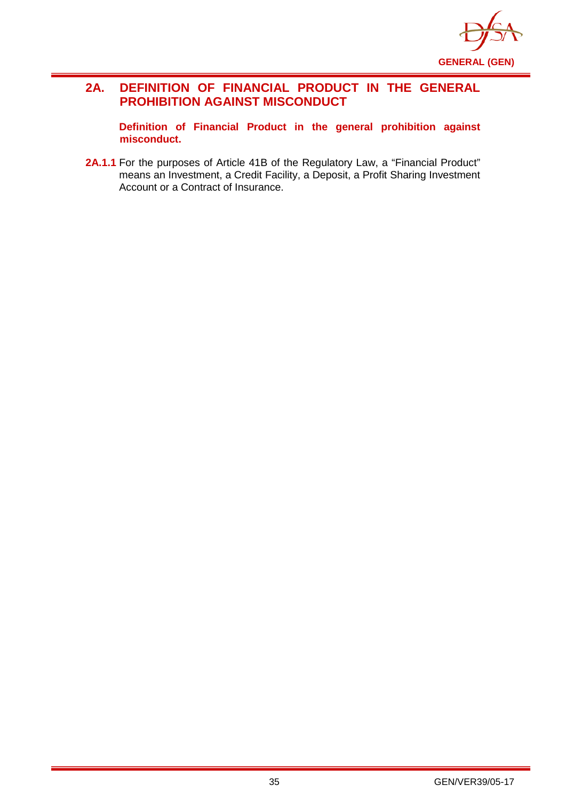

## **2A. DEFINITION OF FINANCIAL PRODUCT IN THE GENERAL PROHIBITION AGAINST MISCONDUCT**

**Definition of Financial Product in the general prohibition against misconduct.**

2A.1.1 For the purposes of Article 41B of the Regulatory Law, a "Financial Product" means an Investment, a Credit Facility, a Deposit, a Profit Sharing Investment Account or a Contract of Insurance.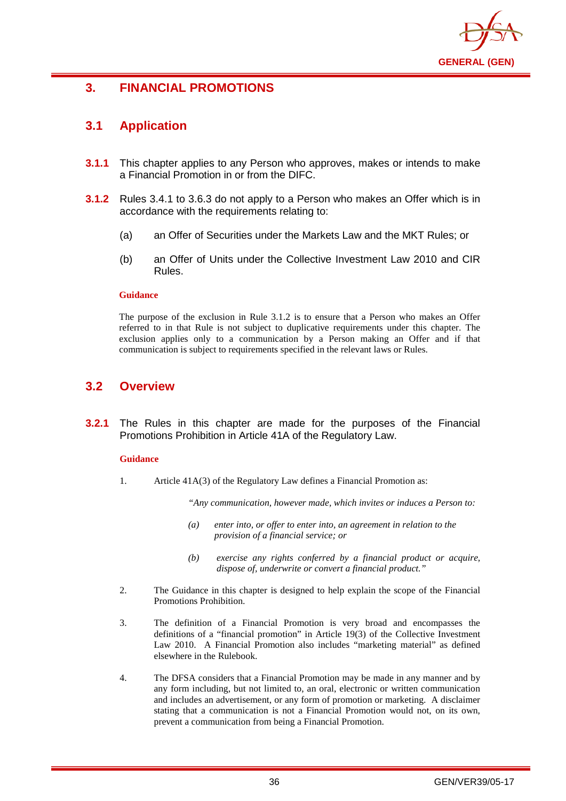

# **3. FINANCIAL PROMOTIONS**

## **3.1 Application**

- **3.1.1** This chapter applies to any Person who approves, makes or intends to make a Financial Promotion in or from the DIFC.
- **3.1.2** Rules 3.4.1 to 3.6.3 do not apply to a Person who makes an Offer which is in accordance with the requirements relating to:
	- (a) an Offer of Securities under the Markets Law and the MKT Rules; or
	- (b) an Offer of Units under the Collective Investment Law 2010 and CIR Rules.

#### **Guidance**

The purpose of the exclusion in Rule 3.1.2 is to ensure that a Person who makes an Offer referred to in that Rule is not subject to duplicative requirements under this chapter. The exclusion applies only to a communication by a Person making an Offer and if that communication is subject to requirements specified in the relevant laws or Rules.

# **3.2 Overview**

**3.2.1** The Rules in this chapter are made for the purposes of the Financial Promotions Prohibition in Article 41A of the Regulatory Law.

### **Guidance**

1. Article 41A(3) of the Regulatory Law defines a Financial Promotion as:

*"Any communication, however made, which invites or induces a Person to:*

- *(a) enter into, or offer to enter into, an agreement in relation to the provision of a financial service; or*
- *(b) exercise any rights conferred by a financial product or acquire, dispose of, underwrite or convert a financial product."*
- 2. The Guidance in this chapter is designed to help explain the scope of the Financial Promotions Prohibition.
- 3. The definition of a Financial Promotion is very broad and encompasses the definitions of a "financial promotion" in Article 19(3) of the Collective Investment Law 2010. A Financial Promotion also includes "marketing material" as defined elsewhere in the Rulebook.
- 4. The DFSA considers that a Financial Promotion may be made in any manner and by any form including, but not limited to, an oral, electronic or written communication and includes an advertisement, or any form of promotion or marketing. A disclaimer stating that a communication is not a Financial Promotion would not, on its own, prevent a communication from being a Financial Promotion.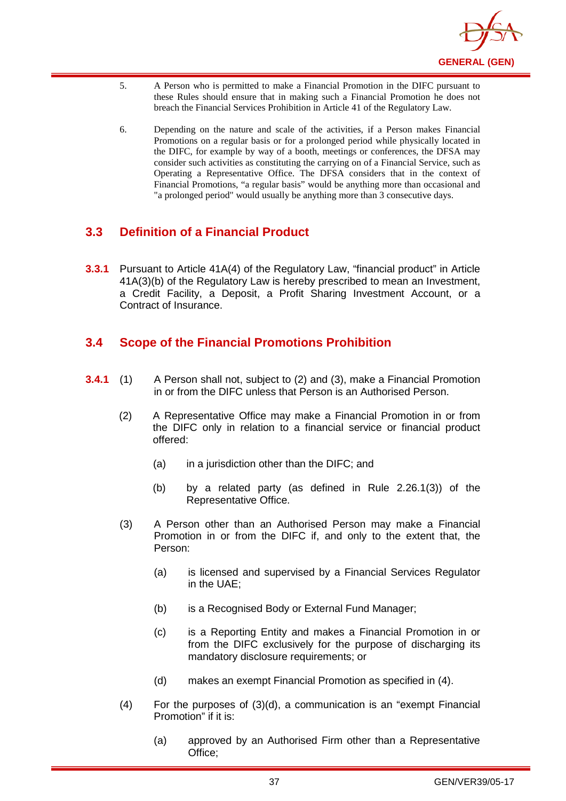

- 5. A Person who is permitted to make a Financial Promotion in the DIFC pursuant to these Rules should ensure that in making such a Financial Promotion he does not breach the Financial Services Prohibition in Article 41 of the Regulatory Law.
- 6. Depending on the nature and scale of the activities, if a Person makes Financial Promotions on a regular basis or for a prolonged period while physically located in the DIFC, for example by way of a booth, meetings or conferences, the DFSA may consider such activities as constituting the carrying on of a Financial Service, such as Operating a Representative Office. The DFSA considers that in the context of Financial Promotions, "a regular basis" would be anything more than occasional and "a prolonged period" would usually be anything more than 3 consecutive days.

# **3.3 Definition of a Financial Product**

**3.3.1** Pursuant to Article 41A(4) of the Regulatory Law, "financial product" in Article 41A(3)(b) of the Regulatory Law is hereby prescribed to mean an Investment, a Credit Facility, a Deposit, a Profit Sharing Investment Account, or a Contract of Insurance.

# **3.4 Scope of the Financial Promotions Prohibition**

- **3.4.1** (1) A Person shall not, subject to (2) and (3), make a Financial Promotion in or from the DIFC unless that Person is an Authorised Person.
	- (2) A Representative Office may make a Financial Promotion in or from the DIFC only in relation to a financial service or financial product offered:
		- (a) in a jurisdiction other than the DIFC; and
		- (b) by a related party (as defined in Rule 2.26.1(3)) of the Representative Office.
	- (3) A Person other than an Authorised Person may make a Financial Promotion in or from the DIFC if, and only to the extent that, the Person:
		- (a) is licensed and supervised by a Financial Services Regulator in the UAE;
		- (b) is a Recognised Body or External Fund Manager;
		- (c) is a Reporting Entity and makes a Financial Promotion in or from the DIFC exclusively for the purpose of discharging its mandatory disclosure requirements; or
		- (d) makes an exempt Financial Promotion as specified in (4).
	- (4) For the purposes of (3)(d), a communication is an "exempt Financial Promotion" if it is:
		- (a) approved by an Authorised Firm other than a Representative Office;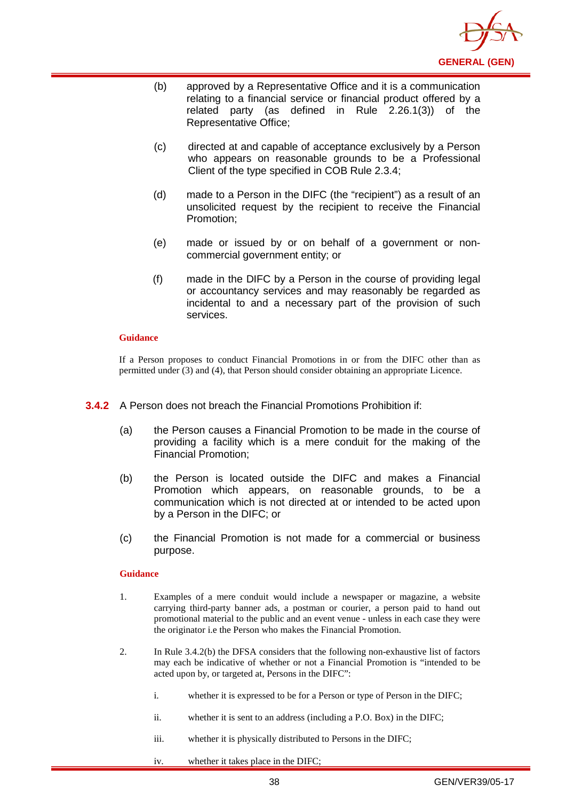

- (b) approved by a Representative Office and it is a communication relating to a financial service or financial product offered by a related party (as defined in Rule 2.26.1(3)) of the Representative Office;
- (c) directed at and capable of acceptance exclusively by a Person who appears on reasonable grounds to be a Professional Client of the type specified in COB Rule 2.3.4;
- (d) made to a Person in the DIFC (the "recipient") as a result of an unsolicited request by the recipient to receive the Financial Promotion;
- (e) made or issued by or on behalf of a government or noncommercial government entity; or
- (f) made in the DIFC by a Person in the course of providing legal or accountancy services and may reasonably be regarded as incidental to and a necessary part of the provision of such services.

If a Person proposes to conduct Financial Promotions in or from the DIFC other than as permitted under (3) and (4), that Person should consider obtaining an appropriate Licence.

- **3.4.2** A Person does not breach the Financial Promotions Prohibition if:
	- (a) the Person causes a Financial Promotion to be made in the course of providing a facility which is a mere conduit for the making of the Financial Promotion;
	- (b) the Person is located outside the DIFC and makes a Financial Promotion which appears, on reasonable grounds, to be a communication which is not directed at or intended to be acted upon by a Person in the DIFC; or
	- (c) the Financial Promotion is not made for a commercial or business purpose.

#### **Guidance**

- 1. Examples of a mere conduit would include a newspaper or magazine, a website carrying third-party banner ads, a postman or courier, a person paid to hand out promotional material to the public and an event venue - unless in each case they were the originator i.e the Person who makes the Financial Promotion.
- 2. In Rule 3.4.2(b) the DFSA considers that the following non-exhaustive list of factors may each be indicative of whether or not a Financial Promotion is "intended to be acted upon by, or targeted at, Persons in the DIFC":
	- i. whether it is expressed to be for a Person or type of Person in the DIFC;
	- ii. whether it is sent to an address (including a P.O. Box) in the DIFC;
	- iii. whether it is physically distributed to Persons in the DIFC;
	- iv. whether it takes place in the DIFC;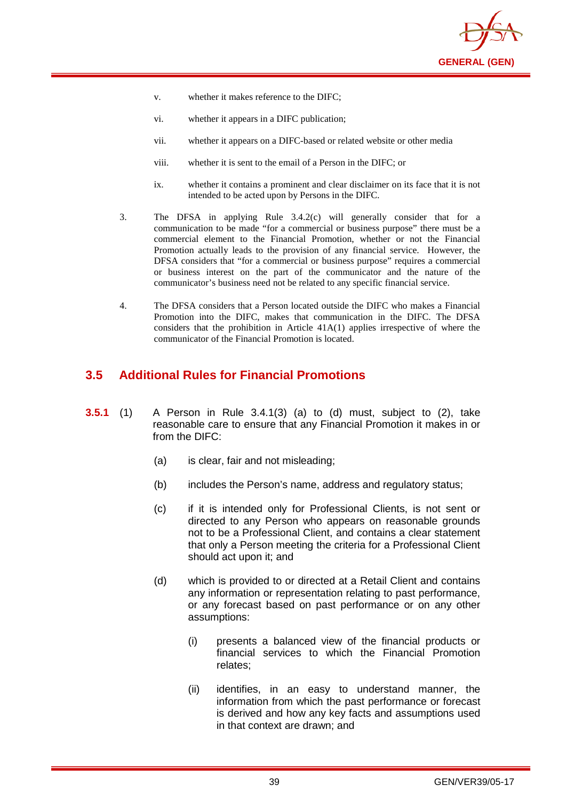

- v. whether it makes reference to the DIFC;
- vi. whether it appears in a DIFC publication;
- vii. whether it appears on a DIFC-based or related website or other media
- viii. whether it is sent to the email of a Person in the DIFC; or
- ix. whether it contains a prominent and clear disclaimer on its face that it is not intended to be acted upon by Persons in the DIFC.
- 3. The DFSA in applying Rule 3.4.2(c) will generally consider that for a communication to be made "for a commercial or business purpose" there must be a commercial element to the Financial Promotion, whether or not the Financial Promotion actually leads to the provision of any financial service. However, the DFSA considers that "for a commercial or business purpose" requires a commercial or business interest on the part of the communicator and the nature of the communicator's business need not be related to any specific financial service.
- 4. The DFSA considers that a Person located outside the DIFC who makes a Financial Promotion into the DIFC, makes that communication in the DIFC. The DFSA considers that the prohibition in Article 41A(1) applies irrespective of where the communicator of the Financial Promotion is located.

# **3.5 Additional Rules for Financial Promotions**

- **3.5.1** (1) A Person in Rule 3.4.1(3) (a) to (d) must, subject to (2), take reasonable care to ensure that any Financial Promotion it makes in or from the DIFC:
	- (a) is clear, fair and not misleading;
	- (b) includes the Person's name, address and regulatory status;
	- (c) if it is intended only for Professional Clients, is not sent or directed to any Person who appears on reasonable grounds not to be a Professional Client, and contains a clear statement that only a Person meeting the criteria for a Professional Client should act upon it; and
	- (d) which is provided to or directed at a Retail Client and contains any information or representation relating to past performance, or any forecast based on past performance or on any other assumptions:
		- (i) presents a balanced view of the financial products or financial services to which the Financial Promotion relates;
		- (ii) identifies, in an easy to understand manner, the information from which the past performance or forecast is derived and how any key facts and assumptions used in that context are drawn; and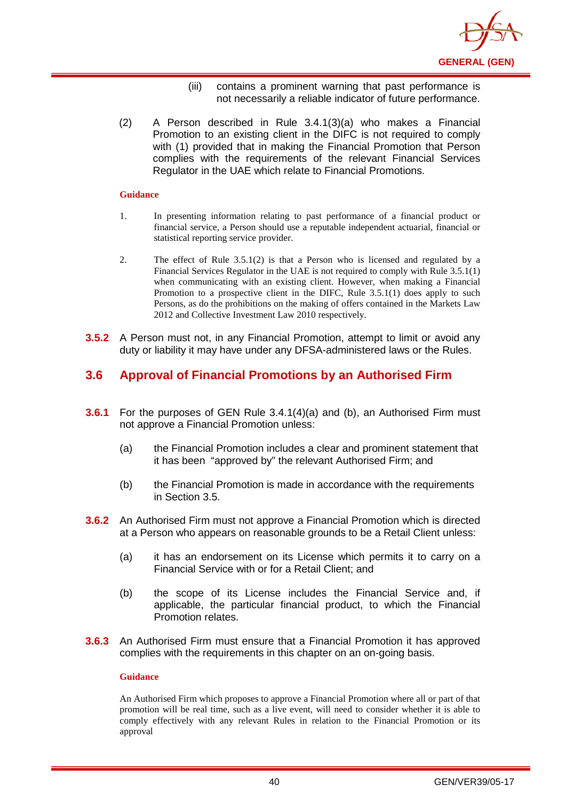

- (iii) contains a prominent warning that past performance is not necessarily a reliable indicator of future performance.
- (2) A Person described in Rule 3.4.1(3)(a) who makes a Financial Promotion to an existing client in the DIFC is not required to comply with (1) provided that in making the Financial Promotion that Person complies with the requirements of the relevant Financial Services Regulator in the UAE which relate to Financial Promotions.

- 1. In presenting information relating to past performance of a financial product or financial service, a Person should use a reputable independent actuarial, financial or statistical reporting service provider.
- 2. The effect of Rule 3.5.1(2) is that a Person who is licensed and regulated by a Financial Services Regulator in the UAE is not required to comply with Rule 3.5.1(1) when communicating with an existing client. However, when making a Financial Promotion to a prospective client in the DIFC, Rule 3.5.1(1) does apply to such Persons, as do the prohibitions on the making of offers contained in the Markets Law 2012 and Collective Investment Law 2010 respectively.
- **3.5.2** A Person must not, in any Financial Promotion, attempt to limit or avoid any duty or liability it may have under any DFSA-administered laws or the Rules.

# **3.6 Approval of Financial Promotions by an Authorised Firm**

- **3.6.1** For the purposes of GEN Rule 3.4.1(4)(a) and (b), an Authorised Firm must not approve a Financial Promotion unless:
	- (a) the Financial Promotion includes a clear and prominent statement that it has been "approved by" the relevant Authorised Firm; and
	- (b) the Financial Promotion is made in accordance with the requirements in Section 3.5.
- **3.6.2** An Authorised Firm must not approve a Financial Promotion which is directed at a Person who appears on reasonable grounds to be a Retail Client unless:
	- (a) it has an endorsement on its License which permits it to carry on a Financial Service with or for a Retail Client; and
	- (b) the scope of its License includes the Financial Service and, if applicable, the particular financial product, to which the Financial Promotion relates.
- **3.6.3** An Authorised Firm must ensure that a Financial Promotion it has approved complies with the requirements in this chapter on an on-going basis.

#### **Guidance**

An Authorised Firm which proposes to approve a Financial Promotion where all or part of that promotion will be real time, such as a live event, will need to consider whether it is able to comply effectively with any relevant Rules in relation to the Financial Promotion or its approval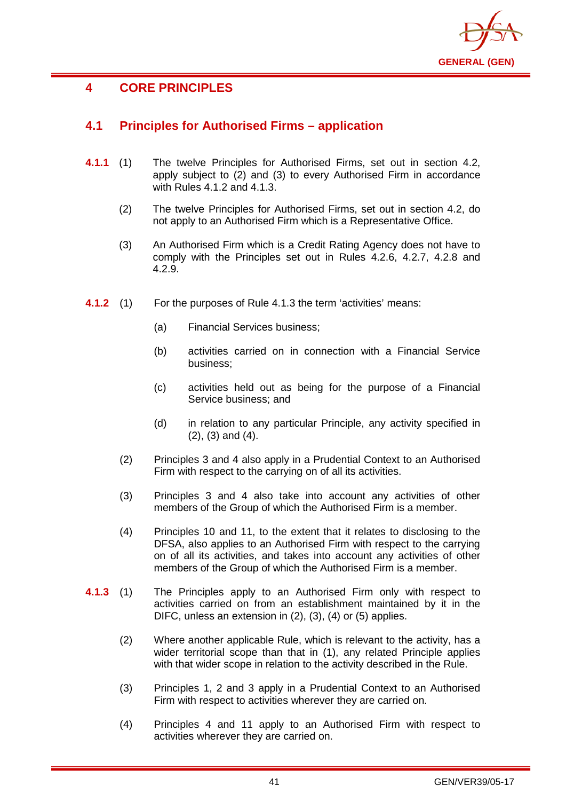

# **4 CORE PRINCIPLES**

# **4.1 Principles for Authorised Firms – application**

- **4.1.1** (1) The twelve Principles for Authorised Firms, set out in section 4.2, apply subject to (2) and (3) to every Authorised Firm in accordance with Rules 4.1.2 and 4.1.3.
	- (2) The twelve Principles for Authorised Firms, set out in section 4.2, do not apply to an Authorised Firm which is a Representative Office.
	- (3) An Authorised Firm which is a Credit Rating Agency does not have to comply with the Principles set out in Rules 4.2.6, 4.2.7, 4.2.8 and 4.2.9.
- **4.1.2** (1) For the purposes of Rule 4.1.3 the term 'activities' means:
	- (a) Financial Services business;
	- (b) activities carried on in connection with a Financial Service business;
	- (c) activities held out as being for the purpose of a Financial Service business; and
	- (d) in relation to any particular Principle, any activity specified in (2), (3) and (4).
	- (2) Principles 3 and 4 also apply in a Prudential Context to an Authorised Firm with respect to the carrying on of all its activities.
	- (3) Principles 3 and 4 also take into account any activities of other members of the Group of which the Authorised Firm is a member.
	- (4) Principles 10 and 11, to the extent that it relates to disclosing to the DFSA, also applies to an Authorised Firm with respect to the carrying on of all its activities, and takes into account any activities of other members of the Group of which the Authorised Firm is a member.
- **4.1.3** (1) The Principles apply to an Authorised Firm only with respect to activities carried on from an establishment maintained by it in the DIFC, unless an extension in (2), (3), (4) or (5) applies.
	- (2) Where another applicable Rule, which is relevant to the activity, has a wider territorial scope than that in (1), any related Principle applies with that wider scope in relation to the activity described in the Rule.
	- (3) Principles 1, 2 and 3 apply in a Prudential Context to an Authorised Firm with respect to activities wherever they are carried on.
	- (4) Principles 4 and 11 apply to an Authorised Firm with respect to activities wherever they are carried on.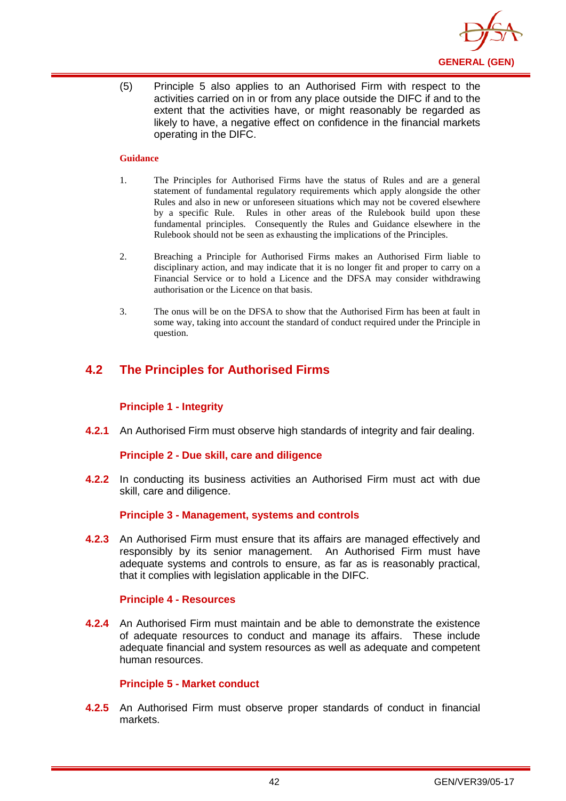

(5) Principle 5 also applies to an Authorised Firm with respect to the activities carried on in or from any place outside the DIFC if and to the extent that the activities have, or might reasonably be regarded as likely to have, a negative effect on confidence in the financial markets operating in the DIFC.

### **Guidance**

- 1. The Principles for Authorised Firms have the status of Rules and are a general statement of fundamental regulatory requirements which apply alongside the other Rules and also in new or unforeseen situations which may not be covered elsewhere by a specific Rule. Rules in other areas of the Rulebook build upon these fundamental principles. Consequently the Rules and Guidance elsewhere in the Rulebook should not be seen as exhausting the implications of the Principles.
- 2. Breaching a Principle for Authorised Firms makes an Authorised Firm liable to disciplinary action, and may indicate that it is no longer fit and proper to carry on a Financial Service or to hold a Licence and the DFSA may consider withdrawing authorisation or the Licence on that basis.
- 3. The onus will be on the DFSA to show that the Authorised Firm has been at fault in some way, taking into account the standard of conduct required under the Principle in question.

# **4.2 The Principles for Authorised Firms**

## **Principle 1 - Integrity**

**4.2.1** An Authorised Firm must observe high standards of integrity and fair dealing.

### **Principle 2 - Due skill, care and diligence**

**4.2.2** In conducting its business activities an Authorised Firm must act with due skill, care and diligence.

### **Principle 3 - Management, systems and controls**

**4.2.3** An Authorised Firm must ensure that its affairs are managed effectively and responsibly by its senior management. An Authorised Firm must have adequate systems and controls to ensure, as far as is reasonably practical, that it complies with legislation applicable in the DIFC.

### **Principle 4 - Resources**

**4.2.4** An Authorised Firm must maintain and be able to demonstrate the existence of adequate resources to conduct and manage its affairs. These include adequate financial and system resources as well as adequate and competent human resources.

### **Principle 5 - Market conduct**

**4.2.5** An Authorised Firm must observe proper standards of conduct in financial markets.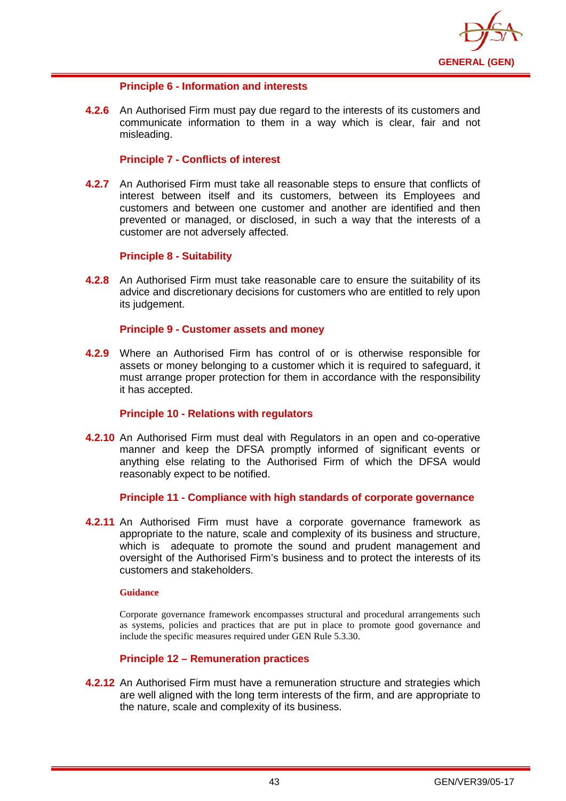

## **Principle 6 - Information and interests**

**4.2.6** An Authorised Firm must pay due regard to the interests of its customers and communicate information to them in a way which is clear, fair and not misleading.

## **Principle 7 - Conflicts of interest**

**4.2.7** An Authorised Firm must take all reasonable steps to ensure that conflicts of interest between itself and its customers, between its Employees and customers and between one customer and another are identified and then prevented or managed, or disclosed, in such a way that the interests of a customer are not adversely affected.

### **Principle 8 - Suitability**

**4.2.8** An Authorised Firm must take reasonable care to ensure the suitability of its advice and discretionary decisions for customers who are entitled to rely upon its judgement.

### **Principle 9 - Customer assets and money**

**4.2.9** Where an Authorised Firm has control of or is otherwise responsible for assets or money belonging to a customer which it is required to safeguard, it must arrange proper protection for them in accordance with the responsibility it has accepted.

### **Principle 10 - Relations with regulators**

**4.2.10** An Authorised Firm must deal with Regulators in an open and co-operative manner and keep the DFSA promptly informed of significant events or anything else relating to the Authorised Firm of which the DFSA would reasonably expect to be notified.

### **Principle 11 - Compliance with high standards of corporate governance**

**4.2.11** An Authorised Firm must have a corporate governance framework as appropriate to the nature, scale and complexity of its business and structure, which is adequate to promote the sound and prudent management and oversight of the Authorised Firm's business and to protect the interests of its customers and stakeholders.

#### **Guidance**

Corporate governance framework encompasses structural and procedural arrangements such as systems, policies and practices that are put in place to promote good governance and include the specific measures required under GEN Rule 5.3.30.

## **Principle 12 – Remuneration practices**

**4.2.12** An Authorised Firm must have a remuneration structure and strategies which are well aligned with the long term interests of the firm, and are appropriate to the nature, scale and complexity of its business.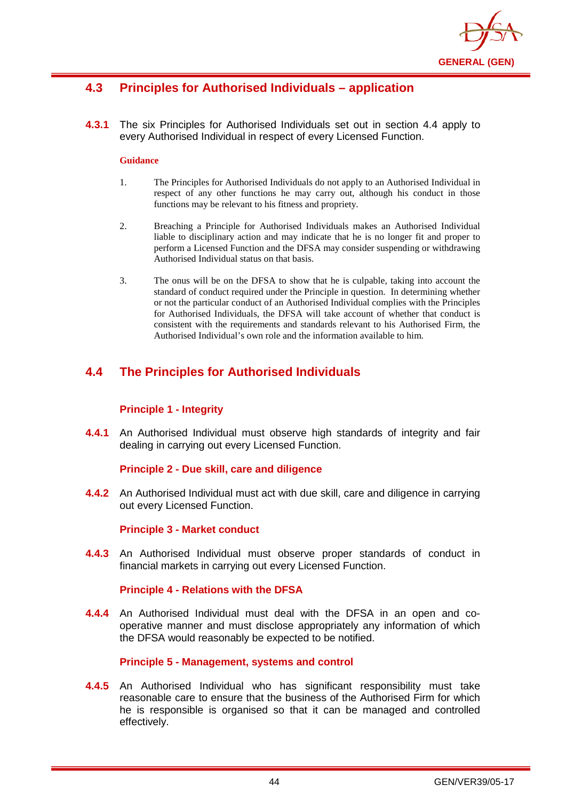

# **4.3 Principles for Authorised Individuals – application**

**4.3.1** The six Principles for Authorised Individuals set out in section 4.4 apply to every Authorised Individual in respect of every Licensed Function.

### **Guidance**

- 1. The Principles for Authorised Individuals do not apply to an Authorised Individual in respect of any other functions he may carry out, although his conduct in those functions may be relevant to his fitness and propriety.
- 2. Breaching a Principle for Authorised Individuals makes an Authorised Individual liable to disciplinary action and may indicate that he is no longer fit and proper to perform a Licensed Function and the DFSA may consider suspending or withdrawing Authorised Individual status on that basis.
- 3. The onus will be on the DFSA to show that he is culpable, taking into account the standard of conduct required under the Principle in question. In determining whether or not the particular conduct of an Authorised Individual complies with the Principles for Authorised Individuals, the DFSA will take account of whether that conduct is consistent with the requirements and standards relevant to his Authorised Firm, the Authorised Individual's own role and the information available to him.

# **4.4 The Principles for Authorised Individuals**

## **Principle 1 - Integrity**

**4.4.1** An Authorised Individual must observe high standards of integrity and fair dealing in carrying out every Licensed Function.

## **Principle 2 - Due skill, care and diligence**

**4.4.2** An Authorised Individual must act with due skill, care and diligence in carrying out every Licensed Function.

## **Principle 3 - Market conduct**

**4.4.3** An Authorised Individual must observe proper standards of conduct in financial markets in carrying out every Licensed Function.

### **Principle 4 - Relations with the DFSA**

**4.4.4** An Authorised Individual must deal with the DFSA in an open and cooperative manner and must disclose appropriately any information of which the DFSA would reasonably be expected to be notified.

### **Principle 5 - Management, systems and control**

**4.4.5** An Authorised Individual who has significant responsibility must take reasonable care to ensure that the business of the Authorised Firm for which he is responsible is organised so that it can be managed and controlled effectively.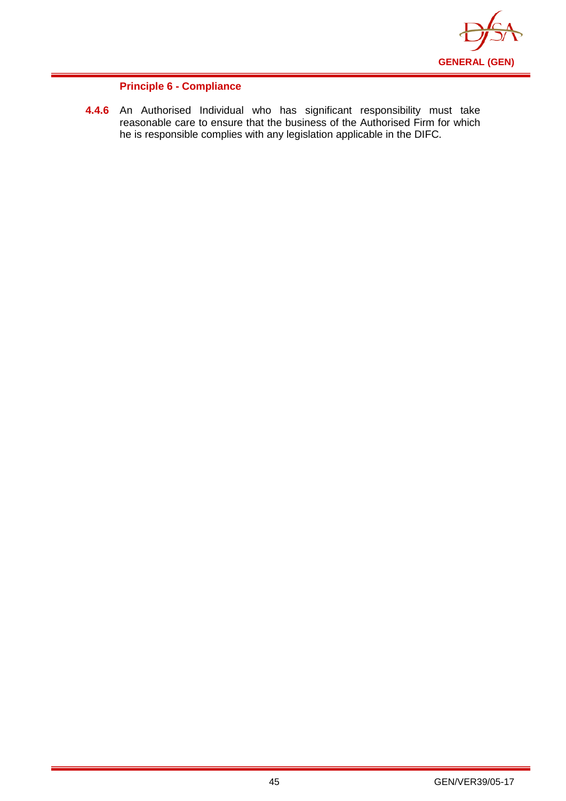

## **Principle 6 - Compliance**

**4.4.6** An Authorised Individual who has significant responsibility must take reasonable care to ensure that the business of the Authorised Firm for which he is responsible complies with any legislation applicable in the DIFC.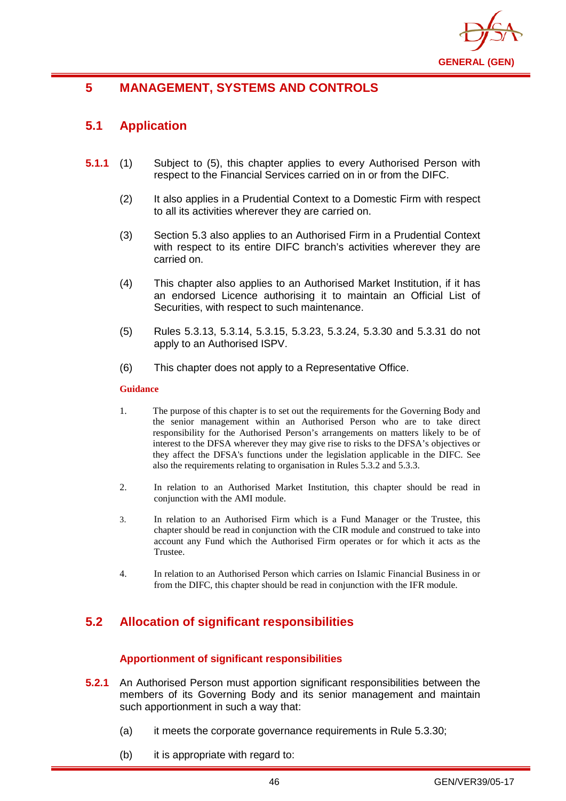

# **5 MANAGEMENT, SYSTEMS AND CONTROLS**

# **5.1 Application**

- **5.1.1** (1) Subject to (5), this chapter applies to every Authorised Person with respect to the Financial Services carried on in or from the DIFC.
	- (2) It also applies in a Prudential Context to a Domestic Firm with respect to all its activities wherever they are carried on.
	- (3) Section 5.3 also applies to an Authorised Firm in a Prudential Context with respect to its entire DIFC branch's activities wherever they are carried on.
	- (4) This chapter also applies to an Authorised Market Institution, if it has an endorsed Licence authorising it to maintain an Official List of Securities, with respect to such maintenance.
	- (5) Rules 5.3.13, 5.3.14, 5.3.15, 5.3.23, 5.3.24, 5.3.30 and 5.3.31 do not apply to an Authorised ISPV.
	- (6) This chapter does not apply to a Representative Office.

#### **Guidance**

- 1. The purpose of this chapter is to set out the requirements for the Governing Body and the senior management within an Authorised Person who are to take direct responsibility for the [Authorised Person's](http://www.fsa.gov.uk/handbook/hbk_glossary.pdf) arrangements on matters likely to be of interest to the DFSA wherever they may give rise to risks to the DFSA's objectives or they affect [the DFSA's](http://www.fsa.gov.uk/handbook/hbk_glossary.pdf) functions under the legislation applicable in the DIFC. See also the requirements relating to organisation in Rules 5.3.2 and 5.3.3.
- 2. In relation to an Authorised Market Institution, this chapter should be read in conjunction with the AMI module.
- 3. In relation to an Authorised Firm which is a Fund Manager or the Trustee, this chapter should be read in conjunction with the CIR module and construed to take into account any Fund which the Authorised Firm operates or for which it acts as the Trustee.
- 4. In relation to an Authorised Person which carries on Islamic Financial Business in or from the DIFC, this chapter should be read in conjunction with the IFR module.

# **5.2 Allocation of significant responsibilities**

## **Apportionment of significant responsibilities**

- **5.2.1** An Authorised Person must apportion significant responsibilities between the members of its Governing Body and its senior management and maintain such apportionment in such a way that:
	- (a) it meets the corporate governance requirements in Rule 5.3.30;
	- (b) it is appropriate with regard to: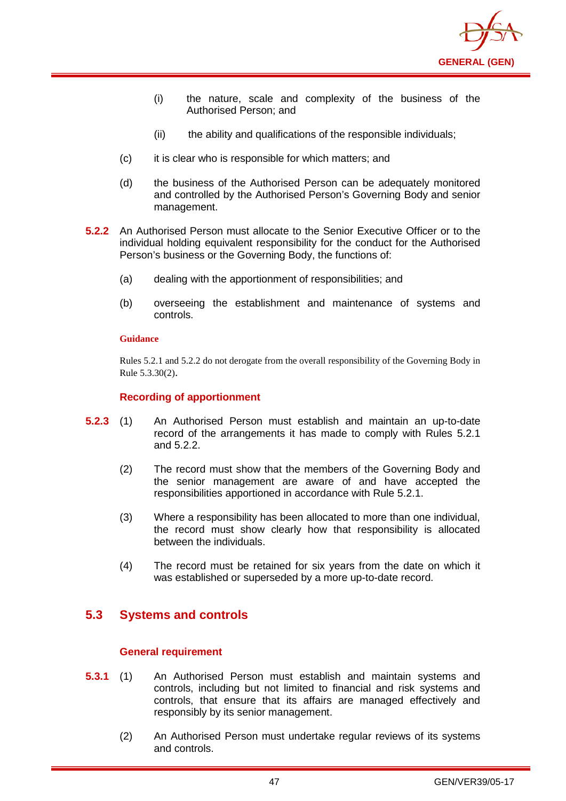

- (i) the nature, scale and complexity of the business of the Authorised Person; and
- (ii) the ability and qualifications of the responsible individuals;
- (c) it is clear who is responsible for which matters; and
- (d) the business of the Authorised Person can be adequately monitored and controlled by the Authorised Person's Governing Body and senior management.
- **5.2.2** An Authorised Person must allocate to the Senior Executive Officer or to the individual holding equivalent responsibility for the conduct for the Authorised Person's business or the Governing Body, the functions of:
	- (a) dealing with the apportionment of responsibilities; and
	- (b) overseeing the establishment and maintenance of systems and controls.

Rules 5.2.1 and 5.2.2 do not derogate from the overall responsibility of the Governing Body in Rule 5.3.30(2).

### **Recording of apportionment**

- **5.2.3** (1) An Authorised Person must establish and maintain an up-to-date record of the arrangements it has made to comply with Rules 5.2.1 and 5.2.2.
	- (2) The record must show that the members of the Governing Body and the senior management are aware of and have accepted the responsibilities apportioned in accordance with Rule 5.2.1.
	- (3) Where a responsibility has been allocated to more than one individual, the record must show clearly how that responsibility is allocated between the individuals.
	- (4) The record must be retained for six years from the date on which it was established or superseded by a more up-to-date record.

# **5.3 Systems and controls**

### **General requirement**

- **5.3.1** (1) An Authorised Person must establish and maintain systems and controls, including but not limited to financial and risk systems and controls, that ensure that its affairs are managed effectively and responsibly by its senior management.
	- (2) An Authorised Person must undertake regular reviews of its systems and controls.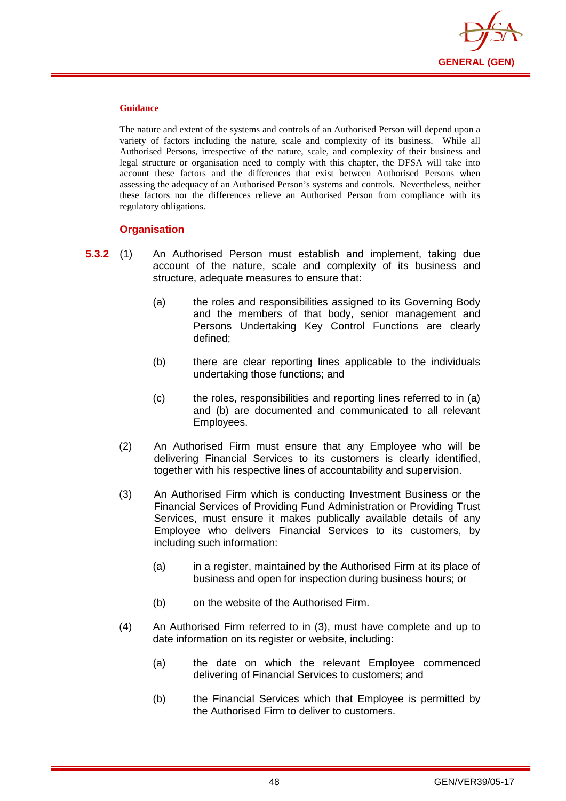

The nature and extent of the systems and controls of an Authorised Person will depend upon a variety of factors including the nature, scale and complexity of its business. While all Authorised Persons, irrespective of the nature, scale, and complexity of their business and legal structure or organisation need to comply with this chapter, the DFSA will take into account these factors and the differences that exist between Authorised Persons when assessing the adequacy of an Authorised Person's systems and controls. Nevertheless, neither these factors nor the differences relieve an Authorised Person from compliance with its regulatory obligations.

## **Organisation**

- **5.3.2** (1) An Authorised Person must establish and implement, taking due account of the nature, scale and complexity of its business and structure, adequate measures to ensure that:
	- (a) the roles and responsibilities assigned to its Governing Body and the members of that body, senior management and Persons Undertaking Key Control Functions are clearly defined;
	- (b) there are clear reporting lines applicable to the individuals undertaking those functions; and
	- (c) the roles, responsibilities and reporting lines referred to in (a) and (b) are documented and communicated to all relevant Employees.
	- (2) An Authorised Firm must ensure that any Employee who will be delivering Financial Services to its customers is clearly identified, together with his respective lines of accountability and supervision.
	- (3) An Authorised Firm which is conducting Investment Business or the Financial Services of Providing Fund Administration or Providing Trust Services, must ensure it makes publically available details of any Employee who delivers Financial Services to its customers, by including such information:
		- (a) in a register, maintained by the Authorised Firm at its place of business and open for inspection during business hours; or
		- (b) on the website of the Authorised Firm.
	- (4) An Authorised Firm referred to in (3), must have complete and up to date information on its register or website, including:
		- (a) the date on which the relevant Employee commenced delivering of Financial Services to customers; and
		- (b) the Financial Services which that Employee is permitted by the Authorised Firm to deliver to customers.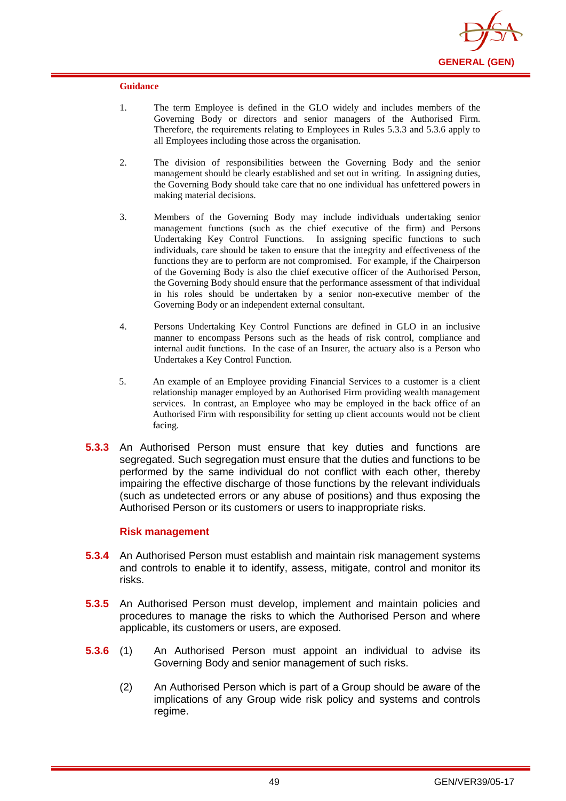

- 1. The term Employee is defined in the GLO widely and includes members of the Governing Body or directors and senior managers of the Authorised Firm. Therefore, the requirements relating to Employees in Rules 5.3.3 and 5.3.6 apply to all Employees including those across the organisation.
- 2. The division of responsibilities between the Governing Body and the senior management should be clearly established and set out in writing. In assigning duties, the Governing Body should take care that no one individual has unfettered powers in making material decisions.
- 3. Members of the Governing Body may include individuals undertaking senior management functions (such as the chief executive of the firm) and Persons Undertaking Key Control Functions. In assigning specific functions to such individuals, care should be taken to ensure that the integrity and effectiveness of the functions they are to perform are not compromised. For example, if the Chairperson of the Governing Body is also the chief executive officer of the Authorised Person, the Governing Body should ensure that the performance assessment of that individual in his roles should be undertaken by a senior non-executive member of the Governing Body or an independent external consultant.
- 4. Persons Undertaking Key Control Functions are defined in GLO in an inclusive manner to encompass Persons such as the heads of risk control, compliance and internal audit functions. In the case of an Insurer, the actuary also is a Person who Undertakes a Key Control Function.
- 5. An example of an Employee providing Financial Services to a customer is a client relationship manager employed by an Authorised Firm providing wealth management services. In contrast, an Employee who may be employed in the back office of an Authorised Firm with responsibility for setting up client accounts would not be client facing.
- **5.3.3** An Authorised Person must ensure that key duties and functions are segregated. Such segregation must ensure that the duties and functions to be performed by the same individual do not conflict with each other, thereby impairing the effective discharge of those functions by the relevant individuals (such as undetected errors or any abuse of positions) and thus exposing the Authorised Person or its customers or users to inappropriate risks.

### **Risk management**

- **5.3.4** An Authorised Person must establish and maintain risk management systems and controls to enable it to identify, assess, mitigate, control and monitor its risks.
- **5.3.5** An Authorised Person must develop, implement and maintain policies and procedures to manage the risks to which the Authorised Person and where applicable, its customers or users, are exposed.
- **5.3.6** (1) An Authorised Person must appoint an individual to advise its Governing Body and senior management of such risks.
	- (2) An Authorised Person which is part of a Group should be aware of the implications of any Group wide risk policy and systems and controls regime.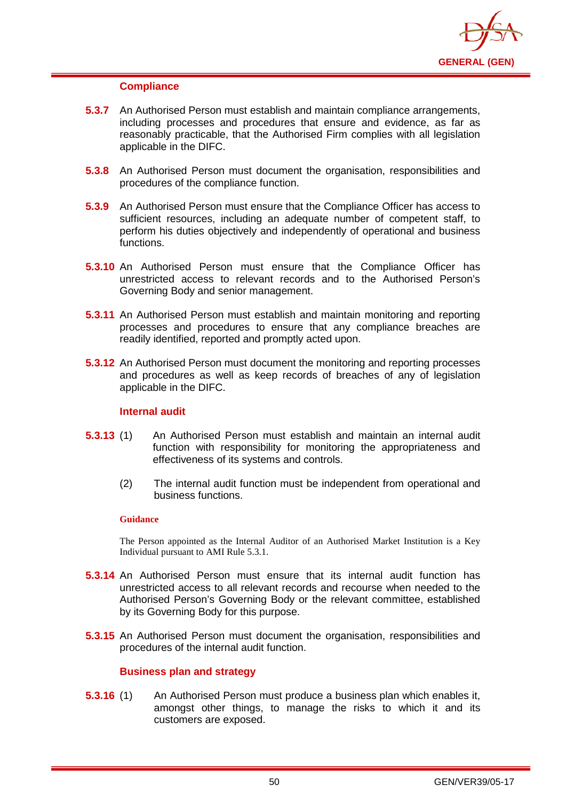

### **Compliance**

- **5.3.7** An Authorised Person must establish and maintain compliance arrangements, including processes and procedures that ensure and evidence, as far as reasonably practicable, that the Authorised Firm complies with all legislation applicable in the DIFC.
- **5.3.8** An Authorised Person must document the organisation, responsibilities and procedures of the compliance function.
- **5.3.9** An Authorised Person must ensure that the Compliance Officer has access to sufficient resources, including an adequate number of competent staff, to perform his duties objectively and independently of operational and business functions.
- **5.3.10** An Authorised Person must ensure that the Compliance Officer has unrestricted access to relevant records and to the Authorised Person's Governing Body and senior management.
- **5.3.11** An Authorised Person must establish and maintain monitoring and reporting processes and procedures to ensure that any compliance breaches are readily identified, reported and promptly acted upon.
- **5.3.12** An Authorised Person must document the monitoring and reporting processes and procedures as well as keep records of breaches of any of legislation applicable in the DIFC.

## **Internal audit**

- **5.3.13** (1) An Authorised Person must establish and maintain an internal audit function with responsibility for monitoring the appropriateness and effectiveness of its systems and controls.
	- (2) The internal audit function must be independent from operational and business functions.

### **Guidance**

The Person appointed as the Internal Auditor of an Authorised Market Institution is a Key Individual pursuant to AMI Rule 5.3.1.

- **5.3.14** An Authorised Person must ensure that its internal audit function has unrestricted access to all relevant records and recourse when needed to the Authorised Person's Governing Body or the relevant committee, established by its Governing Body for this purpose.
- **5.3.15** An Authorised Person must document the organisation, responsibilities and procedures of the internal audit function.

## **Business plan and strategy**

**5.3.16** (1) An Authorised Person must produce a business plan which enables it, amongst other things, to manage the risks to which it and its customers are exposed.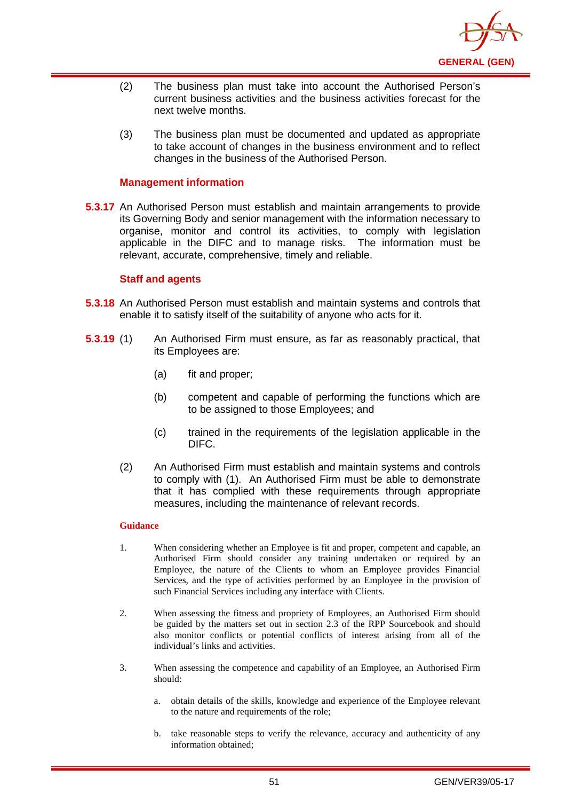

- (2) The business plan must take into account the Authorised Person's current business activities and the business activities forecast for the next twelve months.
- (3) The business plan must be documented and updated as appropriate to take account of changes in the business environment and to reflect changes in the business of the Authorised Person.

## **Management information**

**5.3.17** An Authorised Person must establish and maintain arrangements to provide its Governing Body and senior management with the information necessary to organise, monitor and control its activities, to comply with legislation applicable in the DIFC and to manage risks. The information must be relevant, accurate, comprehensive, timely and reliable.

### **Staff and agents**

- **5.3.18** An Authorised Person must establish and maintain systems and controls that enable it to satisfy itself of the suitability of anyone who acts for it.
- **5.3.19** (1) An Authorised Firm must ensure, as far as reasonably practical, that its Employees are:
	- (a) fit and proper;
	- (b) competent and capable of performing the functions which are to be assigned to those Employees; and
	- (c) trained in the requirements of the legislation applicable in the DIFC.
	- (2) An Authorised Firm must establish and maintain systems and controls to comply with (1). An Authorised Firm must be able to demonstrate that it has complied with these requirements through appropriate measures, including the maintenance of relevant records.

#### **Guidance**

- 1. When considering whether an Employee is fit and proper, competent and capable, an Authorised Firm should consider any training undertaken or required by an Employee, the nature of the Clients to whom an Employee provides Financial Services, and the type of activities performed by an Employee in the provision of such Financial Services including any interface with Clients.
- 2. When assessing the fitness and propriety of Employees, an Authorised Firm should be guided by the matters set out in section 2.3 of the RPP Sourcebook and should also monitor conflicts or potential conflicts of interest arising from all of the individual's links and activities.
- 3. When assessing the competence and capability of an Employee, an Authorised Firm should:
	- a. obtain details of the skills, knowledge and experience of the Employee relevant to the nature and requirements of the role;
	- b. take reasonable steps to verify the relevance, accuracy and authenticity of any information obtained;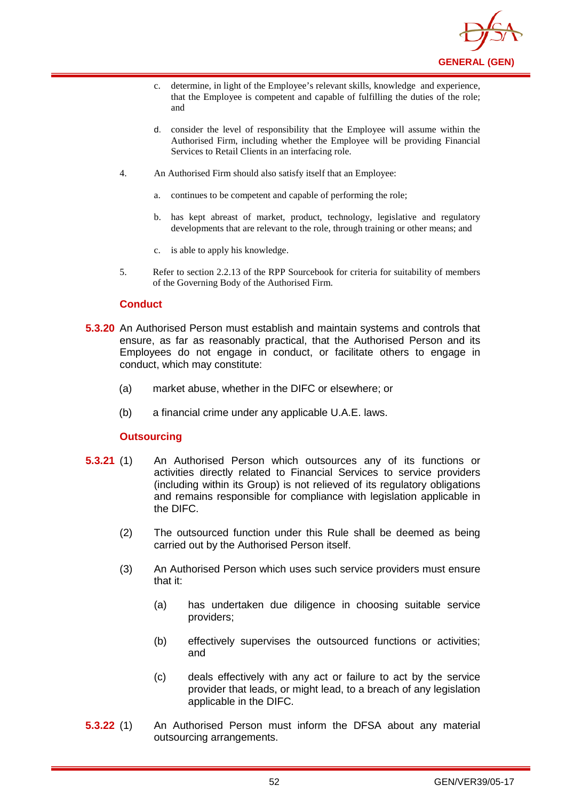

- c. determine, in light of the Employee's relevant skills, knowledge and experience, that the Employee is competent and capable of fulfilling the duties of the role; and
- d. consider the level of responsibility that the Employee will assume within the Authorised Firm, including whether the Employee will be providing Financial Services to Retail Clients in an interfacing role.
- 4. An Authorised Firm should also satisfy itself that an Employee:
	- a. continues to be competent and capable of performing the role;
	- b. has kept abreast of market, product, technology, legislative and regulatory developments that are relevant to the role, through training or other means; and
	- c. is able to apply his knowledge.
- 5. Refer to section 2.2.13 of the RPP Sourcebook for criteria for suitability of members of the Governing Body of the Authorised Firm.

### **Conduct**

- **5.3.20** An Authorised Person must establish and maintain systems and controls that ensure, as far as reasonably practical, that the Authorised Person and its Employees do not engage in conduct, or facilitate others to engage in conduct, which may constitute:
	- (a) market abuse, whether in the DIFC or elsewhere; or
	- (b) a financial crime under any applicable U.A.E. laws.

### **Outsourcing**

- **5.3.21** (1) An Authorised Person which outsources any of its functions or activities directly related to Financial Services to service providers (including within its Group) is not relieved of its regulatory obligations and remains responsible for compliance with legislation applicable in the DIFC.
	- (2) The outsourced function under this Rule shall be deemed as being carried out by the Authorised Person itself.
	- (3) An Authorised Person which uses such service providers must ensure that it:
		- (a) has undertaken due diligence in choosing suitable service providers;
		- (b) effectively supervises the outsourced functions or activities; and
		- (c) deals effectively with any act or failure to act by the service provider that leads, or might lead, to a breach of any legislation applicable in the DIFC.
- **5.3.22** (1) An Authorised Person must inform the DFSA about any material outsourcing arrangements.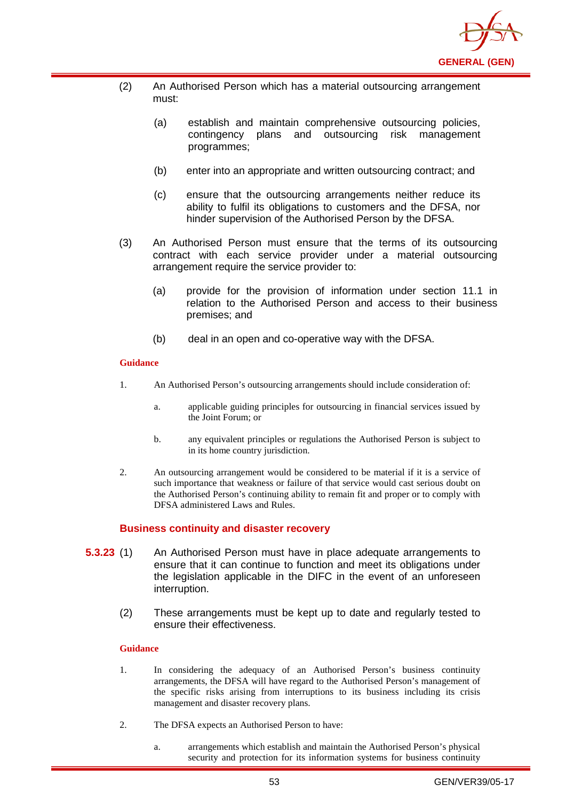

- (2) An Authorised Person which has a material outsourcing arrangement must:
	- (a) establish and maintain comprehensive outsourcing policies, contingency plans and outsourcing risk management programmes;
	- (b) enter into an appropriate and written outsourcing contract; and
	- (c) ensure that the outsourcing arrangements neither reduce its ability to fulfil its obligations to customers and the DFSA, nor hinder supervision of the Authorised Person by the DFSA.
- (3) An Authorised Person must ensure that the terms of its outsourcing contract with each service provider under a material outsourcing arrangement require the service provider to:
	- (a) provide for the provision of information under section 11.1 in relation to the Authorised Person and access to their business premises; and
	- (b) deal in an open and co-operative way with the DFSA.

- 1. An Authorised Person's outsourcing arrangements should include consideration of:
	- a. applicable guiding principles for outsourcing in financial services issued by the Joint Forum; or
	- b. any equivalent principles or regulations the Authorised Person is subject to in its home country jurisdiction.
- 2. An outsourcing arrangement would be considered to be material if it is a service of such importance that weakness or failure of that service would cast serious doubt on the Authorised Person's continuing ability to remain fit and proper or to comply with DFSA administered Laws and Rules.

### **Business continuity and disaster recovery**

- **5.3.23** (1) An Authorised Person must have in place adequate arrangements to ensure that it can continue to function and meet its obligations under the legislation applicable in the DIFC in the event of an unforeseen interruption.
	- (2) These arrangements must be kept up to date and regularly tested to ensure their effectiveness.

### **Guidance**

- 1. In considering the adequacy of an Authorised Person's business continuity arrangements, the DFSA will have regard to the Authorised Person's management of the specific risks arising from interruptions to its business including its crisis management and disaster recovery plans.
- 2. The DFSA expects an Authorised Person to have:
	- a. arrangements which establish and maintain the Authorised Person's physical security and protection for its information systems for business continuity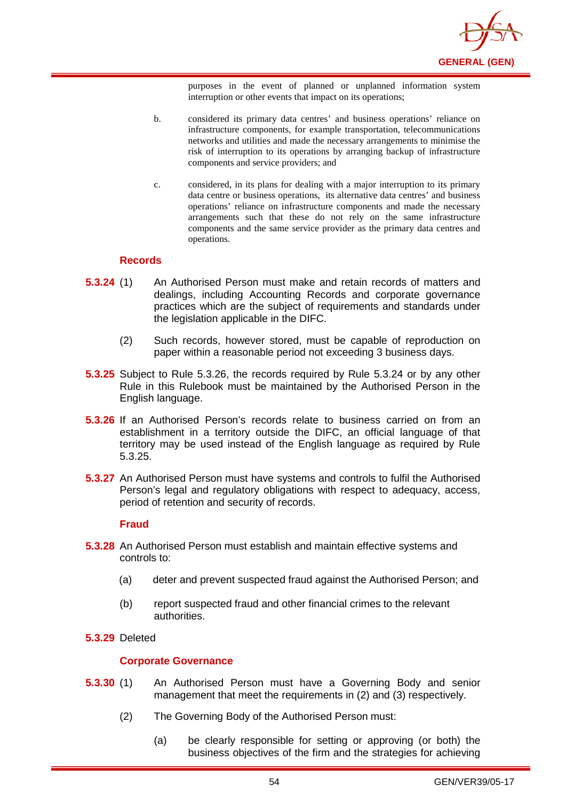

purposes in the event of planned or unplanned information system interruption or other events that impact on its operations;

- b. considered its primary data centres' and business operations' reliance on infrastructure components, for example transportation, telecommunications networks and utilities and made the necessary arrangements to minimise the risk of interruption to its operations by arranging backup of infrastructure components and service providers; and
- c. considered, in its plans for dealing with a major interruption to its primary data centre or business operations, its alternative data centres' and business operations' reliance on infrastructure components and made the necessary arrangements such that these do not rely on the same infrastructure components and the same service provider as the primary data centres and operations.

### **Records**

- **5.3.24** (1) An Authorised Person must make and retain records of matters and dealings, including Accounting Records and corporate governance practices which are the subject of requirements and standards under the legislation applicable in the DIFC.
	- (2) Such records, however stored, must be capable of reproduction on paper within a reasonable period not exceeding 3 business days.
- **5.3.25** Subject to Rule 5.3.26, the records required by Rule 5.3.24 or by any other Rule in this Rulebook must be maintained by the Authorised Person in the English language.
- **5.3.26** If an Authorised Person's records relate to business carried on from an establishment in a territory outside the DIFC, an official language of that territory may be used instead of the English language as required by Rule 5.3.25.
- **5.3.27** An Authorised Person must have systems and controls to fulfil the Authorised Person's legal and regulatory obligations with respect to adequacy, access, period of retention and security of records.

### **Fraud**

- **5.3.28** An Authorised Person must establish and maintain effective systems and controls to:
	- (a) deter and prevent suspected fraud against the Authorised Person; and
	- (b) report suspected fraud and other financial crimes to the relevant authorities.
- **5.3.29** Deleted

### **Corporate Governance**

- **5.3.30** (1) An Authorised Person must have a Governing Body and senior management that meet the requirements in (2) and (3) respectively.
	- (2) The Governing Body of the Authorised Person must:
		- (a) be clearly responsible for setting or approving (or both) the business objectives of the firm and the strategies for achieving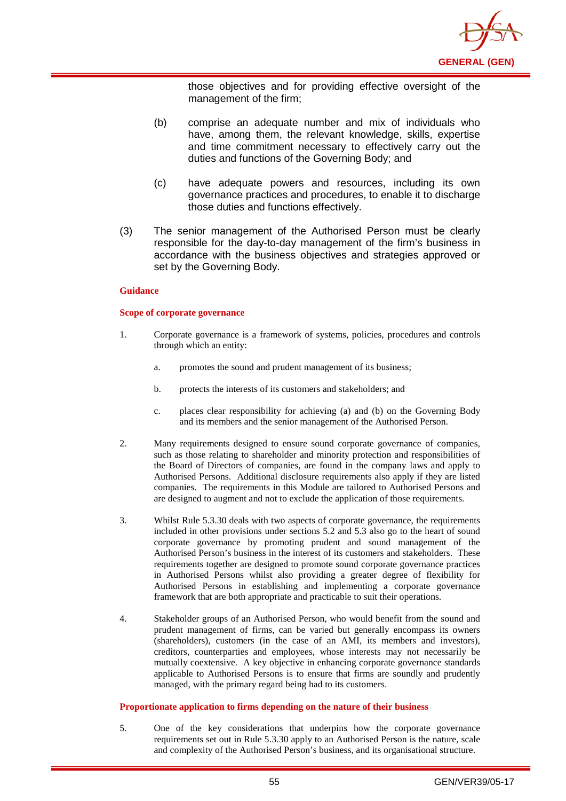

those objectives and for providing effective oversight of the management of the firm;

- (b) comprise an adequate number and mix of individuals who have, among them, the relevant knowledge, skills, expertise and time commitment necessary to effectively carry out the duties and functions of the Governing Body; and
- (c) have adequate powers and resources, including its own governance practices and procedures, to enable it to discharge those duties and functions effectively.
- (3) The senior management of the Authorised Person must be clearly responsible for the day-to-day management of the firm's business in accordance with the business objectives and strategies approved or set by the Governing Body.

#### **Guidance**

#### **Scope of corporate governance**

- 1. Corporate governance is a framework of systems, policies, procedures and controls through which an entity:
	- a. promotes the sound and prudent management of its business;
	- b. protects the interests of its customers and stakeholders; and
	- c. places clear responsibility for achieving (a) and (b) on the Governing Body and its members and the senior management of the Authorised Person.
- 2. Many requirements designed to ensure sound corporate governance of companies, such as those relating to shareholder and minority protection and responsibilities of the Board of Directors of companies, are found in the company laws and apply to Authorised Persons. Additional disclosure requirements also apply if they are listed companies. The requirements in this Module are tailored to Authorised Persons and are designed to augment and not to exclude the application of those requirements.
- 3. Whilst Rule 5.3.30 deals with two aspects of corporate governance, the requirements included in other provisions under sections 5.2 and 5.3 also go to the heart of sound corporate governance by promoting prudent and sound management of the Authorised Person's business in the interest of its customers and stakeholders. These requirements together are designed to promote sound corporate governance practices in Authorised Persons whilst also providing a greater degree of flexibility for Authorised Persons in establishing and implementing a corporate governance framework that are both appropriate and practicable to suit their operations.
- 4. Stakeholder groups of an Authorised Person, who would benefit from the sound and prudent management of firms, can be varied but generally encompass its owners (shareholders), customers (in the case of an AMI, its members and investors), creditors, counterparties and employees, whose interests may not necessarily be mutually coextensive. A key objective in enhancing corporate governance standards applicable to Authorised Persons is to ensure that firms are soundly and prudently managed, with the primary regard being had to its customers.

#### **Proportionate application to firms depending on the nature of their business**

5. One of the key considerations that underpins how the corporate governance requirements set out in Rule 5.3.30 apply to an Authorised Person is the nature, scale and complexity of the Authorised Person's business, and its organisational structure.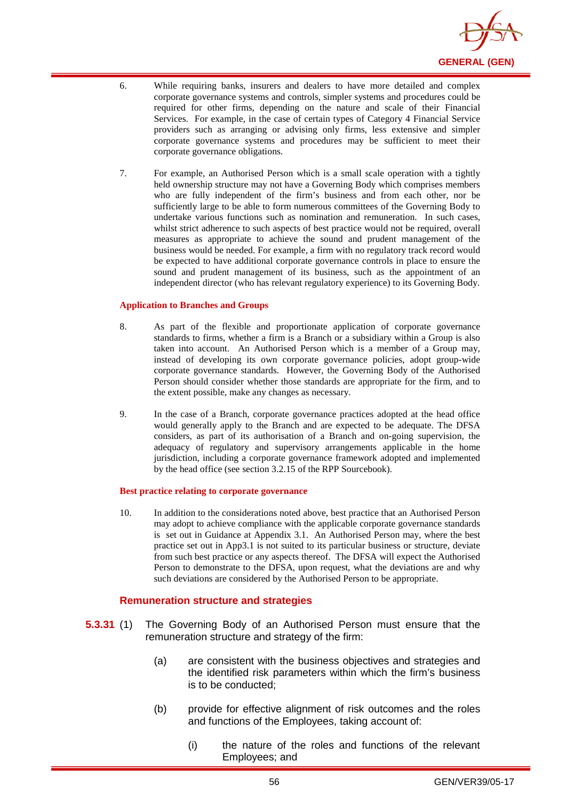

- 6. While requiring banks, insurers and dealers to have more detailed and complex corporate governance systems and controls, simpler systems and procedures could be required for other firms, depending on the nature and scale of their Financial Services. For example, in the case of certain types of Category 4 Financial Service providers such as arranging or advising only firms, less extensive and simpler corporate governance systems and procedures may be sufficient to meet their corporate governance obligations.
- 7. For example, an Authorised Person which is a small scale operation with a tightly held ownership structure may not have a Governing Body which comprises members who are fully independent of the firm's business and from each other, nor be sufficiently large to be able to form numerous committees of the Governing Body to undertake various functions such as nomination and remuneration. In such cases, whilst strict adherence to such aspects of best practice would not be required, overall measures as appropriate to achieve the sound and prudent management of the business would be needed. For example, a firm with no regulatory track record would be expected to have additional corporate governance controls in place to ensure the sound and prudent management of its business, such as the appointment of an independent director (who has relevant regulatory experience) to its Governing Body.

#### **Application to Branches and Groups**

- 8. As part of the flexible and proportionate application of corporate governance standards to firms, whether a firm is a Branch or a subsidiary within a Group is also taken into account. An Authorised Person which is a member of a Group may, instead of developing its own corporate governance policies, adopt group-wide corporate governance standards. However, the Governing Body of the Authorised Person should consider whether those standards are appropriate for the firm, and to the extent possible, make any changes as necessary.
- 9. In the case of a Branch, corporate governance practices adopted at the head office would generally apply to the Branch and are expected to be adequate. The DFSA considers, as part of its authorisation of a Branch and on-going supervision, the adequacy of regulatory and supervisory arrangements applicable in the home jurisdiction, including a corporate governance framework adopted and implemented by the head office (see section 3.2.15 of the RPP Sourcebook).

#### **Best practice relating to corporate governance**

10. In addition to the considerations noted above, best practice that an Authorised Person may adopt to achieve compliance with the applicable corporate governance standards is set out in Guidance at Appendix 3.1. An Authorised Person may, where the best practice set out in App3.1 is not suited to its particular business or structure, deviate from such best practice or any aspects thereof. The DFSA will expect the Authorised Person to demonstrate to the DFSA, upon request, what the deviations are and why such deviations are considered by the Authorised Person to be appropriate.

#### **Remuneration structure and strategies**

- **5.3.31** (1) The Governing Body of an Authorised Person must ensure that the remuneration structure and strategy of the firm:
	- (a) are consistent with the business objectives and strategies and the identified risk parameters within which the firm's business is to be conducted;
	- (b) provide for effective alignment of risk outcomes and the roles and functions of the Employees, taking account of:
		- (i) the nature of the roles and functions of the relevant Employees; and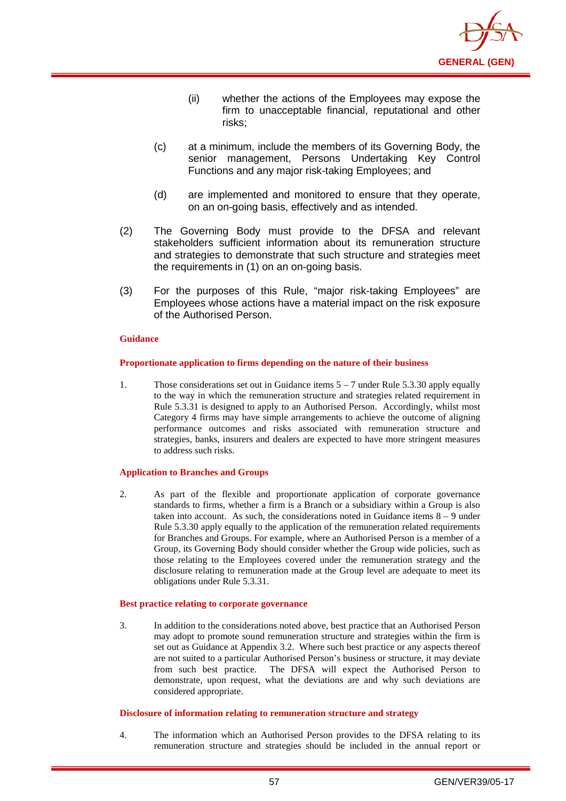

- (ii) whether the actions of the Employees may expose the firm to unacceptable financial, reputational and other risks;
- (c) at a minimum, include the members of its Governing Body, the senior management, Persons Undertaking Key Control Functions and any major risk-taking Employees; and
- (d) are implemented and monitored to ensure that they operate, on an on-going basis, effectively and as intended.
- (2) The Governing Body must provide to the DFSA and relevant stakeholders sufficient information about its remuneration structure and strategies to demonstrate that such structure and strategies meet the requirements in (1) on an on-going basis.
- (3) For the purposes of this Rule, "major risk-taking Employees" are Employees whose actions have a material impact on the risk exposure of the Authorised Person.

#### **Proportionate application to firms depending on the nature of their business**

1. Those considerations set out in Guidance items 5 – 7 under Rule 5.3.30 apply equally to the way in which the remuneration structure and strategies related requirement in Rule 5.3.31 is designed to apply to an Authorised Person. Accordingly, whilst most Category 4 firms may have simple arrangements to achieve the outcome of aligning performance outcomes and risks associated with remuneration structure and strategies, banks, insurers and dealers are expected to have more stringent measures to address such risks.

#### **Application to Branches and Groups**

2. As part of the flexible and proportionate application of corporate governance standards to firms, whether a firm is a Branch or a subsidiary within a Group is also taken into account. As such, the considerations noted in Guidance items  $8 - 9$  under Rule 5.3.30 apply equally to the application of the remuneration related requirements for Branches and Groups. For example, where an Authorised Person is a member of a Group, its Governing Body should consider whether the Group wide policies, such as those relating to the Employees covered under the remuneration strategy and the disclosure relating to remuneration made at the Group level are adequate to meet its obligations under Rule 5.3.31.

#### **Best practice relating to corporate governance**

3. In addition to the considerations noted above, best practice that an Authorised Person may adopt to promote sound remuneration structure and strategies within the firm is set out as Guidance at Appendix 3.2. Where such best practice or any aspects thereof are not suited to a particular Authorised Person's business or structure, it may deviate from such best practice. The DFSA will expect the Authorised Person to demonstrate, upon request, what the deviations are and why such deviations are considered appropriate.

#### **Disclosure of information relating to remuneration structure and strategy**

4. The information which an Authorised Person provides to the DFSA relating to its remuneration structure and strategies should be included in the annual report or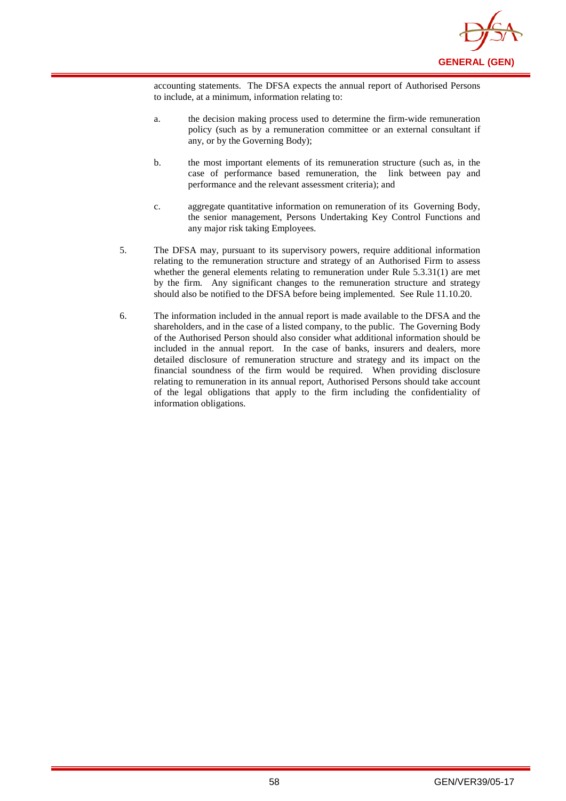

accounting statements. The DFSA expects the annual report of Authorised Persons to include, at a minimum, information relating to:

- a. the decision making process used to determine the firm-wide remuneration policy (such as by a remuneration committee or an external consultant if any, or by the Governing Body);
- b. the most important elements of its remuneration structure (such as, in the case of performance based remuneration, the link between pay and performance and the relevant assessment criteria); and
- c. aggregate quantitative information on remuneration of its Governing Body, the senior management, Persons Undertaking Key Control Functions and any major risk taking Employees.
- 5. The DFSA may, pursuant to its supervisory powers, require additional information relating to the remuneration structure and strategy of an Authorised Firm to assess whether the general elements relating to remuneration under Rule 5.3.31(1) are met by the firm. Any significant changes to the remuneration structure and strategy should also be notified to the DFSA before being implemented. See Rule 11.10.20.
- 6. The information included in the annual report is made available to the DFSA and the shareholders, and in the case of a listed company, to the public. The Governing Body of the Authorised Person should also consider what additional information should be included in the annual report. In the case of banks, insurers and dealers, more detailed disclosure of remuneration structure and strategy and its impact on the financial soundness of the firm would be required. When providing disclosure relating to remuneration in its annual report, Authorised Persons should take account of the legal obligations that apply to the firm including the confidentiality of information obligations.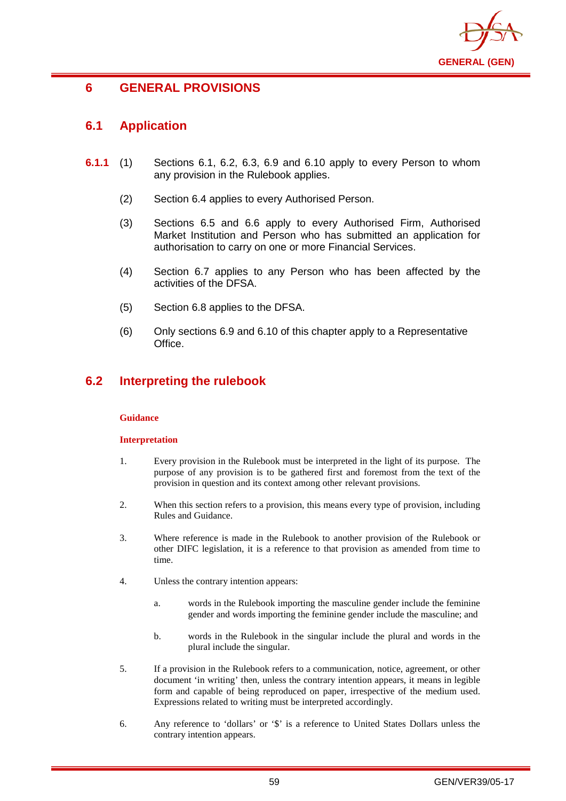

# **6 GENERAL PROVISIONS**

# **6.1 Application**

- **6.1.1** (1) Sections 6.1, 6.2, 6.3, 6.9 and 6.10 apply to every Person to whom any provision in the Rulebook applies.
	- (2) Section 6.4 applies to every Authorised Person.
	- (3) Sections 6.5 and 6.6 apply to every Authorised Firm, Authorised Market Institution and Person who has submitted an application for authorisation to carry on one or more Financial Services.
	- (4) Section 6.7 applies to any Person who has been affected by the activities of the DFSA.
	- (5) Section 6.8 applies to the DFSA.
	- (6) Only sections 6.9 and 6.10 of this chapter apply to a Representative Office.

# **6.2 Interpreting the rulebook**

### **Guidance**

### **Interpretation**

- 1. Every provision in the Rulebook must be interpreted in the light of its purpose. The purpose of any provision is to be gathered first and foremost from the text of the provision in question and its context among other relevant provisions.
- 2. When this section refers to a provision, this means every type of provision, including Rules and Guidance.
- 3. Where reference is made in the Rulebook to another provision of the Rulebook or other DIFC legislation, it is a reference to that provision as amended from time to time.
- 4. Unless the contrary intention appears:
	- a. words in the Rulebook importing the masculine gender include the feminine gender and words importing the feminine gender include the masculine; and
	- b. words in the Rulebook in the singular include the plural and words in the plural include the singular.
- 5. If a provision in the Rulebook refers to a communication, notice, agreement, or other document 'in writing' then, unless the contrary intention appears, it means in legible form and capable of being reproduced on paper, irrespective of the medium used. Expressions related to writing must be interpreted accordingly.
- 6. Any reference to 'dollars' or '\$' is a reference to United States Dollars unless the contrary intention appears.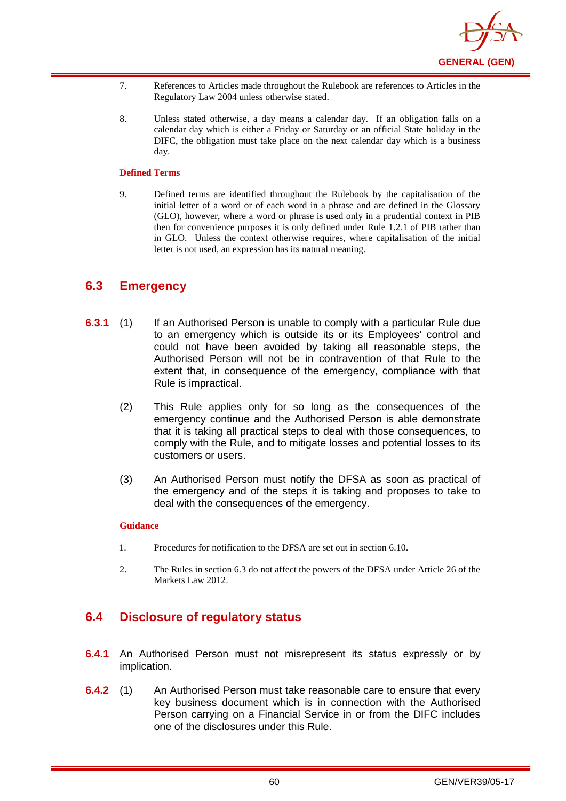

- 7. References to Articles made throughout the Rulebook are references to Articles in the Regulatory Law 2004 unless otherwise stated.
- 8. Unless stated otherwise, a day means a calendar day. If an obligation falls on a calendar day which is either a Friday or Saturday or an official State holiday in the DIFC, the obligation must take place on the next calendar day which is a business day.

#### **Defined Terms**

9. Defined terms are identified throughout the Rulebook by the capitalisation of the initial letter of a word or of each word in a phrase and are defined in the Glossary (GLO), however, where a word or phrase is used only in a prudential context in PIB then for convenience purposes it is only defined under Rule 1.2.1 of PIB rather than in GLO. Unless the context otherwise requires, where capitalisation of the initial letter is not used, an expression has its natural meaning.

## **6.3 Emergency**

- **6.3.1** (1) If an Authorised Person is unable to comply with a particular Rule due to an emergency which is outside its or its Employees' control and could not have been avoided by taking all reasonable steps, the Authorised Person will not be in contravention of that Rule to the extent that, in consequence of the emergency, compliance with that Rule is impractical.
	- (2) This Rule applies only for so long as the consequences of the emergency continue and the Authorised Person is able demonstrate that it is taking all practical steps to deal with those consequences, to comply with the Rule, and to mitigate losses and potential losses to its customers or users.
	- (3) An Authorised Person must notify the DFSA as soon as practical of the emergency and of the steps it is taking and proposes to take to deal with the consequences of the emergency.

#### **Guidance**

- 1. Procedures for notification to the DFSA are set out in section 6.10.
- 2. The Rules in section 6.3 do not affect the powers of the DFSA under Article 26 of the Markets Law 2012.

## **6.4 Disclosure of regulatory status**

- **6.4.1** An Authorised Person must not misrepresent its status expressly or by implication.
- **6.4.2** (1) An Authorised Person must take reasonable care to ensure that every key business document which is in connection with the Authorised Person carrying on a Financial Service in or from the DIFC includes one of the disclosures under this Rule.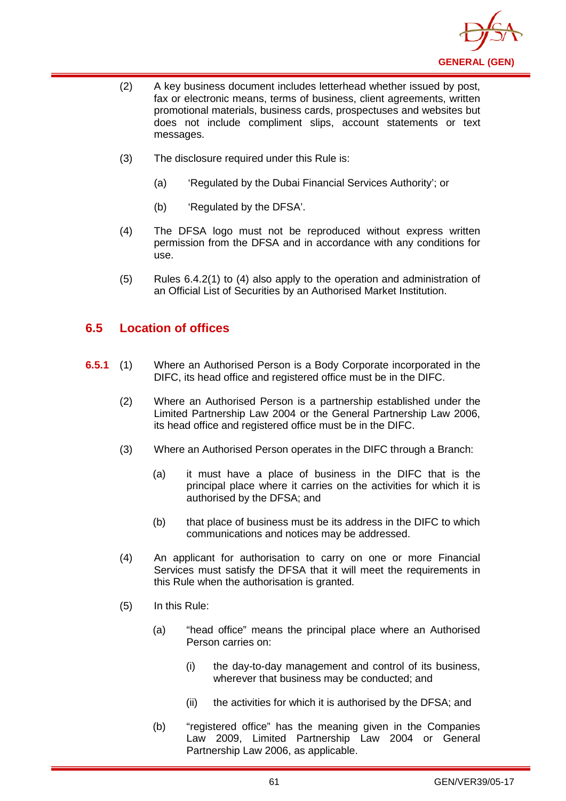

- (2) A key business document includes letterhead whether issued by post, fax or electronic means, terms of business, client agreements, written promotional materials, business cards, prospectuses and websites but does not include compliment slips, account statements or text messages.
- (3) The disclosure required under this Rule is:
	- (a) 'Regulated by the Dubai Financial Services Authority'; or
	- (b) 'Regulated by the DFSA'.
- (4) The DFSA logo must not be reproduced without express written permission from the DFSA and in accordance with any conditions for use.
- (5) Rules 6.4.2(1) to (4) also apply to the operation and administration of an Official List of Securities by an Authorised Market Institution.

# **6.5 Location of offices**

- **6.5.1** (1) Where an Authorised Person is a Body Corporate incorporated in the DIFC, its head office and registered office must be in the DIFC.
	- (2) Where an Authorised Person is a partnership established under the Limited Partnership Law 2004 or the General Partnership Law 2006, its head office and registered office must be in the DIFC.
	- (3) Where an Authorised Person operates in the DIFC through a Branch:
		- (a) it must have a place of business in the DIFC that is the principal place where it carries on the activities for which it is authorised by the DFSA; and
		- (b) that place of business must be its address in the DIFC to which communications and notices may be addressed.
	- (4) An applicant for authorisation to carry on one or more Financial Services must satisfy the DFSA that it will meet the requirements in this Rule when the authorisation is granted.
	- (5) In this Rule:
		- (a) "head office" means the principal place where an Authorised Person carries on:
			- (i) the day-to-day management and control of its business, wherever that business may be conducted; and
			- (ii) the activities for which it is authorised by the DFSA; and
		- (b) "registered office" has the meaning given in the Companies Law 2009, Limited Partnership Law 2004 or General Partnership Law 2006, as applicable.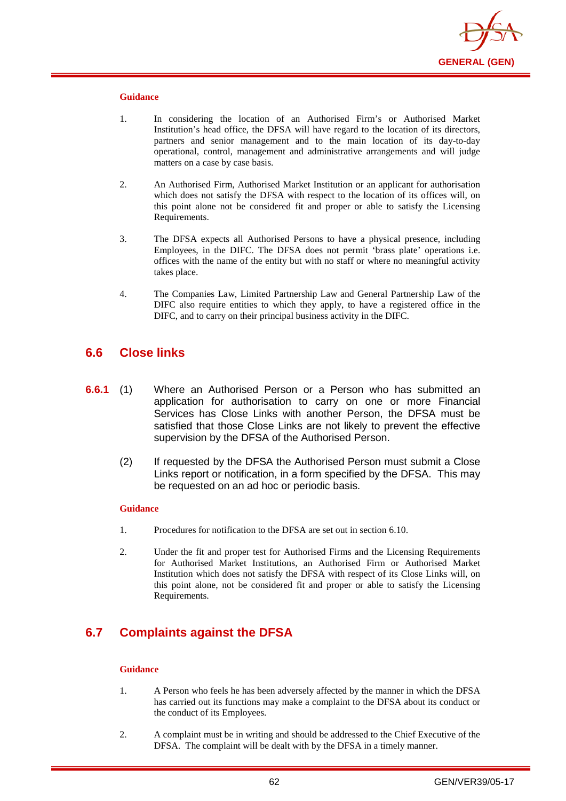

- 1. In considering the location of an Authorised Firm's or Authorised Market Institution's head office, the DFSA will have regard to the location of its directors, partners and senior management and to the main location of its day-to-day operational, control, management and administrative arrangements and will judge matters on a case by case basis.
- 2. An Authorised Firm, Authorised Market Institution or an applicant for authorisation which does not satisfy the DFSA with respect to the location of its offices will, on this point alone not be considered fit and proper or able to satisfy the Licensing Requirements.
- 3. The DFSA expects all Authorised Persons to have a physical presence, including Employees, in the DIFC. The DFSA does not permit 'brass plate' operations i.e. offices with the name of the entity but with no staff or where no meaningful activity takes place.
- 4. The Companies Law, Limited Partnership Law and General Partnership Law of the DIFC also require entities to which they apply, to have a registered office in the DIFC, and to carry on their principal business activity in the DIFC.

## **6.6 Close links**

- **6.6.1** (1) Where an Authorised Person or a Person who has submitted an application for authorisation to carry on one or more Financial Services has Close Links with another Person, the DFSA must be satisfied that those Close Links are not likely to prevent the effective supervision by the DFSA of the Authorised Person.
	- (2) If requested by the DFSA the Authorised Person must submit a Close Links report or notification, in a form specified by the DFSA. This may be requested on an ad hoc or periodic basis.

#### **Guidance**

- 1. Procedures for notification to the DFSA are set out in section 6.10.
- 2. Under the fit and proper test for Authorised Firms and the Licensing Requirements for Authorised Market Institutions, an Authorised Firm or Authorised Market Institution which does not satisfy the DFSA with respect of its Close Links will, on this point alone, not be considered fit and proper or able to satisfy the Licensing Requirements.

# **6.7 Complaints against the DFSA**

#### **Guidance**

- 1. A Person who feels he has been adversely affected by the manner in which the DFSA has carried out its functions may make a complaint to the DFSA about its conduct or the conduct of its Employees.
- 2. A complaint must be in writing and should be addressed to the Chief Executive of the DFSA. The complaint will be dealt with by the DFSA in a timely manner.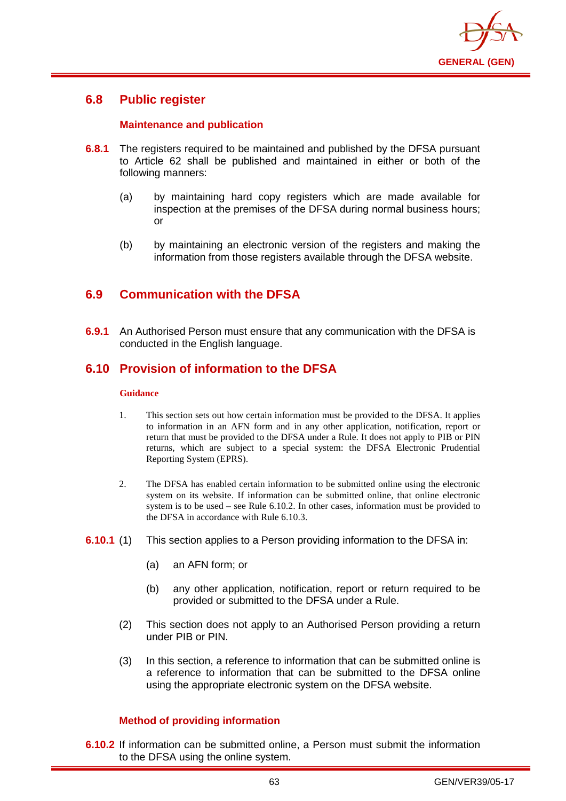

# **6.8 Public register**

## **Maintenance and publication**

- **6.8.1** The registers required to be maintained and published by the DFSA pursuant to Article 62 shall be published and maintained in either or both of the following manners:
	- (a) by maintaining hard copy registers which are made available for inspection at the premises of the DFSA during normal business hours; or
	- (b) by maintaining an electronic version of the registers and making the information from those registers available through the DFSA website.

# **6.9 Communication with the DFSA**

**6.9.1** An Authorised Person must ensure that any communication with the DFSA is conducted in the English language.

## **6.10 Provision of information to the DFSA**

### **Guidance**

- 1. This section sets out how certain information must be provided to the DFSA. It applies to information in an AFN form and in any other application, notification, report or return that must be provided to the DFSA under a Rule. It does not apply to PIB or PIN returns, which are subject to a special system: the DFSA Electronic Prudential Reporting System (EPRS).
- 2. The DFSA has enabled certain information to be submitted online using the electronic system on its website. If information can be submitted online, that online electronic system is to be used – see Rule 6.10.2. In other cases, information must be provided to the DFSA in accordance with Rule 6.10.3.
- **6.10.1** (1) This section applies to a Person providing information to the DFSA in:
	- (a) an AFN form; or
	- (b) any other application, notification, report or return required to be provided or submitted to the DFSA under a Rule.
	- (2) This section does not apply to an Authorised Person providing a return under PIB or PIN.
	- (3) In this section, a reference to information that can be submitted online is a reference to information that can be submitted to the DFSA online using the appropriate electronic system on the DFSA website.

## **Method of providing information**

**6.10.2** If information can be submitted online, a Person must submit the information to the DFSA using the online system.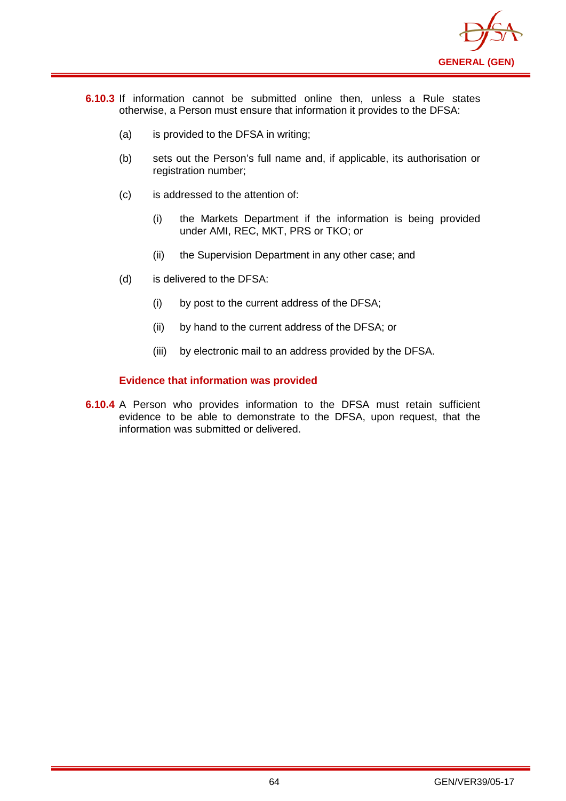

- **6.10.3** If information cannot be submitted online then, unless a Rule states otherwise, a Person must ensure that information it provides to the DFSA:
	- (a) is provided to the DFSA in writing;
	- (b) sets out the Person's full name and, if applicable, its authorisation or registration number;
	- (c) is addressed to the attention of:
		- (i) the Markets Department if the information is being provided under AMI, REC, MKT, PRS or TKO; or
		- (ii) the Supervision Department in any other case; and
	- (d) is delivered to the DFSA:
		- (i) by post to the current address of the DFSA;
		- (ii) by hand to the current address of the DFSA; or
		- (iii) by electronic mail to an address provided by the DFSA.

## **Evidence that information was provided**

**6.10.4** A Person who provides information to the DFSA must retain sufficient evidence to be able to demonstrate to the DFSA, upon request, that the information was submitted or delivered.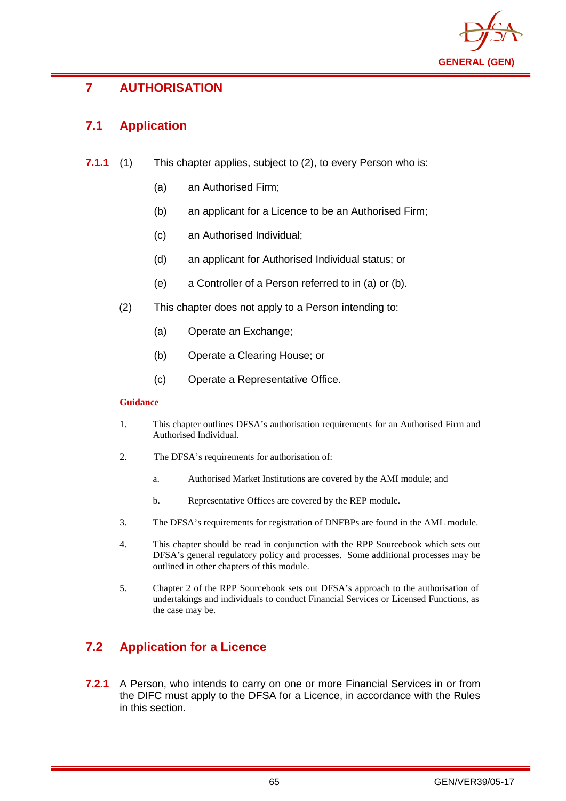

# **7 AUTHORISATION**

# **7.1 Application**

- **7.1.1** (1) This chapter applies, subject to (2), to every Person who is:
	- (a) an Authorised Firm;
	- (b) an applicant for a Licence to be an Authorised Firm;
	- (c) an Authorised Individual;
	- (d) an applicant for Authorised Individual status; or
	- (e) a Controller of a Person referred to in (a) or (b).
	- (2) This chapter does not apply to a Person intending to:
		- (a) Operate an Exchange;
		- (b) Operate a Clearing House; or
		- (c) Operate a Representative Office.

### **Guidance**

- 1. This chapter outlines DFSA's authorisation requirements for an Authorised Firm and Authorised Individual.
- 2. The DFSA's requirements for authorisation of:
	- a. Authorised Market Institutions are covered by the AMI module; and
	- b. Representative Offices are covered by the REP module.
- 3. The DFSA's requirements for registration of DNFBPs are found in the AML module.
- 4. This chapter should be read in conjunction with the RPP Sourcebook which sets out DFSA's general regulatory policy and processes. Some additional processes may be outlined in other chapters of this module.
- 5. Chapter 2 of the RPP Sourcebook sets out DFSA's approach to the authorisation of undertakings and individuals to conduct Financial Services or Licensed Functions, as the case may be.

# **7.2 Application for a Licence**

**7.2.1** A Person, who intends to carry on one or more Financial Services in or from the DIFC must apply to the DFSA for a Licence, in accordance with the Rules in this section.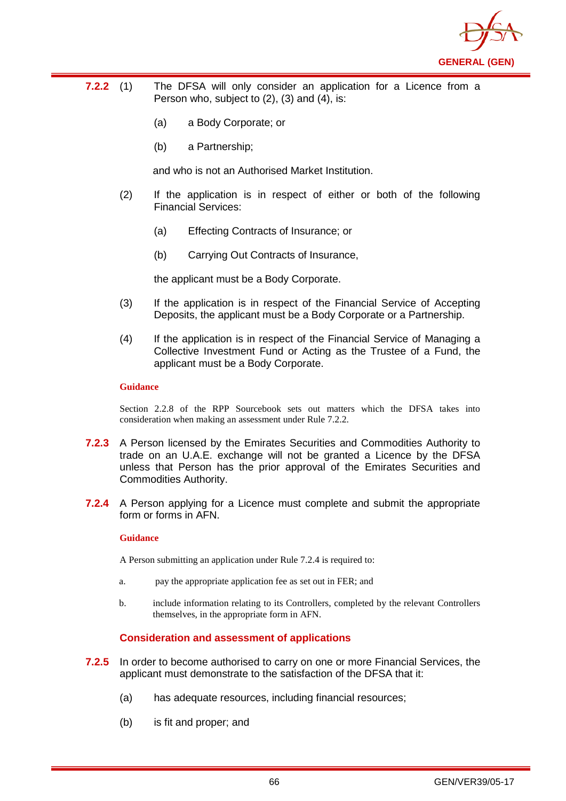

- **7.2.2** (1) The DFSA will only consider an application for a Licence from a Person who, subject to (2), (3) and (4), is:
	- (a) a Body Corporate; or
	- (b) a Partnership;

and who is not an Authorised Market Institution.

- (2) If the application is in respect of either or both of the following Financial Services:
	- (a) Effecting Contracts of Insurance; or
	- (b) Carrying Out Contracts of Insurance,

the applicant must be a Body Corporate.

- (3) If the application is in respect of the Financial Service of Accepting Deposits, the applicant must be a Body Corporate or a Partnership.
- (4) If the application is in respect of the Financial Service of Managing a Collective Investment Fund or Acting as the Trustee of a Fund, the applicant must be a Body Corporate.

#### **Guidance**

Section 2.2.8 of the RPP Sourcebook sets out matters which the DFSA takes into consideration when making an assessment under Rule 7.2.2.

- **7.2.3** A Person licensed by the Emirates Securities and Commodities Authority to trade on an U.A.E. exchange will not be granted a Licence by the DFSA unless that Person has the prior approval of the Emirates Securities and Commodities Authority.
- **7.2.4** A Person applying for a Licence must complete and submit the appropriate form or forms in AFN.

### **Guidance**

A Person submitting an application under Rule 7.2.4 is required to:

- a. pay the appropriate application fee as set out in FER; and
- b. include information relating to its Controllers, completed by the relevant Controllers themselves, in the appropriate form in AFN.

## **Consideration and assessment of applications**

- **7.2.5** In order to become authorised to carry on one or more Financial Services, the applicant must demonstrate to the satisfaction of the DFSA that it:
	- (a) has adequate resources, including financial resources;
	- (b) is fit and proper; and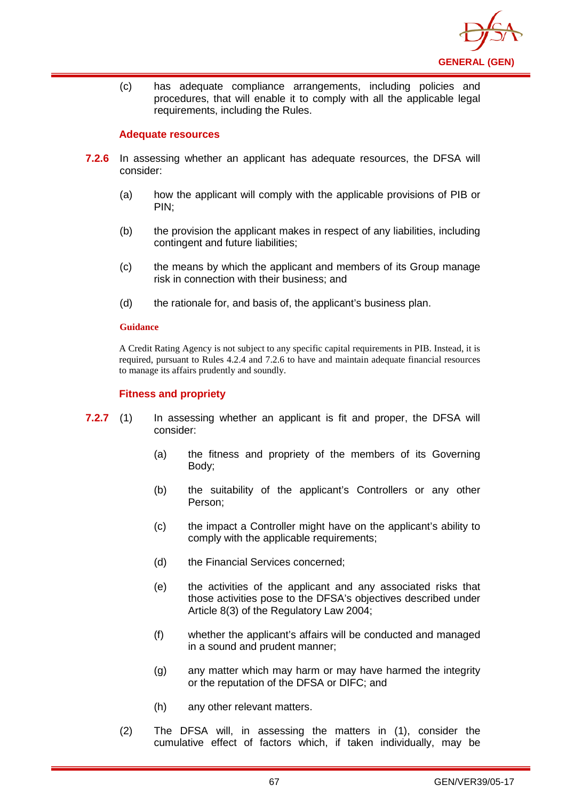

(c) has adequate compliance arrangements, including policies and procedures, that will enable it to comply with all the applicable legal requirements, including the Rules.

### **Adequate resources**

- **7.2.6** In assessing whether an applicant has adequate resources, the DFSA will consider:
	- (a) how the applicant will comply with the applicable provisions of PIB or PIN;
	- (b) the provision the applicant makes in respect of any liabilities, including contingent and future liabilities;
	- (c) the means by which the applicant and members of its Group manage risk in connection with their business; and
	- (d) the rationale for, and basis of, the applicant's business plan.

#### **Guidance**

A Credit Rating Agency is not subject to any specific capital requirements in PIB. Instead, it is required, pursuant to Rules 4.2.4 and 7.2.6 to have and maintain adequate financial resources to manage its affairs prudently and soundly.

## **Fitness and propriety**

- **7.2.7** (1) In assessing whether an applicant is fit and proper, the DFSA will consider:
	- (a) the fitness and propriety of the members of its Governing Body;
	- (b) the suitability of the applicant's Controllers or any other Person;
	- (c) the impact a Controller might have on the applicant's ability to comply with the applicable requirements;
	- (d) the Financial Services concerned;
	- (e) the activities of the applicant and any associated risks that those activities pose to the DFSA's objectives described under Article 8(3) of the Regulatory Law 2004;
	- (f) whether the applicant's affairs will be conducted and managed in a sound and prudent manner;
	- (g) any matter which may harm or may have harmed the integrity or the reputation of the DFSA or DIFC; and
	- (h) any other relevant matters.
	- (2) The DFSA will, in assessing the matters in (1), consider the cumulative effect of factors which, if taken individually, may be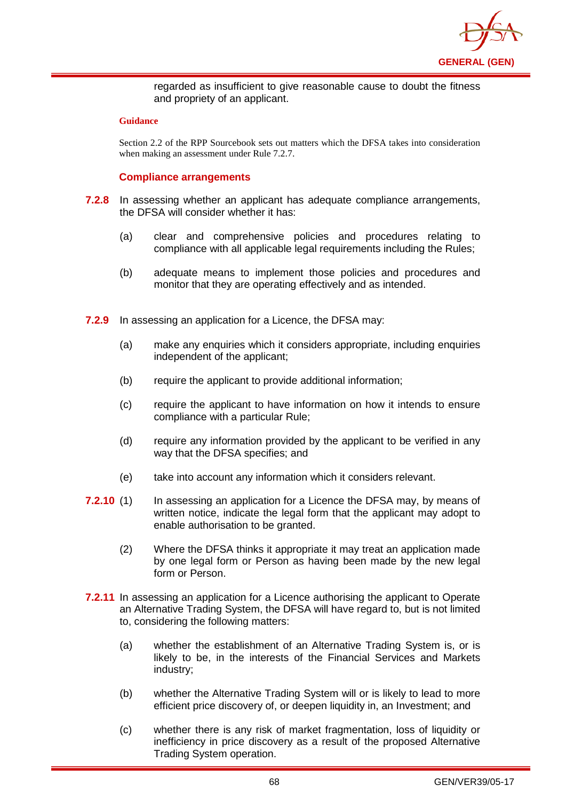

regarded as insufficient to give reasonable cause to doubt the fitness and propriety of an applicant.

#### **Guidance**

Section 2.2 of the RPP Sourcebook sets out matters which the DFSA takes into consideration when making an assessment under Rule 7.2.7.

## **Compliance arrangements**

- **7.2.8** In assessing whether an applicant has adequate compliance arrangements, the DFSA will consider whether it has:
	- (a) clear and comprehensive policies and procedures relating to compliance with all applicable legal requirements including the Rules:
	- (b) adequate means to implement those policies and procedures and monitor that they are operating effectively and as intended.
- **7.2.9** In assessing an application for a Licence, the DFSA may:
	- (a) make any enquiries which it considers appropriate, including enquiries independent of the applicant;
	- (b) require the applicant to provide additional information;
	- (c) require the applicant to have information on how it intends to ensure compliance with a particular Rule;
	- (d) require any information provided by the applicant to be verified in any way that the DFSA specifies; and
	- (e) take into account any information which it considers relevant.
- **7.2.10** (1) In assessing an application for a Licence the DFSA may, by means of written notice, indicate the legal form that the applicant may adopt to enable authorisation to be granted.
	- (2) Where the DFSA thinks it appropriate it may treat an application made by one legal form or Person as having been made by the new legal form or Person.
- **7.2.11** In assessing an application for a Licence authorising the applicant to Operate an Alternative Trading System, the DFSA will have regard to, but is not limited to, considering the following matters:
	- (a) whether the establishment of an Alternative Trading System is, or is likely to be, in the interests of the Financial Services and Markets industry;
	- (b) whether the Alternative Trading System will or is likely to lead to more efficient price discovery of, or deepen liquidity in, an Investment; and
	- (c) whether there is any risk of market fragmentation, loss of liquidity or inefficiency in price discovery as a result of the proposed Alternative Trading System operation.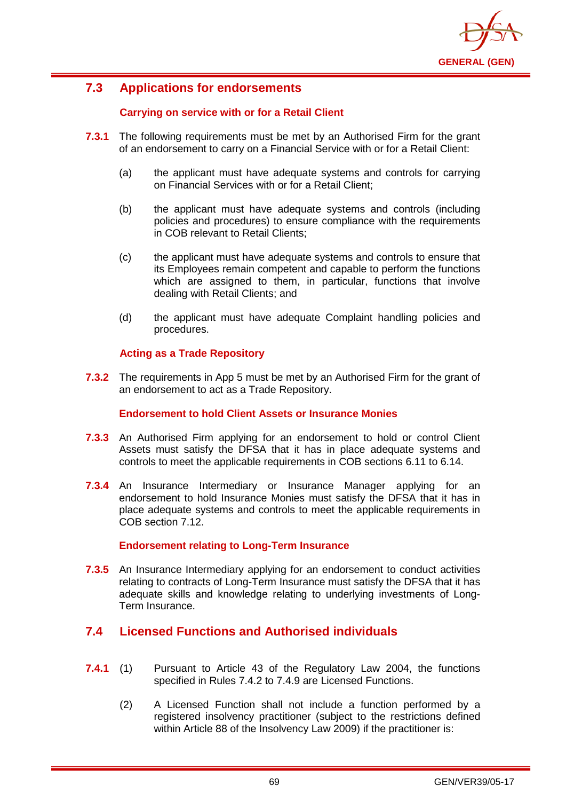

# **7.3 Applications for endorsements**

## **Carrying on service with or for a Retail Client**

- **7.3.1** The following requirements must be met by an Authorised Firm for the grant of an endorsement to carry on a Financial Service with or for a Retail Client:
	- (a) the applicant must have adequate systems and controls for carrying on Financial Services with or for a Retail Client;
	- (b) the applicant must have adequate systems and controls (including policies and procedures) to ensure compliance with the requirements in COB relevant to Retail Clients;
	- (c) the applicant must have adequate systems and controls to ensure that its Employees remain competent and capable to perform the functions which are assigned to them, in particular, functions that involve dealing with Retail Clients; and
	- (d) the applicant must have adequate Complaint handling policies and procedures.

## **Acting as a Trade Repository**

**7.3.2** The requirements in App 5 must be met by an Authorised Firm for the grant of an endorsement to act as a Trade Repository.

#### **Endorsement to hold Client Assets or Insurance Monies**

- **7.3.3** An Authorised Firm applying for an endorsement to hold or control Client Assets must satisfy the DFSA that it has in place adequate systems and controls to meet the applicable requirements in COB sections 6.11 to 6.14.
- **7.3.4** An Insurance Intermediary or Insurance Manager applying for an endorsement to hold Insurance Monies must satisfy the DFSA that it has in place adequate systems and controls to meet the applicable requirements in COB section 7.12.

## **Endorsement relating to Long-Term Insurance**

**7.3.5** An Insurance Intermediary applying for an endorsement to conduct activities relating to contracts of Long-Term Insurance must satisfy the DFSA that it has adequate skills and knowledge relating to underlying investments of Long-Term Insurance.

## **7.4 Licensed Functions and Authorised individuals**

- **7.4.1** (1) Pursuant to Article 43 of the Regulatory Law 2004, the functions specified in Rules 7.4.2 to 7.4.9 are Licensed Functions.
	- (2) A Licensed Function shall not include a function performed by a registered insolvency practitioner (subject to the restrictions defined within Article 88 of the Insolvency Law 2009) if the practitioner is: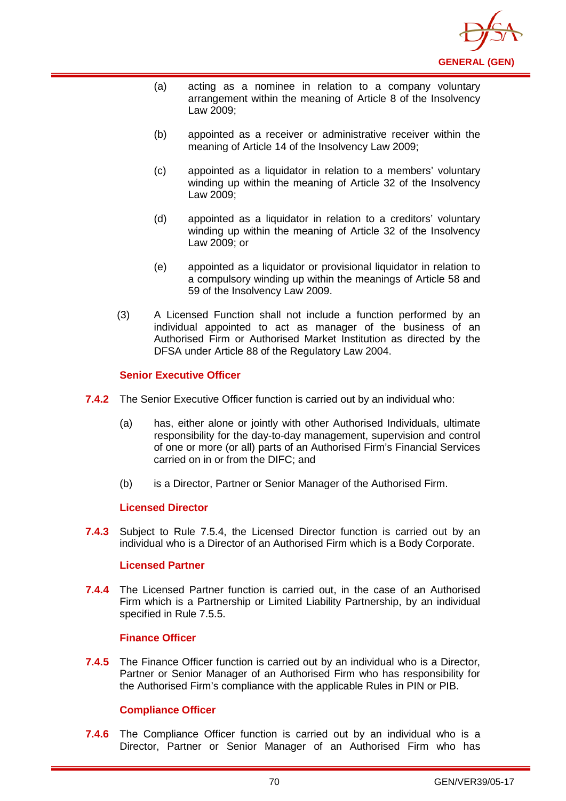

- (a) acting as a nominee in relation to a company voluntary arrangement within the meaning of Article 8 of the Insolvency Law 2009;
- (b) appointed as a receiver or administrative receiver within the meaning of Article 14 of the Insolvency Law 2009;
- (c) appointed as a liquidator in relation to a members' voluntary winding up within the meaning of Article 32 of the Insolvency Law 2009;
- (d) appointed as a liquidator in relation to a creditors' voluntary winding up within the meaning of Article 32 of the Insolvency Law 2009; or
- (e) appointed as a liquidator or provisional liquidator in relation to a compulsory winding up within the meanings of Article 58 and 59 of the Insolvency Law 2009.
- (3) A Licensed Function shall not include a function performed by an individual appointed to act as manager of the business of an Authorised Firm or Authorised Market Institution as directed by the DFSA under Article 88 of the Regulatory Law 2004.

### **Senior Executive Officer**

- **7.4.2** The Senior Executive Officer function is carried out by an individual who:
	- (a) has, either alone or jointly with other Authorised Individuals, ultimate responsibility for the day-to-day management, supervision and control of one or more (or all) parts of an Authorised Firm's Financial Services carried on in or from the DIFC; and
	- (b) is a Director, Partner or Senior Manager of the Authorised Firm.

#### **Licensed Director**

**7.4.3** Subject to Rule 7.5.4, the Licensed Director function is carried out by an individual who is a Director of an Authorised Firm which is a Body Corporate.

#### **Licensed Partner**

**7.4.4** The Licensed Partner function is carried out, in the case of an Authorised Firm which is a Partnership or Limited Liability Partnership, by an individual specified in Rule 7.5.5.

#### **Finance Officer**

**7.4.5** The Finance Officer function is carried out by an individual who is a Director, Partner or Senior Manager of an Authorised Firm who has responsibility for the Authorised Firm's compliance with the applicable Rules in PIN or PIB.

## **Compliance Officer**

**7.4.6** The Compliance Officer function is carried out by an individual who is a Director, Partner or Senior Manager of an Authorised Firm who has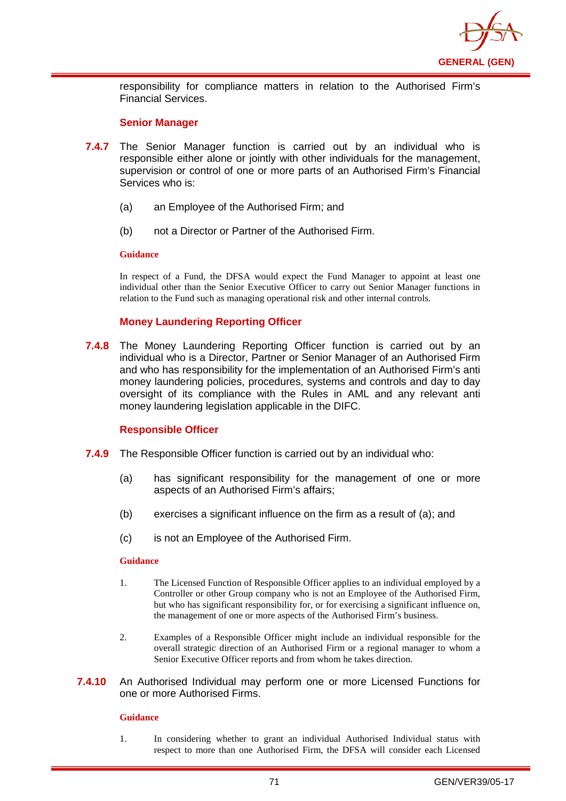

responsibility for compliance matters in relation to the Authorised Firm's Financial Services.

#### **Senior Manager**

- **7.4.7** The Senior Manager function is carried out by an individual who is responsible either alone or jointly with other individuals for the management, supervision or control of one or more parts of an Authorised Firm's Financial Services who is:
	- (a) an Employee of the Authorised Firm; and
	- (b) not a Director or Partner of the Authorised Firm.

#### **Guidance**

In respect of a Fund, the DFSA would expect the Fund Manager to appoint at least one individual other than the Senior Executive Officer to carry out Senior Manager functions in relation to the Fund such as managing operational risk and other internal controls.

### **Money Laundering Reporting Officer**

**7.4.8** The Money Laundering Reporting Officer function is carried out by an individual who is a Director, Partner or Senior Manager of an Authorised Firm and who has responsibility for the implementation of an Authorised Firm's anti money laundering policies, procedures, systems and controls and day to day oversight of its compliance with the Rules in AML and any relevant anti money laundering legislation applicable in the DIFC.

#### **Responsible Officer**

- **7.4.9** The Responsible Officer function is carried out by an individual who:
	- (a) has significant responsibility for the management of one or more aspects of an Authorised Firm's affairs;
	- (b) exercises a significant influence on the firm as a result of (a); and
	- (c) is not an Employee of the Authorised Firm.

#### **Guidance**

- 1. The Licensed Function of Responsible Officer applies to an individual employed by a Controller or other Group company who is not an Employee of the Authorised Firm, but who has significant responsibility for, or for exercising a significant influence on, the management of one or more aspects of the Authorised Firm's business.
- 2. Examples of a Responsible Officer might include an individual responsible for the overall strategic direction of an Authorised Firm or a regional manager to whom a Senior Executive Officer reports and from whom he takes direction.
- **7.4.10** An Authorised Individual may perform one or more Licensed Functions for one or more Authorised Firms.

#### **Guidance**

1. In considering whether to grant an individual Authorised Individual status with respect to more than one Authorised Firm, the DFSA will consider each Licensed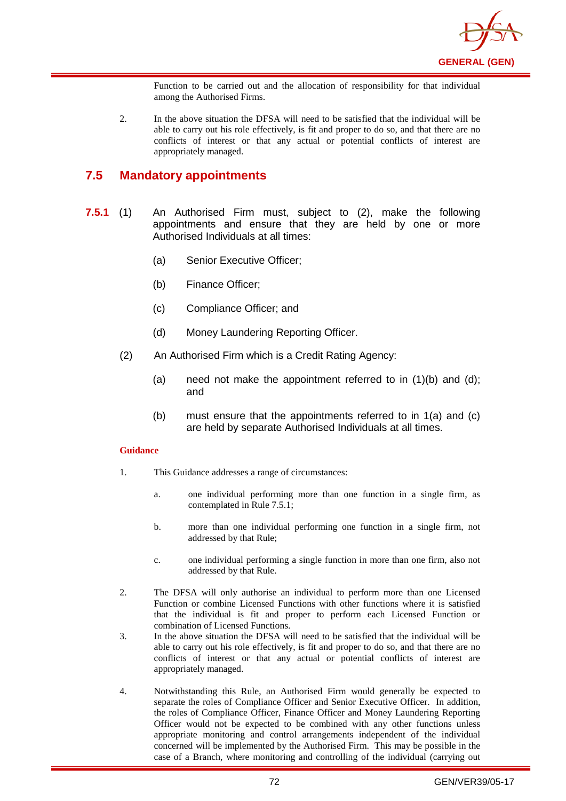

Function to be carried out and the allocation of responsibility for that individual among the Authorised Firms.

2. In the above situation the DFSA will need to be satisfied that the individual will be able to carry out his role effectively, is fit and proper to do so, and that there are no conflicts of interest or that any actual or potential conflicts of interest are appropriately managed.

## **7.5 Mandatory appointments**

- **7.5.1** (1) An Authorised Firm must, subject to (2), make the following appointments and ensure that they are held by one or more Authorised Individuals at all times:
	- (a) Senior Executive Officer;
	- (b) Finance Officer;
	- (c) Compliance Officer; and
	- (d) Money Laundering Reporting Officer.
	- (2) An Authorised Firm which is a Credit Rating Agency:
		- (a) need not make the appointment referred to in  $(1)(b)$  and  $(d)$ ; and
		- (b) must ensure that the appointments referred to in 1(a) and (c) are held by separate Authorised Individuals at all times.

#### **Guidance**

- 1. This Guidance addresses a range of circumstances:
	- a. one individual performing more than one function in a single firm, as contemplated in Rule 7.5.1;
	- b. more than one individual performing one function in a single firm, not addressed by that Rule;
	- c. one individual performing a single function in more than one firm, also not addressed by that Rule.
- 2. The DFSA will only authorise an individual to perform more than one Licensed Function or combine Licensed Functions with other functions where it is satisfied that the individual is fit and proper to perform each Licensed Function or combination of Licensed Functions.
- 3. In the above situation the DFSA will need to be satisfied that the individual will be able to carry out his role effectively, is fit and proper to do so, and that there are no conflicts of interest or that any actual or potential conflicts of interest are appropriately managed.
- 4. Notwithstanding this Rule, an Authorised Firm would generally be expected to separate the roles of Compliance Officer and Senior Executive Officer. In addition, the roles of Compliance Officer, Finance Officer and Money Laundering Reporting Officer would not be expected to be combined with any other functions unless appropriate monitoring and control arrangements independent of the individual concerned will be implemented by the Authorised Firm. This may be possible in the case of a Branch, where monitoring and controlling of the individual (carrying out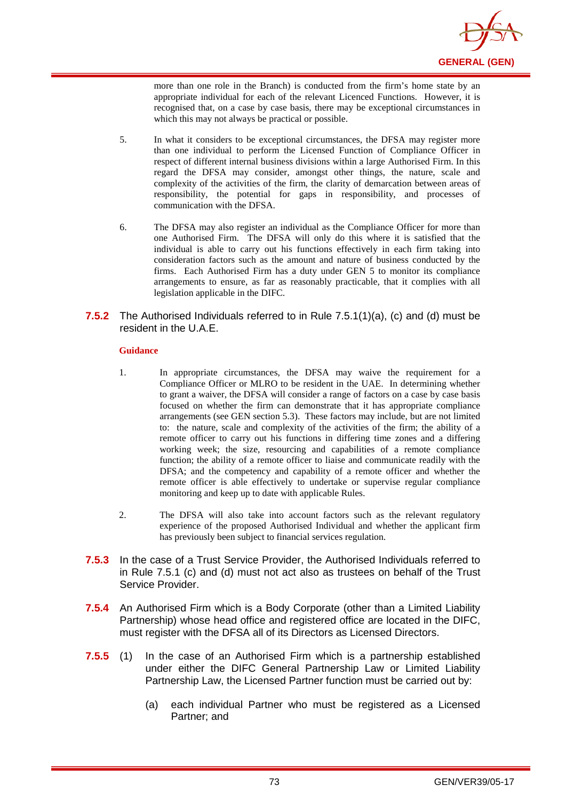

more than one role in the Branch) is conducted from the firm's home state by an appropriate individual for each of the relevant Licenced Functions. However, it is recognised that, on a case by case basis, there may be exceptional circumstances in which this may not always be practical or possible.

- 5. In what it considers to be exceptional circumstances, the DFSA may register more than one individual to perform the Licensed Function of Compliance Officer in respect of different internal business divisions within a large Authorised Firm. In this regard the DFSA may consider, amongst other things, the nature, scale and complexity of the activities of the firm, the clarity of demarcation between areas of responsibility, the potential for gaps in responsibility, and processes of communication with the DFSA.
- 6. The DFSA may also register an individual as the Compliance Officer for more than one Authorised Firm. The DFSA will only do this where it is satisfied that the individual is able to carry out his functions effectively in each firm taking into consideration factors such as the amount and nature of business conducted by the firms. Each Authorised Firm has a duty under GEN 5 to monitor its compliance arrangements to ensure, as far as reasonably practicable, that it complies with all legislation applicable in the DIFC.

#### **7.5.2** The Authorised Individuals referred to in Rule 7.5.1(1)(a), (c) and (d) must be resident in the U.A.E.

#### **Guidance**

- 1. In appropriate circumstances, the DFSA may waive the requirement for a Compliance Officer or MLRO to be resident in the UAE. In determining whether to grant a waiver, the DFSA will consider a range of factors on a case by case basis focused on whether the firm can demonstrate that it has appropriate compliance arrangements (see GEN section 5.3). These factors may include, but are not limited to: the nature, scale and complexity of the activities of the firm; the ability of a remote officer to carry out his functions in differing time zones and a differing working week; the size, resourcing and capabilities of a remote compliance function; the ability of a remote officer to liaise and communicate readily with the DFSA; and the competency and capability of a remote officer and whether the remote officer is able effectively to undertake or supervise regular compliance monitoring and keep up to date with applicable Rules.
- 2. The DFSA will also take into account factors such as the relevant regulatory experience of the proposed Authorised Individual and whether the applicant firm has previously been subject to financial services regulation.
- **7.5.3** In the case of a Trust Service Provider, the Authorised Individuals referred to in Rule 7.5.1 (c) and (d) must not act also as trustees on behalf of the Trust Service Provider.
- **7.5.4** An Authorised Firm which is a Body Corporate (other than a Limited Liability Partnership) whose head office and registered office are located in the DIFC, must register with the DFSA all of its Directors as Licensed Directors.
- **7.5.5** (1) In the case of an Authorised Firm which is a partnership established under either the DIFC General Partnership Law or Limited Liability Partnership Law, the Licensed Partner function must be carried out by:
	- (a) each individual Partner who must be registered as a Licensed Partner; and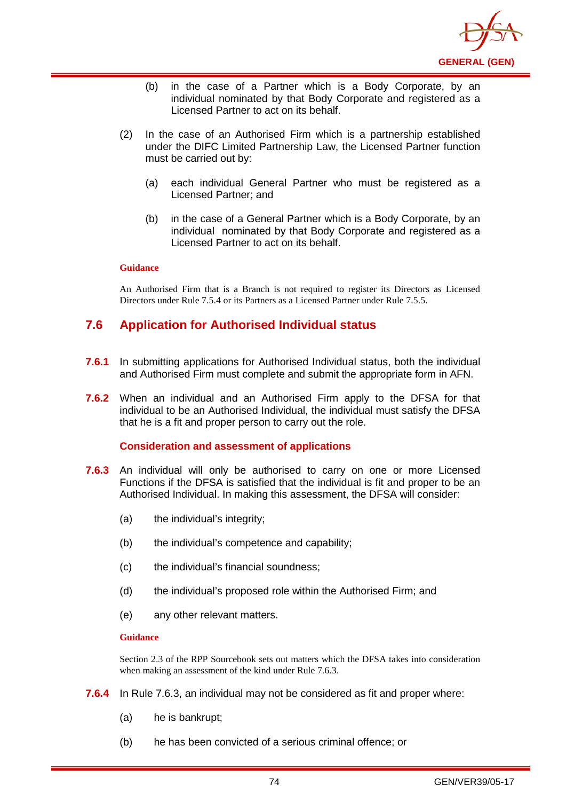

- (b) in the case of a Partner which is a Body Corporate, by an individual nominated by that Body Corporate and registered as a Licensed Partner to act on its behalf.
- (2) In the case of an Authorised Firm which is a partnership established under the DIFC Limited Partnership Law, the Licensed Partner function must be carried out by:
	- (a) each individual General Partner who must be registered as a Licensed Partner; and
	- (b) in the case of a General Partner which is a Body Corporate, by an individual nominated by that Body Corporate and registered as a Licensed Partner to act on its behalf.

An Authorised Firm that is a Branch is not required to register its Directors as Licensed Directors under Rule 7.5.4 or its Partners as a Licensed Partner under Rule 7.5.5.

# **7.6 Application for Authorised Individual status**

- **7.6.1** In submitting applications for Authorised Individual status, both the individual and Authorised Firm must complete and submit the appropriate form in AFN.
- **7.6.2** When an individual and an Authorised Firm apply to the DFSA for that individual to be an Authorised Individual, the individual must satisfy the DFSA that he is a fit and proper person to carry out the role.

#### **Consideration and assessment of applications**

- **7.6.3** An individual will only be authorised to carry on one or more Licensed Functions if the DFSA is satisfied that the individual is fit and proper to be an Authorised Individual. In making this assessment, the DFSA will consider:
	- (a) the individual's integrity;
	- (b) the individual's competence and capability;
	- (c) the individual's financial soundness;
	- (d) the individual's proposed role within the Authorised Firm; and
	- (e) any other relevant matters.

#### **Guidance**

Section 2.3 of the RPP Sourcebook sets out matters which the DFSA takes into consideration when making an assessment of the kind under Rule 7.6.3.

- **7.6.4** In Rule 7.6.3, an individual may not be considered as fit and proper where:
	- (a) he is bankrupt;
	- (b) he has been convicted of a serious criminal offence; or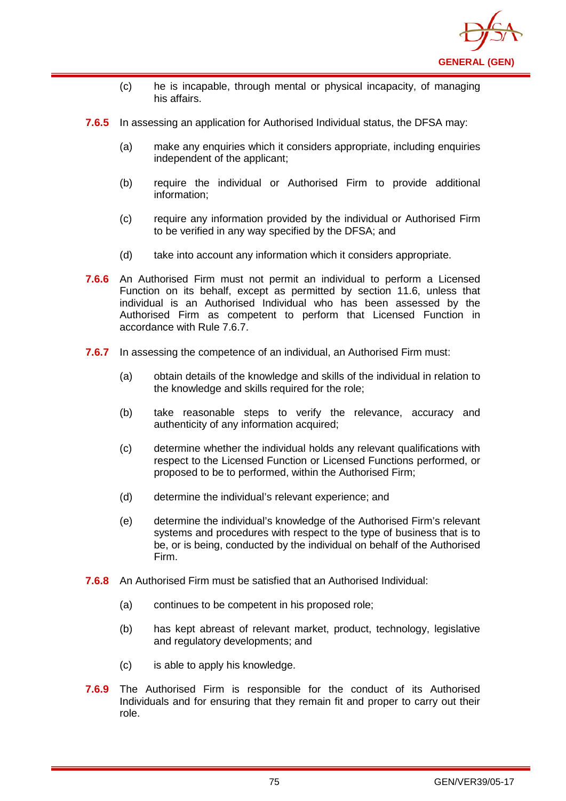

- (c) he is incapable, through mental or physical incapacity, of managing his affairs.
- **7.6.5** In assessing an application for Authorised Individual status, the DFSA may:
	- (a) make any enquiries which it considers appropriate, including enquiries independent of the applicant;
	- (b) require the individual or Authorised Firm to provide additional information;
	- (c) require any information provided by the individual or Authorised Firm to be verified in any way specified by the DFSA; and
	- (d) take into account any information which it considers appropriate.
- **7.6.6** An Authorised Firm must not permit an individual to perform a Licensed Function on its behalf, except as permitted by section 11.6, unless that individual is an Authorised Individual who has been assessed by the Authorised Firm as competent to perform that Licensed Function in accordance with Rule 7.6.7.
- **7.6.7** In assessing the competence of an individual, an Authorised Firm must:
	- (a) obtain details of the knowledge and skills of the individual in relation to the knowledge and skills required for the role;
	- (b) take reasonable steps to verify the relevance, accuracy and authenticity of any information acquired;
	- (c) determine whether the individual holds any relevant qualifications with respect to the Licensed Function or Licensed Functions performed, or proposed to be to performed, within the Authorised Firm;
	- (d) determine the individual's relevant experience; and
	- (e) determine the individual's knowledge of the Authorised Firm's relevant systems and procedures with respect to the type of business that is to be, or is being, conducted by the individual on behalf of the Authorised Firm.
- **7.6.8** An Authorised Firm must be satisfied that an Authorised Individual:
	- (a) continues to be competent in his proposed role;
	- (b) has kept abreast of relevant market, product, technology, legislative and regulatory developments; and
	- (c) is able to apply his knowledge.
- **7.6.9** The Authorised Firm is responsible for the conduct of its Authorised Individuals and for ensuring that they remain fit and proper to carry out their role.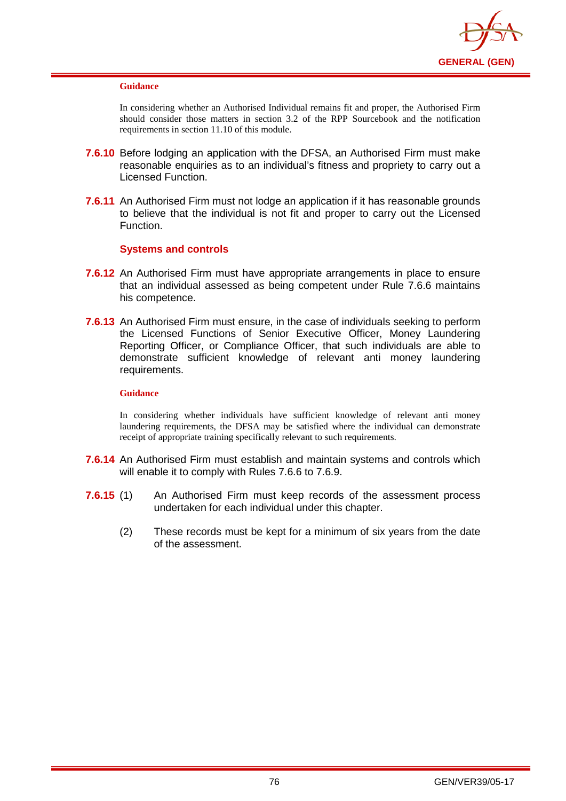

In considering whether an Authorised Individual remains fit and proper, the Authorised Firm should consider those matters in section 3.2 of the RPP Sourcebook and the notification requirements in section 11.10 of this module.

- **7.6.10** Before lodging an application with the DFSA, an Authorised Firm must make reasonable enquiries as to an individual's fitness and propriety to carry out a Licensed Function.
- **7.6.11** An Authorised Firm must not lodge an application if it has reasonable grounds to believe that the individual is not fit and proper to carry out the Licensed Function.

## **Systems and controls**

- **7.6.12** An Authorised Firm must have appropriate arrangements in place to ensure that an individual assessed as being competent under Rule 7.6.6 maintains his competence.
- **7.6.13** An Authorised Firm must ensure, in the case of individuals seeking to perform the Licensed Functions of Senior Executive Officer, Money Laundering Reporting Officer, or Compliance Officer, that such individuals are able to demonstrate sufficient knowledge of relevant anti money laundering requirements.

#### **Guidance**

In considering whether individuals have sufficient knowledge of relevant anti money laundering requirements, the DFSA may be satisfied where the individual can demonstrate receipt of appropriate training specifically relevant to such requirements.

- **7.6.14** An Authorised Firm must establish and maintain systems and controls which will enable it to comply with Rules 7.6.6 to 7.6.9.
- **7.6.15** (1) An Authorised Firm must keep records of the assessment process undertaken for each individual under this chapter.
	- (2) These records must be kept for a minimum of six years from the date of the assessment.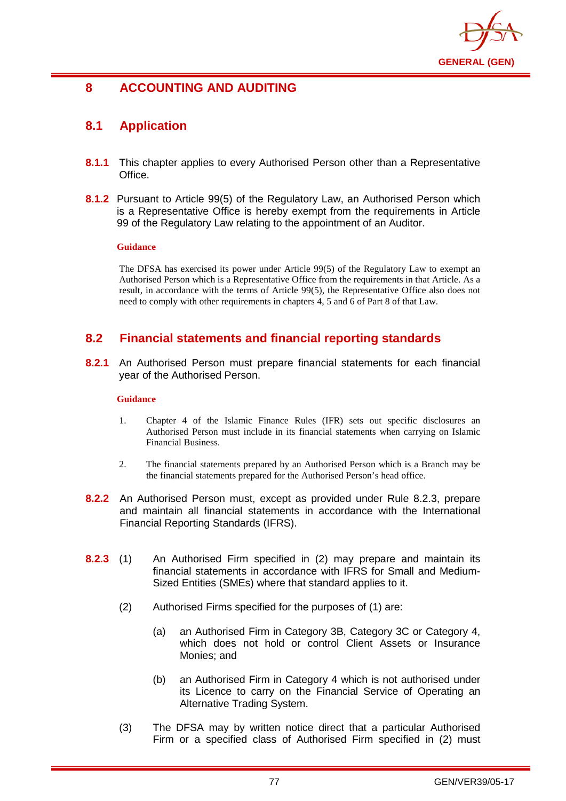

# **8 ACCOUNTING AND AUDITING**

# **8.1 Application**

- **8.1.1** This chapter applies to every Authorised Person other than a Representative Office.
- **8.1.2** Pursuant to Article 99(5) of the Regulatory Law, an Authorised Person which is a Representative Office is hereby exempt from the requirements in Article 99 of the Regulatory Law relating to the appointment of an Auditor.

#### **Guidance**

The DFSA has exercised its power under Article 99(5) of the Regulatory Law to exempt an Authorised Person which is a Representative Office from the requirements in that Article. As a result, in accordance with the terms of Article 99(5), the Representative Office also does not need to comply with other requirements in chapters 4, 5 and 6 of Part 8 of that Law.

# **8.2 Financial statements and financial reporting standards**

**8.2.1** An Authorised Person must prepare financial statements for each financial year of the Authorised Person.

### **Guidance**

- 1. Chapter 4 of the Islamic Finance Rules (IFR) sets out specific disclosures an Authorised Person must include in its financial statements when carrying on Islamic Financial Business.
- 2. The financial statements prepared by an Authorised Person which is a Branch may be the financial statements prepared for the Authorised Person's head office.
- **8.2.2** An Authorised Person must, except as provided under Rule 8.2.3, prepare and maintain all financial statements in accordance with the International Financial Reporting Standards (IFRS).
- **8.2.3** (1) An Authorised Firm specified in (2) may prepare and maintain its financial statements in accordance with IFRS for Small and Medium-Sized Entities (SMEs) where that standard applies to it.
	- (2) Authorised Firms specified for the purposes of (1) are:
		- (a) an Authorised Firm in Category 3B, Category 3C or Category 4, which does not hold or control Client Assets or Insurance Monies; and
		- (b) an Authorised Firm in Category 4 which is not authorised under its Licence to carry on the Financial Service of Operating an Alternative Trading System.
	- (3) The DFSA may by written notice direct that a particular Authorised Firm or a specified class of Authorised Firm specified in (2) must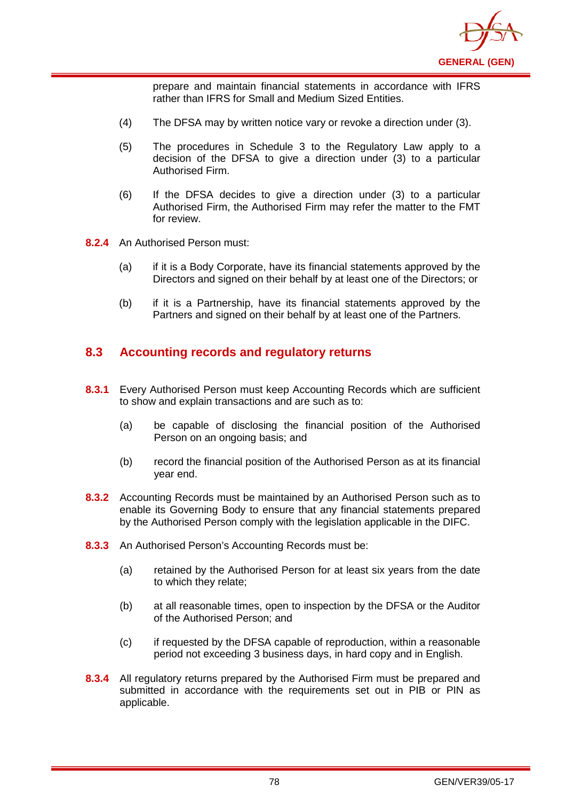

prepare and maintain financial statements in accordance with IFRS rather than IFRS for Small and Medium Sized Entities.

- (4) The DFSA may by written notice vary or revoke a direction under (3).
- (5) The procedures in Schedule 3 to the Regulatory Law apply to a decision of the DFSA to give a direction under (3) to a particular Authorised Firm.
- (6) If the DFSA decides to give a direction under (3) to a particular Authorised Firm, the Authorised Firm may refer the matter to the FMT for review.
- **8.2.4** An Authorised Person must:
	- (a) if it is a Body Corporate, have its financial statements approved by the Directors and signed on their behalf by at least one of the Directors; or
	- (b) if it is a Partnership, have its financial statements approved by the Partners and signed on their behalf by at least one of the Partners.

# **8.3 Accounting records and regulatory returns**

- **8.3.1** Every Authorised Person must keep Accounting Records which are sufficient to show and explain transactions and are such as to:
	- (a) be capable of disclosing the financial position of the Authorised Person on an ongoing basis; and
	- (b) record the financial position of the Authorised Person as at its financial year end.
- **8.3.2** Accounting Records must be maintained by an Authorised Person such as to enable its Governing Body to ensure that any financial statements prepared by the Authorised Person comply with the legislation applicable in the DIFC.
- **8.3.3** An Authorised Person's Accounting Records must be:
	- (a) retained by the Authorised Person for at least six years from the date to which they relate;
	- (b) at all reasonable times, open to inspection by the DFSA or the Auditor of the Authorised Person; and
	- (c) if requested by the DFSA capable of reproduction, within a reasonable period not exceeding 3 business days, in hard copy and in English.
- **8.3.4** All regulatory returns prepared by the Authorised Firm must be prepared and submitted in accordance with the requirements set out in PIB or PIN as applicable.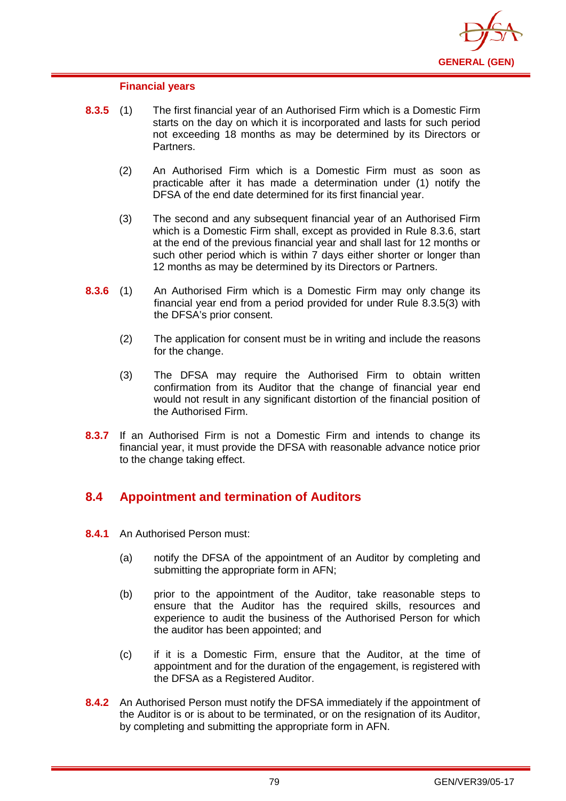

#### **Financial years**

- **8.3.5** (1) The first financial year of an Authorised Firm which is a Domestic Firm starts on the day on which it is incorporated and lasts for such period not exceeding 18 months as may be determined by its Directors or Partners.
	- (2) An Authorised Firm which is a Domestic Firm must as soon as practicable after it has made a determination under (1) notify the DFSA of the end date determined for its first financial year.
	- (3) The second and any subsequent financial year of an Authorised Firm which is a Domestic Firm shall, except as provided in Rule 8.3.6, start at the end of the previous financial year and shall last for 12 months or such other period which is within 7 days either shorter or longer than 12 months as may be determined by its Directors or Partners.
- **8.3.6** (1) An Authorised Firm which is a Domestic Firm may only change its financial year end from a period provided for under Rule 8.3.5(3) with the DFSA's prior consent.
	- (2) The application for consent must be in writing and include the reasons for the change.
	- (3) The DFSA may require the Authorised Firm to obtain written confirmation from its Auditor that the change of financial year end would not result in any significant distortion of the financial position of the Authorised Firm.
- **8.3.7** If an Authorised Firm is not a Domestic Firm and intends to change its financial year, it must provide the DFSA with reasonable advance notice prior to the change taking effect.

# **8.4 Appointment and termination of Auditors**

- **8.4.1** An Authorised Person must:
	- (a) notify the DFSA of the appointment of an Auditor by completing and submitting the appropriate form in AFN;
	- (b) prior to the appointment of the Auditor, take reasonable steps to ensure that the Auditor has the required skills, resources and experience to audit the business of the Authorised Person for which the auditor has been appointed; and
	- (c) if it is a Domestic Firm, ensure that the Auditor, at the time of appointment and for the duration of the engagement, is registered with the DFSA as a Registered Auditor.
- **8.4.2** An Authorised Person must notify the DFSA immediately if the appointment of the Auditor is or is about to be terminated, or on the resignation of its Auditor, by completing and submitting the appropriate form in AFN.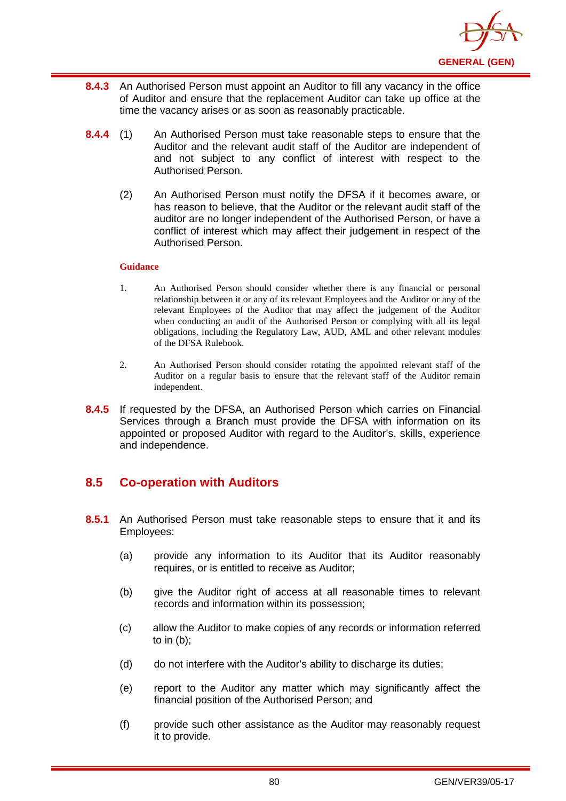

- **8.4.3** An Authorised Person must appoint an Auditor to fill any vacancy in the office of Auditor and ensure that the replacement Auditor can take up office at the time the vacancy arises or as soon as reasonably practicable.
- **8.4.4** (1) An Authorised Person must take reasonable steps to ensure that the Auditor and the relevant audit staff of the Auditor are independent of and not subject to any conflict of interest with respect to the Authorised Person.
	- (2) An Authorised Person must notify the DFSA if it becomes aware, or has reason to believe, that the Auditor or the relevant audit staff of the auditor are no longer independent of the Authorised Person, or have a conflict of interest which may affect their judgement in respect of the Authorised Person.

- 1. An Authorised Person should consider whether there is any financial or personal relationship between it or any of its relevant Employees and the Auditor or any of the relevant Employees of the Auditor that may affect the judgement of the Auditor when conducting an audit of the Authorised Person or complying with all its legal obligations, including the Regulatory Law, AUD, AML and other relevant modules of the DFSA Rulebook.
- 2. An Authorised Person should consider rotating the appointed relevant staff of the Auditor on a regular basis to ensure that the relevant staff of the Auditor remain independent.
- **8.4.5** If requested by the DFSA, an Authorised Person which carries on Financial Services through a Branch must provide the DFSA with information on its appointed or proposed Auditor with regard to the Auditor's, skills, experience and independence.

# **8.5 Co-operation with Auditors**

- **8.5.1** An Authorised Person must take reasonable steps to ensure that it and its Employees:
	- (a) provide any information to its Auditor that its Auditor reasonably requires, or is entitled to receive as Auditor;
	- (b) give the Auditor right of access at all reasonable times to relevant records and information within its possession;
	- (c) allow the Auditor to make copies of any records or information referred to in (b);
	- (d) do not interfere with the Auditor's ability to discharge its duties;
	- (e) report to the Auditor any matter which may significantly affect the financial position of the Authorised Person; and
	- (f) provide such other assistance as the Auditor may reasonably request it to provide.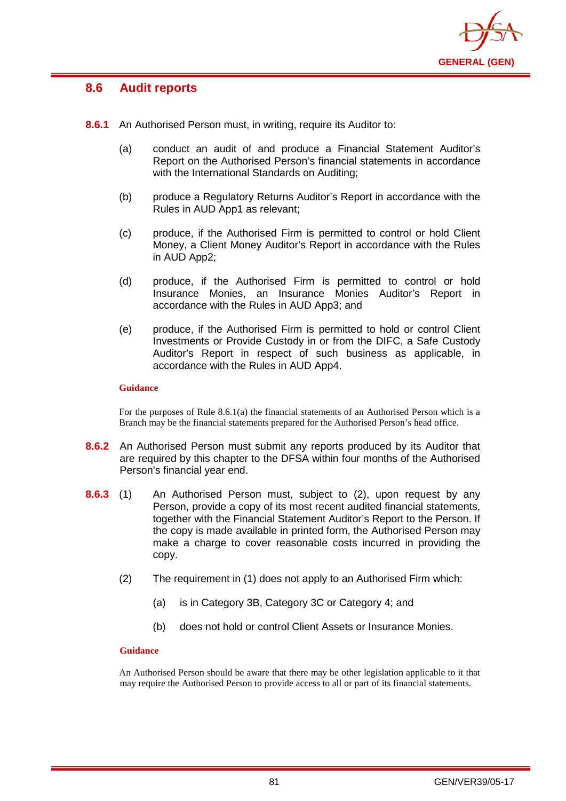

## **8.6 Audit reports**

- **8.6.1** An Authorised Person must, in writing, require its Auditor to:
	- (a) conduct an audit of and produce a Financial Statement Auditor's Report on the Authorised Person's financial statements in accordance with the International Standards on Auditing:
	- (b) produce a Regulatory Returns Auditor's Report in accordance with the Rules in AUD App1 as relevant;
	- (c) produce, if the Authorised Firm is permitted to control or hold Client Money, a Client Money Auditor's Report in accordance with the Rules in AUD App2;
	- (d) produce, if the Authorised Firm is permitted to control or hold Insurance Monies, an Insurance Monies Auditor's Report in accordance with the Rules in AUD App3; and
	- (e) produce, if the Authorised Firm is permitted to hold or control Client Investments or Provide Custody in or from the DIFC, a Safe Custody Auditor's Report in respect of such business as applicable, in accordance with the Rules in AUD App4.

#### **Guidance**

For the purposes of Rule 8.6.1(a) the financial statements of an Authorised Person which is a Branch may be the financial statements prepared for the Authorised Person's head office.

- **8.6.2** An Authorised Person must submit any reports produced by its Auditor that are required by this chapter to the DFSA within four months of the Authorised Person's financial year end.
- **8.6.3** (1) An Authorised Person must, subject to (2), upon request by any Person, provide a copy of its most recent audited financial statements, together with the Financial Statement Auditor's Report to the Person. If the copy is made available in printed form, the Authorised Person may make a charge to cover reasonable costs incurred in providing the copy.
	- (2) The requirement in (1) does not apply to an Authorised Firm which:
		- (a) is in Category 3B, Category 3C or Category 4; and
		- (b) does not hold or control Client Assets or Insurance Monies.

#### **Guidance**

An Authorised Person should be aware that there may be other legislation applicable to it that may require the Authorised Person to provide access to all or part of its financial statements.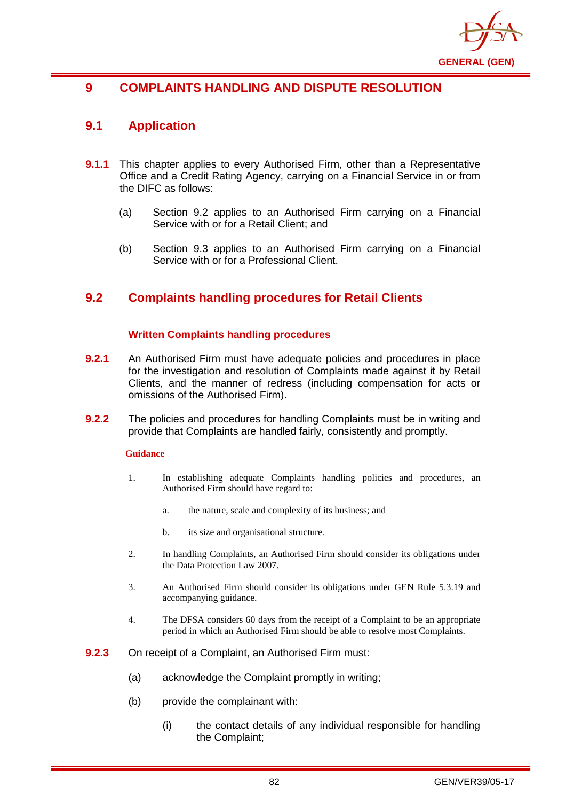

# **9 COMPLAINTS HANDLING AND DISPUTE RESOLUTION**

## **9.1 Application**

- **9.1.1** This chapter applies to every Authorised Firm, other than a Representative Office and a Credit Rating Agency, carrying on a Financial Service in or from the DIFC as follows:
	- (a) Section 9.2 applies to an Authorised Firm carrying on a Financial Service with or for a Retail Client; and
	- (b) Section 9.3 applies to an Authorised Firm carrying on a Financial Service with or for a Professional Client.

# **9.2 Complaints handling procedures for Retail Clients**

## **Written Complaints handling procedures**

- **9.2.1** An Authorised Firm must have adequate policies and procedures in place for the investigation and resolution of Complaints made against it by Retail Clients, and the manner of redress (including compensation for acts or omissions of the Authorised Firm).
- **9.2.2** The policies and procedures for handling Complaints must be in writing and provide that Complaints are handled fairly, consistently and promptly.

#### **Guidance**

- 1. In establishing adequate Complaints handling policies and procedures, an Authorised Firm should have regard to:
	- a. the nature, scale and complexity of its business; and
	- b. its size and organisational structure.
- 2. In handling Complaints, an Authorised Firm should consider its obligations under the Data Protection Law 2007.
- 3. An Authorised Firm should consider its obligations under GEN Rule 5.3.19 and accompanying guidance.
- 4. The DFSA considers 60 days from the receipt of a Complaint to be an appropriate period in which an Authorised Firm should be able to resolve most Complaints.
- **9.2.3** On receipt of a Complaint, an Authorised Firm must:
	- (a) acknowledge the Complaint promptly in writing;
	- (b) provide the complainant with:
		- (i) the contact details of any individual responsible for handling the Complaint;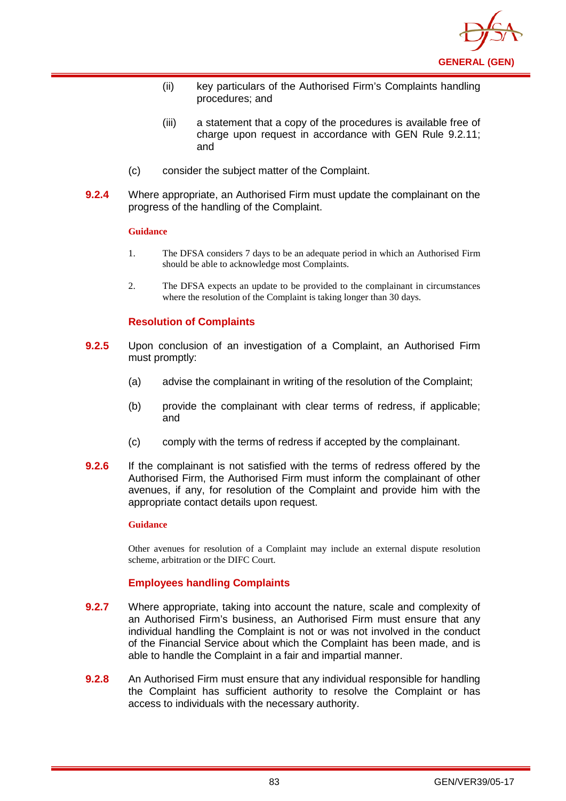

- (ii) key particulars of the Authorised Firm's Complaints handling procedures; and
- (iii) a statement that a copy of the procedures is available free of charge upon request in accordance with GEN Rule 9.2.11; and
- (c) consider the subject matter of the Complaint.
- **9.2.4** Where appropriate, an Authorised Firm must update the complainant on the progress of the handling of the Complaint.

- 1. The DFSA considers 7 days to be an adequate period in which an Authorised Firm should be able to acknowledge most Complaints.
- 2. The DFSA expects an update to be provided to the complainant in circumstances where the resolution of the Complaint is taking longer than 30 days.

## **Resolution of Complaints**

- **9.2.5** Upon conclusion of an investigation of a Complaint, an Authorised Firm must promptly:
	- (a) advise the complainant in writing of the resolution of the Complaint;
	- (b) provide the complainant with clear terms of redress, if applicable; and
	- (c) comply with the terms of redress if accepted by the complainant.
- **9.2.6** If the complainant is not satisfied with the terms of redress offered by the Authorised Firm, the Authorised Firm must inform the complainant of other avenues, if any, for resolution of the Complaint and provide him with the appropriate contact details upon request.

#### **Guidance**

Other avenues for resolution of a Complaint may include an external dispute resolution scheme, arbitration or the DIFC Court.

## **Employees handling Complaints**

- **9.2.7** Where appropriate, taking into account the nature, scale and complexity of an Authorised Firm's business, an Authorised Firm must ensure that any individual handling the Complaint is not or was not involved in the conduct of the Financial Service about which the Complaint has been made, and is able to handle the Complaint in a fair and impartial manner.
- **9.2.8** An Authorised Firm must ensure that any individual responsible for handling the Complaint has sufficient authority to resolve the Complaint or has access to individuals with the necessary authority.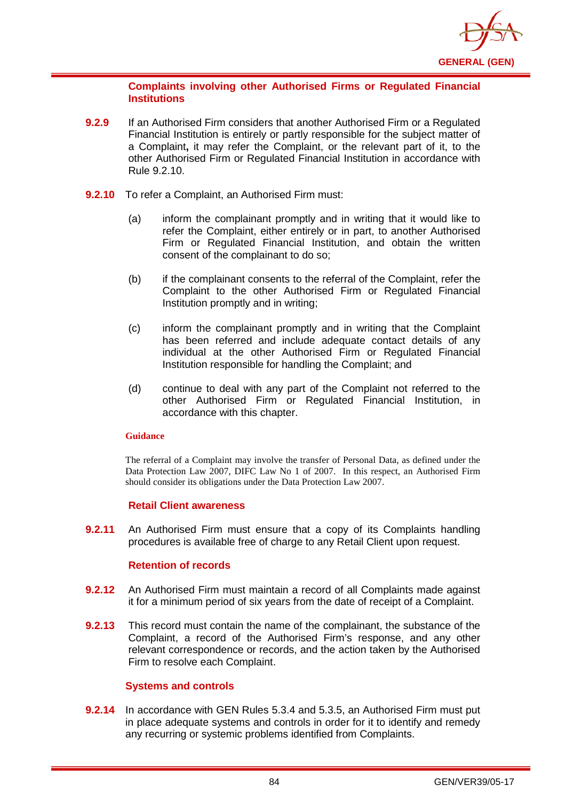

### **Complaints involving other Authorised Firms or Regulated Financial Institutions**

- **9.2.9** If an Authorised Firm considers that another Authorised Firm or a Regulated Financial Institution is entirely or partly responsible for the subject matter of a Complaint**,** it may refer the Complaint, or the relevant part of it, to the other Authorised Firm or Regulated Financial Institution in accordance with Rule 9.2.10.
- **9.2.10** To refer a Complaint, an Authorised Firm must:
	- (a) inform the complainant promptly and in writing that it would like to refer the Complaint, either entirely or in part, to another Authorised Firm or Regulated Financial Institution, and obtain the written consent of the complainant to do so;
	- (b) if the complainant consents to the referral of the Complaint, refer the Complaint to the other Authorised Firm or Regulated Financial Institution promptly and in writing;
	- (c) inform the complainant promptly and in writing that the Complaint has been referred and include adequate contact details of any individual at the other Authorised Firm or Regulated Financial Institution responsible for handling the Complaint; and
	- (d) continue to deal with any part of the Complaint not referred to the other Authorised Firm or Regulated Financial Institution, in accordance with this chapter.

#### **Guidance**

The referral of a Complaint may involve the transfer of Personal Data, as defined under the Data Protection Law 2007, DIFC Law No 1 of 2007. In this respect, an Authorised Firm should consider its obligations under the Data Protection Law 2007.

#### **Retail Client awareness**

**9.2.11** An Authorised Firm must ensure that a copy of its Complaints handling procedures is available free of charge to any Retail Client upon request.

## **Retention of records**

- **9.2.12** An Authorised Firm must maintain a record of all Complaints made against it for a minimum period of six years from the date of receipt of a Complaint.
- **9.2.13** This record must contain the name of the complainant, the substance of the Complaint, a record of the Authorised Firm's response, and any other relevant correspondence or records, and the action taken by the Authorised Firm to resolve each Complaint.

#### **Systems and controls**

**9.2.14** In accordance with GEN Rules 5.3.4 and 5.3.5, an Authorised Firm must put in place adequate systems and controls in order for it to identify and remedy any recurring or systemic problems identified from Complaints.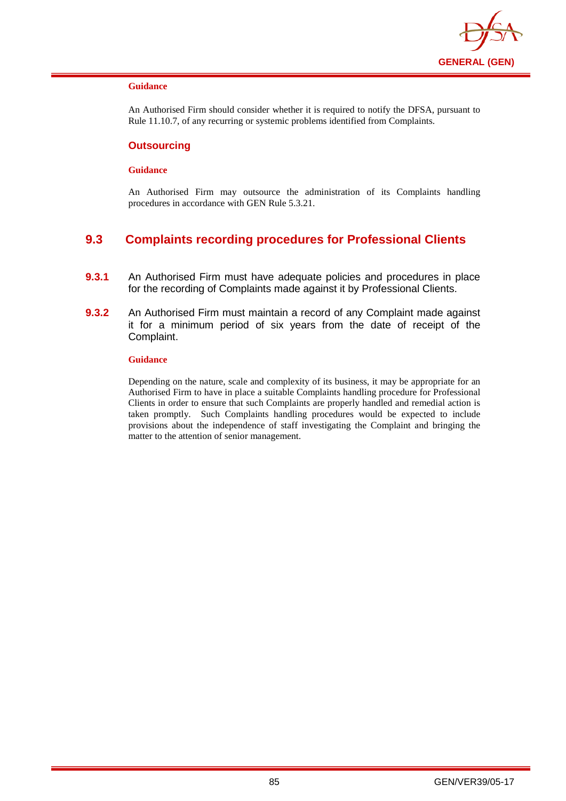

An Authorised Firm should consider whether it is required to notify the DFSA, pursuant to Rule 11.10.7, of any recurring or systemic problems identified from Complaints.

#### **Outsourcing**

#### **Guidance**

An Authorised Firm may outsource the administration of its Complaints handling procedures in accordance with GEN Rule 5.3.21.

# **9.3 Complaints recording procedures for Professional Clients**

- **9.3.1** An Authorised Firm must have adequate policies and procedures in place for the recording of Complaints made against it by Professional Clients.
- **9.3.2** An Authorised Firm must maintain a record of any Complaint made against it for a minimum period of six years from the date of receipt of the Complaint.

#### **Guidance**

Depending on the nature, scale and complexity of its business, it may be appropriate for an Authorised Firm to have in place a suitable Complaints handling procedure for Professional Clients in order to ensure that such Complaints are properly handled and remedial action is taken promptly. Such Complaints handling procedures would be expected to include provisions about the independence of staff investigating the Complaint and bringing the matter to the attention of senior management.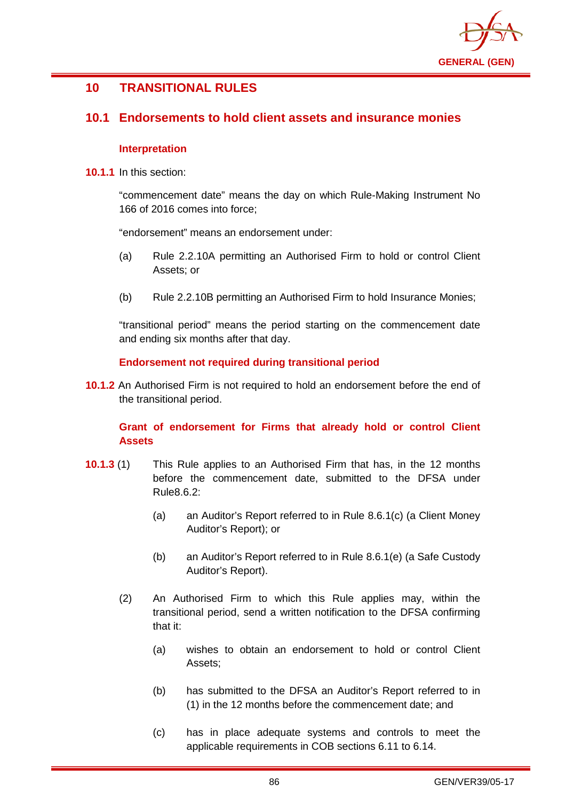

# **10 TRANSITIONAL RULES**

## **10.1 Endorsements to hold client assets and insurance monies**

### **Interpretation**

**10.1.1** In this section:

"commencement date" means the day on which Rule-Making Instrument No 166 of 2016 comes into force;

"endorsement" means an endorsement under:

- (a) Rule 2.2.10A permitting an Authorised Firm to hold or control Client Assets; or
- (b) Rule 2.2.10B permitting an Authorised Firm to hold Insurance Monies;

"transitional period" means the period starting on the commencement date and ending six months after that day.

## **Endorsement not required during transitional period**

**10.1.2** An Authorised Firm is not required to hold an endorsement before the end of the transitional period.

## **Grant of endorsement for Firms that already hold or control Client Assets**

- **10.1.3** (1) This Rule applies to an Authorised Firm that has, in the 12 months before the commencement date, submitted to the DFSA under Rule8.6.2:
	- (a) an Auditor's Report referred to in Rule 8.6.1(c) (a Client Money Auditor's Report); or
	- (b) an Auditor's Report referred to in Rule 8.6.1(e) (a Safe Custody Auditor's Report).
	- (2) An Authorised Firm to which this Rule applies may, within the transitional period, send a written notification to the DFSA confirming that it:
		- (a) wishes to obtain an endorsement to hold or control Client Assets;
		- (b) has submitted to the DFSA an Auditor's Report referred to in (1) in the 12 months before the commencement date; and
		- (c) has in place adequate systems and controls to meet the applicable requirements in COB sections 6.11 to 6.14.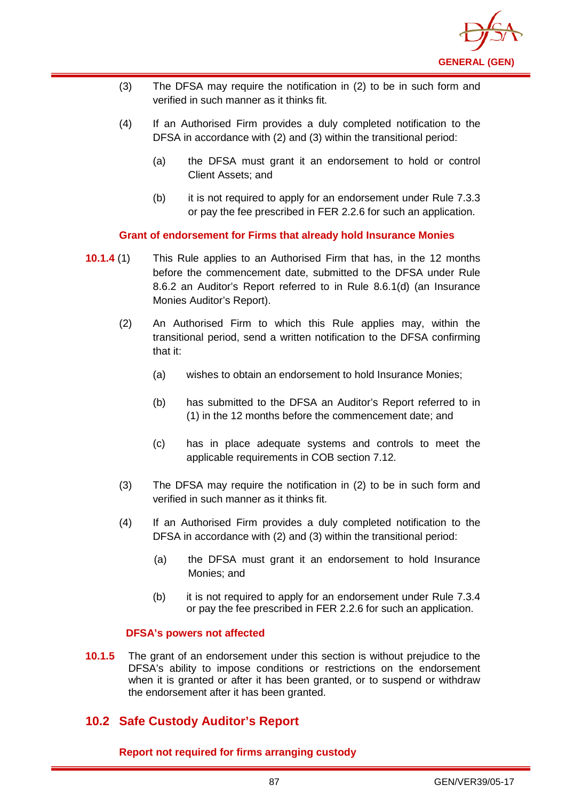

- (3) The DFSA may require the notification in (2) to be in such form and verified in such manner as it thinks fit.
- (4) If an Authorised Firm provides a duly completed notification to the DFSA in accordance with (2) and (3) within the transitional period:
	- (a) the DFSA must grant it an endorsement to hold or control Client Assets; and
	- (b) it is not required to apply for an endorsement under Rule 7.3.3 or pay the fee prescribed in FER 2.2.6 for such an application.

**Grant of endorsement for Firms that already hold Insurance Monies**

- **10.1.4** (1) This Rule applies to an Authorised Firm that has, in the 12 months before the commencement date, submitted to the DFSA under Rule 8.6.2 an Auditor's Report referred to in Rule 8.6.1(d) (an Insurance Monies Auditor's Report).
	- (2) An Authorised Firm to which this Rule applies may, within the transitional period, send a written notification to the DFSA confirming that it:
		- (a) wishes to obtain an endorsement to hold Insurance Monies;
		- (b) has submitted to the DFSA an Auditor's Report referred to in (1) in the 12 months before the commencement date; and
		- (c) has in place adequate systems and controls to meet the applicable requirements in COB section 7.12.
	- (3) The DFSA may require the notification in (2) to be in such form and verified in such manner as it thinks fit.
	- (4) If an Authorised Firm provides a duly completed notification to the DFSA in accordance with (2) and (3) within the transitional period:
		- (a) the DFSA must grant it an endorsement to hold Insurance Monies; and
		- (b) it is not required to apply for an endorsement under Rule 7.3.4 or pay the fee prescribed in FER 2.2.6 for such an application.

## **DFSA's powers not affected**

**10.1.5** The grant of an endorsement under this section is without prejudice to the DFSA's ability to impose conditions or restrictions on the endorsement when it is granted or after it has been granted, or to suspend or withdraw the endorsement after it has been granted.

# **10.2 Safe Custody Auditor's Report**

**Report not required for firms arranging custody**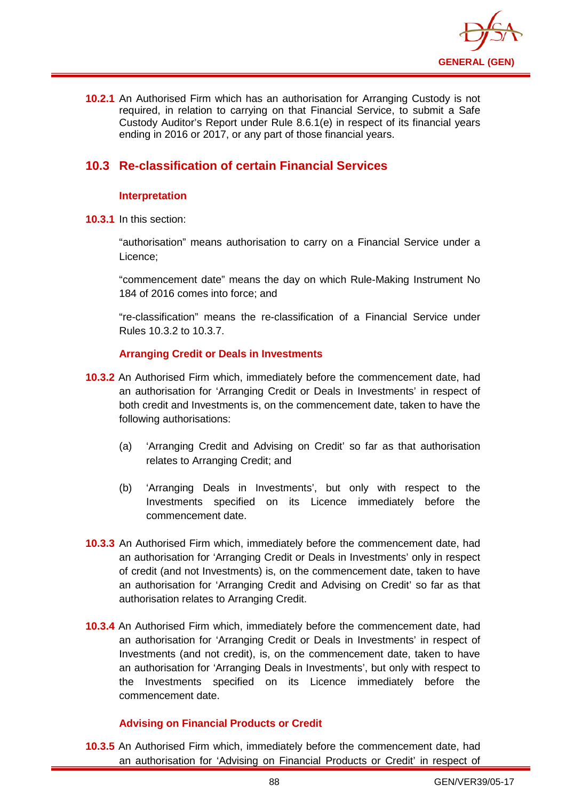

**10.2.1** An Authorised Firm which has an authorisation for Arranging Custody is not required, in relation to carrying on that Financial Service, to submit a Safe Custody Auditor's Report under Rule 8.6.1(e) in respect of its financial years ending in 2016 or 2017, or any part of those financial years.

# **10.3 Re-classification of certain Financial Services**

## **Interpretation**

**10.3.1** In this section:

"authorisation" means authorisation to carry on a Financial Service under a Licence;

"commencement date" means the day on which Rule-Making Instrument No 184 of 2016 comes into force; and

"re-classification" means the re-classification of a Financial Service under Rules 10.3.2 to 10.3.7.

## **Arranging Credit or Deals in Investments**

- **10.3.2** An Authorised Firm which, immediately before the commencement date, had an authorisation for 'Arranging Credit or Deals in Investments' in respect of both credit and Investments is, on the commencement date, taken to have the following authorisations:
	- (a) 'Arranging Credit and Advising on Credit' so far as that authorisation relates to Arranging Credit; and
	- (b) 'Arranging Deals in Investments', but only with respect to the Investments specified on its Licence immediately before the commencement date.
- **10.3.3** An Authorised Firm which, immediately before the commencement date, had an authorisation for 'Arranging Credit or Deals in Investments' only in respect of credit (and not Investments) is, on the commencement date, taken to have an authorisation for 'Arranging Credit and Advising on Credit' so far as that authorisation relates to Arranging Credit.
- **10.3.4** An Authorised Firm which, immediately before the commencement date, had an authorisation for 'Arranging Credit or Deals in Investments' in respect of Investments (and not credit), is, on the commencement date, taken to have an authorisation for 'Arranging Deals in Investments', but only with respect to the Investments specified on its Licence immediately before the commencement date.

## **Advising on Financial Products or Credit**

**10.3.5** An Authorised Firm which, immediately before the commencement date, had an authorisation for 'Advising on Financial Products or Credit' in respect of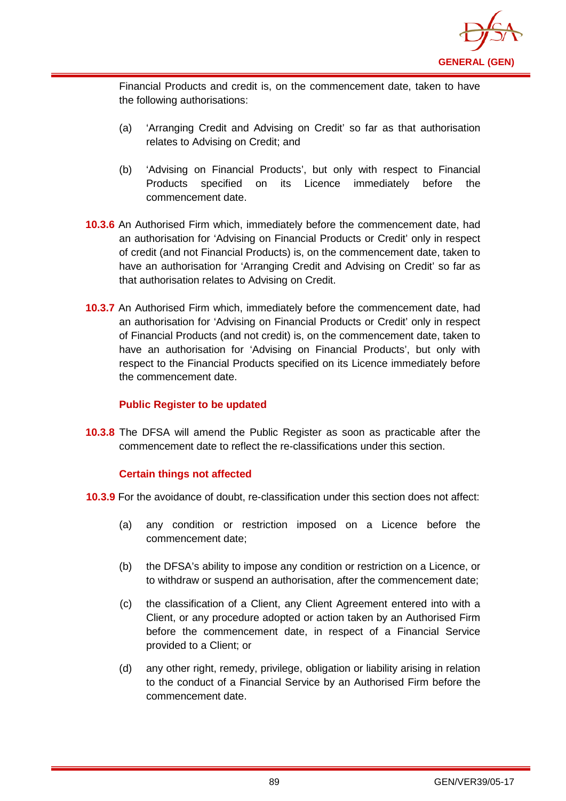

Financial Products and credit is, on the commencement date, taken to have the following authorisations:

- (a) 'Arranging Credit and Advising on Credit' so far as that authorisation relates to Advising on Credit; and
- (b) 'Advising on Financial Products', but only with respect to Financial Products specified on its Licence immediately before the commencement date.
- **10.3.6** An Authorised Firm which, immediately before the commencement date, had an authorisation for 'Advising on Financial Products or Credit' only in respect of credit (and not Financial Products) is, on the commencement date, taken to have an authorisation for 'Arranging Credit and Advising on Credit' so far as that authorisation relates to Advising on Credit.
- **10.3.7** An Authorised Firm which, immediately before the commencement date, had an authorisation for 'Advising on Financial Products or Credit' only in respect of Financial Products (and not credit) is, on the commencement date, taken to have an authorisation for 'Advising on Financial Products', but only with respect to the Financial Products specified on its Licence immediately before the commencement date.

#### **Public Register to be updated**

**10.3.8** The DFSA will amend the Public Register as soon as practicable after the commencement date to reflect the re-classifications under this section.

## **Certain things not affected**

- **10.3.9** For the avoidance of doubt, re-classification under this section does not affect:
	- (a) any condition or restriction imposed on a Licence before the commencement date;
	- (b) the DFSA's ability to impose any condition or restriction on a Licence, or to withdraw or suspend an authorisation, after the commencement date;
	- (c) the classification of a Client, any Client Agreement entered into with a Client, or any procedure adopted or action taken by an Authorised Firm before the commencement date, in respect of a Financial Service provided to a Client; or
	- (d) any other right, remedy, privilege, obligation or liability arising in relation to the conduct of a Financial Service by an Authorised Firm before the commencement date.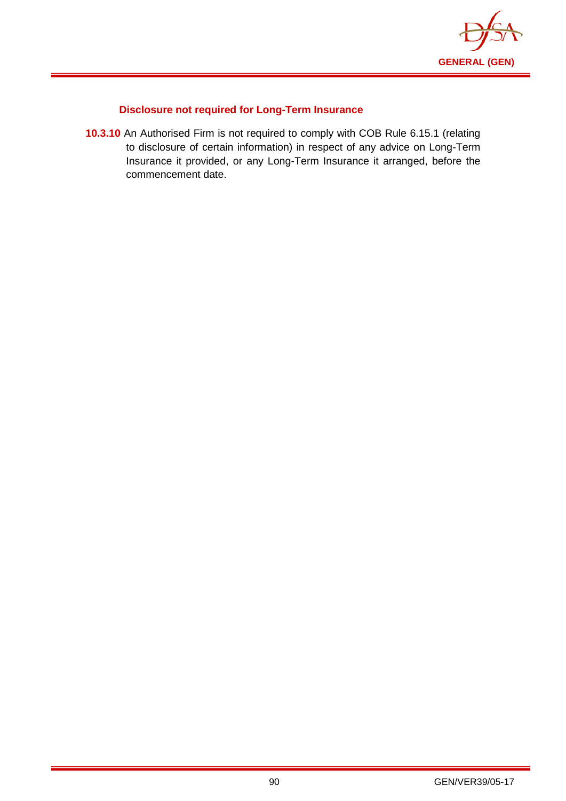

## **Disclosure not required for Long-Term Insurance**

**10.3.10** An Authorised Firm is not required to comply with COB Rule 6.15.1 (relating to disclosure of certain information) in respect of any advice on Long-Term Insurance it provided, or any Long-Term Insurance it arranged, before the commencement date.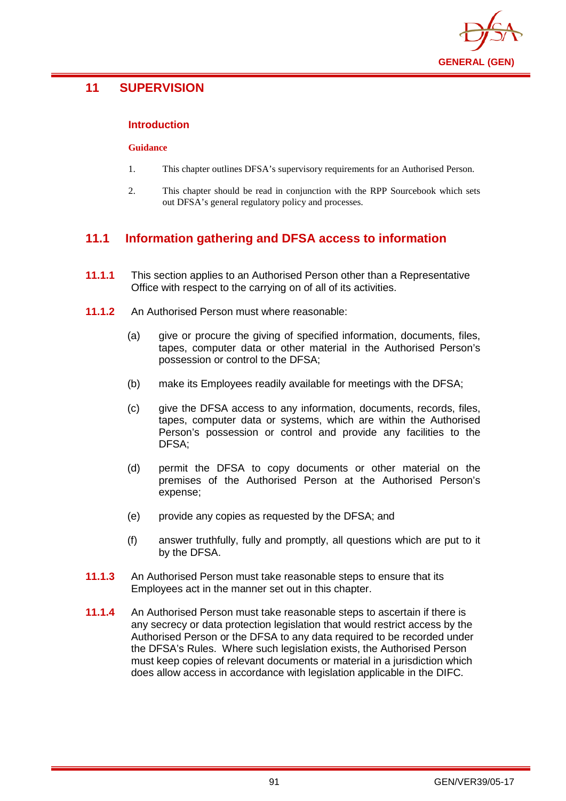

# **11 SUPERVISION**

### **Introduction**

#### **Guidance**

- 1. This chapter outlines DFSA's supervisory requirements for an Authorised Person.
- 2. This chapter should be read in conjunction with the RPP Sourcebook which sets out DFSA's general regulatory policy and processes.

# **11.1 Information gathering and DFSA access to information**

- **11.1.1** This section applies to an Authorised Person other than a Representative Office with respect to the carrying on of all of its activities.
- **11.1.2** An Authorised Person must where reasonable:
	- (a) give or procure the giving of specified information, documents, files, tapes, computer data or other material in the Authorised Person's possession or control to the DFSA;
	- (b) make its Employees readily available for meetings with the DFSA;
	- (c) give the DFSA access to any information, documents, records, files, tapes, computer data or systems, which are within the Authorised Person's possession or control and provide any facilities to the DFSA;
	- (d) permit the DFSA to copy documents or other material on the premises of the Authorised Person at the Authorised Person's expense;
	- (e) provide any copies as requested by the DFSA; and
	- (f) answer truthfully, fully and promptly, all questions which are put to it by the DFSA.
- **11.1.3** An Authorised Person must take reasonable steps to ensure that its Employees act in the manner set out in this chapter.
- **11.1.4** An Authorised Person must take reasonable steps to ascertain if there is any secrecy or data protection legislation that would restrict access by the Authorised Person or the DFSA to any data required to be recorded under the DFSA's Rules. Where such legislation exists, the Authorised Person must keep copies of relevant documents or material in a jurisdiction which does allow access in accordance with legislation applicable in the DIFC.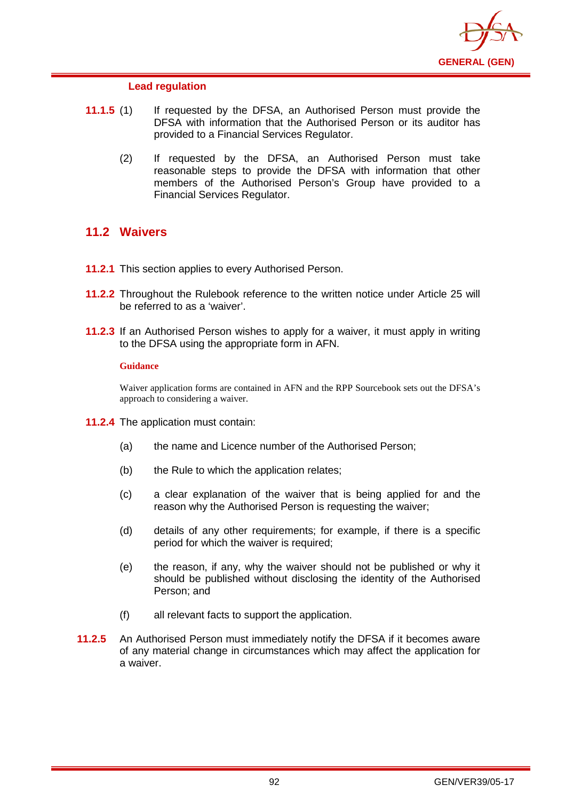

### **Lead regulation**

- **11.1.5** (1) If requested by the DFSA, an Authorised Person must provide the DFSA with information that the Authorised Person or its auditor has provided to a Financial Services Regulator.
	- (2) If requested by the DFSA, an Authorised Person must take reasonable steps to provide the DFSA with information that other members of the Authorised Person's Group have provided to a Financial Services Regulator.

## **11.2 Waivers**

- **11.2.1** This section applies to every Authorised Person.
- **11.2.2** Throughout the Rulebook reference to the written notice under Article 25 will be referred to as a 'waiver'.
- **11.2.3** If an Authorised Person wishes to apply for a waiver, it must apply in writing to the DFSA using the appropriate form in AFN.

#### **Guidance**

Waiver application forms are contained in AFN and the RPP Sourcebook sets out the DFSA's approach to considering a waiver.

- **11.2.4** The application must contain:
	- (a) the name and Licence number of the Authorised Person;
	- (b) the Rule to which the application relates;
	- (c) a clear explanation of the waiver that is being applied for and the reason why the Authorised Person is requesting the waiver;
	- (d) details of any other requirements; for example, if there is a specific period for which the waiver is required;
	- (e) the reason, if any, why the waiver should not be published or why it should be published without disclosing the identity of the Authorised Person; and
	- (f) all relevant facts to support the application.
- **11.2.5** An Authorised Person must immediately notify the DFSA if it becomes aware of any material change in circumstances which may affect the application for a waiver.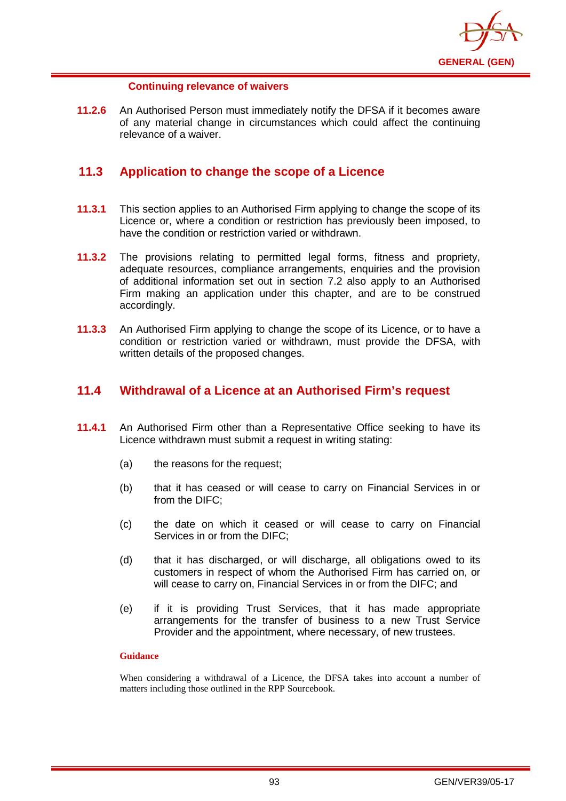

### **Continuing relevance of waivers**

**11.2.6** An Authorised Person must immediately notify the DFSA if it becomes aware of any material change in circumstances which could affect the continuing relevance of a waiver.

## **11.3 Application to change the scope of a Licence**

- **11.3.1** This section applies to an Authorised Firm applying to change the scope of its Licence or, where a condition or restriction has previously been imposed, to have the condition or restriction varied or withdrawn.
- **11.3.2** The provisions relating to permitted legal forms, fitness and propriety, adequate resources, compliance arrangements, enquiries and the provision of additional information set out in section 7.2 also apply to an Authorised Firm making an application under this chapter, and are to be construed accordingly.
- **11.3.3** An Authorised Firm applying to change the scope of its Licence, or to have a condition or restriction varied or withdrawn, must provide the DFSA, with written details of the proposed changes.

## **11.4 Withdrawal of a Licence at an Authorised Firm's request**

- **11.4.1** An Authorised Firm other than a Representative Office seeking to have its Licence withdrawn must submit a request in writing stating:
	- (a) the reasons for the request;
	- (b) that it has ceased or will cease to carry on Financial Services in or from the DIFC;
	- (c) the date on which it ceased or will cease to carry on Financial Services in or from the DIFC;
	- (d) that it has discharged, or will discharge, all obligations owed to its customers in respect of whom the Authorised Firm has carried on, or will cease to carry on, Financial Services in or from the DIFC; and
	- (e) if it is providing Trust Services, that it has made appropriate arrangements for the transfer of business to a new Trust Service Provider and the appointment, where necessary, of new trustees.

#### **Guidance**

When considering a withdrawal of a Licence, the DFSA takes into account a number of matters including those outlined in the RPP Sourcebook.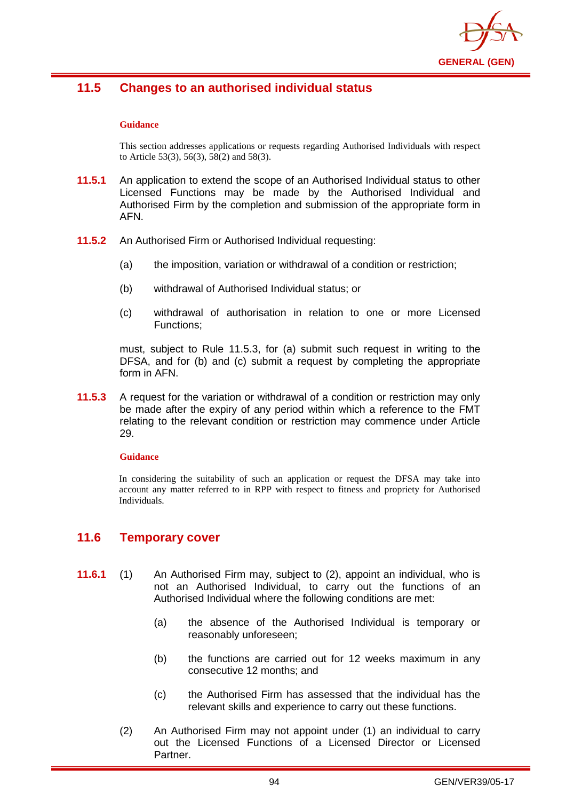

# **11.5 Changes to an authorised individual status**

#### **Guidance**

This section addresses applications or requests regarding Authorised Individuals with respect to Article 53(3), 56(3), 58(2) and 58(3).

- **11.5.1** An application to extend the scope of an Authorised Individual status to other Licensed Functions may be made by the Authorised Individual and Authorised Firm by the completion and submission of the appropriate form in AFN.
- **11.5.2** An Authorised Firm or Authorised Individual requesting:
	- (a) the imposition, variation or withdrawal of a condition or restriction;
	- (b) withdrawal of Authorised Individual status; or
	- (c) withdrawal of authorisation in relation to one or more Licensed Functions;

must, subject to Rule 11.5.3, for (a) submit such request in writing to the DFSA, and for (b) and (c) submit a request by completing the appropriate form in AFN.

**11.5.3** A request for the variation or withdrawal of a condition or restriction may only be made after the expiry of any period within which a reference to the FMT relating to the relevant condition or restriction may commence under Article 29.

#### **Guidance**

In considering the suitability of such an application or request the DFSA may take into account any matter referred to in RPP with respect to fitness and propriety for Authorised Individuals.

## **11.6 Temporary cover**

- **11.6.1** (1) An Authorised Firm may, subject to (2), appoint an individual, who is not an Authorised Individual, to carry out the functions of an Authorised Individual where the following conditions are met:
	- (a) the absence of the Authorised Individual is temporary or reasonably unforeseen;
	- (b) the functions are carried out for 12 weeks maximum in any consecutive 12 months; and
	- (c) the Authorised Firm has assessed that the individual has the relevant skills and experience to carry out these functions.
	- (2) An Authorised Firm may not appoint under (1) an individual to carry out the Licensed Functions of a Licensed Director or Licensed Partner.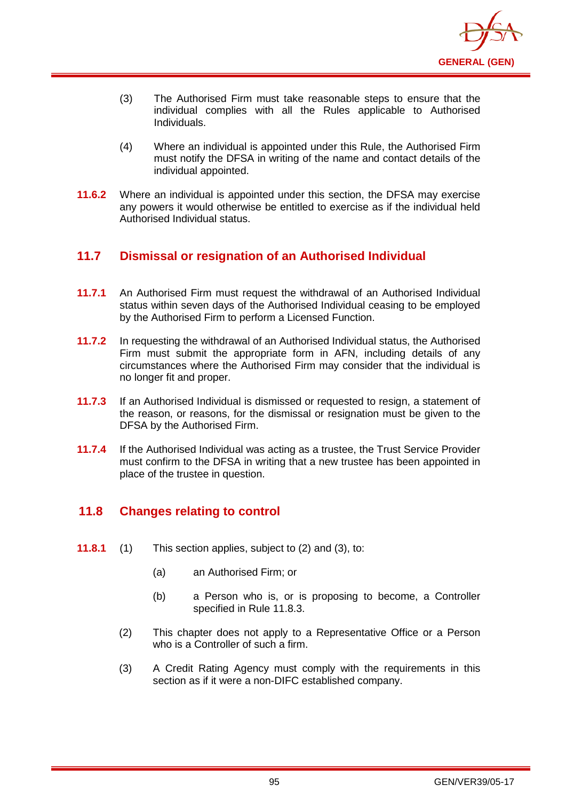

- (3) The Authorised Firm must take reasonable steps to ensure that the individual complies with all the Rules applicable to Authorised Individuals.
- (4) Where an individual is appointed under this Rule, the Authorised Firm must notify the DFSA in writing of the name and contact details of the individual appointed.
- **11.6.2** Where an individual is appointed under this section, the DFSA may exercise any powers it would otherwise be entitled to exercise as if the individual held Authorised Individual status.

# **11.7 Dismissal or resignation of an Authorised Individual**

- **11.7.1** An Authorised Firm must request the withdrawal of an Authorised Individual status within seven days of the Authorised Individual ceasing to be employed by the Authorised Firm to perform a Licensed Function.
- **11.7.2** In requesting the withdrawal of an Authorised Individual status, the Authorised Firm must submit the appropriate form in AFN, including details of any circumstances where the Authorised Firm may consider that the individual is no longer fit and proper.
- **11.7.3** If an Authorised Individual is dismissed or requested to resign, a statement of the reason, or reasons, for the dismissal or resignation must be given to the DFSA by the Authorised Firm.
- **11.7.4** If the Authorised Individual was acting as a trustee, the Trust Service Provider must confirm to the DFSA in writing that a new trustee has been appointed in place of the trustee in question.

# **11.8 Changes relating to control**

- **11.8.1** (1) This section applies, subject to (2) and (3), to:
	- (a) an Authorised Firm; or
	- (b) a Person who is, or is proposing to become, a Controller specified in Rule 11.8.3.
	- (2) This chapter does not apply to a Representative Office or a Person who is a Controller of such a firm.
	- (3) A Credit Rating Agency must comply with the requirements in this section as if it were a non-DIFC established company.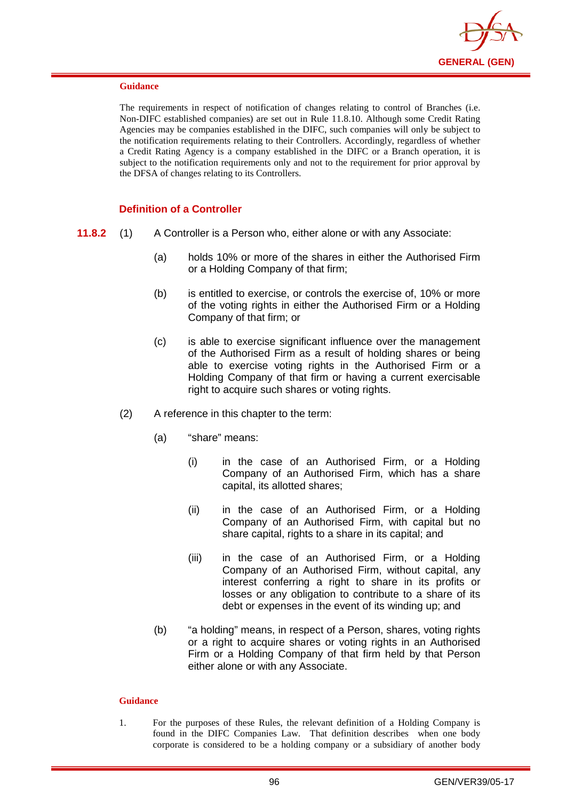

The requirements in respect of notification of changes relating to control of Branches (i.e. Non-DIFC established companies) are set out in Rule 11.8.10. Although some Credit Rating Agencies may be companies established in the DIFC, such companies will only be subject to the notification requirements relating to their Controllers. Accordingly, regardless of whether a Credit Rating Agency is a company established in the DIFC or a Branch operation, it is subject to the notification requirements only and not to the requirement for prior approval by the DFSA of changes relating to its Controllers.

### **Definition of a Controller**

- **11.8.2** (1) A Controller is a Person who, either alone or with any Associate:
	- (a) holds 10% or more of the shares in either the Authorised Firm or a Holding Company of that firm;
	- (b) is entitled to exercise, or controls the exercise of, 10% or more of the voting rights in either the Authorised Firm or a Holding Company of that firm; or
	- (c) is able to exercise significant influence over the management of the Authorised Firm as a result of holding shares or being able to exercise voting rights in the Authorised Firm or a Holding Company of that firm or having a current exercisable right to acquire such shares or voting rights.
	- (2) A reference in this chapter to the term:
		- (a) "share" means:
			- (i) in the case of an Authorised Firm, or a Holding Company of an Authorised Firm, which has a share capital, its allotted shares;
			- (ii) in the case of an Authorised Firm, or a Holding Company of an Authorised Firm, with capital but no share capital, rights to a share in its capital; and
			- (iii) in the case of an Authorised Firm, or a Holding Company of an Authorised Firm, without capital, any interest conferring a right to share in its profits or losses or any obligation to contribute to a share of its debt or expenses in the event of its winding up; and
		- (b) "a holding" means, in respect of a Person, shares, voting rights or a right to acquire shares or voting rights in an Authorised Firm or a Holding Company of that firm held by that Person either alone or with any Associate.

#### **Guidance**

1. For the purposes of these Rules, the relevant definition of a Holding Company is found in the DIFC Companies Law. That definition describes when one body corporate is considered to be a holding company or a subsidiary of another body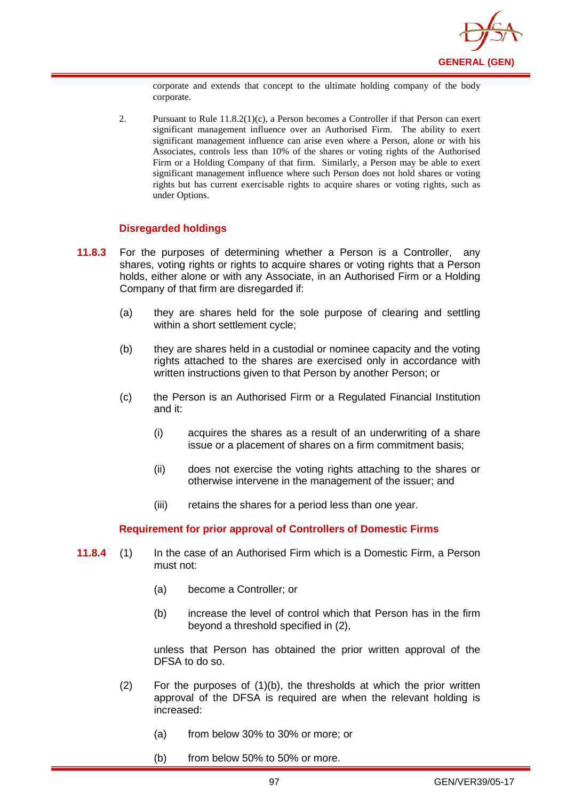

corporate and extends that concept to the ultimate holding company of the body corporate.

2. Pursuant to Rule 11.8.2(1)(c), a Person becomes a Controller if that Person can exert significant management influence over an Authorised Firm. The ability to exert significant management influence can arise even where a Person, alone or with his Associates, controls less than 10% of the shares or voting rights of the Authorised Firm or a Holding Company of that firm. Similarly, a Person may be able to exert significant management influence where such Person does not hold shares or voting rights but has current exercisable rights to acquire shares or voting rights, such as under Options.

### **Disregarded holdings**

- **11.8.3** For the purposes of determining whether a Person is a Controller, any shares, voting rights or rights to acquire shares or voting rights that a Person holds, either alone or with any Associate, in an Authorised Firm or a Holding Company of that firm are disregarded if:
	- (a) they are shares held for the sole purpose of clearing and settling within a short settlement cycle;
	- (b) they are shares held in a custodial or nominee capacity and the voting rights attached to the shares are exercised only in accordance with written instructions given to that Person by another Person; or
	- (c) the Person is an Authorised Firm or a Regulated Financial Institution and it:
		- (i) acquires the shares as a result of an underwriting of a share issue or a placement of shares on a firm commitment basis;
		- (ii) does not exercise the voting rights attaching to the shares or otherwise intervene in the management of the issuer; and
		- (iii) retains the shares for a period less than one year.

#### **Requirement for prior approval of Controllers of Domestic Firms**

- **11.8.4** (1) In the case of an Authorised Firm which is a Domestic Firm, a Person must not:
	- (a) become a Controller; or
	- (b) increase the level of control which that Person has in the firm beyond a threshold specified in (2),

unless that Person has obtained the prior written approval of the DFSA to do so.

- $(2)$  For the purposes of  $(1)(b)$ , the thresholds at which the prior written approval of the DFSA is required are when the relevant holding is increased:
	- (a) from below 30% to 30% or more; or
	- (b) from below 50% to 50% or more.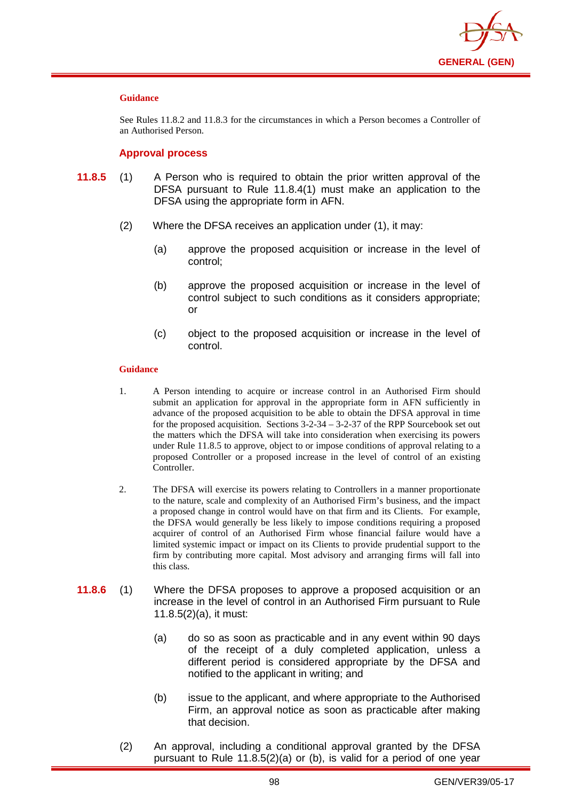

See Rules 11.8.2 and 11.8.3 for the circumstances in which a Person becomes a Controller of an Authorised Person.

#### **Approval process**

- **11.8.5** (1) A Person who is required to obtain the prior written approval of the DFSA pursuant to Rule 11.8.4(1) must make an application to the DFSA using the appropriate form in AFN.
	- (2) Where the DFSA receives an application under (1), it may:
		- (a) approve the proposed acquisition or increase in the level of control;
		- (b) approve the proposed acquisition or increase in the level of control subject to such conditions as it considers appropriate; or
		- (c) object to the proposed acquisition or increase in the level of control.

#### **Guidance**

- 1. A Person intending to acquire or increase control in an Authorised Firm should submit an application for approval in the appropriate form in AFN sufficiently in advance of the proposed acquisition to be able to obtain the DFSA approval in time for the proposed acquisition. Sections 3-2-34 – 3-2-37 of the RPP Sourcebook set out the matters which the DFSA will take into consideration when exercising its powers under Rule 11.8.5 to approve, object to or impose conditions of approval relating to a proposed Controller or a proposed increase in the level of control of an existing Controller.
- 2. The DFSA will exercise its powers relating to Controllers in a manner proportionate to the nature, scale and complexity of an Authorised Firm's business, and the impact a proposed change in control would have on that firm and its Clients. For example, the DFSA would generally be less likely to impose conditions requiring a proposed acquirer of control of an Authorised Firm whose financial failure would have a limited systemic impact or impact on its Clients to provide prudential support to the firm by contributing more capital. Most advisory and arranging firms will fall into this class.
- **11.8.6** (1) Where the DFSA proposes to approve a proposed acquisition or an increase in the level of control in an Authorised Firm pursuant to Rule 11.8.5(2)(a), it must:
	- (a) do so as soon as practicable and in any event within 90 days of the receipt of a duly completed application, unless a different period is considered appropriate by the DFSA and notified to the applicant in writing; and
	- (b) issue to the applicant, and where appropriate to the Authorised Firm, an approval notice as soon as practicable after making that decision.
	- (2) An approval, including a conditional approval granted by the DFSA pursuant to Rule 11.8.5(2)(a) or (b), is valid for a period of one year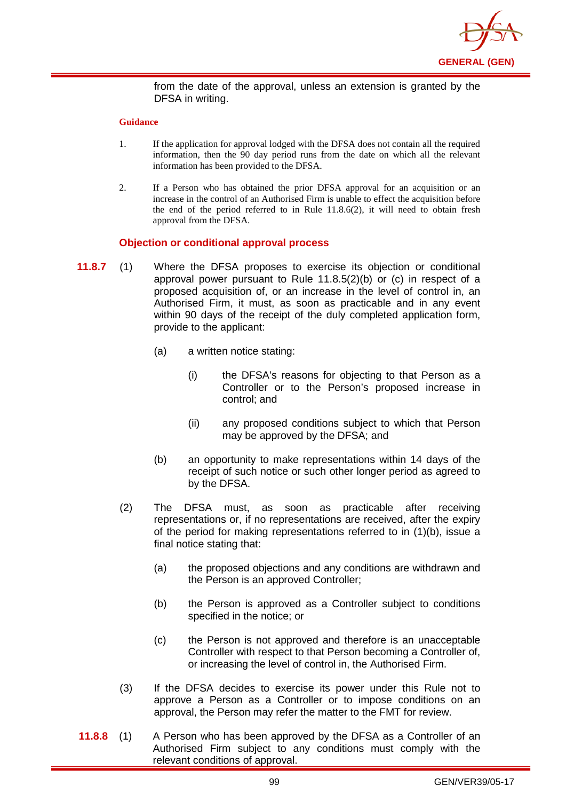

from the date of the approval, unless an extension is granted by the DFSA in writing.

#### **Guidance**

- 1. If the application for approval lodged with the DFSA does not contain all the required information, then the 90 day period runs from the date on which all the relevant information has been provided to the DFSA.
- 2. If a Person who has obtained the prior DFSA approval for an acquisition or an increase in the control of an Authorised Firm is unable to effect the acquisition before the end of the period referred to in Rule 11.8.6(2), it will need to obtain fresh approval from the DFSA.

### **Objection or conditional approval process**

- **11.8.7** (1) Where the DFSA proposes to exercise its objection or conditional approval power pursuant to Rule 11.8.5(2)(b) or (c) in respect of a proposed acquisition of, or an increase in the level of control in, an Authorised Firm, it must, as soon as practicable and in any event within 90 days of the receipt of the duly completed application form, provide to the applicant:
	- (a) a written notice stating:
		- (i) the DFSA's reasons for objecting to that Person as a Controller or to the Person's proposed increase in control; and
		- (ii) any proposed conditions subject to which that Person may be approved by the DFSA; and
	- (b) an opportunity to make representations within 14 days of the receipt of such notice or such other longer period as agreed to by the DFSA.
	- (2) The DFSA must, as soon as practicable after receiving representations or, if no representations are received, after the expiry of the period for making representations referred to in (1)(b), issue a final notice stating that:
		- (a) the proposed objections and any conditions are withdrawn and the Person is an approved Controller;
		- (b) the Person is approved as a Controller subject to conditions specified in the notice; or
		- (c) the Person is not approved and therefore is an unacceptable Controller with respect to that Person becoming a Controller of, or increasing the level of control in, the Authorised Firm.
	- (3) If the DFSA decides to exercise its power under this Rule not to approve a Person as a Controller or to impose conditions on an approval, the Person may refer the matter to the FMT for review.
- **11.8.8** (1) A Person who has been approved by the DFSA as a Controller of an Authorised Firm subject to any conditions must comply with the relevant conditions of approval.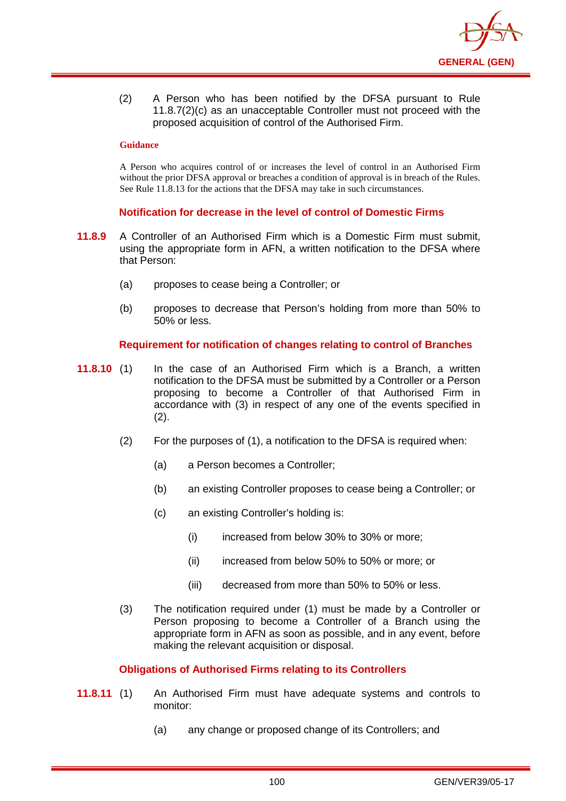

(2) A Person who has been notified by the DFSA pursuant to Rule 11.8.7(2)(c) as an unacceptable Controller must not proceed with the proposed acquisition of control of the Authorised Firm.

#### **Guidance**

A Person who acquires control of or increases the level of control in an Authorised Firm without the prior DFSA approval or breaches a condition of approval is in breach of the Rules. See Rule 11.8.13 for the actions that the DFSA may take in such circumstances.

### **Notification for decrease in the level of control of Domestic Firms**

- **11.8.9** A Controller of an Authorised Firm which is a Domestic Firm must submit, using the appropriate form in AFN, a written notification to the DFSA where that Person:
	- (a) proposes to cease being a Controller; or
	- (b) proposes to decrease that Person's holding from more than 50% to 50% or less.

### **Requirement for notification of changes relating to control of Branches**

- **11.8.10** (1) In the case of an Authorised Firm which is a Branch, a written notification to the DFSA must be submitted by a Controller or a Person proposing to become a Controller of that Authorised Firm in accordance with (3) in respect of any one of the events specified in  $(2).$ 
	- (2) For the purposes of (1), a notification to the DFSA is required when:
		- (a) a Person becomes a Controller;
		- (b) an existing Controller proposes to cease being a Controller; or
		- (c) an existing Controller's holding is:
			- (i) increased from below 30% to 30% or more;
			- (ii) increased from below 50% to 50% or more; or
			- (iii) decreased from more than 50% to 50% or less.
	- (3) The notification required under (1) must be made by a Controller or Person proposing to become a Controller of a Branch using the appropriate form in AFN as soon as possible, and in any event, before making the relevant acquisition or disposal.

## **Obligations of Authorised Firms relating to its Controllers**

- **11.8.11** (1) An Authorised Firm must have adequate systems and controls to monitor:
	- (a) any change or proposed change of its Controllers; and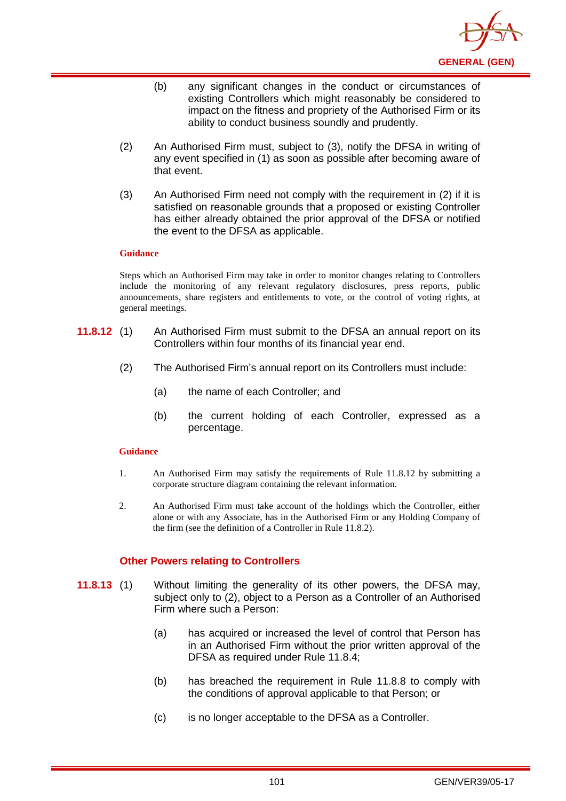

- (b) any significant changes in the conduct or circumstances of existing Controllers which might reasonably be considered to impact on the fitness and propriety of the Authorised Firm or its ability to conduct business soundly and prudently.
- (2) An Authorised Firm must, subject to (3), notify the DFSA in writing of any event specified in (1) as soon as possible after becoming aware of that event.
- (3) An Authorised Firm need not comply with the requirement in (2) if it is satisfied on reasonable grounds that a proposed or existing Controller has either already obtained the prior approval of the DFSA or notified the event to the DFSA as applicable.

Steps which an Authorised Firm may take in order to monitor changes relating to Controllers include the monitoring of any relevant regulatory disclosures, press reports, public announcements, share registers and entitlements to vote, or the control of voting rights, at general meetings.

- **11.8.12** (1) An Authorised Firm must submit to the DFSA an annual report on its Controllers within four months of its financial year end.
	- (2) The Authorised Firm's annual report on its Controllers must include:
		- (a) the name of each Controller; and
		- (b) the current holding of each Controller, expressed as a percentage.

#### **Guidance**

- 1. An Authorised Firm may satisfy the requirements of Rule 11.8.12 by submitting a corporate structure diagram containing the relevant information.
- 2. An Authorised Firm must take account of the holdings which the Controller, either alone or with any Associate, has in the Authorised Firm or any Holding Company of the firm (see the definition of a Controller in Rule 11.8.2).

## **Other Powers relating to Controllers**

- **11.8.13** (1) Without limiting the generality of its other powers, the DFSA may, subject only to (2), object to a Person as a Controller of an Authorised Firm where such a Person:
	- (a) has acquired or increased the level of control that Person has in an Authorised Firm without the prior written approval of the DFSA as required under Rule 11.8.4;
	- (b) has breached the requirement in Rule 11.8.8 to comply with the conditions of approval applicable to that Person; or
	- (c) is no longer acceptable to the DFSA as a Controller.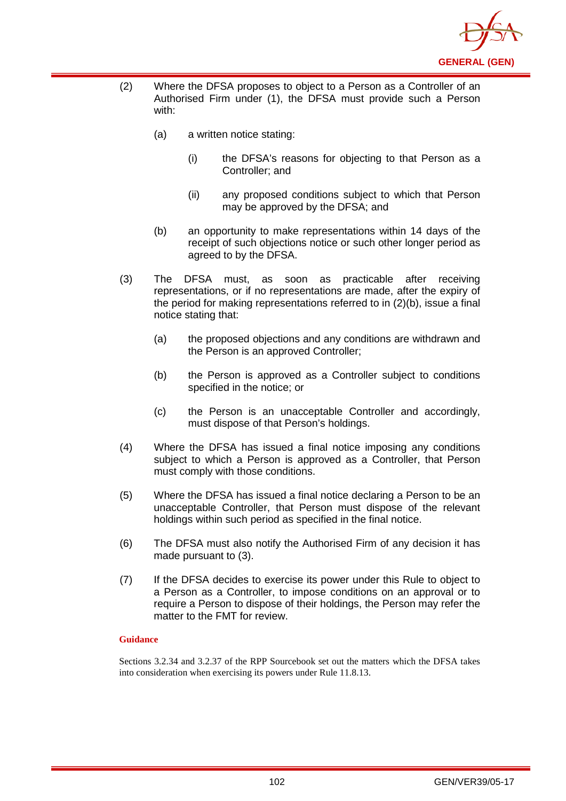

- (2) Where the DFSA proposes to object to a Person as a Controller of an Authorised Firm under (1), the DFSA must provide such a Person with:
	- (a) a written notice stating:
		- (i) the DFSA's reasons for objecting to that Person as a Controller; and
		- (ii) any proposed conditions subject to which that Person may be approved by the DFSA; and
	- (b) an opportunity to make representations within 14 days of the receipt of such objections notice or such other longer period as agreed to by the DFSA.
- (3) The DFSA must, as soon as practicable after receiving representations, or if no representations are made, after the expiry of the period for making representations referred to in (2)(b), issue a final notice stating that:
	- (a) the proposed objections and any conditions are withdrawn and the Person is an approved Controller;
	- (b) the Person is approved as a Controller subject to conditions specified in the notice; or
	- (c) the Person is an unacceptable Controller and accordingly, must dispose of that Person's holdings.
- (4) Where the DFSA has issued a final notice imposing any conditions subject to which a Person is approved as a Controller, that Person must comply with those conditions.
- (5) Where the DFSA has issued a final notice declaring a Person to be an unacceptable Controller, that Person must dispose of the relevant holdings within such period as specified in the final notice.
- (6) The DFSA must also notify the Authorised Firm of any decision it has made pursuant to (3).
- (7) If the DFSA decides to exercise its power under this Rule to object to a Person as a Controller, to impose conditions on an approval or to require a Person to dispose of their holdings, the Person may refer the matter to the FMT for review.

Sections 3.2.34 and 3.2.37 of the RPP Sourcebook set out the matters which the DFSA takes into consideration when exercising its powers under Rule 11.8.13.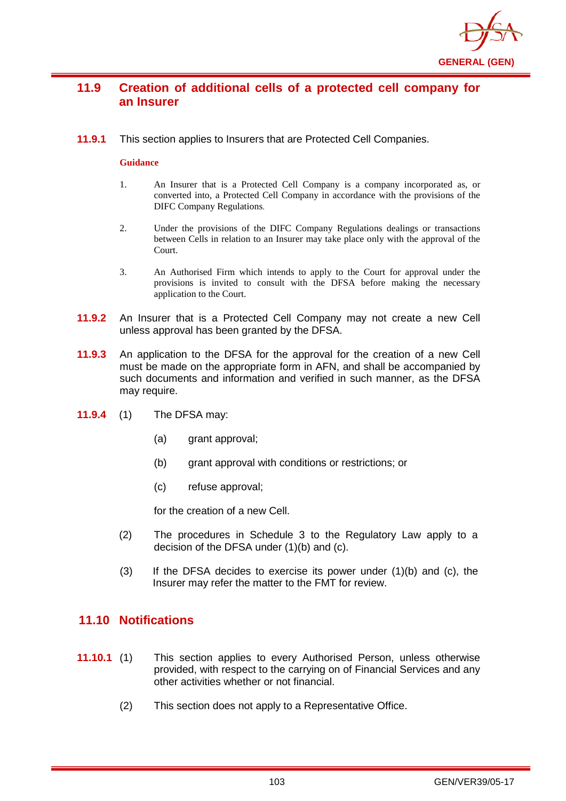

# **11.9 Creation of additional cells of a protected cell company for an Insurer**

**11.9.1** This section applies to Insurers that are Protected Cell Companies.

#### **Guidance**

- 1. An Insurer that is a Protected Cell Company is a company incorporated as, or converted into, a Protected Cell Company in accordance with the provisions of the DIFC Company Regulations.
- 2. Under the provisions of the DIFC Company Regulations dealings or transactions between Cells in relation to an Insurer may take place only with the approval of the Court.
- 3. An Authorised Firm which intends to apply to the Court for approval under the provisions is invited to consult with the DFSA before making the necessary application to the Court.
- **11.9.2** An Insurer that is a Protected Cell Company may not create a new Cell unless approval has been granted by the DFSA.
- **11.9.3** An application to the DFSA for the approval for the creation of a new Cell must be made on the appropriate form in AFN, and shall be accompanied by such documents and information and verified in such manner, as the DFSA may require.
- **11.9.4** (1) The DFSA may:
	- (a) grant approval;
	- (b) grant approval with conditions or restrictions; or
	- (c) refuse approval;

for the creation of a new Cell.

- (2) The procedures in Schedule 3 to the Regulatory Law apply to a decision of the DFSA under (1)(b) and (c).
- $(3)$  If the DFSA decides to exercise its power under  $(1)(b)$  and  $(c)$ , the Insurer may refer the matter to the FMT for review.

## **11.10 Notifications**

- **11.10.1** (1) This section applies to every Authorised Person, unless otherwise provided, with respect to the carrying on of Financial Services and any other activities whether or not financial.
	- (2) This section does not apply to a Representative Office.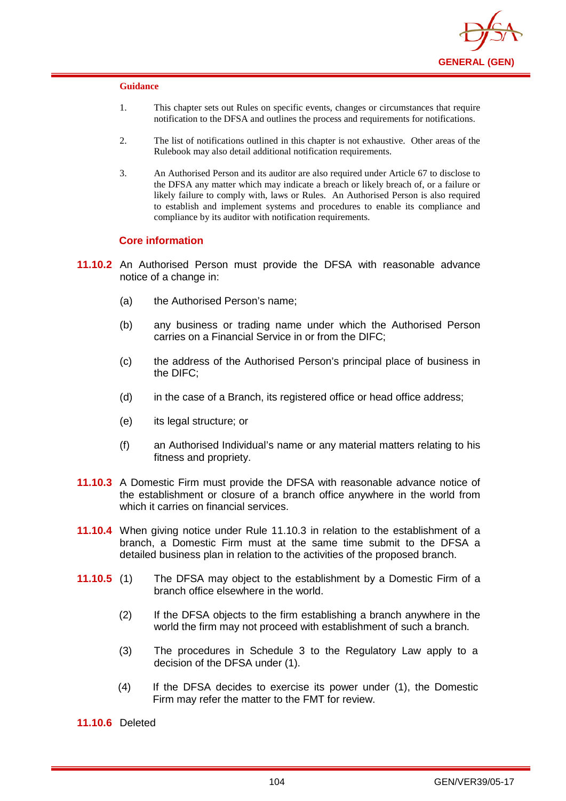

- 1. This chapter sets out Rules on specific events, changes or circumstances that require notification to the DFSA and outlines the process and requirements for notifications.
- 2. The list of notifications outlined in this chapter is not exhaustive. Other areas of the Rulebook may also detail additional notification requirements.
- 3. An Authorised Person and its auditor are also required under Article 67 to disclose to the DFSA any matter which may indicate a breach or likely breach of, or a failure or likely failure to comply with, laws or Rules. An Authorised Person is also required to establish and implement systems and procedures to enable its compliance and compliance by its auditor with notification requirements.

#### **Core information**

- **11.10.2** An Authorised Person must provide the DFSA with reasonable advance notice of a change in:
	- (a) the Authorised Person's name;
	- (b) any business or trading name under which the Authorised Person carries on a Financial Service in or from the DIFC;
	- (c) the address of the Authorised Person's principal place of business in the DIFC;
	- (d) in the case of a Branch, its registered office or head office address;
	- (e) its legal structure; or
	- (f) an Authorised Individual's name or any material matters relating to his fitness and propriety.
- **11.10.3** A Domestic Firm must provide the DFSA with reasonable advance notice of the establishment or closure of a branch office anywhere in the world from which it carries on financial services.
- **11.10.4** When giving notice under Rule 11.10.3 in relation to the establishment of a branch, a Domestic Firm must at the same time submit to the DFSA a detailed business plan in relation to the activities of the proposed branch.
- **11.10.5** (1) The DFSA may object to the establishment by a Domestic Firm of a branch office elsewhere in the world.
	- (2) If the DFSA objects to the firm establishing a branch anywhere in the world the firm may not proceed with establishment of such a branch.
	- (3) The procedures in Schedule 3 to the Regulatory Law apply to a decision of the DFSA under (1).
	- (4) If the DFSA decides to exercise its power under (1), the Domestic Firm may refer the matter to the FMT for review.

**11.10.6** Deleted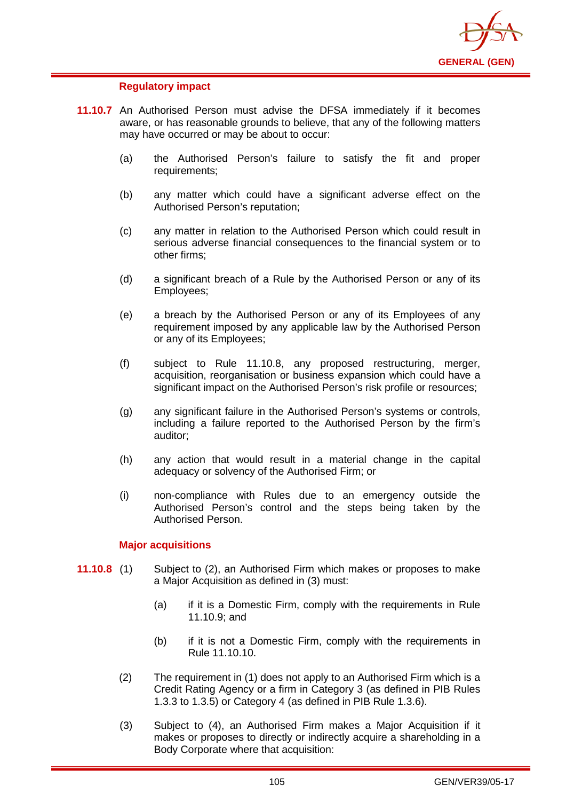

## **Regulatory impact**

- **11.10.7** An Authorised Person must advise the DFSA immediately if it becomes aware, or has reasonable grounds to believe, that any of the following matters may have occurred or may be about to occur:
	- (a) the Authorised Person's failure to satisfy the fit and proper requirements;
	- (b) any matter which could have a significant adverse effect on the Authorised Person's reputation;
	- (c) any matter in relation to the Authorised Person which could result in serious adverse financial consequences to the financial system or to other firms;
	- (d) a significant breach of a Rule by the Authorised Person or any of its Employees;
	- (e) a breach by the Authorised Person or any of its Employees of any requirement imposed by any applicable law by the Authorised Person or any of its Employees;
	- (f) subject to Rule 11.10.8, any proposed restructuring, merger, acquisition, reorganisation or business expansion which could have a significant impact on the Authorised Person's risk profile or resources;
	- (g) any significant failure in the Authorised Person's systems or controls, including a failure reported to the Authorised Person by the firm's auditor;
	- (h) any action that would result in a material change in the capital adequacy or solvency of the Authorised Firm; or
	- (i) non-compliance with Rules due to an emergency outside the Authorised Person's control and the steps being taken by the Authorised Person.

### **Major acquisitions**

- **11.10.8** (1) Subject to (2), an Authorised Firm which makes or proposes to make a Major Acquisition as defined in (3) must:
	- (a) if it is a Domestic Firm, comply with the requirements in Rule 11.10.9; and
	- (b) if it is not a Domestic Firm, comply with the requirements in Rule 11.10.10.
	- (2) The requirement in (1) does not apply to an Authorised Firm which is a Credit Rating Agency or a firm in Category 3 (as defined in PIB Rules 1.3.3 to 1.3.5) or Category 4 (as defined in PIB Rule 1.3.6).
	- (3) Subject to (4), an Authorised Firm makes a Major Acquisition if it makes or proposes to directly or indirectly acquire a shareholding in a Body Corporate where that acquisition: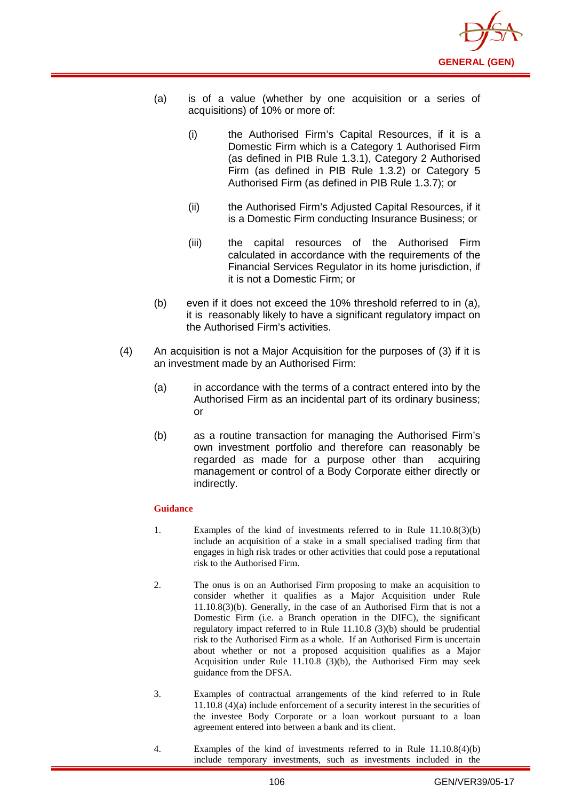

- (a) is of a value (whether by one acquisition or a series of acquisitions) of 10% or more of:
	- (i) the Authorised Firm's Capital Resources, if it is a Domestic Firm which is a Category 1 Authorised Firm (as defined in PIB Rule 1.3.1), Category 2 Authorised Firm (as defined in PIB Rule 1.3.2) or Category 5 Authorised Firm (as defined in PIB Rule 1.3.7); or
	- (ii) the Authorised Firm's Adjusted Capital Resources, if it is a Domestic Firm conducting Insurance Business; or
	- (iii) the capital resources of the Authorised Firm calculated in accordance with the requirements of the Financial Services Regulator in its home jurisdiction, if it is not a Domestic Firm; or
- (b) even if it does not exceed the 10% threshold referred to in (a), it is reasonably likely to have a significant regulatory impact on the Authorised Firm's activities.
- (4) An acquisition is not a Major Acquisition for the purposes of (3) if it is an investment made by an Authorised Firm:
	- (a) in accordance with the terms of a contract entered into by the Authorised Firm as an incidental part of its ordinary business; or
	- (b) as a routine transaction for managing the Authorised Firm's own investment portfolio and therefore can reasonably be regarded as made for a purpose other than acquiring management or control of a Body Corporate either directly or indirectly.

- 1. Examples of the kind of investments referred to in Rule 11.10.8(3)(b) include an acquisition of a stake in a small specialised trading firm that engages in high risk trades or other activities that could pose a reputational risk to the Authorised Firm.
- 2. The onus is on an Authorised Firm proposing to make an acquisition to consider whether it qualifies as a Major Acquisition under Rule 11.10.8(3)(b). Generally, in the case of an Authorised Firm that is not a Domestic Firm (i.e. a Branch operation in the DIFC), the significant regulatory impact referred to in Rule 11.10.8 (3)(b) should be prudential risk to the Authorised Firm as a whole. If an Authorised Firm is uncertain about whether or not a proposed acquisition qualifies as a Major Acquisition under Rule 11.10.8 (3)(b), the Authorised Firm may seek guidance from the DFSA.
- 3. Examples of contractual arrangements of the kind referred to in Rule 11.10.8 (4)(a) include enforcement of a security interest in the securities of the investee Body Corporate or a loan workout pursuant to a loan agreement entered into between a bank and its client.
- 4. Examples of the kind of investments referred to in Rule 11.10.8(4)(b) include temporary investments, such as investments included in the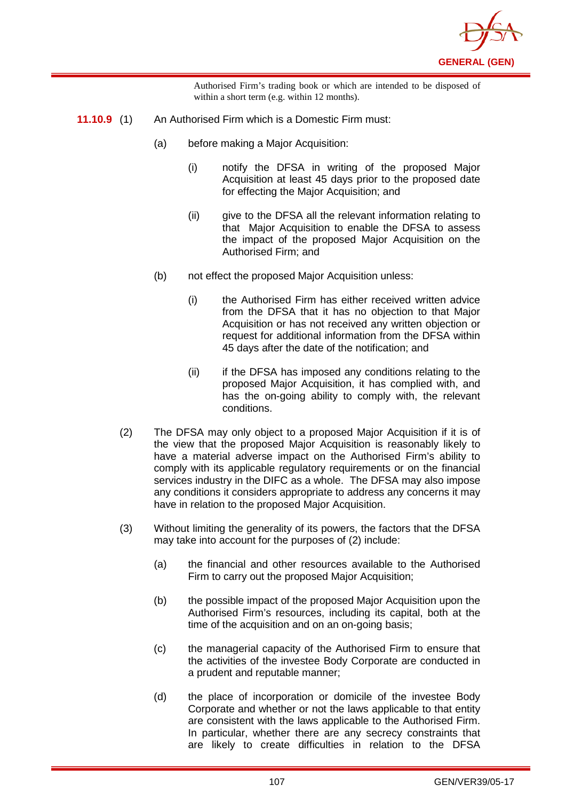

Authorised Firm's trading book or which are intended to be disposed of within a short term (e.g. within 12 months).

- **11.10.9** (1) An Authorised Firm which is a Domestic Firm must:
	- (a) before making a Major Acquisition:
		- (i) notify the DFSA in writing of the proposed Major Acquisition at least 45 days prior to the proposed date for effecting the Major Acquisition; and
		- (ii) give to the DFSA all the relevant information relating to that Major Acquisition to enable the DFSA to assess the impact of the proposed Major Acquisition on the Authorised Firm; and
	- (b) not effect the proposed Major Acquisition unless:
		- (i) the Authorised Firm has either received written advice from the DFSA that it has no objection to that Major Acquisition or has not received any written objection or request for additional information from the DFSA within 45 days after the date of the notification; and
		- (ii) if the DFSA has imposed any conditions relating to the proposed Major Acquisition, it has complied with, and has the on-going ability to comply with, the relevant conditions.
	- (2) The DFSA may only object to a proposed Major Acquisition if it is of the view that the proposed Major Acquisition is reasonably likely to have a material adverse impact on the Authorised Firm's ability to comply with its applicable regulatory requirements or on the financial services industry in the DIFC as a whole. The DFSA may also impose any conditions it considers appropriate to address any concerns it may have in relation to the proposed Major Acquisition.
	- (3) Without limiting the generality of its powers, the factors that the DFSA may take into account for the purposes of (2) include:
		- (a) the financial and other resources available to the Authorised Firm to carry out the proposed Major Acquisition;
		- (b) the possible impact of the proposed Major Acquisition upon the Authorised Firm's resources, including its capital, both at the time of the acquisition and on an on-going basis;
		- (c) the managerial capacity of the Authorised Firm to ensure that the activities of the investee Body Corporate are conducted in a prudent and reputable manner;
		- (d) the place of incorporation or domicile of the investee Body Corporate and whether or not the laws applicable to that entity are consistent with the laws applicable to the Authorised Firm. In particular, whether there are any secrecy constraints that are likely to create difficulties in relation to the DFSA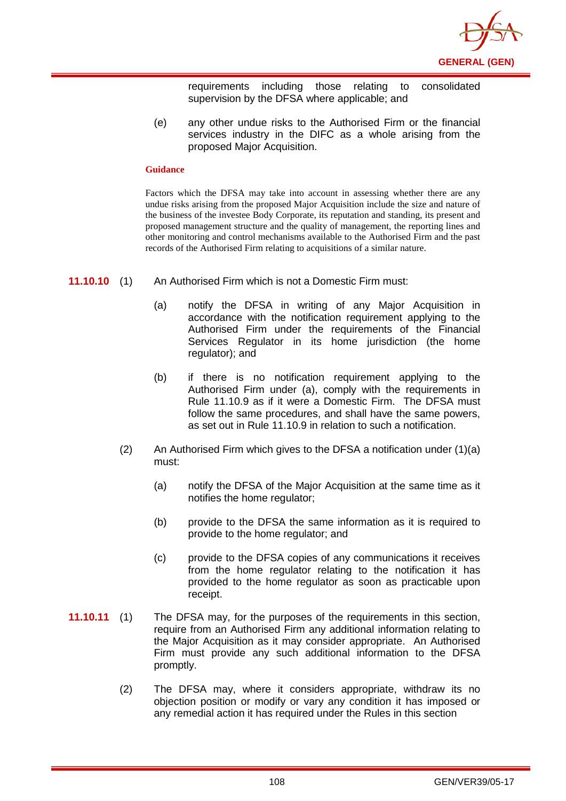

requirements including those relating to consolidated supervision by the DFSA where applicable; and

(e) any other undue risks to the Authorised Firm or the financial services industry in the DIFC as a whole arising from the proposed Major Acquisition.

#### **Guidance**

Factors which the DFSA may take into account in assessing whether there are any undue risks arising from the proposed Major Acquisition include the size and nature of the business of the investee Body Corporate, its reputation and standing, its present and proposed management structure and the quality of management, the reporting lines and other monitoring and control mechanisms available to the Authorised Firm and the past records of the Authorised Firm relating to acquisitions of a similar nature.

- **11.10.10** (1) An Authorised Firm which is not a Domestic Firm must:
	- (a) notify the DFSA in writing of any Major Acquisition in accordance with the notification requirement applying to the Authorised Firm under the requirements of the Financial Services Regulator in its home jurisdiction (the home regulator); and
	- (b) if there is no notification requirement applying to the Authorised Firm under (a), comply with the requirements in Rule 11.10.9 as if it were a Domestic Firm. The DFSA must follow the same procedures, and shall have the same powers. as set out in Rule 11.10.9 in relation to such a notification.
	- (2) An Authorised Firm which gives to the DFSA a notification under  $(1)(a)$ must:
		- (a) notify the DFSA of the Major Acquisition at the same time as it notifies the home regulator;
		- (b) provide to the DFSA the same information as it is required to provide to the home regulator; and
		- (c) provide to the DFSA copies of any communications it receives from the home regulator relating to the notification it has provided to the home regulator as soon as practicable upon receipt.
- **11.10.11** (1) The DFSA may, for the purposes of the requirements in this section, require from an Authorised Firm any additional information relating to the Major Acquisition as it may consider appropriate. An Authorised Firm must provide any such additional information to the DFSA promptly.
	- (2) The DFSA may, where it considers appropriate, withdraw its no objection position or modify or vary any condition it has imposed or any remedial action it has required under the Rules in this section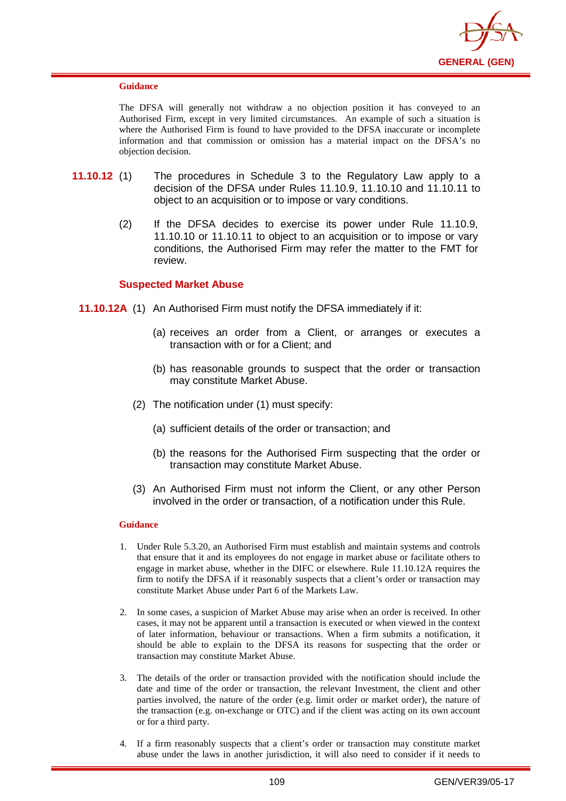

#### **Guidance**

The DFSA will generally not withdraw a no objection position it has conveyed to an Authorised Firm, except in very limited circumstances. An example of such a situation is where the Authorised Firm is found to have provided to the DFSA inaccurate or incomplete information and that commission or omission has a material impact on the DFSA's no objection decision.

- **11.10.12** (1) The procedures in Schedule 3 to the Regulatory Law apply to a decision of the DFSA under Rules 11.10.9, 11.10.10 and 11.10.11 to object to an acquisition or to impose or vary conditions.
	- (2) If the DFSA decides to exercise its power under Rule 11.10.9, 11.10.10 or 11.10.11 to object to an acquisition or to impose or vary conditions, the Authorised Firm may refer the matter to the FMT for review.

### **Suspected Market Abuse**

- **11.10.12A** (1) An Authorised Firm must notify the DFSA immediately if it:
	- (a) receives an order from a Client, or arranges or executes a transaction with or for a Client; and
	- (b) has reasonable grounds to suspect that the order or transaction may constitute Market Abuse.
	- (2) The notification under (1) must specify:
		- (a) sufficient details of the order or transaction; and
		- (b) the reasons for the Authorised Firm suspecting that the order or transaction may constitute Market Abuse.
	- (3) An Authorised Firm must not inform the Client, or any other Person involved in the order or transaction, of a notification under this Rule.

- 1. Under Rule 5.3.20, an Authorised Firm must establish and maintain systems and controls that ensure that it and its employees do not engage in market abuse or facilitate others to engage in market abuse, whether in the DIFC or elsewhere. Rule 11.10.12A requires the firm to notify the DFSA if it reasonably suspects that a client's order or transaction may constitute Market Abuse under Part 6 of the Markets Law.
- 2. In some cases, a suspicion of Market Abuse may arise when an order is received. In other cases, it may not be apparent until a transaction is executed or when viewed in the context of later information, behaviour or transactions. When a firm submits a notification, it should be able to explain to the DFSA its reasons for suspecting that the order or transaction may constitute Market Abuse.
- 3. The details of the order or transaction provided with the notification should include the date and time of the order or transaction, the relevant Investment, the client and other parties involved, the nature of the order (e.g. limit order or market order), the nature of the transaction (e.g. on-exchange or OTC) and if the client was acting on its own account or for a third party.
- 4. If a firm reasonably suspects that a client's order or transaction may constitute market abuse under the laws in another jurisdiction, it will also need to consider if it needs to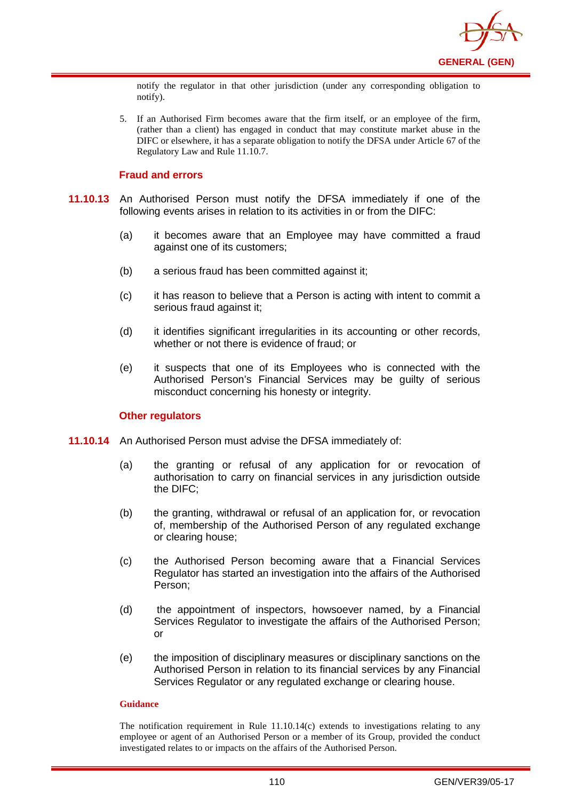

notify the regulator in that other jurisdiction (under any corresponding obligation to notify).

5. If an Authorised Firm becomes aware that the firm itself, or an employee of the firm, (rather than a client) has engaged in conduct that may constitute market abuse in the DIFC or elsewhere, it has a separate obligation to notify the DFSA under Article 67 of the Regulatory Law and Rule 11.10.7.

## **Fraud and errors**

- **11.10.13** An Authorised Person must notify the DFSA immediately if one of the following events arises in relation to its activities in or from the DIFC:
	- (a) it becomes aware that an Employee may have committed a fraud against one of its customers;
	- (b) a serious fraud has been committed against it;
	- (c) it has reason to believe that a Person is acting with intent to commit a serious fraud against it;
	- (d) it identifies significant irregularities in its accounting or other records, whether or not there is evidence of fraud; or
	- (e) it suspects that one of its Employees who is connected with the Authorised Person's Financial Services may be guilty of serious misconduct concerning his honesty or integrity.

### **Other regulators**

- **11.10.14** An Authorised Person must advise the DFSA immediately of:
	- (a) the granting or refusal of any application for or revocation of authorisation to carry on financial services in any jurisdiction outside the DIFC;
	- (b) the granting, withdrawal or refusal of an application for, or revocation of, membership of the Authorised Person of any regulated exchange or clearing house;
	- (c) the Authorised Person becoming aware that a Financial Services Regulator has started an investigation into the affairs of the Authorised Person;
	- (d) the appointment of inspectors, howsoever named, by a Financial Services Regulator to investigate the affairs of the Authorised Person: or
	- (e) the imposition of disciplinary measures or disciplinary sanctions on the Authorised Person in relation to its financial services by any Financial Services Regulator or any regulated exchange or clearing house.

#### **Guidance**

The notification requirement in Rule 11.10.14(c) extends to investigations relating to any employee or agent of an Authorised Person or a member of its Group, provided the conduct investigated relates to or impacts on the affairs of the Authorised Person.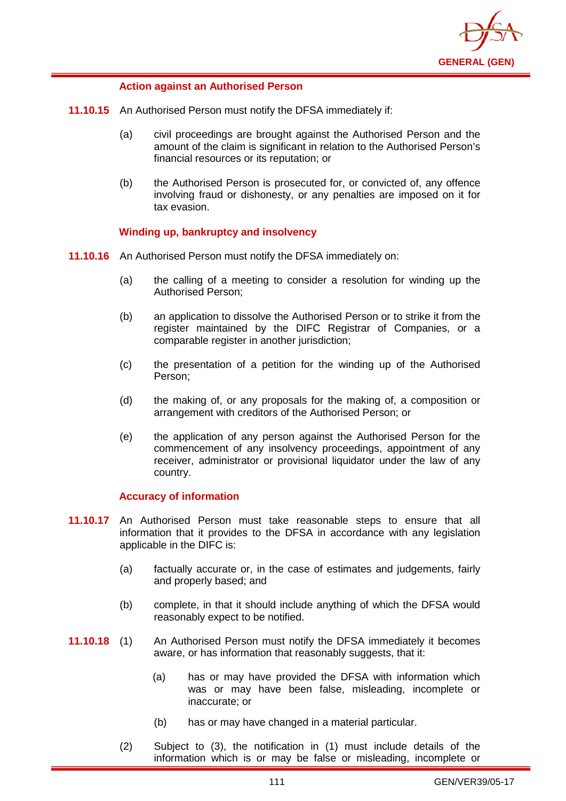

## **Action against an Authorised Person**

- **11.10.15** An Authorised Person must notify the DFSA immediately if:
	- (a) civil proceedings are brought against the Authorised Person and the amount of the claim is significant in relation to the Authorised Person's financial resources or its reputation; or
	- (b) the Authorised Person is prosecuted for, or convicted of, any offence involving fraud or dishonesty, or any penalties are imposed on it for tax evasion.

# **Winding up, bankruptcy and insolvency**

- **11.10.16** An Authorised Person must notify the DFSA immediately on:
	- (a) the calling of a meeting to consider a resolution for winding up the Authorised Person;
	- (b) an application to dissolve the Authorised Person or to strike it from the register maintained by the DIFC Registrar of Companies, or a comparable register in another jurisdiction;
	- (c) the presentation of a petition for the winding up of the Authorised Person;
	- (d) the making of, or any proposals for the making of, a composition or arrangement with creditors of the Authorised Person; or
	- (e) the application of any person against the Authorised Person for the commencement of any insolvency proceedings, appointment of any receiver, administrator or provisional liquidator under the law of any country.

### **Accuracy of information**

- **11.10.17** An Authorised Person must take reasonable steps to ensure that all information that it provides to the DFSA in accordance with any legislation applicable in the DIFC is:
	- (a) factually accurate or, in the case of estimates and judgements, fairly and properly based; and
	- (b) complete, in that it should include anything of which the DFSA would reasonably expect to be notified.
- **11.10.18** (1) An Authorised Person must notify the DFSA immediately it becomes aware, or has information that reasonably suggests, that it:
	- (a) has or may have provided the DFSA with information which was or may have been false, misleading, incomplete or inaccurate; or
	- (b) has or may have changed in a material particular.
	- (2) Subject to (3), the notification in (1) must include details of the information which is or may be false or misleading, incomplete or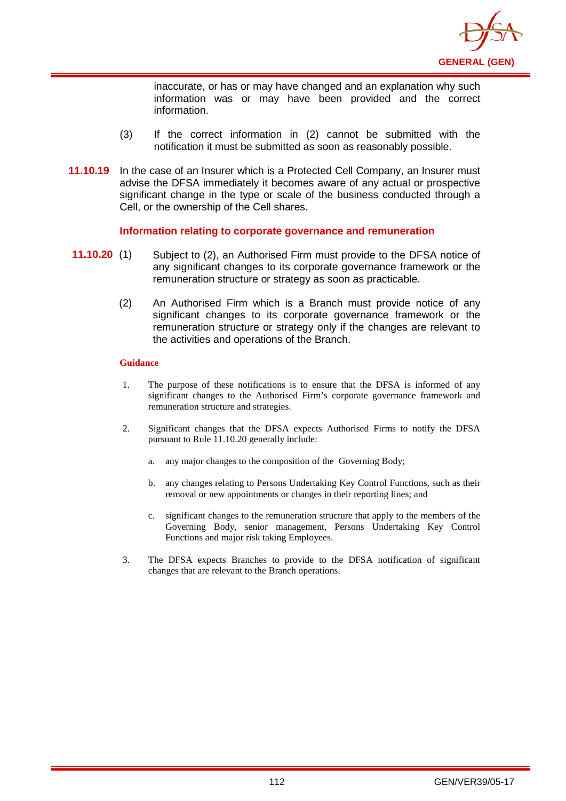

inaccurate, or has or may have changed and an explanation why such information was or may have been provided and the correct information.

- (3) If the correct information in (2) cannot be submitted with the notification it must be submitted as soon as reasonably possible.
- **11.10.19** In the case of an Insurer which is a Protected Cell Company, an Insurer must advise the DFSA immediately it becomes aware of any actual or prospective significant change in the type or scale of the business conducted through a Cell, or the ownership of the Cell shares.

### **Information relating to corporate governance and remuneration**

- **11.10.20** (1) Subject to (2), an Authorised Firm must provide to the DFSA notice of any significant changes to its corporate governance framework or the remuneration structure or strategy as soon as practicable.
	- (2) An Authorised Firm which is a Branch must provide notice of any significant changes to its corporate governance framework or the remuneration structure or strategy only if the changes are relevant to the activities and operations of the Branch.

- 1. The purpose of these notifications is to ensure that the DFSA is informed of any significant changes to the Authorised Firm's corporate governance framework and remuneration structure and strategies.
- 2. Significant changes that the DFSA expects Authorised Firms to notify the DFSA pursuant to Rule 11.10.20 generally include:
	- a. any major changes to the composition of the Governing Body;
	- b. any changes relating to Persons Undertaking Key Control Functions, such as their removal or new appointments or changes in their reporting lines; and
	- c. significant changes to the remuneration structure that apply to the members of the Governing Body, senior management, Persons Undertaking Key Control Functions and major risk taking Employees.
- 3. The DFSA expects Branches to provide to the DFSA notification of significant changes that are relevant to the Branch operations.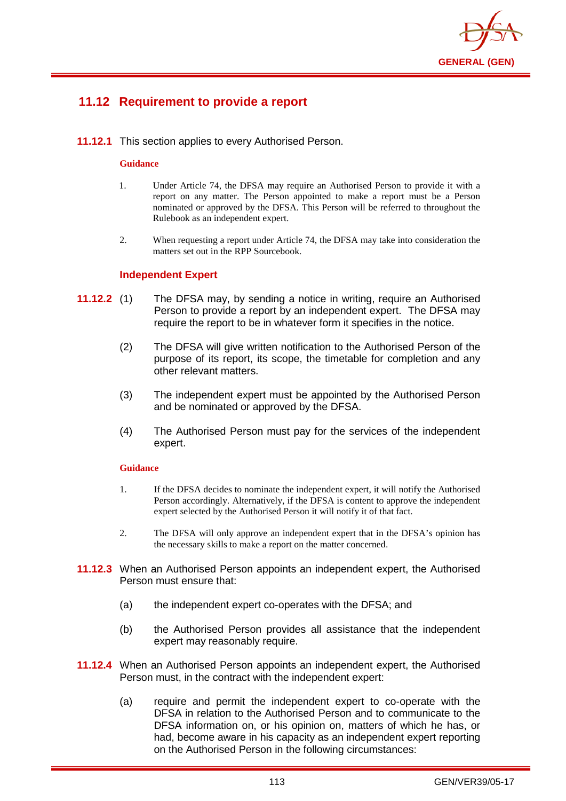

# **11.12 Requirement to provide a report**

**11.12.1** This section applies to every Authorised Person.

#### **Guidance**

- 1. Under Article 74, the DFSA may require an Authorised Person to provide it with a report on any matter. The Person appointed to make a report must be a Person nominated or approved by the DFSA. This Person will be referred to throughout the Rulebook as an independent expert.
- 2. When requesting a report under Article 74, the DFSA may take into consideration the matters set out in the RPP Sourcebook.

### **Independent Expert**

- **11.12.2** (1) The DFSA may, by sending a notice in writing, require an Authorised Person to provide a report by an independent expert. The DFSA may require the report to be in whatever form it specifies in the notice.
	- (2) The DFSA will give written notification to the Authorised Person of the purpose of its report, its scope, the timetable for completion and any other relevant matters.
	- (3) The independent expert must be appointed by the Authorised Person and be nominated or approved by the DFSA.
	- (4) The Authorised Person must pay for the services of the independent expert.

- 1. If the DFSA decides to nominate the independent expert, it will notify the Authorised Person accordingly. Alternatively, if the DFSA is content to approve the independent expert selected by the Authorised Person it will notify it of that fact.
- 2. The DFSA will only approve an independent expert that in the DFSA's opinion has the necessary skills to make a report on the matter concerned.
- **11.12.3** When an Authorised Person appoints an independent expert, the Authorised Person must ensure that:
	- (a) the independent expert co-operates with the DFSA; and
	- (b) the Authorised Person provides all assistance that the independent expert may reasonably require.
- **11.12.4** When an Authorised Person appoints an independent expert, the Authorised Person must, in the contract with the independent expert:
	- (a) require and permit the independent expert to co-operate with the DFSA in relation to the Authorised Person and to communicate to the DFSA information on, or his opinion on, matters of which he has, or had, become aware in his capacity as an independent expert reporting on the Authorised Person in the following circumstances: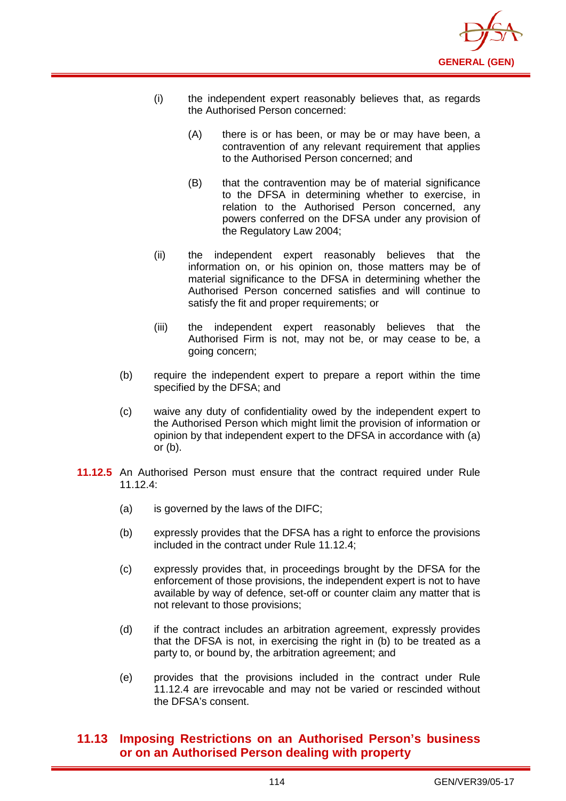

- (i) the independent expert reasonably believes that, as regards the Authorised Person concerned:
	- (A) there is or has been, or may be or may have been, a contravention of any relevant requirement that applies to the Authorised Person concerned; and
	- (B) that the contravention may be of material significance to the DFSA in determining whether to exercise, in relation to the Authorised Person concerned, any powers conferred on the DFSA under any provision of the Regulatory Law 2004;
- (ii) the independent expert reasonably believes that the information on, or his opinion on, those matters may be of material significance to the DFSA in determining whether the Authorised Person concerned satisfies and will continue to satisfy the fit and proper requirements; or
- (iii) the independent expert reasonably believes that the Authorised Firm is not, may not be, or may cease to be, a going concern;
- (b) require the independent expert to prepare a report within the time specified by the DFSA; and
- (c) waive any duty of confidentiality owed by the independent expert to the Authorised Person which might limit the provision of information or opinion by that independent expert to the DFSA in accordance with (a) or  $(b)$ .
- **11.12.5** An Authorised Person must ensure that the contract required under Rule 11.12.4:
	- (a) is governed by the laws of the DIFC;
	- (b) expressly provides that the DFSA has a right to enforce the provisions included in the contract under Rule 11.12.4;
	- (c) expressly provides that, in proceedings brought by the DFSA for the enforcement of those provisions, the independent expert is not to have available by way of defence, set-off or counter claim any matter that is not relevant to those provisions;
	- (d) if the contract includes an arbitration agreement, expressly provides that the DFSA is not, in exercising the right in (b) to be treated as a party to, or bound by, the arbitration agreement; and
	- (e) provides that the provisions included in the contract under Rule 11.12.4 are irrevocable and may not be varied or rescinded without the DFSA's consent.

# **11.13 Imposing Restrictions on an Authorised Person's business or on an Authorised Person dealing with property**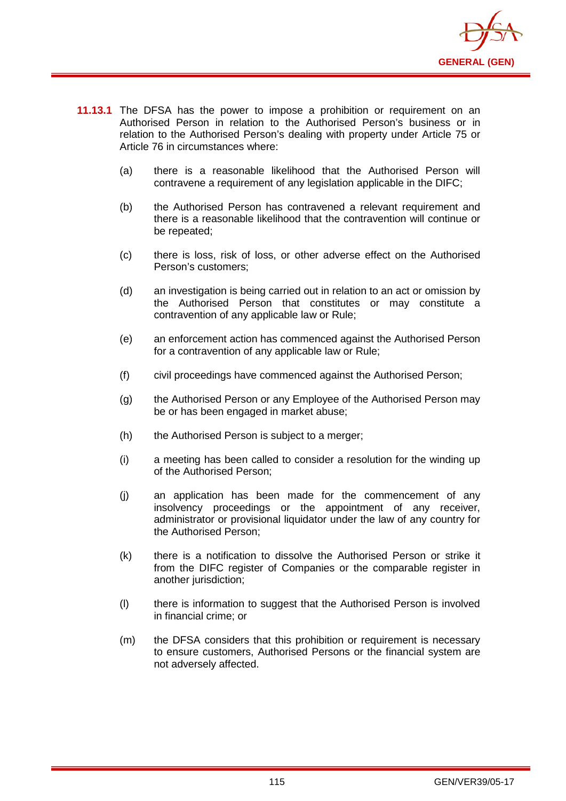

- **11.13.1** The DFSA has the power to impose a prohibition or requirement on an Authorised Person in relation to the Authorised Person's business or in relation to the Authorised Person's dealing with property under Article 75 or Article 76 in circumstances where:
	- (a) there is a reasonable likelihood that the Authorised Person will contravene a requirement of any legislation applicable in the DIFC;
	- (b) the Authorised Person has contravened a relevant requirement and there is a reasonable likelihood that the contravention will continue or be repeated;
	- (c) there is loss, risk of loss, or other adverse effect on the Authorised Person's customers;
	- (d) an investigation is being carried out in relation to an act or omission by the Authorised Person that constitutes or may constitute a contravention of any applicable law or Rule;
	- (e) an enforcement action has commenced against the Authorised Person for a contravention of any applicable law or Rule;
	- (f) civil proceedings have commenced against the Authorised Person;
	- (g) the Authorised Person or any Employee of the Authorised Person may be or has been engaged in market abuse;
	- (h) the Authorised Person is subject to a merger;
	- (i) a meeting has been called to consider a resolution for the winding up of the Authorised Person;
	- (j) an application has been made for the commencement of any insolvency proceedings or the appointment of any receiver, administrator or provisional liquidator under the law of any country for the Authorised Person;
	- (k) there is a notification to dissolve the Authorised Person or strike it from the DIFC register of Companies or the comparable register in another jurisdiction;
	- (l) there is information to suggest that the Authorised Person is involved in financial crime; or
	- (m) the DFSA considers that this prohibition or requirement is necessary to ensure customers, Authorised Persons or the financial system are not adversely affected.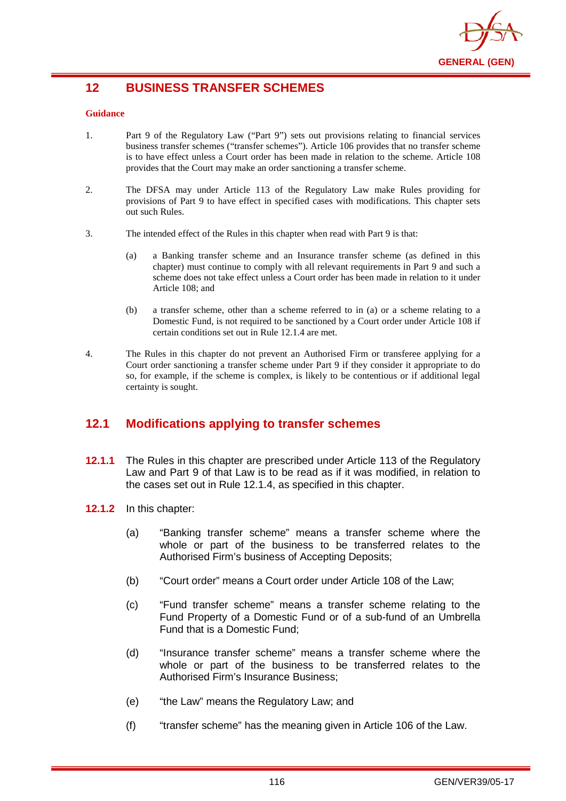

# **12 BUSINESS TRANSFER SCHEMES**

#### **Guidance**

- 1. Part 9 of the Regulatory Law ("Part 9") sets out provisions relating to financial services business transfer schemes ("transfer schemes"). Article 106 provides that no transfer scheme is to have effect unless a Court order has been made in relation to the scheme. Article 108 provides that the Court may make an order sanctioning a transfer scheme.
- 2. The DFSA may under Article 113 of the Regulatory Law make Rules providing for provisions of Part 9 to have effect in specified cases with modifications. This chapter sets out such Rules.
- 3. The intended effect of the Rules in this chapter when read with Part 9 is that:
	- (a) a Banking transfer scheme and an Insurance transfer scheme (as defined in this chapter) must continue to comply with all relevant requirements in Part 9 and such a scheme does not take effect unless a Court order has been made in relation to it under Article 108; and
	- (b) a transfer scheme, other than a scheme referred to in (a) or a scheme relating to a Domestic Fund, is not required to be sanctioned by a Court order under Article 108 if certain conditions set out in Rule 12.1.4 are met.
- 4. The Rules in this chapter do not prevent an Authorised Firm or transferee applying for a Court order sanctioning a transfer scheme under Part 9 if they consider it appropriate to do so, for example, if the scheme is complex, is likely to be contentious or if additional legal certainty is sought.

# **12.1 Modifications applying to transfer schemes**

- **12.1.1** The Rules in this chapter are prescribed under Article 113 of the Regulatory Law and Part 9 of that Law is to be read as if it was modified, in relation to the cases set out in Rule 12.1.4, as specified in this chapter.
- **12.1.2** In this chapter:
	- (a) "Banking transfer scheme" means a transfer scheme where the whole or part of the business to be transferred relates to the Authorised Firm's business of Accepting Deposits;
	- (b) "Court order" means a Court order under Article 108 of the Law;
	- (c) "Fund transfer scheme" means a transfer scheme relating to the Fund Property of a Domestic Fund or of a sub-fund of an Umbrella Fund that is a Domestic Fund;
	- (d) "Insurance transfer scheme" means a transfer scheme where the whole or part of the business to be transferred relates to the Authorised Firm's Insurance Business;
	- (e) "the Law" means the Regulatory Law; and
	- (f) "transfer scheme" has the meaning given in Article 106 of the Law.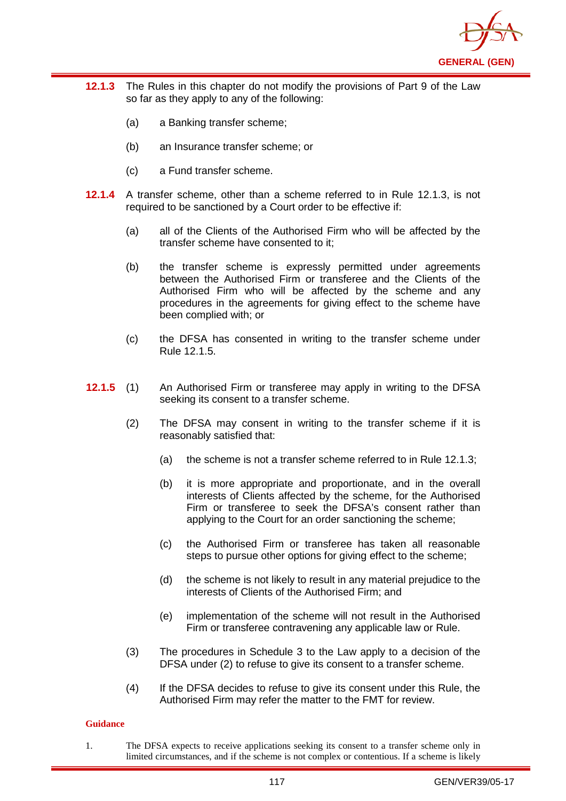

- **12.1.3** The Rules in this chapter do not modify the provisions of Part 9 of the Law so far as they apply to any of the following:
	- (a) a Banking transfer scheme;
	- (b) an Insurance transfer scheme; or
	- (c) a Fund transfer scheme.
- **12.1.4** A transfer scheme, other than a scheme referred to in Rule 12.1.3, is not required to be sanctioned by a Court order to be effective if:
	- (a) all of the Clients of the Authorised Firm who will be affected by the transfer scheme have consented to it;
	- (b) the transfer scheme is expressly permitted under agreements between the Authorised Firm or transferee and the Clients of the Authorised Firm who will be affected by the scheme and any procedures in the agreements for giving effect to the scheme have been complied with; or
	- (c) the DFSA has consented in writing to the transfer scheme under Rule 12.1.5.
- **12.1.5** (1) An Authorised Firm or transferee may apply in writing to the DFSA seeking its consent to a transfer scheme.
	- (2) The DFSA may consent in writing to the transfer scheme if it is reasonably satisfied that:
		- (a) the scheme is not a transfer scheme referred to in Rule 12.1.3;
		- (b) it is more appropriate and proportionate, and in the overall interests of Clients affected by the scheme, for the Authorised Firm or transferee to seek the DFSA's consent rather than applying to the Court for an order sanctioning the scheme;
		- (c) the Authorised Firm or transferee has taken all reasonable steps to pursue other options for giving effect to the scheme;
		- (d) the scheme is not likely to result in any material prejudice to the interests of Clients of the Authorised Firm; and
		- (e) implementation of the scheme will not result in the Authorised Firm or transferee contravening any applicable law or Rule.
	- (3) The procedures in Schedule 3 to the Law apply to a decision of the DFSA under (2) to refuse to give its consent to a transfer scheme.
	- (4) If the DFSA decides to refuse to give its consent under this Rule, the Authorised Firm may refer the matter to the FMT for review.

#### **Guidance**

1. The DFSA expects to receive applications seeking its consent to a transfer scheme only in limited circumstances, and if the scheme is not complex or contentious. If a scheme is likely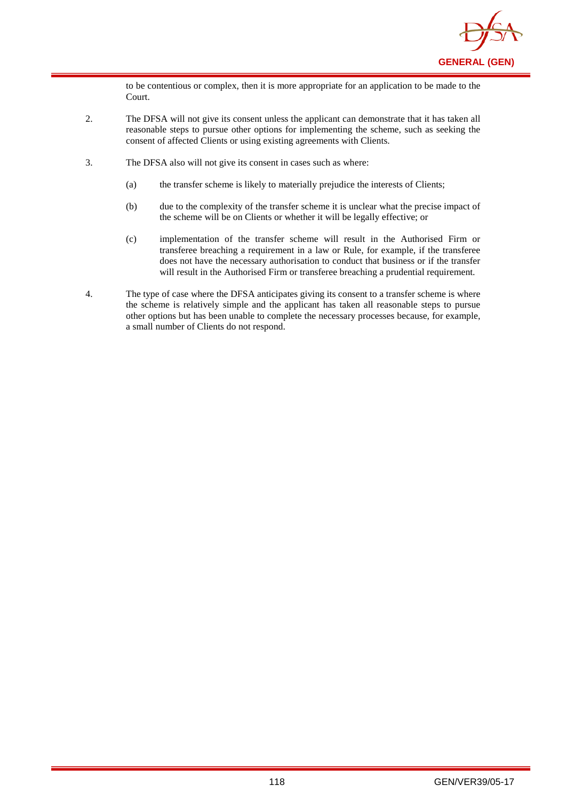

to be contentious or complex, then it is more appropriate for an application to be made to the Court.

- 2. The DFSA will not give its consent unless the applicant can demonstrate that it has taken all reasonable steps to pursue other options for implementing the scheme, such as seeking the consent of affected Clients or using existing agreements with Clients.
- 3. The DFSA also will not give its consent in cases such as where:
	- (a) the transfer scheme is likely to materially prejudice the interests of Clients;
	- (b) due to the complexity of the transfer scheme it is unclear what the precise impact of the scheme will be on Clients or whether it will be legally effective; or
	- (c) implementation of the transfer scheme will result in the Authorised Firm or transferee breaching a requirement in a law or Rule, for example, if the transferee does not have the necessary authorisation to conduct that business or if the transfer will result in the Authorised Firm or transferee breaching a prudential requirement.
- 4. The type of case where the DFSA anticipates giving its consent to a transfer scheme is where the scheme is relatively simple and the applicant has taken all reasonable steps to pursue other options but has been unable to complete the necessary processes because, for example, a small number of Clients do not respond.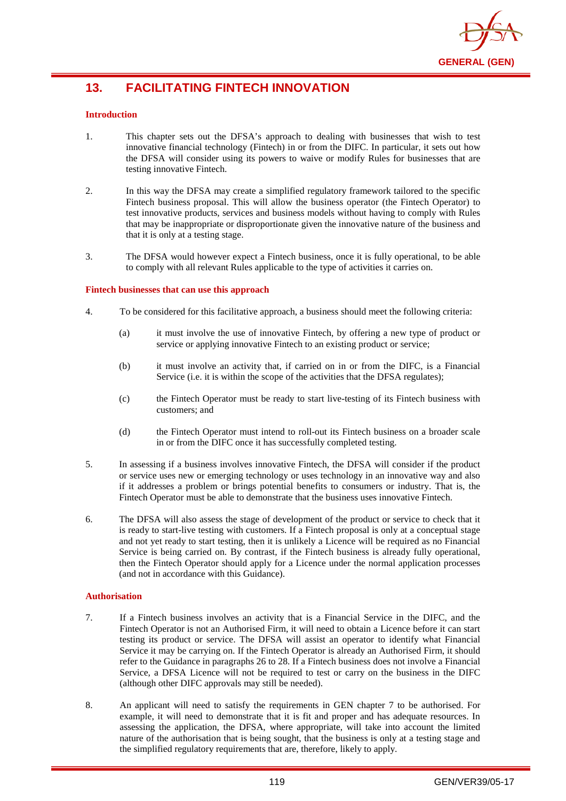

# **13. FACILITATING FINTECH INNOVATION**

### **Introduction**

- 1. This chapter sets out the DFSA's approach to dealing with businesses that wish to test innovative financial technology (Fintech) in or from the DIFC. In particular, it sets out how the DFSA will consider using its powers to waive or modify Rules for businesses that are testing innovative Fintech.
- 2. In this way the DFSA may create a simplified regulatory framework tailored to the specific Fintech business proposal. This will allow the business operator (the Fintech Operator) to test innovative products, services and business models without having to comply with Rules that may be inappropriate or disproportionate given the innovative nature of the business and that it is only at a testing stage.
- 3. The DFSA would however expect a Fintech business, once it is fully operational, to be able to comply with all relevant Rules applicable to the type of activities it carries on.

#### **Fintech businesses that can use this approach**

- 4. To be considered for this facilitative approach, a business should meet the following criteria:
	- (a) it must involve the use of innovative Fintech, by offering a new type of product or service or applying innovative Fintech to an existing product or service;
	- (b) it must involve an activity that, if carried on in or from the DIFC, is a Financial Service (i.e. it is within the scope of the activities that the DFSA regulates);
	- (c) the Fintech Operator must be ready to start live-testing of its Fintech business with customers; and
	- (d) the Fintech Operator must intend to roll-out its Fintech business on a broader scale in or from the DIFC once it has successfully completed testing.
- 5. In assessing if a business involves innovative Fintech, the DFSA will consider if the product or service uses new or emerging technology or uses technology in an innovative way and also if it addresses a problem or brings potential benefits to consumers or industry. That is, the Fintech Operator must be able to demonstrate that the business uses innovative Fintech.
- 6. The DFSA will also assess the stage of development of the product or service to check that it is ready to start-live testing with customers. If a Fintech proposal is only at a conceptual stage and not yet ready to start testing, then it is unlikely a Licence will be required as no Financial Service is being carried on. By contrast, if the Fintech business is already fully operational, then the Fintech Operator should apply for a Licence under the normal application processes (and not in accordance with this Guidance).

#### **Authorisation**

- 7. If a Fintech business involves an activity that is a Financial Service in the DIFC, and the Fintech Operator is not an Authorised Firm, it will need to obtain a Licence before it can start testing its product or service. The DFSA will assist an operator to identify what Financial Service it may be carrying on. If the Fintech Operator is already an Authorised Firm, it should refer to the Guidance in paragraphs 26 to 28. If a Fintech business does not involve a Financial Service, a DFSA Licence will not be required to test or carry on the business in the DIFC (although other DIFC approvals may still be needed).
- 8. An applicant will need to satisfy the requirements in GEN chapter 7 to be authorised. For example, it will need to demonstrate that it is fit and proper and has adequate resources. In assessing the application, the DFSA, where appropriate, will take into account the limited nature of the authorisation that is being sought, that the business is only at a testing stage and the simplified regulatory requirements that are, therefore, likely to apply.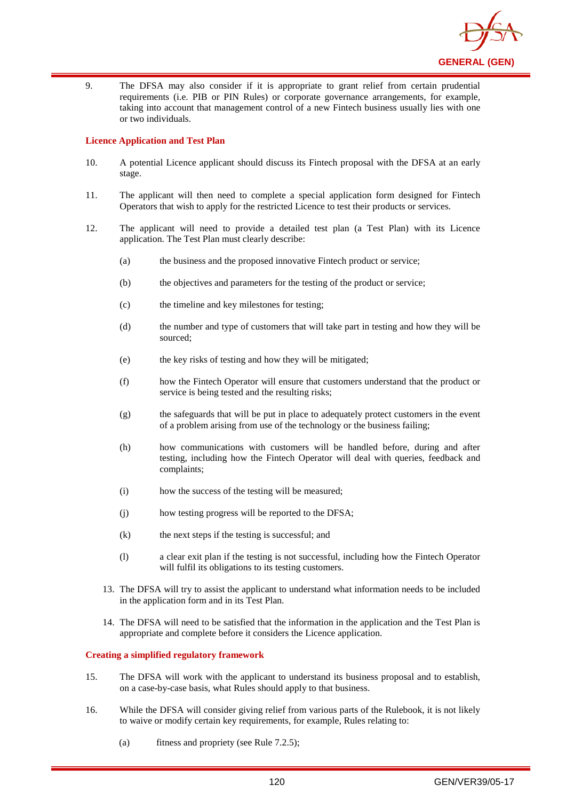

9. The DFSA may also consider if it is appropriate to grant relief from certain prudential requirements (i.e. PIB or PIN Rules) or corporate governance arrangements, for example, taking into account that management control of a new Fintech business usually lies with one or two individuals.

#### **Licence Application and Test Plan**

- 10. A potential Licence applicant should discuss its Fintech proposal with the DFSA at an early stage.
- 11. The applicant will then need to complete a special application form designed for Fintech Operators that wish to apply for the restricted Licence to test their products or services.
- 12. The applicant will need to provide a detailed test plan (a Test Plan) with its Licence application. The Test Plan must clearly describe:
	- (a) the business and the proposed innovative Fintech product or service;
	- (b) the objectives and parameters for the testing of the product or service;
	- (c) the timeline and key milestones for testing;
	- (d) the number and type of customers that will take part in testing and how they will be sourced;
	- (e) the key risks of testing and how they will be mitigated;
	- (f) how the Fintech Operator will ensure that customers understand that the product or service is being tested and the resulting risks;
	- (g) the safeguards that will be put in place to adequately protect customers in the event of a problem arising from use of the technology or the business failing;
	- (h) how communications with customers will be handled before, during and after testing, including how the Fintech Operator will deal with queries, feedback and complaints;
	- (i) how the success of the testing will be measured;
	- (j) how testing progress will be reported to the DFSA;
	- (k) the next steps if the testing is successful; and
	- (l) a clear exit plan if the testing is not successful, including how the Fintech Operator will fulfil its obligations to its testing customers.
	- 13. The DFSA will try to assist the applicant to understand what information needs to be included in the application form and in its Test Plan.
	- 14. The DFSA will need to be satisfied that the information in the application and the Test Plan is appropriate and complete before it considers the Licence application.

#### **Creating a simplified regulatory framework**

- 15. The DFSA will work with the applicant to understand its business proposal and to establish, on a case-by-case basis, what Rules should apply to that business.
- 16. While the DFSA will consider giving relief from various parts of the Rulebook, it is not likely to waive or modify certain key requirements, for example, Rules relating to:
	- (a) fitness and propriety (see Rule 7.2.5);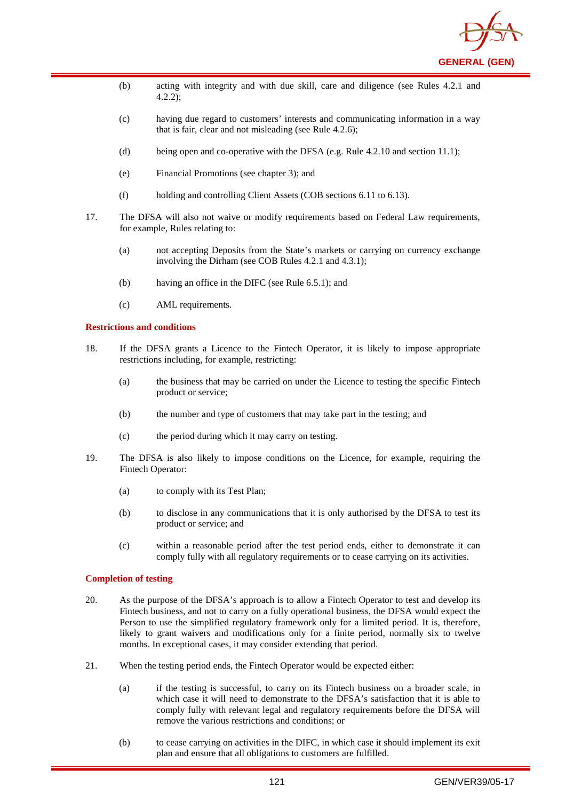

- (b) acting with integrity and with due skill, care and diligence (see Rules 4.2.1 and 4.2.2);
- (c) having due regard to customers' interests and communicating information in a way that is fair, clear and not misleading (see Rule 4.2.6);
- (d) being open and co-operative with the DFSA (e.g. Rule 4.2.10 and section 11.1);
- (e) Financial Promotions (see chapter 3); and
- (f) holding and controlling Client Assets (COB sections 6.11 to 6.13).
- 17. The DFSA will also not waive or modify requirements based on Federal Law requirements, for example, Rules relating to:
	- (a) not accepting Deposits from the State's markets or carrying on currency exchange involving the Dirham (see COB Rules 4.2.1 and 4.3.1);
	- (b) having an office in the DIFC (see Rule 6.5.1); and
	- (c) AML requirements.

#### **Restrictions and conditions**

- 18. If the DFSA grants a Licence to the Fintech Operator, it is likely to impose appropriate restrictions including, for example, restricting:
	- (a) the business that may be carried on under the Licence to testing the specific Fintech product or service;
	- (b) the number and type of customers that may take part in the testing; and
	- (c) the period during which it may carry on testing.
- 19. The DFSA is also likely to impose conditions on the Licence, for example, requiring the Fintech Operator:
	- (a) to comply with its Test Plan;
	- (b) to disclose in any communications that it is only authorised by the DFSA to test its product or service; and
	- (c) within a reasonable period after the test period ends, either to demonstrate it can comply fully with all regulatory requirements or to cease carrying on its activities.

#### **Completion of testing**

- 20. As the purpose of the DFSA's approach is to allow a Fintech Operator to test and develop its Fintech business, and not to carry on a fully operational business, the DFSA would expect the Person to use the simplified regulatory framework only for a limited period. It is, therefore, likely to grant waivers and modifications only for a finite period, normally six to twelve months. In exceptional cases, it may consider extending that period.
- 21. When the testing period ends, the Fintech Operator would be expected either:
	- (a) if the testing is successful, to carry on its Fintech business on a broader scale, in which case it will need to demonstrate to the DFSA's satisfaction that it is able to comply fully with relevant legal and regulatory requirements before the DFSA will remove the various restrictions and conditions; or
	- (b) to cease carrying on activities in the DIFC, in which case it should implement its exit plan and ensure that all obligations to customers are fulfilled.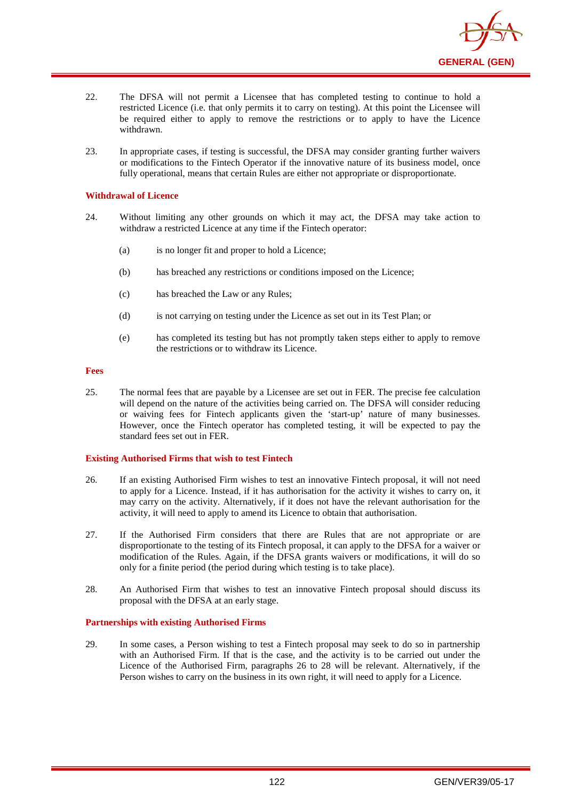

- 22. The DFSA will not permit a Licensee that has completed testing to continue to hold a restricted Licence (i.e. that only permits it to carry on testing). At this point the Licensee will be required either to apply to remove the restrictions or to apply to have the Licence withdrawn.
- 23. In appropriate cases, if testing is successful, the DFSA may consider granting further waivers or modifications to the Fintech Operator if the innovative nature of its business model, once fully operational, means that certain Rules are either not appropriate or disproportionate.

#### **Withdrawal of Licence**

- 24. Without limiting any other grounds on which it may act, the DFSA may take action to withdraw a restricted Licence at any time if the Fintech operator:
	- (a) is no longer fit and proper to hold a Licence;
	- (b) has breached any restrictions or conditions imposed on the Licence;
	- (c) has breached the Law or any Rules;
	- (d) is not carrying on testing under the Licence as set out in its Test Plan; or
	- (e) has completed its testing but has not promptly taken steps either to apply to remove the restrictions or to withdraw its Licence.

#### **Fees**

25. The normal fees that are payable by a Licensee are set out in FER. The precise fee calculation will depend on the nature of the activities being carried on. The DFSA will consider reducing or waiving fees for Fintech applicants given the 'start-up' nature of many businesses. However, once the Fintech operator has completed testing, it will be expected to pay the standard fees set out in FER.

#### **Existing Authorised Firms that wish to test Fintech**

- 26. If an existing Authorised Firm wishes to test an innovative Fintech proposal, it will not need to apply for a Licence. Instead, if it has authorisation for the activity it wishes to carry on, it may carry on the activity. Alternatively, if it does not have the relevant authorisation for the activity, it will need to apply to amend its Licence to obtain that authorisation.
- 27. If the Authorised Firm considers that there are Rules that are not appropriate or are disproportionate to the testing of its Fintech proposal, it can apply to the DFSA for a waiver or modification of the Rules. Again, if the DFSA grants waivers or modifications, it will do so only for a finite period (the period during which testing is to take place).
- 28. An Authorised Firm that wishes to test an innovative Fintech proposal should discuss its proposal with the DFSA at an early stage.

#### **Partnerships with existing Authorised Firms**

29. In some cases, a Person wishing to test a Fintech proposal may seek to do so in partnership with an Authorised Firm. If that is the case, and the activity is to be carried out under the Licence of the Authorised Firm, paragraphs 26 to 28 will be relevant. Alternatively, if the Person wishes to carry on the business in its own right, it will need to apply for a Licence.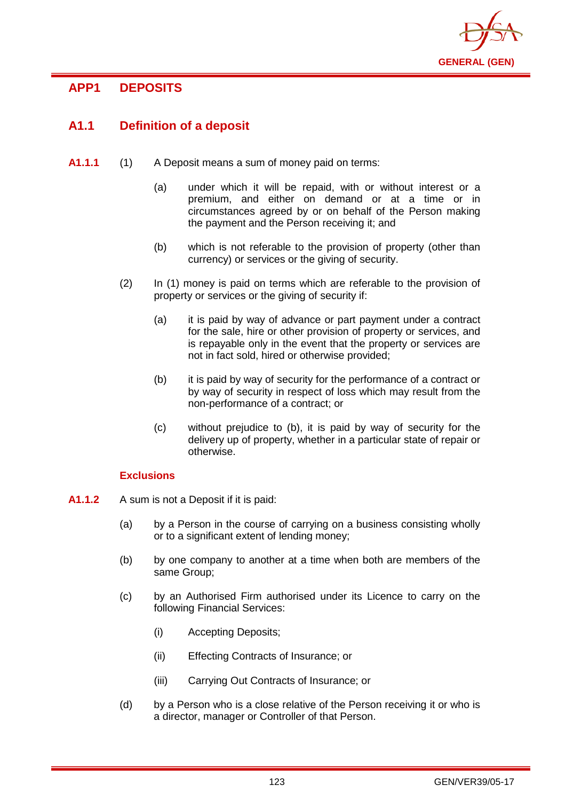

# **APP1 DEPOSITS**

# **A1.1 Definition of a deposit**

- **A1.1.1** (1) A Deposit means a sum of money paid on terms:
	- (a) under which it will be repaid, with or without interest or a premium, and either on demand or at a time or in circumstances agreed by or on behalf of the Person making the payment and the Person receiving it; and
	- (b) which is not referable to the provision of property (other than currency) or services or the giving of security.
	- (2) In (1) money is paid on terms which are referable to the provision of property or services or the giving of security if:
		- (a) it is paid by way of advance or part payment under a contract for the sale, hire or other provision of property or services, and is repayable only in the event that the property or services are not in fact sold, hired or otherwise provided;
		- (b) it is paid by way of security for the performance of a contract or by way of security in respect of loss which may result from the non-performance of a contract; or
		- (c) without prejudice to (b), it is paid by way of security for the delivery up of property, whether in a particular state of repair or otherwise.

# **Exclusions**

- **A1.1.2** A sum is not a Deposit if it is paid:
	- (a) by a Person in the course of carrying on a business consisting wholly or to a significant extent of lending money;
	- (b) by one company to another at a time when both are members of the same Group;
	- (c) by an Authorised Firm authorised under its Licence to carry on the following Financial Services:
		- (i) Accepting Deposits;
		- (ii) Effecting Contracts of Insurance; or
		- (iii) Carrying Out Contracts of Insurance; or
	- (d) by a Person who is a close relative of the Person receiving it or who is a director, manager or Controller of that Person.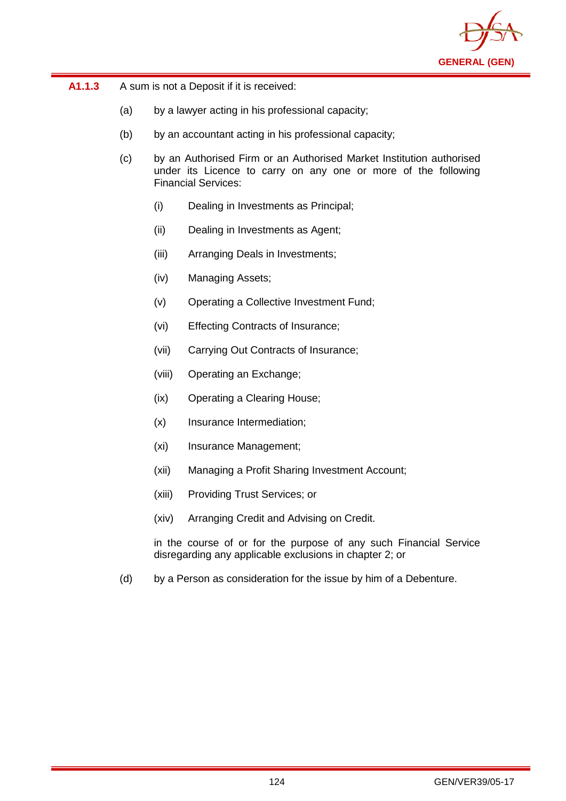

| A1.1.3 | A sum is not a Deposit if it is received: |
|--------|-------------------------------------------|
|--------|-------------------------------------------|

- (a) by a lawyer acting in his professional capacity;
- (b) by an accountant acting in his professional capacity;
- (c) by an Authorised Firm or an Authorised Market Institution authorised under its Licence to carry on any one or more of the following Financial Services:
	- (i) Dealing in Investments as Principal;
	- (ii) Dealing in Investments as Agent;
	- (iii) Arranging Deals in Investments;
	- (iv) Managing Assets;
	- (v) Operating a Collective Investment Fund;
	- (vi) Effecting Contracts of Insurance;
	- (vii) Carrying Out Contracts of Insurance;
	- (viii) Operating an Exchange;
	- (ix) Operating a Clearing House;
	- (x) Insurance Intermediation;
	- (xi) Insurance Management;
	- (xii) Managing a Profit Sharing Investment Account;
	- (xiii) Providing Trust Services; or
	- (xiv) Arranging Credit and Advising on Credit.

in the course of or for the purpose of any such Financial Service disregarding any applicable exclusions in chapter 2; or

(d) by a Person as consideration for the issue by him of a Debenture.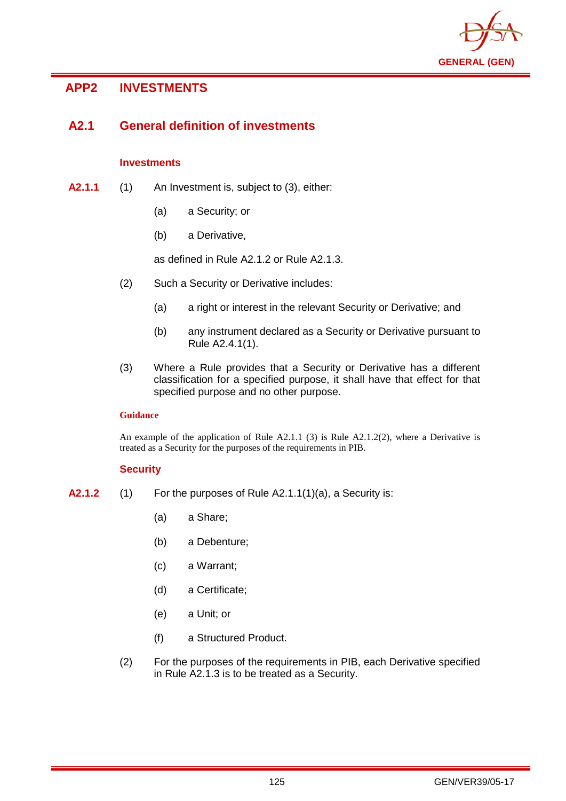

# **APP2 INVESTMENTS**

# **A2.1 General definition of investments**

# **Investments**

- **A2.1.1** (1) An Investment is, subject to (3), either:
	- (a) a Security; or
	- (b) a Derivative,

as defined in Rule A2.1.2 or Rule A2.1.3.

- (2) Such a Security or Derivative includes:
	- (a) a right or interest in the relevant Security or Derivative; and
	- (b) any instrument declared as a Security or Derivative pursuant to Rule A2.4.1(1).
- (3) Where a Rule provides that a Security or Derivative has a different classification for a specified purpose, it shall have that effect for that specified purpose and no other purpose.

## **Guidance**

An example of the application of Rule  $A2.1.1$  (3) is Rule  $A2.1.2(2)$ , where a Derivative is treated as a Security for the purposes of the requirements in PIB.

### **Security**

- **A2.1.2** (1) For the purposes of Rule A2.1.1(1)(a), a Security is:
	- (a) a Share;
	- (b) a Debenture;
	- (c) a Warrant;
	- (d) a Certificate;
	- (e) a Unit; or
	- (f) a Structured Product.
	- (2) For the purposes of the requirements in PIB, each Derivative specified in Rule A2.1.3 is to be treated as a Security.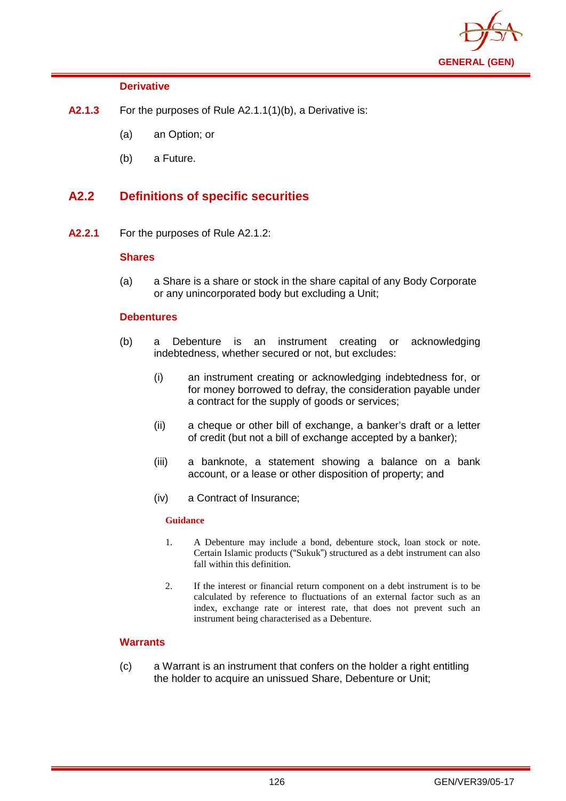

## **Derivative**

- **A2.1.3** For the purposes of Rule A2.1.1(1)(b), a Derivative is:
	- (a) an Option; or
	- (b) a Future.

# **A2.2 Definitions of specific securities**

**A2.2.1** For the purposes of Rule A2.1.2:

## **Shares**

(a) a Share is a share or stock in the share capital of any Body Corporate or any unincorporated body but excluding a Unit;

### **Debentures**

- (b) a Debenture is an instrument creating or acknowledging indebtedness, whether secured or not, but excludes:
	- (i) an instrument creating or acknowledging indebtedness for, or for money borrowed to defray, the consideration payable under a contract for the supply of goods or services;
	- (ii) a cheque or other bill of exchange, a banker's draft or a letter of credit (but not a bill of exchange accepted by a banker);
	- (iii) a banknote, a statement showing a balance on a bank account, or a lease or other disposition of property; and
	- (iv) a Contract of Insurance;

### **Guidance**

- 1. A Debenture may include a bond, debenture stock, loan stock or note. Certain Islamic products ("Sukuk") structured as a debt instrument can also fall within this definition.
- 2. If the interest or financial return component on a debt instrument is to be calculated by reference to fluctuations of an external factor such as an index, exchange rate or interest rate, that does not prevent such an instrument being characterised as a Debenture.

# **Warrants**

(c) a Warrant is an instrument that confers on the holder a right entitling the holder to acquire an unissued Share, Debenture or Unit;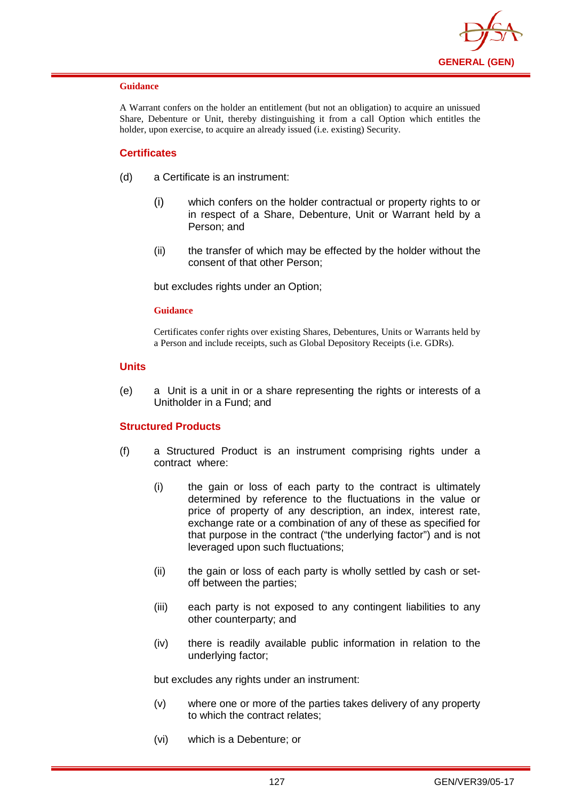

#### **Guidance**

A Warrant confers on the holder an entitlement (but not an obligation) to acquire an unissued Share, Debenture or Unit, thereby distinguishing it from a call Option which entitles the holder, upon exercise, to acquire an already issued (i.e. existing) Security.

## **Certificates**

- (d) a Certificate is an instrument:
	- (i) which confers on the holder contractual or property rights to or in respect of a Share, Debenture, Unit or Warrant held by a Person; and
	- (ii) the transfer of which may be effected by the holder without the consent of that other Person;

but excludes rights under an Option;

#### **Guidance**

Certificates confer rights over existing Shares, Debentures, Units or Warrants held by a Person and include receipts, such as Global Depository Receipts (i.e. GDRs).

### **Units**

(e) a Unit is a unit in or a share representing the rights or interests of a Unitholder in a Fund; and

### **Structured Products**

- (f) a Structured Product is an instrument comprising rights under a contract where:
	- (i) the gain or loss of each party to the contract is ultimately determined by reference to the fluctuations in the value or price of property of any description, an index, interest rate, exchange rate or a combination of any of these as specified for that purpose in the contract ("the underlying factor") and is not leveraged upon such fluctuations;
	- (ii) the gain or loss of each party is wholly settled by cash or setoff between the parties;
	- (iii) each party is not exposed to any contingent liabilities to any other counterparty; and
	- (iv) there is readily available public information in relation to the underlying factor;

but excludes any rights under an instrument:

- (v) where one or more of the parties takes delivery of any property to which the contract relates;
- (vi) which is a Debenture; or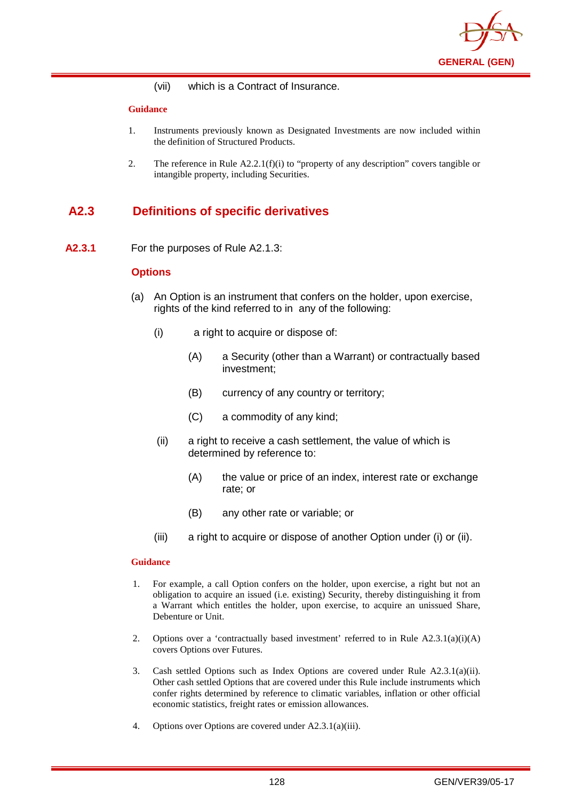

(vii) which is a Contract of Insurance.

#### **Guidance**

- 1. Instruments previously known as Designated Investments are now included within the definition of Structured Products.
- 2. The reference in Rule A2.2.1(f)(i) to "property of any description" covers tangible or intangible property, including Securities.

# **A2.3 Definitions of specific derivatives**

**A2.3.1** For the purposes of Rule A2.1.3:

### **Options**

- (a) An Option is an instrument that confers on the holder, upon exercise, rights of the kind referred to in any of the following:
	- (i) a right to acquire or dispose of:
		- (A) a Security (other than a Warrant) or contractually based investment;
		- (B) currency of any country or territory;
		- (C) a commodity of any kind;
	- (ii) a right to receive a cash settlement, the value of which is determined by reference to:
		- (A) the value or price of an index, interest rate or exchange rate; or
		- (B) any other rate or variable; or
	- (iii) a right to acquire or dispose of another Option under (i) or (ii).

- 1. For example, a call Option confers on the holder, upon exercise, a right but not an obligation to acquire an issued (i.e. existing) Security, thereby distinguishing it from a Warrant which entitles the holder, upon exercise, to acquire an unissued Share, Debenture or Unit.
- 2. Options over a 'contractually based investment' referred to in Rule A2.3.1(a)(i)(A) covers Options over Futures.
- 3. Cash settled Options such as Index Options are covered under Rule A2.3.1(a)(ii). Other cash settled Options that are covered under this Rule include instruments which confer rights determined by reference to climatic variables, inflation or other official economic statistics, freight rates or emission allowances.
- 4. Options over Options are covered under A2.3.1(a)(iii).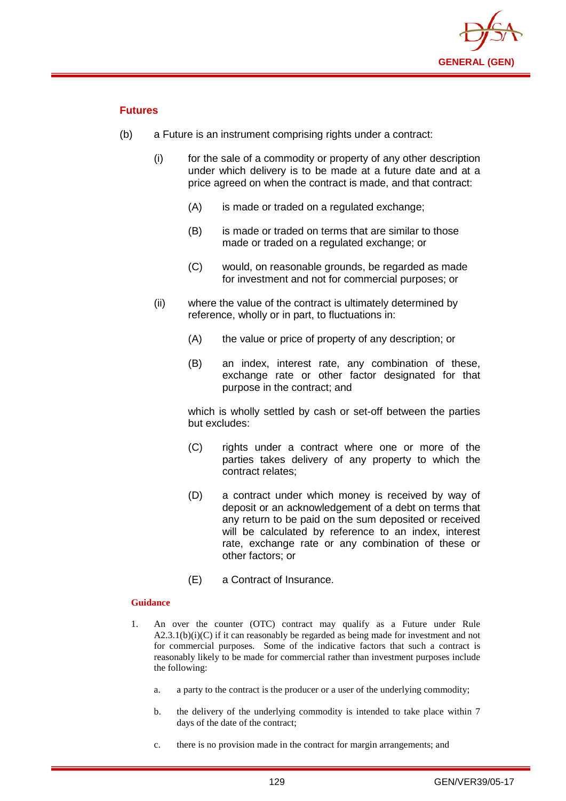

# **Futures**

- (b) a Future is an instrument comprising rights under a contract:
	- (i) for the sale of a commodity or property of any other description under which delivery is to be made at a future date and at a price agreed on when the contract is made, and that contract:
		- (A) is made or traded on a regulated exchange;
		- (B) is made or traded on terms that are similar to those made or traded on a regulated exchange; or
		- (C) would, on reasonable grounds, be regarded as made for investment and not for commercial purposes; or
	- (ii) where the value of the contract is ultimately determined by reference, wholly or in part, to fluctuations in:
		- (A) the value or price of property of any description; or
		- (B) an index, interest rate, any combination of these, exchange rate or other factor designated for that purpose in the contract; and

which is wholly settled by cash or set-off between the parties but excludes:

- (C) rights under a contract where one or more of the parties takes delivery of any property to which the contract relates;
- (D) a contract under which money is received by way of deposit or an acknowledgement of a debt on terms that any return to be paid on the sum deposited or received will be calculated by reference to an index, interest rate, exchange rate or any combination of these or other factors; or
- (E) a Contract of Insurance.

- 1. An over the counter (OTC) contract may qualify as a Future under Rule  $A2.3.1(b)(i)(C)$  if it can reasonably be regarded as being made for investment and not for commercial purposes. Some of the indicative factors that such a contract is reasonably likely to be made for commercial rather than investment purposes include the following:
	- a. a party to the contract is the producer or a user of the underlying commodity;
	- b. the delivery of the underlying commodity is intended to take place within 7 days of the date of the contract;
	- c. there is no provision made in the contract for margin arrangements; and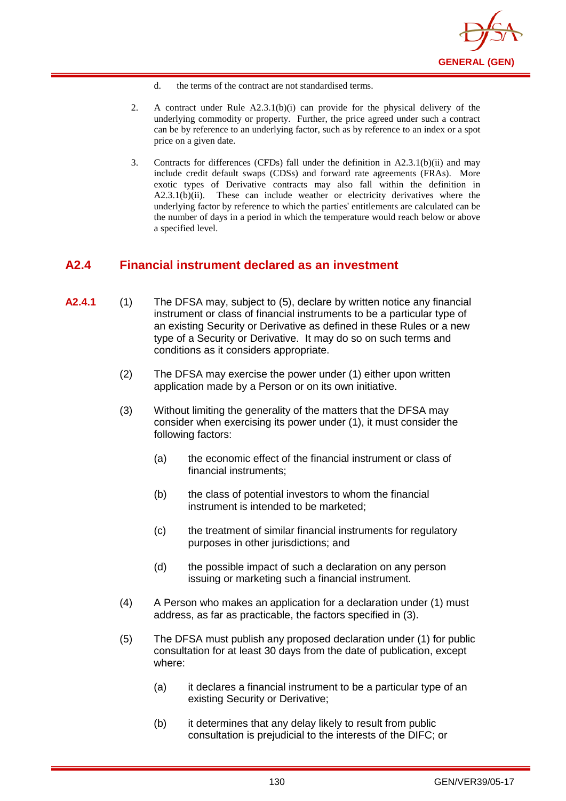

- d. the terms of the contract are not standardised terms.
- 2. A contract under Rule A2.3.1(b)(i) can provide for the physical delivery of the underlying commodity or property. Further, the price agreed under such a contract can be by reference to an underlying factor, such as by reference to an index or a spot price on a given date.
- 3. Contracts for differences (CFDs) fall under the definition in A2.3.1(b)(ii) and may include credit default swaps (CDSs) and forward rate agreements (FRAs). More exotic types of Derivative contracts may also fall within the definition in A2.3.1(b)(ii). These can include weather or electricity derivatives where the underlying factor by reference to which the parties' entitlements are calculated can be the number of days in a period in which the temperature would reach below or above a specified level.

# **A2.4 Financial instrument declared as an investment**

- **A2.4.1** (1) The DFSA may, subject to (5), declare by written notice any financial instrument or class of financial instruments to be a particular type of an existing Security or Derivative as defined in these Rules or a new type of a Security or Derivative. It may do so on such terms and conditions as it considers appropriate.
	- (2) The DFSA may exercise the power under (1) either upon written application made by a Person or on its own initiative.
	- (3) Without limiting the generality of the matters that the DFSA may consider when exercising its power under (1), it must consider the following factors:
		- (a) the economic effect of the financial instrument or class of financial instruments;
		- (b) the class of potential investors to whom the financial instrument is intended to be marketed;
		- (c) the treatment of similar financial instruments for regulatory purposes in other jurisdictions; and
		- (d) the possible impact of such a declaration on any person issuing or marketing such a financial instrument.
	- (4) A Person who makes an application for a declaration under (1) must address, as far as practicable, the factors specified in (3).
	- (5) The DFSA must publish any proposed declaration under (1) for public consultation for at least 30 days from the date of publication, except where:
		- (a) it declares a financial instrument to be a particular type of an existing Security or Derivative;
		- (b) it determines that any delay likely to result from public consultation is prejudicial to the interests of the DIFC; or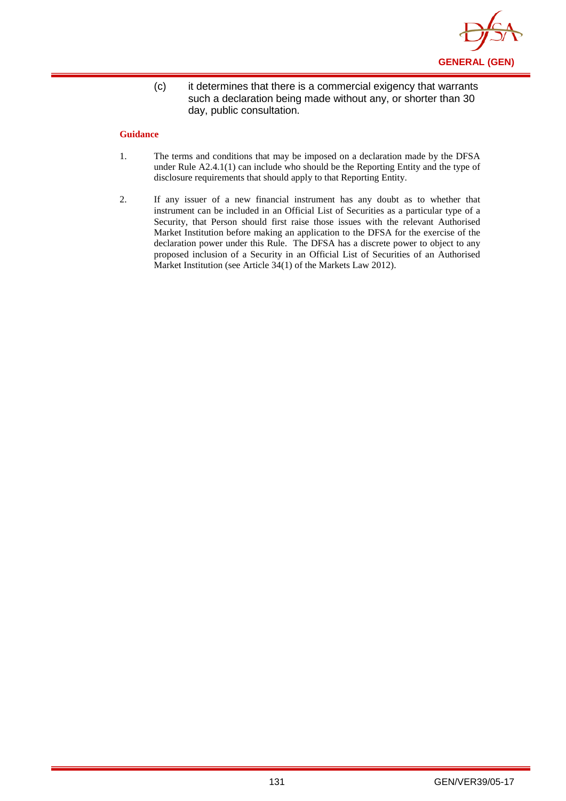

(c) it determines that there is a commercial exigency that warrants such a declaration being made without any, or shorter than 30 day, public consultation.

- 1. The terms and conditions that may be imposed on a declaration made by the DFSA under Rule A2.4.1(1) can include who should be the Reporting Entity and the type of disclosure requirements that should apply to that Reporting Entity.
- 2. If any issuer of a new financial instrument has any doubt as to whether that instrument can be included in an Official List of Securities as a particular type of a Security, that Person should first raise those issues with the relevant Authorised Market Institution before making an application to the DFSA for the exercise of the declaration power under this Rule. The DFSA has a discrete power to object to any proposed inclusion of a Security in an Official List of Securities of an Authorised Market Institution (see Article 34(1) of the Markets Law 2012).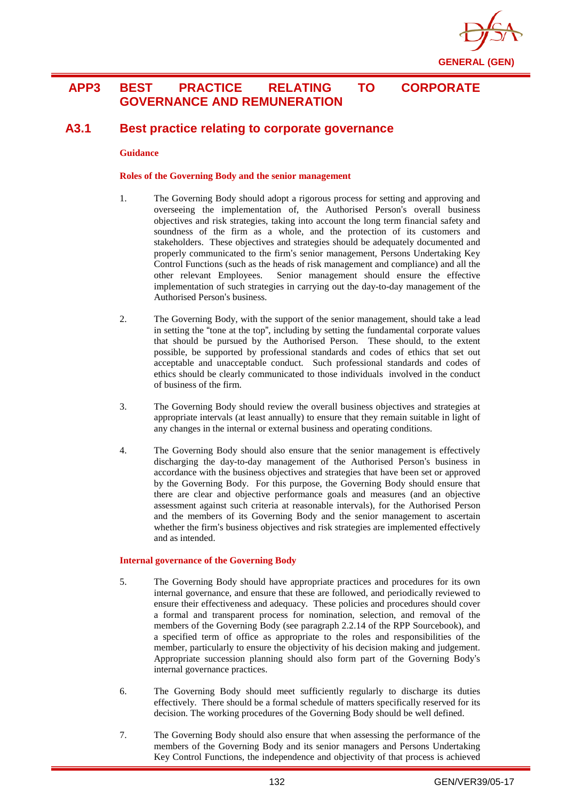

# **APP3 BEST PRACTICE RELATING TO CORPORATE GOVERNANCE AND REMUNERATION**

# **A3.1 Best practice relating to corporate governance**

#### **Guidance**

#### **Roles of the Governing Body and the senior management**

- 1. The Governing Body should adopt a rigorous process for setting and approving and overseeing the implementation of, the Authorised Person's overall business objectives and risk strategies, taking into account the long term financial safety and soundness of the firm as a whole, and the protection of its customers and stakeholders. These objectives and strategies should be adequately documented and properly communicated to the firm's senior management, Persons Undertaking Key Control Functions (such as the heads of risk management and compliance) and all the other relevant Employees. Senior management should ensure the effective implementation of such strategies in carrying out the day-to-day management of the Authorised Person's business.
- 2. The Governing Body, with the support of the senior management, should take a lead in setting the "tone at the top", including by setting the fundamental corporate values that should be pursued by the Authorised Person. These should, to the extent possible, be supported by professional standards and codes of ethics that set out acceptable and unacceptable conduct. Such professional standards and codes of ethics should be clearly communicated to those individuals involved in the conduct of business of the firm.
- 3. The Governing Body should review the overall business objectives and strategies at appropriate intervals (at least annually) to ensure that they remain suitable in light of any changes in the internal or external business and operating conditions.
- 4. The Governing Body should also ensure that the senior management is effectively discharging the day-to-day management of the Authorised Person's business in accordance with the business objectives and strategies that have been set or approved by the Governing Body. For this purpose, the Governing Body should ensure that there are clear and objective performance goals and measures (and an objective assessment against such criteria at reasonable intervals), for the Authorised Person and the members of its Governing Body and the senior management to ascertain whether the firm's business objectives and risk strategies are implemented effectively and as intended.

#### **Internal governance of the Governing Body**

- 5. The Governing Body should have appropriate practices and procedures for its own internal governance, and ensure that these are followed, and periodically reviewed to ensure their effectiveness and adequacy. These policies and procedures should cover a formal and transparent process for nomination, selection, and removal of the members of the Governing Body (see paragraph 2.2.14 of the RPP Sourcebook), and a specified term of office as appropriate to the roles and responsibilities of the member, particularly to ensure the objectivity of his decision making and judgement. Appropriate succession planning should also form part of the Governing Body's internal governance practices.
- 6. The Governing Body should meet sufficiently regularly to discharge its duties effectively. There should be a formal schedule of matters specifically reserved for its decision. The working procedures of the Governing Body should be well defined.
- 7. The Governing Body should also ensure that when assessing the performance of the members of the Governing Body and its senior managers and Persons Undertaking Key Control Functions, the independence and objectivity of that process is achieved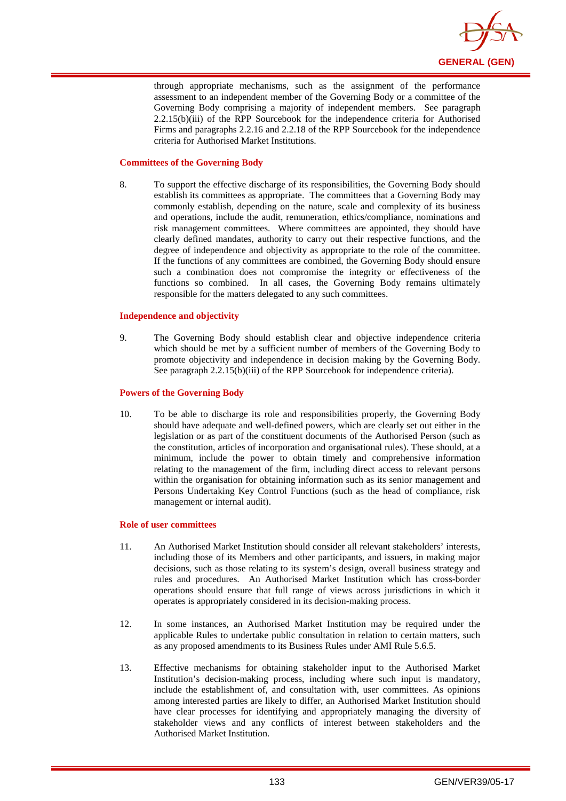

through appropriate mechanisms, such as the assignment of the performance assessment to an independent member of the Governing Body or a committee of the Governing Body comprising a majority of independent members. See paragraph 2.2.15(b)(iii) of the RPP Sourcebook for the independence criteria for Authorised Firms and paragraphs 2.2.16 and 2.2.18 of the RPP Sourcebook for the independence criteria for Authorised Market Institutions.

#### **Committees of the Governing Body**

8. To support the effective discharge of its responsibilities, the Governing Body should establish its committees as appropriate. The committees that a Governing Body may commonly establish, depending on the nature, scale and complexity of its business and operations, include the audit, remuneration, ethics/compliance, nominations and risk management committees. Where committees are appointed, they should have clearly defined mandates, authority to carry out their respective functions, and the degree of independence and objectivity as appropriate to the role of the committee. If the functions of any committees are combined, the Governing Body should ensure such a combination does not compromise the integrity or effectiveness of the functions so combined. In all cases, the Governing Body remains ultimately responsible for the matters delegated to any such committees.

#### **Independence and objectivity**

9. The Governing Body should establish clear and objective independence criteria which should be met by a sufficient number of members of the Governing Body to promote objectivity and independence in decision making by the Governing Body. See paragraph 2.2.15(b)(iii) of the RPP Sourcebook for independence criteria).

#### **Powers of the Governing Body**

10. To be able to discharge its role and responsibilities properly, the Governing Body should have adequate and well-defined powers, which are clearly set out either in the legislation or as part of the constituent documents of the Authorised Person (such as the constitution, articles of incorporation and organisational rules). These should, at a minimum, include the power to obtain timely and comprehensive information relating to the management of the firm, including direct access to relevant persons within the organisation for obtaining information such as its senior management and Persons Undertaking Key Control Functions (such as the head of compliance, risk management or internal audit).

#### **Role of user committees**

- 11. An Authorised Market Institution should consider all relevant stakeholders' interests, including those of its Members and other participants, and issuers, in making major decisions, such as those relating to its system's design, overall business strategy and rules and procedures. An Authorised Market Institution which has cross-border operations should ensure that full range of views across jurisdictions in which it operates is appropriately considered in its decision-making process.
- 12. In some instances, an Authorised Market Institution may be required under the applicable Rules to undertake public consultation in relation to certain matters, such as any proposed amendments to its Business Rules under AMI Rule 5.6.5.
- 13. Effective mechanisms for obtaining stakeholder input to the Authorised Market Institution's decision-making process, including where such input is mandatory, include the establishment of, and consultation with, user committees. As opinions among interested parties are likely to differ, an Authorised Market Institution should have clear processes for identifying and appropriately managing the diversity of stakeholder views and any conflicts of interest between stakeholders and the Authorised Market Institution.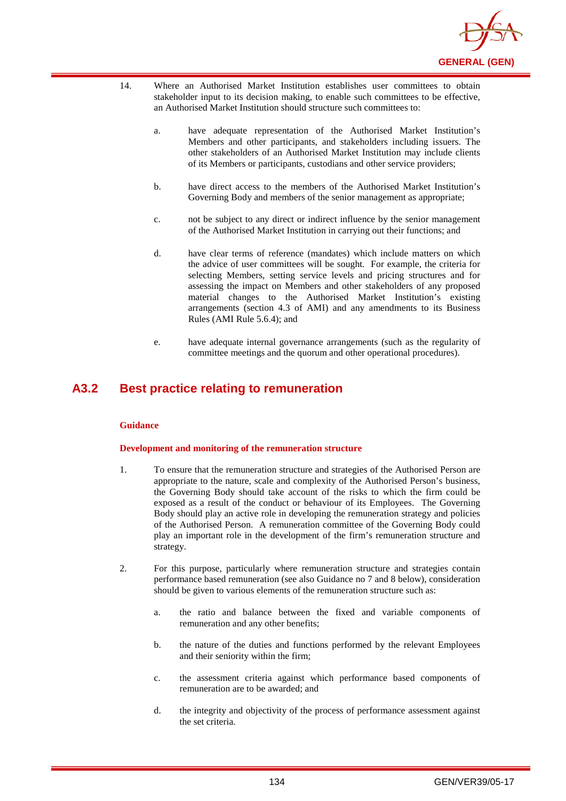

- 14. Where an Authorised Market Institution establishes user committees to obtain stakeholder input to its decision making, to enable such committees to be effective, an Authorised Market Institution should structure such committees to:
	- a. have adequate representation of the Authorised Market Institution's Members and other participants, and stakeholders including issuers. The other stakeholders of an Authorised Market Institution may include clients of its Members or participants, custodians and other service providers;
	- b. have direct access to the members of the Authorised Market Institution's Governing Body and members of the senior management as appropriate;
	- c. not be subject to any direct or indirect influence by the senior management of the Authorised Market Institution in carrying out their functions; and
	- d. have clear terms of reference (mandates) which include matters on which the advice of user committees will be sought. For example, the criteria for selecting Members, setting service levels and pricing structures and for assessing the impact on Members and other stakeholders of any proposed material changes to the Authorised Market Institution's existing arrangements (section 4.3 of AMI) and any amendments to its Business Rules (AMI Rule 5.6.4); and
	- e. have adequate internal governance arrangements (such as the regularity of committee meetings and the quorum and other operational procedures).

# **A3.2 Best practice relating to remuneration**

#### **Guidance**

#### **Development and monitoring of the remuneration structure**

- 1. To ensure that the remuneration structure and strategies of the Authorised Person are appropriate to the nature, scale and complexity of the Authorised Person's business, the Governing Body should take account of the risks to which the firm could be exposed as a result of the conduct or behaviour of its Employees. The Governing Body should play an active role in developing the remuneration strategy and policies of the Authorised Person. A remuneration committee of the Governing Body could play an important role in the development of the firm's remuneration structure and strategy.
- 2. For this purpose, particularly where remuneration structure and strategies contain performance based remuneration (see also Guidance no 7 and 8 below), consideration should be given to various elements of the remuneration structure such as:
	- a. the ratio and balance between the fixed and variable components of remuneration and any other benefits;
	- b. the nature of the duties and functions performed by the relevant Employees and their seniority within the firm;
	- c. the assessment criteria against which performance based components of remuneration are to be awarded; and
	- d. the integrity and objectivity of the process of performance assessment against the set criteria.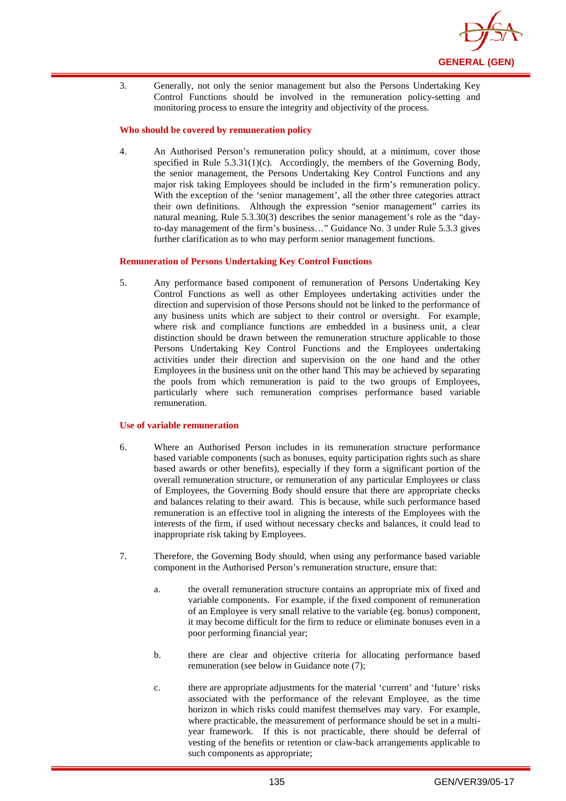

3. Generally, not only the senior management but also the Persons Undertaking Key Control Functions should be involved in the remuneration policy-setting and monitoring process to ensure the integrity and objectivity of the process.

#### **Who should be covered by remuneration policy**

4. An Authorised Person's remuneration policy should, at a minimum, cover those specified in Rule  $5.3.31(1)(c)$ . Accordingly, the members of the Governing Body, the senior management, the Persons Undertaking Key Control Functions and any major risk taking Employees should be included in the firm's remuneration policy. With the exception of the 'senior management', all the other three categories attract their own definitions. Although the expression "senior management" carries its natural meaning, Rule 5.3.30(3) describes the senior management's role as the "dayto-day management of the firm's business…" Guidance No. 3 under Rule 5.3.3 gives further clarification as to who may perform senior management functions.

#### **Remuneration of Persons Undertaking Key Control Functions**

5. Any performance based component of remuneration of Persons Undertaking Key Control Functions as well as other Employees undertaking activities under the direction and supervision of those Persons should not be linked to the performance of any business units which are subject to their control or oversight. For example, where risk and compliance functions are embedded in a business unit, a clear distinction should be drawn between the remuneration structure applicable to those Persons Undertaking Key Control Functions and the Employees undertaking activities under their direction and supervision on the one hand and the other Employees in the business unit on the other hand This may be achieved by separating the pools from which remuneration is paid to the two groups of Employees, particularly where such remuneration comprises performance based variable remuneration.

#### **Use of variable remuneration**

- 6. Where an Authorised Person includes in its remuneration structure performance based variable components (such as bonuses, equity participation rights such as share based awards or other benefits), especially if they form a significant portion of the overall remuneration structure, or remuneration of any particular Employees or class of Employees, the Governing Body should ensure that there are appropriate checks and balances relating to their award. This is because, while such performance based remuneration is an effective tool in aligning the interests of the Employees with the interests of the firm, if used without necessary checks and balances, it could lead to inappropriate risk taking by Employees.
- 7. Therefore, the Governing Body should, when using any performance based variable component in the Authorised Person's remuneration structure, ensure that:
	- a. the overall remuneration structure contains an appropriate mix of fixed and variable components. For example, if the fixed component of remuneration of an Employee is very small relative to the variable (eg. bonus) component, it may become difficult for the firm to reduce or eliminate bonuses even in a poor performing financial year;
	- b. there are clear and objective criteria for allocating performance based remuneration (see below in Guidance note (7);
	- c. there are appropriate adjustments for the material 'current' and 'future' risks associated with the performance of the relevant Employee, as the time horizon in which risks could manifest themselves may vary. For example, where practicable, the measurement of performance should be set in a multiyear framework. If this is not practicable, there should be deferral of vesting of the benefits or retention or claw-back arrangements applicable to such components as appropriate;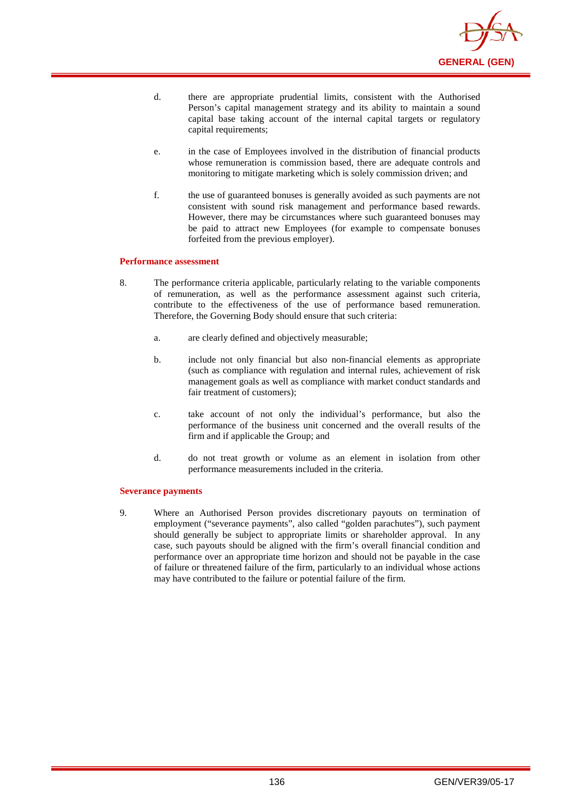

- d. there are appropriate prudential limits, consistent with the Authorised Person's capital management strategy and its ability to maintain a sound capital base taking account of the internal capital targets or regulatory capital requirements;
- e. in the case of Employees involved in the distribution of financial products whose remuneration is commission based, there are adequate controls and monitoring to mitigate marketing which is solely commission driven; and
- f. the use of guaranteed bonuses is generally avoided as such payments are not consistent with sound risk management and performance based rewards. However, there may be circumstances where such guaranteed bonuses may be paid to attract new Employees (for example to compensate bonuses forfeited from the previous employer).

#### **Performance assessment**

- 8. The performance criteria applicable, particularly relating to the variable components of remuneration, as well as the performance assessment against such criteria, contribute to the effectiveness of the use of performance based remuneration. Therefore, the Governing Body should ensure that such criteria:
	- a. are clearly defined and objectively measurable;
	- b. include not only financial but also non-financial elements as appropriate (such as compliance with regulation and internal rules, achievement of risk management goals as well as compliance with market conduct standards and fair treatment of customers);
	- c. take account of not only the individual's performance, but also the performance of the business unit concerned and the overall results of the firm and if applicable the Group; and
	- d. do not treat growth or volume as an element in isolation from other performance measurements included in the criteria.

#### **Severance payments**

9. Where an Authorised Person provides discretionary payouts on termination of employment ("severance payments", also called "golden parachutes"), such payment should generally be subject to appropriate limits or shareholder approval. In any case, such payouts should be aligned with the firm's overall financial condition and performance over an appropriate time horizon and should not be payable in the case of failure or threatened failure of the firm, particularly to an individual whose actions may have contributed to the failure or potential failure of the firm.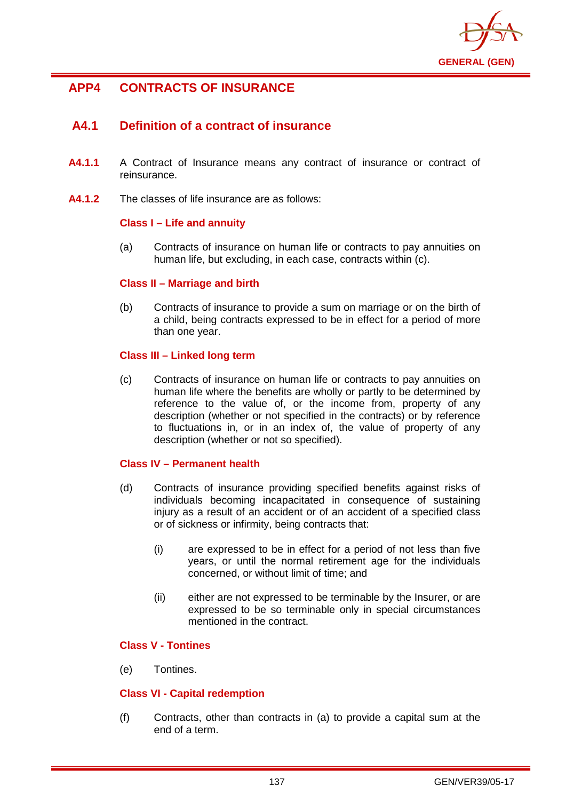

# **APP4 CONTRACTS OF INSURANCE**

# **A4.1 Definition of a contract of insurance**

- **A4.1.1** A Contract of Insurance means any contract of insurance or contract of reinsurance.
- **A4.1.2** The classes of life insurance are as follows:

## **Class I – Life and annuity**

(a) Contracts of insurance on human life or contracts to pay annuities on human life, but excluding, in each case, contracts within (c).

## **Class II – Marriage and birth**

(b) Contracts of insurance to provide a sum on marriage or on the birth of a child, being contracts expressed to be in effect for a period of more than one year.

## **Class III – Linked long term**

(c) Contracts of insurance on human life or contracts to pay annuities on human life where the benefits are wholly or partly to be determined by reference to the value of, or the income from, property of any description (whether or not specified in the contracts) or by reference to fluctuations in, or in an index of, the value of property of any description (whether or not so specified).

# **Class IV – Permanent health**

- (d) Contracts of insurance providing specified benefits against risks of individuals becoming incapacitated in consequence of sustaining injury as a result of an accident or of an accident of a specified class or of sickness or infirmity, being contracts that:
	- (i) are expressed to be in effect for a period of not less than five years, or until the normal retirement age for the individuals concerned, or without limit of time; and
	- (ii) either are not expressed to be terminable by the Insurer, or are expressed to be so terminable only in special circumstances mentioned in the contract.

# **Class V - Tontines**

(e) Tontines.

# **Class VI - Capital redemption**

(f) Contracts, other than contracts in (a) to provide a capital sum at the end of a term.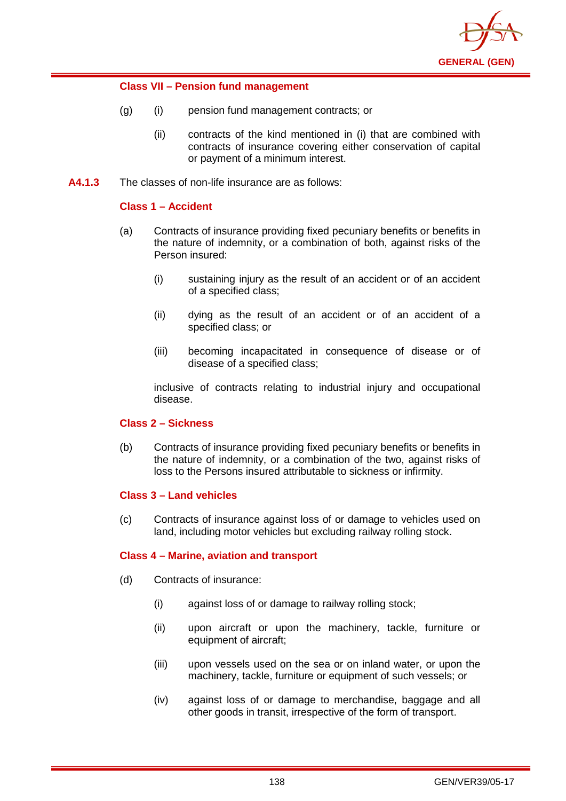

# **Class VII – Pension fund management**

- (g) (i) pension fund management contracts; or
	- (ii) contracts of the kind mentioned in (i) that are combined with contracts of insurance covering either conservation of capital or payment of a minimum interest.
- **A4.1.3** The classes of non-life insurance are as follows:

# **Class 1 – Accident**

- (a) Contracts of insurance providing fixed pecuniary benefits or benefits in the nature of indemnity, or a combination of both, against risks of the Person insured:
	- (i) sustaining injury as the result of an accident or of an accident of a specified class;
	- (ii) dying as the result of an accident or of an accident of a specified class; or
	- (iii) becoming incapacitated in consequence of disease or of disease of a specified class;

inclusive of contracts relating to industrial injury and occupational disease.

# **Class 2 – Sickness**

(b) Contracts of insurance providing fixed pecuniary benefits or benefits in the nature of indemnity, or a combination of the two, against risks of loss to the Persons insured attributable to sickness or infirmity.

# **Class 3 – Land vehicles**

(c) Contracts of insurance against loss of or damage to vehicles used on land, including motor vehicles but excluding railway rolling stock.

# **Class 4 – Marine, aviation and transport**

- (d) Contracts of insurance:
	- (i) against loss of or damage to railway rolling stock;
	- (ii) upon aircraft or upon the machinery, tackle, furniture or equipment of aircraft;
	- (iii) upon vessels used on the sea or on inland water, or upon the machinery, tackle, furniture or equipment of such vessels; or
	- (iv) against loss of or damage to merchandise, baggage and all other goods in transit, irrespective of the form of transport.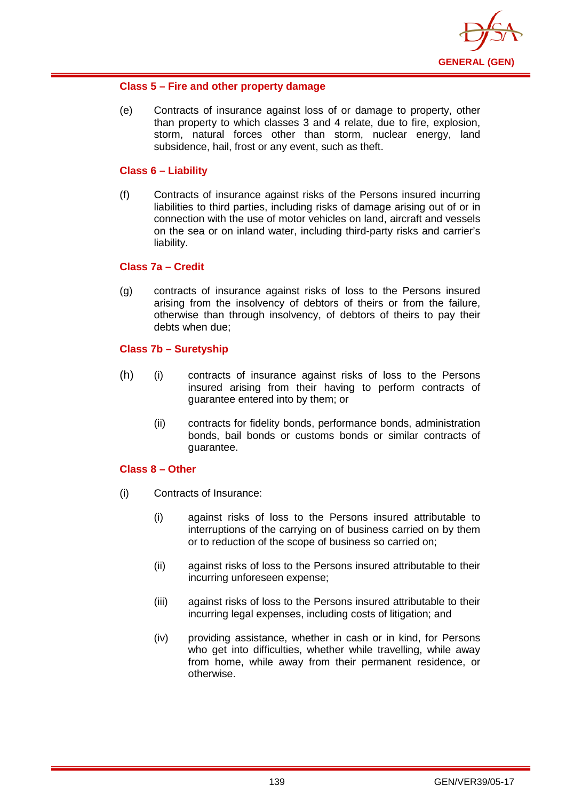

# **Class 5 – Fire and other property damage**

(e) Contracts of insurance against loss of or damage to property, other than property to which classes 3 and 4 relate, due to fire, explosion, storm, natural forces other than storm, nuclear energy, land subsidence, hail, frost or any event, such as theft.

# **Class 6 – Liability**

(f) Contracts of insurance against risks of the Persons insured incurring liabilities to third parties, including risks of damage arising out of or in connection with the use of motor vehicles on land, aircraft and vessels on the sea or on inland water, including third-party risks and carrier's liability.

## **Class 7a – Credit**

(g) contracts of insurance against risks of loss to the Persons insured arising from the insolvency of debtors of theirs or from the failure, otherwise than through insolvency, of debtors of theirs to pay their debts when due;

# **Class 7b – Suretyship**

- (h) (i) contracts of insurance against risks of loss to the Persons insured arising from their having to perform contracts of guarantee entered into by them; or
	- (ii) contracts for fidelity bonds, performance bonds, administration bonds, bail bonds or customs bonds or similar contracts of guarantee.

### **Class 8 – Other**

- (i) Contracts of Insurance:
	- (i) against risks of loss to the Persons insured attributable to interruptions of the carrying on of business carried on by them or to reduction of the scope of business so carried on;
	- (ii) against risks of loss to the Persons insured attributable to their incurring unforeseen expense;
	- (iii) against risks of loss to the Persons insured attributable to their incurring legal expenses, including costs of litigation; and
	- (iv) providing assistance, whether in cash or in kind, for Persons who get into difficulties, whether while travelling, while away from home, while away from their permanent residence, or otherwise.